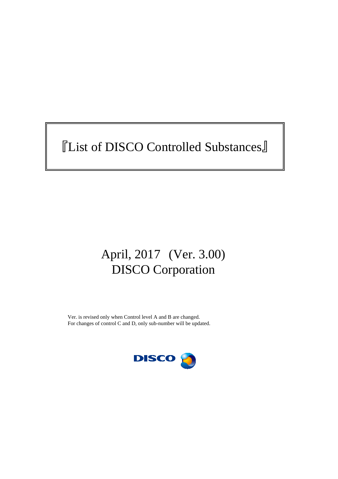# 『List of DISCO Controlled Substances』

## April, 2017 (Ver. 3.00) DISCO Corporation

Ver. is revised only when Control level A and B are changed. For changes of control C and D, only sub-number will be updated.

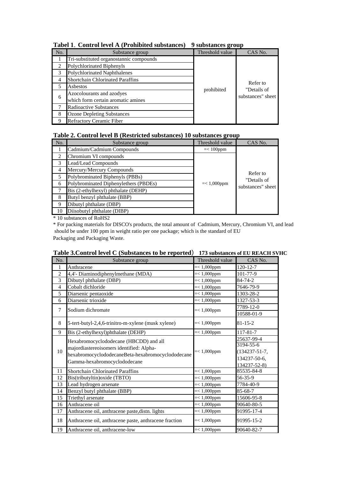| No. | Substance group                         | Threshold value | CAS No.                 |
|-----|-----------------------------------------|-----------------|-------------------------|
|     | Tri-substituted organostannic compounds |                 |                         |
|     | Polychlorinated Biphenyls               |                 |                         |
|     | <b>Polychlorinated Naphthalenes</b>     |                 |                         |
| 4   | <b>Shortchain Chlorinated Paraffins</b> |                 |                         |
|     | Asbestos                                | prohibited      | Refer to<br>"Details of |
| 6   | Azocolourants and azodyes               |                 | substances" sheet       |
|     | which form certain aromatic amines      |                 |                         |
|     | <b>Radioactive Substances</b>           |                 |                         |
| 8   | <b>Ozone Depleting Substances</b>       |                 |                         |
|     | <b>Refractory Ceramic Fiber</b>         |                 |                         |

**Tabel 1**.**Control level A (Prohibited substances) 9 substances group**

### **Table 2. Control level B (Restricted substances) 10 substances group**

| No. | Substance group                       | Threshold value | CAS No.                                      |  |
|-----|---------------------------------------|-----------------|----------------------------------------------|--|
|     | Cadmium/Cadmium Compounds             | $=< 100$ ppm    |                                              |  |
|     | Chromium VI compounds                 |                 |                                              |  |
| 3   | Lead/Lead Compounds                   |                 | Refer to<br>"Details of<br>substances" sheet |  |
| 4   | Mercury/Mercury Compounds             | $=< 1,000$ ppm  |                                              |  |
|     | Polybrominated Biphenyls (PBBs)       |                 |                                              |  |
| 6   | Polybrominated Diphenylethers (PBDEs) |                 |                                              |  |
|     | Bis (2-ethylhexyl) phthalate (DEHP)   |                 |                                              |  |
| 8   | Butyl benzyl phthalate (BBP)          |                 |                                              |  |
| 9   | Dibutyl phthalate (DBP)               |                 |                                              |  |
| 10  | Diisobutyl phthalate (DIBP)           |                 |                                              |  |

\* 10 substances of RoHS2

\* For packing materials for DISCO's products, the total amount of Cadmium, Mercury, Chromium VI, and lead should be under 100 ppm in weight ratio per one package; which is the standard of EU Packaging and Packaging Waste.

#### **Table 3.Control level C (Substances to be reported**) **173 substances of EU REACH SVHC**

| No.            | Substance group                                                                                                                                                         | Threshold value | CAS No.                                                                        |
|----------------|-------------------------------------------------------------------------------------------------------------------------------------------------------------------------|-----------------|--------------------------------------------------------------------------------|
| 1              | Anthracene                                                                                                                                                              | $=< 1,000$ ppm  | $120 - 12 - 7$                                                                 |
| $\overline{2}$ | 4,4'- Diaminodiphenylmethane (MDA)                                                                                                                                      | $=< 1,000$ ppm  | 101-77-9                                                                       |
| 3              | Dibutyl phthalate (DBP)                                                                                                                                                 | $=< 1,000$ ppm  | 84-74-2                                                                        |
| $\overline{4}$ | Cobalt dichloride                                                                                                                                                       | $=< 1,000$ ppm  | 7646-79-9                                                                      |
| 5              | Diarsenic pentaoxide                                                                                                                                                    | $=< 1,000$ ppm  | 1303-28-2                                                                      |
| 6              | Diarsenic trioxide                                                                                                                                                      | $=< 1,000$ ppm  | 1327-53-3                                                                      |
| 7              | Sodium dichromate                                                                                                                                                       | $=< 1,000$ ppm  | 7789-12-0                                                                      |
|                |                                                                                                                                                                         |                 | 10588-01-9                                                                     |
| 8              | 5-tert-butyl-2,4,6-trinitro-m-xylene (musk xylene)                                                                                                                      | $=< 1,000$ ppm  | $81 - 15 - 2$                                                                  |
| 9              | Bis (2-ethylhexyl)phthalate (DEHP)                                                                                                                                      | $=< 1,000$ ppm  | $117 - 81 - 7$                                                                 |
| 10             | Hexabromocyclododecane (HBCDD) and all<br>majordiastereoisomers identified: Alpha-<br>hexabromocyclododecaneBeta-hexabromocyclododecane<br>Gamma-hexabromocyclododecane | $=< 1,000$ ppm  | 25637-99-4<br>3194-55-6<br>$(134237 - 51 - 7,$<br>134237-50-6,<br>134237-52-8) |
| 11             | Shortchain Chlorinated Paraffins                                                                                                                                        | $=< 1,000$ ppm  | 85535-84-8                                                                     |
| 12             | Bis(tributyltin) oxide (TBTO)                                                                                                                                           | $=< 1,000$ ppm  | 56-35-9                                                                        |
| 13             | Lead hydrogen arsenate                                                                                                                                                  | $=< 1,000$ ppm  | 7784-40-9                                                                      |
| 14             | Benzyl butyl phthalate (BBP)                                                                                                                                            | $=< 1,000$ ppm  | 85-68-7                                                                        |
| 15             | Triethyl arsenate                                                                                                                                                       | $=< 1,000$ ppm  | 15606-95-8                                                                     |
| 16             | Anthracene oil                                                                                                                                                          | $=< 1,000$ ppm  | 90640-80-5                                                                     |
| 17             | Anthracene oil, anthracene paste, distn. lights                                                                                                                         | $=< 1,000$ ppm  | 91995-17-4                                                                     |
| 18             | Anthracene oil, anthracene paste, anthracene fraction                                                                                                                   | $=< 1,000$ ppm  | 91995-15-2                                                                     |
| 19             | Anthracene oil, anthracene-low                                                                                                                                          | $=< 1,000$ ppm  | 90640-82-7                                                                     |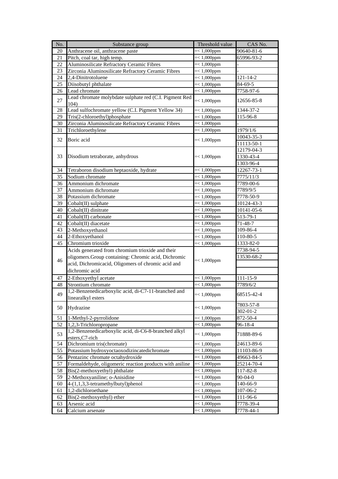| No. | Substance group                                                                                           | Threshold value | CAS No.                |
|-----|-----------------------------------------------------------------------------------------------------------|-----------------|------------------------|
| 20  | Anthracene oil, anthracene paste                                                                          | $=< 1,000$ ppm  | $90640 - 81 - 6$       |
| 21  | Pitch, coal tar, high temp.                                                                               | $=< 1,000$ ppm  | 65996-93-2             |
| 22  | Aluminosilicate Refractory Ceramic Fibres                                                                 | $=< 1,000$ ppm  |                        |
| 23  | Zirconia Aluminosilicate Refractory Ceramic Fibres                                                        | $=< 1,000$ ppm  |                        |
| 24  | 2,4-Dinitrotoluene                                                                                        | $=< 1,000$ ppm  | $121 - 14 - 2$         |
| 25  | Diisobutyl phthalate                                                                                      | $=< 1,000$ ppm  | 84-69-5                |
| 26  | Lead chromate                                                                                             | $=< 1,000$ ppm  | 7758-97-6              |
| 27  | Lead chromate molybdate sulphate red (C.I. Pigment Red<br>104)                                            | $=< 1,000$ ppm  | 12656-85-8             |
| 28  | Lead sulfochromate yellow (C.I. Pigment Yellow 34)                                                        | $=< 1,000$ ppm  | 1344-37-2              |
| 29  | Tris(2-chloroethyl)phosphate                                                                              | $=< 1,000$ ppm  | $\overline{11}$ 5-96-8 |
| 30  | Zirconia Aluminosilicate Refractory Ceramic Fibres                                                        | $=< 1,000$ ppm  |                        |
| 31  | Trichloroethylene                                                                                         | $=< 1,000$ ppm  | 1979/1/6               |
|     |                                                                                                           |                 | 10043-35-3             |
| 32  | Boric acid                                                                                                | $=< 1,000$ ppm  | 11113-50-1             |
|     |                                                                                                           |                 | 12179-04-3             |
| 33  | Disodium tetraborate, anhydrous                                                                           | $=< 1,000$ ppm  | 1330-43-4              |
|     |                                                                                                           |                 | 1303-96-4              |
| 34  | Tetraboron disodium heptaoxide, hydrate                                                                   | $=< 1,000$ ppm  | 12267-73-1             |
| 35  | Sodium chromate                                                                                           | $=< 1,000$ ppm  | 7775/11/3              |
| 36  | Ammonium dichromate                                                                                       | $=< 1,000$ ppm  | 7789-00-6              |
| 37  | Ammonium dichromate                                                                                       | $=< 1,000$ ppm  | 7789/9/5               |
| 38  | Potassium dichromate                                                                                      | $=< 1,000$ ppm  | 7778-50-9              |
| 39  | Cobalt(II) sulphate                                                                                       | $=< 1,000$ ppm  | 10124-43-3             |
| 40  | Cobalt(II) dinitrate                                                                                      | $=< 1,000$ ppm  | 10141-05-6             |
| 41  | Cobalt(II) carbonate                                                                                      | $=< 1,000$ ppm  | 513-79-1               |
| 42  | Cobalt(II) diacetate                                                                                      | $=< 1,000$ ppm  | 71-48-7                |
| 43  | 2-Methoxyethanol                                                                                          | $=< 1,000$ ppm  | 109-86-4               |
| 44  | $2$ -Ethoxyethanol                                                                                        | $=< 1,000$ ppm  | 110-80-5               |
| 45  | Chromium trioxide                                                                                         | $=< 1,000$ ppm  | 1333-82-0              |
|     |                                                                                                           |                 | 7738-94-5              |
|     | Acids generated from chromium trioxide and their                                                          | $=< 1,000$ ppm  | 13530-68-2             |
| 46  | oligomers.Group containing: Chromic acid, Dichromic<br>acid, Dichromicacid, Oligomers of chromic acid and |                 |                        |
|     |                                                                                                           |                 |                        |
|     | dichromic acid                                                                                            |                 |                        |
| 47  | 2-Ethoxyethyl acetate                                                                                     | $=< 1,000$ ppm  | 111-15-9               |
| 48  | Strontium chromate                                                                                        | $=< 1,000$ ppm  | 7789/6/2               |
| 49  | 1,2-Benzenedicarboxylic acid, di-C7-11-branched and<br>linearalkyl esters                                 | $= < 1,000$ ppm | 68515-42-4             |
|     |                                                                                                           |                 | 7803-57-8              |
| 50  | Hydrazine                                                                                                 | $=< 1,000$ ppm  | $302 - 01 - 2$         |
| 51  | 1-Methyl-2-pyrrolidone                                                                                    | $=< 1,000$ ppm  | 872-50-4               |
| 52  | 1,2,3-Trichloropropane                                                                                    | $=< 1,000$ ppm  | 96-18-4                |
| 53  | 1,2-Benzenedicarboxylic acid, di-C6-8-branched alkyl<br>esters, C7-rich                                   | $=< 1,000$ ppm  | 71888-89-6             |
| 54  | Dichromium tris(chromate)                                                                                 | $=< 1,000$ ppm  | 24613-89-6             |
| 55  | Potassium hydroxyoctaoxodizincatedichromate                                                               | $=< 1,000$ ppm  | 11103-86-9             |
| 56  | Pentazinc chromate octahydroxide                                                                          | $=< 1,000$ ppm  | 49663-84-5             |
| 57  | Formaldehyde, oligomeric reaction products with aniline                                                   | $=< 1,000$ ppm  | 25214-70-4             |
| 58  | Bis(2-methoxyethyl) phthalate                                                                             | $=< 1,000$ ppm  | 117-82-8               |
| 59  | 2-Methoxyaniline; o-Anisidine                                                                             | $=< 1,000$ ppm  | 90-04-0                |
| 60  | 4-(1,1,3,3-tetramethylbutyl)phenol                                                                        | $=< 1,000$ ppm  | 140-66-9               |
| 61  | 1,2-dichloroethane                                                                                        | $=< 1,000$ ppm  | 107-06-2               |
| 62  | Bis(2-methoxyethyl) ether                                                                                 | $=< 1,000$ ppm  | 111-96-6               |
| 63  | Arsenic acid                                                                                              | $=< 1,000$ ppm  | 7778-39-4              |
| 64  | Calcium arsenate                                                                                          | $=< 1,000$ ppm  | 7778-44-1              |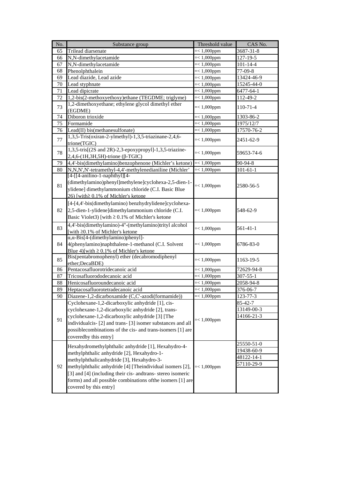| No. | Substance group                                                                                                                                                                               | Threshold value | CAS No.        |
|-----|-----------------------------------------------------------------------------------------------------------------------------------------------------------------------------------------------|-----------------|----------------|
| 65  | <b>Trilead diarsenate</b>                                                                                                                                                                     | $=< 1,000$ ppm  | 3687-31-8      |
| 66  | N,N-dimethylacetamide                                                                                                                                                                         | $= < 1,000$ ppm | 127-19-5       |
| 67  | N,N-dimethylacetamide                                                                                                                                                                         | $=< 1,000$ ppm  | $101 - 14 - 4$ |
| 68  | Phenolphthalein                                                                                                                                                                               | $=< 1,000$ ppm  | 77-09-8        |
| 69  | Lead diazide, Lead azide                                                                                                                                                                      | $=< 1,000$ ppm  | 13424-46-9     |
| 70  | Lead styphnate                                                                                                                                                                                | $=< 1,000$ ppm  | 15245-44-0     |
| 71  | Lead dipicrate                                                                                                                                                                                | $=< 1,000$ ppm  | 6477-64-1      |
| 72  | 1,2-bis(2-methoxyethoxy)ethane (TEGDME; triglyme)                                                                                                                                             | $=< 1,000$ ppm  | 112-49-2       |
| 73  | 1,2-dimethoxyethane; ethylene glycol dimethyl ether<br>(EGDME)                                                                                                                                | $=< 1,000$ ppm  | 110-71-4       |
| 74  | Diboron trioxide                                                                                                                                                                              | $=< 1,000$ ppm  | 1303-86-2      |
| 75  | Formamide                                                                                                                                                                                     | $=< 1,000$ ppm  | 1975/12/7      |
| 76  | Lead(II) bis(methanesulfonate)                                                                                                                                                                | $=< 1,000$ ppm  | 17570-76-2     |
| 77  | 1,3,5-Tris(oxiran-2-ylmethyl)-1,3,5-triazinane-2,4,6-<br>trione(TGIC)                                                                                                                         | $=< 1,000$ ppm  | 2451-62-9      |
| 78  | 1,3,5-tris[(2S and 2R)-2,3-epoxypropyl]-1,3,5-triazine-<br>$2,4,6-(1H,3H,5H)$ -trione ( $\beta$ -TGIC)                                                                                        | $=< 1,000$ ppm  | 59653-74-6     |
| 79  | 4,4'-bis(dimethylamino)benzophenone (Michler's ketone)                                                                                                                                        | $=< 1,000$ ppm  | 90-94-8        |
| 80  | N,N,N',N'-tetramethyl-4,4'-methylenedianiline (Michler'                                                                                                                                       | $=< 1,000$ ppm  | $101 - 61 - 1$ |
| 81  | $[4-[[4-anilino-1-naphthyl]][4-$<br>(dimethylamino)phenyl]methylene]cyclohexa-2,5-dien-1-<br>ylidene] dimethylammonium chloride (C.I. Basic Blue<br>26) [with $\geq$ 0.1% of Michler's ketone | $=< 1,000$ ppm  | 2580-56-5      |
| 82  | [4-[4,4'-bis(dimethylamino) benzhydrylidene]cyclohexa-<br>2,5-dien-1-ylidene]dimethylammonium chloride (C.I.<br>Basic Violet3) [with $\geq 0.1\%$ of Michler's ketone                         | $=< 1,000$ ppm  | 548-62-9       |
| 83  | 4,4'-bis(dimethylamino)-4"-(methylamino)trityl alcohol<br>[with ≥0.1% of Michler's ketone                                                                                                     | $=< 1,000$ ppm  | 561-41-1       |
| 84  | $\alpha, \alpha$ -Bis[4-(dimethylamino)phenyl]-<br>4(phenylamino)naphthalene-1-methanol (C.I. Solvent<br>Blue 4) [with $\geq$ 0.1% of Michler's ketone                                        | $=< 1,000$ ppm  | 6786-83-0      |
| 85  | Bis(pentabromophenyl) ether (decabromodiphenyl<br>ether;DecaBDE)                                                                                                                              | $=< 1,000$ ppm  | 1163-19-5      |
| 86  | Pentacosafluorotridecanoic acid                                                                                                                                                               | $=< 1,000$ ppm  | 72629-94-8     |
| 87  | Tricosafluorododecanoic acid                                                                                                                                                                  | $=< 1,000$ ppm  | $307 - 55 - 1$ |
| 88  | Henicosafluoroundecanoic acid                                                                                                                                                                 | $=< 1,000$ ppm  | 2058-94-8      |
| 89  | Heptacosafluorotetradecanoic acid                                                                                                                                                             | $=< 1,000$ ppm  | 376-06-7       |
| 90  | Diazene-1,2-dicarboxamide (C,C'-azodi(formamide))                                                                                                                                             | $=< 1,000$ ppm  | 123-77-3       |
|     | Cyclohexane-1,2-dicarboxylic anhydride [1], cis-                                                                                                                                              |                 | 85-42-7        |
|     | cyclohexane-1,2-dicarboxylic anhydride [2], trans-                                                                                                                                            |                 | 13149-00-3     |
|     | cyclohexane-1,2-dicarboxylic anhydride [3] [The                                                                                                                                               |                 | 14166-21-3     |
| 91  | individualcis- [2] and trans- [3] isomer substances and all<br>possible combinations of the cis- and trans-isomers [1] are                                                                    | $=< 1,000$ ppm  |                |
|     | coveredby this entry]                                                                                                                                                                         |                 |                |
|     | Hexahydromethylphthalic anhydride [1], Hexahydro-4-                                                                                                                                           |                 | 25550-51-0     |
|     | methylphthalic anhydride [2], Hexahydro-1-                                                                                                                                                    |                 | 19438-60-9     |
|     | methylphthalicanhydride [3], Hexahydro-3-                                                                                                                                                     |                 | 48122-14-1     |
| 92  | methylphthalic anhydride [4] [Theindividual isomers [2],                                                                                                                                      | $=< 1,000$ ppm  | 57110-29-9     |
|     | [3] and [4] (including their cis- and trans- stereo isomeric<br>forms) and all possible combinations of the isomers [1] are<br>covered by this entry]                                         |                 |                |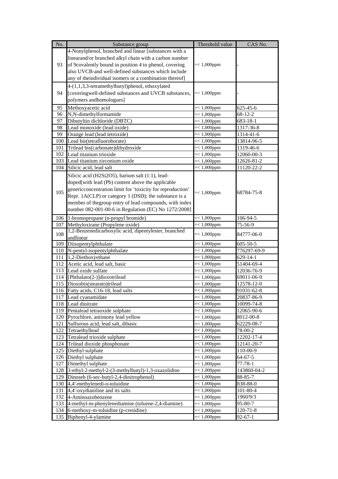| No. | Substance group                                            | Threshold value | CAS No.        |
|-----|------------------------------------------------------------|-----------------|----------------|
|     | 4-Nonylphenol, branched and linear [substances with a      |                 |                |
|     | linearand/or branched alkyl chain with a carbon number     |                 |                |
| 93  | of 9covalently bound in position 4 to phenol, covering     | $=< 1,000$ ppm  |                |
|     | also UVCB-and well-defined substances which include        |                 |                |
|     | any of theindividual isomers or a combination thereof]     |                 |                |
|     | 4-(1,1,3,3-tetramethylbutyl)phenol, ethoxylated            |                 |                |
| 94  | [coveringwell-defined substances and UVCB substances,      | $=< 1,000$ ppm  |                |
|     | polymers andhomologues]                                    |                 |                |
|     |                                                            |                 |                |
| 95  | Methoxyacetic acid                                         | $=< 1,000$ ppm  | 625-45-6       |
| 96  | N,N-dimethylformamide                                      | $=< 1,000$ ppm  | $68 - 12 - 2$  |
| 97  | Dibutyltin dichloride (DBTC)                               | $=< 1,000$ ppm  | 683-18-1       |
| 98  | Lead monoxide (lead oxide)                                 | $=< 1,000$ ppm  | 1317-36-8      |
| 99  | Orange lead (lead tetroxide)                               | $=< 1,000$ ppm  | 1314-41-6      |
| 100 | Lead bis(tetrafluoroborate)                                | $=< 1,000$ ppm  | 13814-96-5     |
| 101 | Trilead bis(carbonate)dihydroxide                          | $=< 1,000$ ppm  | 1319-46-6      |
| 102 | Lead titanium trioxide                                     | $=< 1,000$ ppm  | 12060-00-3     |
| 103 | Lead titanium zirconium oxide                              | $=< 1,000$ ppm  | 12626-81-2     |
| 104 | Silicic acid, lead salt                                    | $=< 1,000$ ppm  | 11120-22-2     |
|     | Silicic acid (H2Si2O5), barium salt (1:1), lead-           |                 |                |
|     | doped[with lead (Pb) content above the applicable          |                 |                |
| 105 | genericconcentration limit for 'toxicity for reproduction' | $=< 1,000$ ppm  | 68784-75-8     |
|     | Repr. 1A(CLP) or category 1 (DSD); the substance is a      |                 |                |
|     | member of the group entry of lead compounds, with index    |                 |                |
|     | number 082-001-00-6 in Regulation (EC) No 1272/2008]       |                 |                |
| 106 | 1-bromopropane (n-propyl bromide)                          | $=< 1,000$ ppm  | 106-94-5       |
| 107 | Methyloxirane (Propylene oxide)                            | $=< 1,000$ ppm  | 75-56-9        |
|     | 1,2-Benzenedicarboxylic acid, dipentylester, branched      |                 |                |
| 108 | andlinear                                                  | $=< 1,000$ ppm  | 84777-06-0     |
| 109 | Diisopentylphthalate                                       | $=< 1,000$ ppm  | $605 - 50 - 5$ |
| 110 | N-pentyl-isopentylphthalate                                | $=< 1,000$ ppm  | 776297-69-9    |
| 111 | 1,2-Diethoxyethane                                         | $=< 1,000$ ppm  | $629 - 14 - 1$ |
| 112 | Acetic acid, lead salt, basic                              | $=< 1,000$ ppm  | 51404-69-4     |
| 113 | Lead oxide sulfate                                         | $=< 1,000$ ppm  | 12036-76-9     |
| 114 | [Phthalato(2-)]dioxotrilead                                | $=< 1,000$ ppm  | 69011-06-9     |
| 115 | Dioxobis(stearato)trilead                                  | $=< 1,000$ ppm  | 12578-12-0     |
| 116 | Fatty acids, C16-18, lead salts                            | $=< 1,000$ ppm  | 91031-62-8     |
| 117 | Lead cyanamidate                                           | $=< 1,000$ ppm  | 20837-86-9     |
| 118 | Lead dinitrate                                             | $=< 1,000$ ppm  | 10099-74-8     |
| 119 | Pentalead tetraoxide sulphate                              | $=< 1,000$ ppm  | 12065-90-6     |
| 120 | Pyrochlore, antimony lead yellow                           | $=< 1,000$ ppm  | 8012-00-8      |
| 121 | Sulfurous acid, lead salt, dibasic                         | $=< 1,000$ ppm  | 62229-08-7     |
| 122 | Tetraethyllead                                             | $=< 1,000$ ppm  | 78-00-2        |
| 123 | Tetralead trioxide sulphate                                | $=< 1,000$ ppm  | 12202-17-4     |
| 124 | Trilead dioxide phosphonate                                | $=< 1,000$ ppm  | 12141-20-7     |
| 125 | Diethyl sulphate                                           | $=< 1,000$ ppm  | 110-00-9       |
| 126 | Diethyl sulphate                                           | $=< 1,000$ ppm  | 64-67-5        |
| 127 | Dimethyl sulphate                                          | $=< 1,000$ ppm  | $77 - 78 - 1$  |
| 128 | 3-ethyl-2-methyl-2-(3-methylbutyl)-1,3-oxazolidine         | $=< 1,000$ ppm  | 143860-04-2    |
| 129 | Dinoseb (6-sec-butyl-2,4-dinitrophenol)                    | $=< 1,000$ ppm  | 88-85-7        |
| 130 | 4,4'-methylenedi-o-toluidine                               | $=< 1,000$ ppm  | 838-88-0       |
| 131 | 4,4'-oxydianiline and its salts                            | $=< 1,000$ ppm  | $101 - 80 - 4$ |
| 132 | 4-Aminoazobenzene                                          | $=< 1,000$ ppm  | 1960/9/3       |
| 133 | 4-methyl-m-phenylenediamine (toluene-2,4-diamine)          | $=< 1,000$ ppm  | 95-80-7        |
| 134 | 6-methoxy-m-toluidine (p-cresidine)                        | $=< 1,000$ ppm  | $120 - 71 - 8$ |
| 135 | Biphenyl-4-ylamine                                         | $=< 1,000$ ppm  | $92 - 67 - 1$  |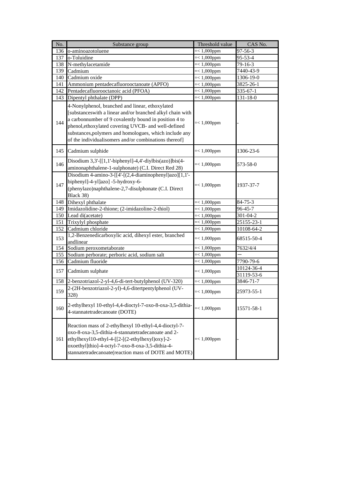| No.                                                                                                                                                                                                                                                                               | Substance group                                                                                                                                                                                                                                                                                                                                 | Threshold value | CAS No.                  |
|-----------------------------------------------------------------------------------------------------------------------------------------------------------------------------------------------------------------------------------------------------------------------------------|-------------------------------------------------------------------------------------------------------------------------------------------------------------------------------------------------------------------------------------------------------------------------------------------------------------------------------------------------|-----------------|--------------------------|
| 136                                                                                                                                                                                                                                                                               | o-aminoazotoluene                                                                                                                                                                                                                                                                                                                               | $=< 1,000$ ppm  | $97 - 56 - 3$            |
| 137                                                                                                                                                                                                                                                                               | o-Toluidine                                                                                                                                                                                                                                                                                                                                     | $=< 1,000$ ppm  | 95-53-4                  |
| 138                                                                                                                                                                                                                                                                               | N-methylacetamide                                                                                                                                                                                                                                                                                                                               | $=< 1,000$ ppm  | 79-16-3                  |
| 139                                                                                                                                                                                                                                                                               | Cadmium                                                                                                                                                                                                                                                                                                                                         | $=< 1,000$ ppm  | 7440-43-9                |
| 140                                                                                                                                                                                                                                                                               | Cadmium oxide                                                                                                                                                                                                                                                                                                                                   | $=< 1,000$ ppm  | $1306 - 19 - 0$          |
| 141                                                                                                                                                                                                                                                                               | Ammonium pentadecafluorooctanoate (APFO)                                                                                                                                                                                                                                                                                                        | $=< 1,000$ ppm  | 3825-26-1                |
| 142                                                                                                                                                                                                                                                                               | Pentadecafluorooctanoic acid (PFOA)                                                                                                                                                                                                                                                                                                             | $=< 1,000$ ppm  | 335-67-1                 |
| 143                                                                                                                                                                                                                                                                               | Dipentyl phthalate (DPP)                                                                                                                                                                                                                                                                                                                        | $=< 1,000$ ppm  | 131-18-0                 |
| 144                                                                                                                                                                                                                                                                               | 4-Nonylphenol, branched and linear, ethoxylated<br>[substanceswith a linear and/or branched alkyl chain with<br>a carbonnumber of 9 covalently bound in position 4 to<br>phenol, ethoxylated covering UVCB- and well-defined<br>substances, polymers and homologues, which include any<br>of the individualisomers and/or combinations thereof] | $=< 1,000$ ppm  |                          |
| 145                                                                                                                                                                                                                                                                               | Cadmium sulphide                                                                                                                                                                                                                                                                                                                                | $=< 1,000$ ppm  | 1306-23-6                |
| 146                                                                                                                                                                                                                                                                               | Disodium $3,3'$ -[[1,1'-biphenyl]-4,4'-diylbis(azo)]bis(4-<br>aminonaphthalene-1-sulphonate) (C.I. Direct Red 28)                                                                                                                                                                                                                               | $=< 1,000$ ppm  | 573-58-0                 |
| 147                                                                                                                                                                                                                                                                               | Disodium 4-amino-3-[[4'-[(2,4-diaminophenyl)azo][1,1'-<br>biphenyl]-4-yl]azo] -5-hydroxy-6-<br>(phenylazo)naphthalene-2,7-disulphonate (C.I. Direct<br>Black 38)                                                                                                                                                                                | $=< 1,000$ ppm  | 1937-37-7                |
| 148                                                                                                                                                                                                                                                                               | Dihexyl phthalate                                                                                                                                                                                                                                                                                                                               | $=< 1,000$ ppm  | $84 - 75 - 3$            |
|                                                                                                                                                                                                                                                                                   | 149 Imidazolidine-2-thione; (2-imidazoline-2-thiol)                                                                                                                                                                                                                                                                                             | $=< 1,000$ ppm  | 96-45-7                  |
|                                                                                                                                                                                                                                                                                   | 150 Lead di(acetate)                                                                                                                                                                                                                                                                                                                            | $=< 1,000$ ppm  | 301-04-2                 |
| 151                                                                                                                                                                                                                                                                               | Trixylyl phosphate                                                                                                                                                                                                                                                                                                                              | $=< 1,000$ ppm  | 25155-23-1               |
| 152                                                                                                                                                                                                                                                                               | Cadmium chloride                                                                                                                                                                                                                                                                                                                                | $=< 1,000$ ppm  | 10108-64-2               |
| 153                                                                                                                                                                                                                                                                               | 1,2-Benzenedicarboxylic acid, dihexyl ester, branched<br>andlinear                                                                                                                                                                                                                                                                              | $=< 1,000$ ppm  | 68515-50-4               |
| 154                                                                                                                                                                                                                                                                               | Sodium peroxometaborate                                                                                                                                                                                                                                                                                                                         | $=< 1,000$ ppm  | 7632/4/4                 |
| 155                                                                                                                                                                                                                                                                               | Sodium perborate; perboric acid, sodium salt                                                                                                                                                                                                                                                                                                    | $=< 1,000$ ppm  |                          |
| 156                                                                                                                                                                                                                                                                               | Cadmium fluoride                                                                                                                                                                                                                                                                                                                                | $=< 1,000$ ppm  | 7790-79-6                |
| 157                                                                                                                                                                                                                                                                               | Cadmium sulphate                                                                                                                                                                                                                                                                                                                                | $=< 1,000$ ppm  | 10124-36-4<br>31119-53-6 |
| 158                                                                                                                                                                                                                                                                               | 2-benzotriazol-2-yl-4,6-di-tert-butylphenol (UV-320)                                                                                                                                                                                                                                                                                            | $=< 1,000$ ppm  | 3846-71-7                |
| 159                                                                                                                                                                                                                                                                               | 2-(2H-benzotriazol-2-yl)-4,6-ditertpentylphenol (UV-<br>328)                                                                                                                                                                                                                                                                                    | $=< 1,000$ ppm  | 25973-55-1               |
| 160                                                                                                                                                                                                                                                                               | 2-ethylhexyl 10-ethyl-4,4-dioctyl-7-oxo-8-oxa-3,5-dithia-<br>4-stannatetradecanoate (DOTE)                                                                                                                                                                                                                                                      | $=< 1,000$ ppm  | 15571-58-1               |
| Reaction mass of 2-ethylhexyl 10-ethyl-4,4-dioctyl-7-<br>oxo-8-oxa-3,5-dithia-4-stannatetradecanoate and 2-<br>ethylhexyl10-ethyl-4-[[2-[(2-ethylhexyl)oxy]-2-<br>161<br>oxoethyl]thio]-4-octyl-7-oxo-8-oxa-3,5-dithia-4-<br>stannatetradecanoate(reaction mass of DOTE and MOTE) |                                                                                                                                                                                                                                                                                                                                                 | $=< 1,000$ ppm  |                          |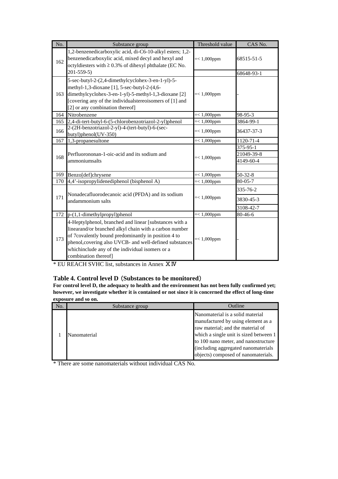| No. | Substance group                                                                                                                                                                                                                                                                                               | Threshold value | CAS No.                             |
|-----|---------------------------------------------------------------------------------------------------------------------------------------------------------------------------------------------------------------------------------------------------------------------------------------------------------------|-----------------|-------------------------------------|
| 162 | 1,2-benzenedicarboxylic acid, di-C6-10-alkyl esters; 1,2-<br>benzenedicarboxylic acid, mixed decyl and hexyl and<br>octyldiesters with $\geq 0.3\%$ of dihexyl phthalate (EC No.<br>$201 - 559 - 5$                                                                                                           | $=< 1,000$ ppm  | 68515-51-5<br>68648-93-1            |
| 163 | 5-sec-butyl-2-(2,4-dimethylcyclohex-3-en-1-yl)-5-<br>methyl-1,3-dioxane [1], 5-sec-butyl-2-(4,6-<br>dimethylcyclohex-3-en-1-yl)-5-methyl-1,3-dioxane [2]<br>[covering any of the individual stereoisomers of [1] and<br>[2] or any combination thereof]                                                       | $=< 1,000$ ppm  |                                     |
| 164 | Nitrobenzene                                                                                                                                                                                                                                                                                                  | $=< 1,000$ ppm  | 98-95-3                             |
| 165 | 2,4-di-tert-butyl-6-(5-chlorobenzotriazol-2-yl)phenol                                                                                                                                                                                                                                                         | $=< 1,000$ ppm  | 3864-99-1                           |
| 166 | 2-(2H-benzotriazol-2-yl)-4-(tert-butyl)-6-(sec-<br>butyl)phenol(UV-350)                                                                                                                                                                                                                                       | $=< 1,000$ ppm  | 36437-37-3                          |
| 167 | 1,3-propanesultone                                                                                                                                                                                                                                                                                            | $=< 1,000$ ppm  | 1120-71-4                           |
| 168 | Perfluorononan-1-oic-acid and its sodium and<br>ammoniumsalts                                                                                                                                                                                                                                                 | $=< 1,000$ ppm  | 375-95-1<br>21049-39-8<br>4149-60-4 |
| 169 | Benzo[def]chrysene                                                                                                                                                                                                                                                                                            | $=< 1,000$ ppm  | $50 - 32 - 8$                       |
| 170 | 4,4'-isopropylidenediphenol (bisphenol A)                                                                                                                                                                                                                                                                     | $=< 1,000$ ppm  | $80 - 05 - 7$                       |
| 171 | Nonadecafluorodecanoic acid (PFDA) and its sodium<br>andammonium salts                                                                                                                                                                                                                                        | $=< 1,000$ ppm  | 335-76-2<br>3830-45-3<br>3108-42-7  |
| 172 | p-(1,1-dimethylpropyl)phenol                                                                                                                                                                                                                                                                                  | $=< 1,000$ ppm  | 80-46-6                             |
| 173 | 4-Heptylphenol, branched and linear [substances with a<br>linearand/or branched alkyl chain with a carbon number<br>of 7covalently bound predominantly in position 4 to<br>phenol, covering also UVCB- and well-defined substances<br>whichinclude any of the individual isomers or a<br>combination thereof] | $=< 1,000$ ppm  |                                     |

\* EU REACH SVHC list, substances in Annex ⅩⅣ

#### **Table 4. Control level D** (**Substances to be monitored**)

**For control level D, the adequacy to health and the environment has not been fully confirmed yet; however, we investigate whether it is contained or not since it is concerned the effect of long-time exposure and so on.**

| No. | Substance group | Outline                                                                                                                                                                                                                                                                     |
|-----|-----------------|-----------------------------------------------------------------------------------------------------------------------------------------------------------------------------------------------------------------------------------------------------------------------------|
|     | Nanomaterial    | Nanomaterial is a solid material<br>manufactured by using element as a<br>raw material; and the material of<br>which a single unit is sized between 1<br>to 100 nano meter, and nanostructure<br>(including aggregated nanomaterials<br>objects) composed of nanomaterials. |

\* There are some nanomaterials without individual CAS No.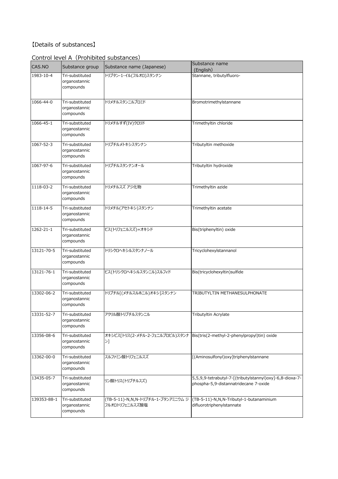### 【Details of substances】

#### CAS.NO Substance group Substance name (Japanese) Substance name (English)<br>Stannane, tributylfluoro-1983-10-4 Tri-substituted organostannic compounds トリブタン-1-イル(フルオロ)スタンナン 1066-44-0 Tri-substituted organostannic compounds トリメチルスタンニルブロミド Bromotrimethylstannane 1066-45-1 Tri-substituted organostannic compounds トリメチルすず(IV)クロリド Trimethyltin chloride 1067-52-3 Tri-substituted organostannic compounds トリブチルメトキシスタンナン Tributyltin methoxide 1067-97-6 Tri-substituted organostannic compounds トリブチルスタンナンオール Tributyltin hydroxide 1118-03-2 Tri-substituted organostannic compounds トリメチルスズ アジ化物 Trimethyltin azide 1118-14-5 Tri-substituted organostannic compounds トリメチル(アセトキシ)スタンナン Trimethyltin acetate 1262-21-1 Tri-substituted organostannic compounds ビス(トリフェニルスズ)=オキシド Bis(triphenyltin) oxide 13121-70-5 Tri-substituted organostannic compounds トリシクロヘキシルスタンナノール Tricyclohexylstannanol 13121-76-1 Tri-substituted organostannic compounds ビス(トリシクロヘキシルスタンニル)スルフィド Bis(tricyclohexyltin)sulfide 13302-06-2 Tri-substituted organostannic compounds トリブチル[(メチルスルホニル)オキシ]スタンナン TRIBUTYLTIN METHANESULPHONATE 13331-52-7 Tri-substituted organostannic compounds アクリル酸トリブチルスタンニル Tributyltin Acrylate 13356-08-6 Tri-substituted organostannic compounds オキシビス[トリス(2-メチル-2-フェニルプロピル)スタンナ Bis(tris(2-methyl-2-phenylpropyl)tin) oxide  $>1$ 13362-00-0 Tri-substituted organostannic compounds スルファミン酸トリフェニルスズ | [(Aminosulfonyl)oxy]triphenylstannane 13435-05-7 Tri-substituted organostannic compounds リン酸トリス(トリブチルスズ) 5,5,9,9-tetrabutyl-7-[(tributylstannyl)oxy]-6,8-dioxa-7 phospha-5,9-distannatridecane 7-oxide 139353-88-1 Tri-substituted organostannic compounds (TB-5-11)-N,N,N-トリブチル-1-ブタンアミニウム ジ フルオロトリフェニルスズ酸塩 (TB-5-11)-N,N,N-Tributyl-1-butanaminium difluorotriphenylstannate

#### Control level A (Prohibited substances)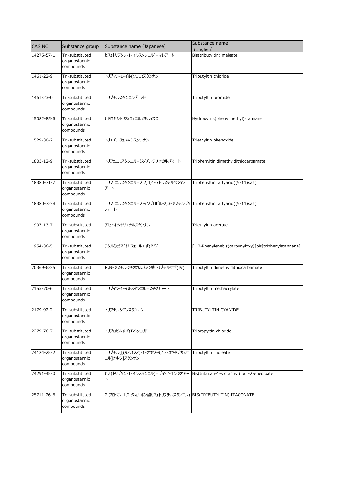| CAS.NO          | Substance group                               | Substance name (Japanese)                                                      | Substance name<br>(English)                           |
|-----------------|-----------------------------------------------|--------------------------------------------------------------------------------|-------------------------------------------------------|
| 14275-57-1      | Tri-substituted<br>organostannic<br>compounds | ビス(トリブタン-1-イルスタンニル)=マレアート                                                      | Bis(tributyltin) maleate                              |
| $1461 - 22 - 9$ | Tri-substituted<br>organostannic<br>compounds | トリブタン-1-イル(クロロ)スタンナン                                                           | Tributyltin chloride                                  |
| 1461-23-0       | Tri-substituted<br>organostannic<br>compounds | トリブチルスタンニルブロミド                                                                 | Tributyltin bromide                                   |
| 15082-85-6      | Tri-substituted<br>organostannic<br>compounds | ヒドロキシトリス(フェニルメチル)スズ                                                            | Hydroxytris(phenylmethyl)stannane                     |
| 1529-30-2       | Tri-substituted<br>organostannic<br>compounds | トリエチルフェノキシスタンナン                                                                | Triethyltin phenoxide                                 |
| 1803-12-9       | Tri-substituted<br>organostannic<br>compounds | トリフェニルスタンニル=ジメチルジチオカルバマート                                                      | Triphenyltin dimethyldithiocarbamate                  |
| 18380-71-7      | Tri-substituted<br>organostannic<br>compounds | トリフェニルスタンニル=2,2,4,4-テトラメチルペンタノ<br>アート                                          | Triphenyltin fattyacid((9-11)salt)                    |
| 18380-72-8      | Tri-substituted<br>organostannic<br>compounds | トリフェニルスタンニル=2-イソプロピル-2,3-ジメチルブタ Triphenyltin fattyacid((9-11)salt)<br>ノアート     |                                                       |
| 1907-13-7       | Tri-substituted<br>organostannic<br>compounds | アセトキシトリエチルスタンナン                                                                | Triethyltin acetate                                   |
| 1954-36-5       | Tri-substituted<br>organostannic<br>compounds | フタル酸ビス[トリフェニルすず(IV)]                                                           | [1,2-Phenylenebis(carbonyloxy)]bis[triphenylstannane] |
| 20369-63-5      | Tri-substituted<br>organostannic<br>compounds | N,N-ジメチルジチオカルバミン酸トリブチルすず(IV)                                                   | Tributyltin dimethyldithiocarbamate                   |
| 2155-70-6       | Tri-substituted<br>organostannic<br>compounds | トリブタン-1-イルスタンニル=メタクリラート                                                        | Tributyltin methacrylate                              |
| 2179-92-2       | Tri-substituted<br>organostannic<br>compounds | トリブチルシアノスタンナン                                                                  | TRIBUTYLTIN CYANIDE                                   |
| 2279-76-7       | Tri-substituted<br>organostannic<br>compounds | トリプロピルすず(IV)クロリド                                                               | Tripropyltin chloride                                 |
| 24124-25-2      | Tri-substituted<br>organostannic<br>compounds | トリブチル[[(9Z,12Z)-1-オキソ-9,12-オクタデカジエ Tributyltin linoleate<br>ニル]オキシ]スタンナン       |                                                       |
| 24291-45-0      | Tri-substituted<br>organostannic<br>compounds | ビス(トリブタン-1-イルスタンニル)=ブタ-2-エンジオアー Bis(tributan-1-ylstannyl) but-2-enedioate<br>ト |                                                       |
| 25711-26-6      | Tri-substituted<br>organostannic<br>compounds | 2-プロペン-1,2-ジカルボン酸ビス(トリブチルスタンニル) BIS(TRIBUTYLTIN) ITACONATE                     |                                                       |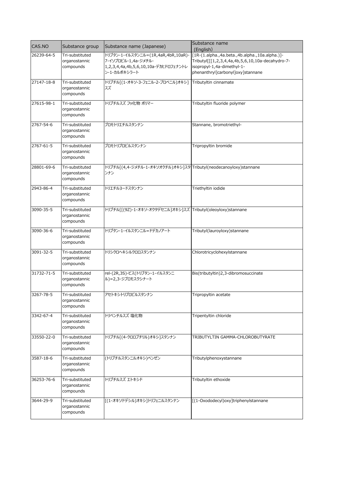| CAS.NO     | Substance group                               | Substance name (Japanese)                                                                                         | Substance name<br>(English)                                                                                                                                           |
|------------|-----------------------------------------------|-------------------------------------------------------------------------------------------------------------------|-----------------------------------------------------------------------------------------------------------------------------------------------------------------------|
| 26239-64-5 | Tri-substituted<br>organostannic<br>compounds | トリブタン-1-イルスタンニル=(1R,4aR,4bR,10aR)-<br>7-イソプロピル-1,4a-ジメチル-<br>1,2,3,4,4a,4b,5,6,10,10a-デカヒドロフェナントレ<br>ン-1-カルボキシラート | [1R-(1.alpha.,4a.beta.,4b.alpha.,10a.alpha.)]-<br>Tributyl[[[1,2,3,4,4a,4b,5,6,10,10a-decahydro-7-<br>isopropyl-1,4a-dimethyl-1-<br>phenanthryl]carbonyl]oxy]stannane |
| 27147-18-8 | Tri-substituted<br>organostannic<br>compounds | トリブチル[(1-オキソ-3-フェニル-2-プロペニル)オキシ]<br>スズ                                                                            | Tributyltin cinnamate                                                                                                                                                 |
| 27615-98-1 | Tri-substituted<br>organostannic<br>compounds | トリブチルスズ フッ化物 ポリマー                                                                                                 | Tributyltin fluoride polymer                                                                                                                                          |
| 2767-54-6  | Tri-substituted<br>organostannic<br>compounds | ブロモトリエチルスタンナン                                                                                                     | Stannane, bromotriethyl-                                                                                                                                              |
| 2767-61-5  | Tri-substituted<br>organostannic<br>compounds | ブロモトリプロピルスタンナン                                                                                                    | Tripropyltin bromide                                                                                                                                                  |
| 28801-69-6 | Tri-substituted<br>organostannic<br>compounds | トリブチル[(4,4-ジメチル-1-オキソオクチル)オキシ]スタ Tributyl(neodecanoyloxy)stannane<br>ンナン                                          |                                                                                                                                                                       |
| 2943-86-4  | Tri-substituted<br>organostannic<br>compounds | トリエチルヨードスタンナン                                                                                                     | Triethyltin iodide                                                                                                                                                    |
| 3090-35-5  | Tri-substituted<br>organostannic<br>compounds | トリブチル[[(9Z)-1-オキソ-オクタデセニル]オキシ]スズ Tributyl(oleoyloxy)stannane                                                      |                                                                                                                                                                       |
| 3090-36-6  | Tri-substituted<br>organostannic<br>compounds | トリブタン-1-イルスタンニル=ドデカノアート                                                                                           | Tributyl(lauroyloxy)stannane                                                                                                                                          |
| 3091-32-5  | Tri-substituted<br>organostannic<br>compounds | トリシクロヘキシルクロロスタンナン                                                                                                 | Chlorotricyclohexylstannane                                                                                                                                           |
| 31732-71-5 | Tri-substituted<br>organostannic<br>compounds | rel-(2R,3S)-ビス(トリブタン-1-イルスタンニ<br>ル)=2,3-ジブロモスクシナート                                                                | Bis(tributyltin)2,3-dibromosuccinate                                                                                                                                  |
| 3267-78-5  | Tri-substituted<br>organostannic<br>compounds | アセトキシトリプロピルスタンナン                                                                                                  | Tripropyltin acetate                                                                                                                                                  |
| 3342-67-4  | Tri-substituted<br>organostannic<br>compounds | トリペンチルスズ 塩化物                                                                                                      | Tripentyltin chloride                                                                                                                                                 |
| 33550-22-0 | Tri-substituted<br>organostannic<br>compounds | トリブチル[(4-クロロブチリル)オキシ]スタンナン                                                                                        | TRIBUTYLTIN GAMMA-CHLOROBUTYRATE                                                                                                                                      |
| 3587-18-6  | Tri-substituted<br>organostannic<br>compounds | (トリブチルスタンニルオキシ)ベンゼン                                                                                               | Tributylphenoxystannane                                                                                                                                               |
| 36253-76-6 | Tri-substituted<br>organostannic<br>compounds | トリブチルスズ エトキシド                                                                                                     | Tributyltin ethoxide                                                                                                                                                  |
| 3644-29-9  | Tri-substituted<br>organostannic<br>compounds | [(1-オキソドデシル)オキシ]トリフェニルスタンナン                                                                                       | [(1-Oxododecyl)oxy]triphenylstannane                                                                                                                                  |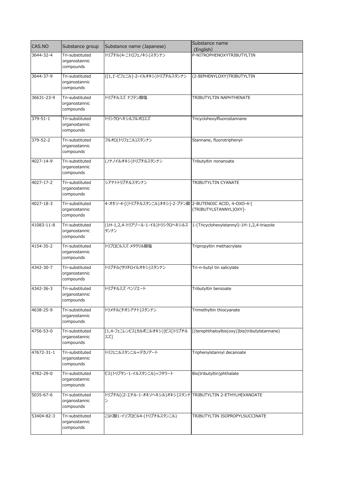| CAS.NO         | Substance group                               | Substance name (Japanese)                                                            | Substance name                                |
|----------------|-----------------------------------------------|--------------------------------------------------------------------------------------|-----------------------------------------------|
| 3644-32-4      | Tri-substituted                               | トリブチル(4-ニトロフェノキシ)スタンナン                                                               | (English)<br>P-NITROPHENOXYTRIBUTYLTIN        |
|                | organostannic<br>compounds                    |                                                                                      |                                               |
| 3644-37-9      | Tri-substituted<br>organostannic<br>compounds | ([1,1'-ビフェニル]-2-イルオキシ)トリブチルスタンナン                                                     | (2-BIPHENYLOXY)TRIBUTYLTIN                    |
| 36631-23-9     | Tri-substituted<br>organostannic<br>compounds | トリブチルスズ ナフテン酸塩                                                                       | TRIBUTYLTIN NAPHTHENATE                       |
| $379 - 51 - 1$ | Tri-substituted<br>organostannic<br>compounds | トリシクロヘキシルフルオロスズ                                                                      | Tricyclohexylfluorostannane                   |
| 379-52-2       | Tri-substituted<br>organostannic<br>compounds | フルオロ(トリフェニル)スタンナン                                                                    | Stannane, fluorotriphenyl-                    |
| 4027-14-9      | Tri-substituted<br>organostannic<br>compounds | (ノナノイルオキシ)トリブチルスタンナン                                                                 | Tributyltin nonanoate                         |
| 4027-17-2      | Tri-substituted<br>organostannic<br>compounds | シアナトトリブチルスタンナン                                                                       | TRIBUTYLTIN CYANATE                           |
| 4027-18-3      | Tri-substituted<br>organostannic<br>compounds | 4-オキソ-4-[(トリブチルスタンニル)オキシ]-2-ブテン酸 2-BUTENOIC ACID, 4-OXO-4-[                          | (TRIBUTYLSTANNYL)OXY]-                        |
| 41083-11-8     | Tri-substituted<br>organostannic<br>compounds | (1H-1,2,4-トリアゾール-1-イル)トリシクロヘキシルス  1-(Tricyclohexylstannyl)-1H-1,2,4-triazole<br>タンナン |                                               |
| 4154-35-2      | Tri-substituted<br>organostannic<br>compounds | トリプロピルスズ メタクリル酸塩                                                                     | Tripropyltin methacrylate                     |
| 4342-30-7      | Tri-substituted<br>organostannic<br>compounds | トリブチル(サリチロイルオキシ)スタンナン                                                                | Tri-n-butyl tin salicylate                    |
| 4342-36-3      | Tri-substituted<br>organostannic<br>compounds | トリブチルスズ ベンゾエート                                                                       | Tributyltin benzoate                          |
| 4638-25-9      | Tri-substituted<br>organostannic<br>compounds | トリメチル(チオシアナト)スタンナン                                                                   | Trimethyltin thiocyanate                      |
| 4756-53-0      | Tri-substituted<br>organostannic<br>compounds | [1,4-フェニレンビス(カルボニルオキシ)]ビス[トリブチル<br>スズー                                               | [(terephthaloylbis(oxy)]bis(tributylstannane) |
| 47672-31-1     | Tri-substituted<br>organostannic<br>compounds | トリフェニルスタンニル=デカノアート                                                                   | Triphenylstannyl decanoate                    |
| 4782-29-0      | Tri-substituted<br>organostannic<br>compounds | ビス(トリブタン-1-イルスタンニル)=フタラート                                                            | Bis(tributyltin)phthalate                     |
| 5035-67-6      | Tri-substituted<br>organostannic<br>compounds | トリブチル[(2-エチル-1-オキソヘキシル)オキシ]スタンナ TRIBUTYLTIN 2-ETHYLHEXANOATE<br>ン                    |                                               |
| 53404-82-3     | Tri-substituted<br>organostannic<br>compounds | こはく酸1-イソプロピル4-(トリブチルスタンニル)                                                           | TRIBUTYLTIN ISOPROPYLSUCCINATE                |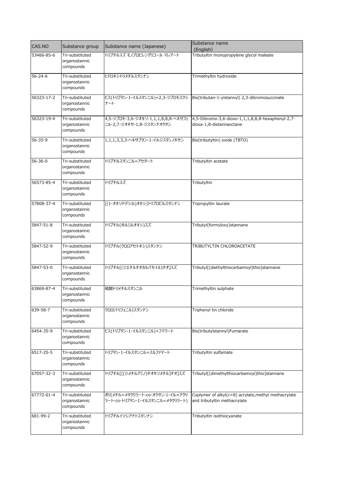| CAS.NO        | Substance group                               | Substance name (Japanese)                                          | Substance name<br>(English)                                                          |
|---------------|-----------------------------------------------|--------------------------------------------------------------------|--------------------------------------------------------------------------------------|
| 53466-85-6    | Tri-substituted<br>organostannic<br>compounds | トリブチルスズ モノプロピレングリコール マレアート                                         | Tributyltin monopropylene glycol maleate                                             |
| $56 - 24 - 6$ | Tri-substituted<br>organostannic<br>compounds | ヒドロキシトリメチルスタンナン                                                    | Trimethyltin hydroxide                                                               |
| 56323-17-2    | Tri-substituted<br>organostannic<br>compounds | ビス(トリブタン-1-イルスタンニル)=2,3-ジブロモスクシ<br>ナート                             | Bis(tributan-1-ylstannyl) 2,3-dibromosuccinate                                       |
| 56323-19-4    | Tri-substituted<br>organostannic<br>compounds | 4,5-ジブロモ-3,6-ジオキソ-1,1,1,8,8,8-ヘキサフェ<br>ニル-2,7-ジオキサ-1,8-ジスタンナオクタン   | 4,5-Dibromo-3,6-dioxo-1,1,1,8,8,8-hexaphenyl-2,7-<br>dioxa-1,8-distannaoctane        |
| 56-35-9       | Tri-substituted<br>organostannic<br>compounds | 1,1,1,3,3,3-ヘキサブタン-1-イルジスタンノキサン                                    | Bis(tributyltin) oxide (TBTO)                                                        |
| $56 - 36 - 0$ | Tri-substituted<br>organostannic<br>compounds | トリブチルスタンニル=アセタート                                                   | Tributyltin acetate                                                                  |
| 56573-85-4    | Tri-substituted<br>organostannic<br>compounds | トリブチルスズ                                                            | Tributyltin                                                                          |
| 57808-37-4    | Tri-substituted<br>organostannic<br>compounds | [(1-オキソドデシル)オキシ]トリプロピルスタンナン                                        | Tripropyltin laurate                                                                 |
| 5847-51-8     | Tri-substituted<br>organostannic<br>compounds | トリブチル(ホルミルオキシ)スズ                                                   | Tributyl(formyloxy)stannane                                                          |
| 5847-52-9     | Tri-substituted<br>organostannic<br>compounds | トリブチル(クロロアセトキシ)スタンナン                                               | TRIBUTYLTIN CHLOROACETATE                                                            |
| 5847-53-0     | Tri-substituted<br>organostannic<br>compounds | トリブチル「(ジエチルチオカルバモイル)チオ]スズ                                          | Tributyl[(diethylthiocarbamoyl)thio]stannane                                         |
| 63869-87-4    | Tri-substituted<br>organostannic<br>compounds | 硫酸トリメチルスタンニル                                                       | Trimethyltin sulphate                                                                |
| 639-58-7      | Tri-substituted<br>organostannic<br>compounds | クロロ(トリフェニル)スタンナン                                                   | Triphenyl tin chloride                                                               |
| 6454-35-9     | Tri-substituted<br>organostannic<br>compounds | ビス(トリブタン-1-イルスタンニル)=フマラート                                          | Bis(tributylstannyl)Fumarate                                                         |
| 6517-25-5     | Tri-substituted<br>organostannic<br>compounds | トリブタン-1-イルスタンニル=スルファマート                                            | Tributyltin sulfamate                                                                |
| 67057-32-3    | Tri-substituted<br>organostannic<br>compounds | トリブチル「「(ジメチルアミノ)チオキソメチル]チオ]スズ                                      | Tributyl[(dimethylthiocarbamoyl)thio]stannane                                        |
| 67772-01-4    | Tri-substituted<br>organostannic<br>compounds | ポリ(メチル=メタクリラート-co-オクタン-1-イル=アクリ<br>ラート-co-トリブタン-1-イルスタンニル=メタクリラート) | Coplymer of alkyl(c=8) acrylate, methyl methacrylate<br>and tributyltin methacrylate |
| 681-99-2      | Tri-substituted<br>organostannic<br>compounds | トリブチルイソシアナトスタンナン                                                   | Tributyltin isothiocyanate                                                           |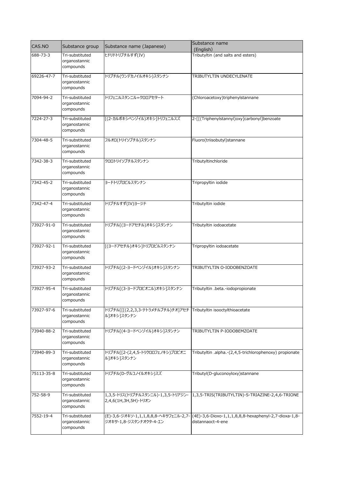| CAS.NO     | Substance group                               | Substance name (Japanese)                                                          | Substance name                                                                                                  |
|------------|-----------------------------------------------|------------------------------------------------------------------------------------|-----------------------------------------------------------------------------------------------------------------|
| 688-73-3   | Tri-substituted                               | ヒドリドトリブチルすず(IV)                                                                    | (English)<br>Tributyltin (and salts and esters)                                                                 |
|            | organostannic<br>compounds                    |                                                                                    |                                                                                                                 |
| 69226-47-7 | Tri-substituted<br>organostannic<br>compounds | トリブチル(ウンデカノイルオキシ)スタンナン                                                             | TRIBUTYLTIN UNDECYLENATE                                                                                        |
| 7094-94-2  | Tri-substituted<br>organostannic<br>compounds | トリフェニルスタンニル=クロロアセタート                                                               | (Chloroacetoxy)triphenylstannane                                                                                |
| 7224-27-3  | Tri-substituted<br>organostannic<br>compounds | [(2-カルボキシベンゾイル)オキシ]トリフェニルスズ                                                        | 2-[[(Triphenylstannyl)oxy]carbonyl]benzoate                                                                     |
| 7304-48-5  | Tri-substituted<br>organostannic<br>compounds | フルオロ(トリイソブチル)スタンナン                                                                 | Fluoro(triisobutyl)stannane                                                                                     |
| 7342-38-3  | Tri-substituted<br>organostannic<br>compounds | クロロトリイソブチルスタンナン                                                                    | Tributyltinchloride                                                                                             |
| 7342-45-2  | Tri-substituted<br>organostannic<br>compounds | ヨードトリプロピルスタンナン                                                                     | Tripropyltin iodide                                                                                             |
| 7342-47-4  | Tri-substituted<br>organostannic<br>compounds | トリブチルすず(IV)ヨージド                                                                    | Tributyltin iodide                                                                                              |
| 73927-91-0 | Tri-substituted<br>organostannic<br>compounds | トリブチル[(ヨードアセチル)オキシ]スタンナン                                                           | Tributyltin iodoacetate                                                                                         |
| 73927-92-1 | Tri-substituted<br>organostannic<br>compounds | [(ヨードアセチル)オキシ]トリプロピルスタンナン                                                          | Tripropyltin iodoacetate                                                                                        |
| 73927-93-2 | Tri-substituted<br>organostannic<br>compounds | トリブチル[(2-ヨードベンゾイル)オキシ]スタンナン                                                        | TRIBUTYLTIN O-IODOBENZOATE                                                                                      |
| 73927-95-4 | Tri-substituted<br>organostannic<br>compounds | トリブチル[(3-ヨードプロピオニル)オキシ]スタンナン                                                       | Tributyltin .beta.-iodopropionate                                                                               |
| 73927-97-6 | Tri-substituted<br>organostannic<br>compounds | トリブチル[[[(2,2,3,3-テトラメチルブチル)チオ]アセチ   Tributyltin isooctylthioacetate<br>ル]オキシ]スタンナン |                                                                                                                 |
| 73940-88-2 | Tri-substituted<br>organostannic<br>compounds | トリブチル[(4-ヨードベンゾイル)オキシ]スタンナン                                                        | TRIBUTYLTIN P-IODOBEMZOATE                                                                                      |
| 73940-89-3 | Tri-substituted<br>organostannic<br>compounds | トリブチル[[2-(2,4,5-トリクロロフェノキシ)プロピオニ<br>ル】オキシ]スタンナン                                    | Tributyltin .alpha.-(2,4,5-trichlorophenoxy) propionate                                                         |
| 75113-35-8 | Tri-substituted<br>organostannic<br>compounds | トリブチル(D-グルコノイルオキシ)スズ                                                               | Tributyl(D-gluconoyloxy)stannane                                                                                |
| 752-58-9   | Tri-substituted<br>organostannic<br>compounds | 1,3,5-トリス(トリブチルスタンニル)-1,3,5-トリアジン-<br>2,4,6(1H,3H,5H)-トリオン                         | 1,3,5-TRIS(TRIBUTYLTIN)-S-TRIAZINE-2,4,6-TRIONE                                                                 |
| 7552-19-4  | Tri-substituted<br>organostannic<br>compounds | ジオキサ-1,8-ジスタンナオクタ-4-エン                                                             | (E)-3,6-ジオキソ-1,1,1,8,8,8-ヘキサフェニル-2,7- (4E)-3,6-Dioxo-1,1,1,8,8,8-hexaphenyl-2,7-dioxa-1,8-<br>distannaoct-4-ene |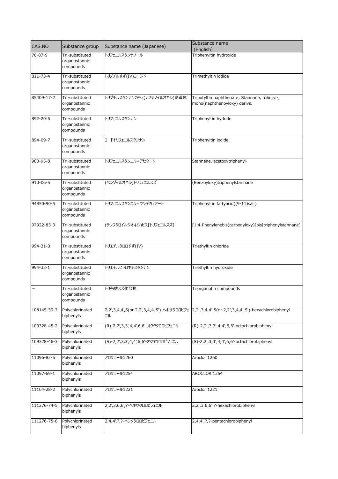| CAS.NO      | Substance group                               | Substance name (Japanese)           | Substance name<br>(English)                                                                    |
|-------------|-----------------------------------------------|-------------------------------------|------------------------------------------------------------------------------------------------|
| 76-87-9     | Tri-substituted<br>organostannic<br>compounds | トリフェニルスタンナノール                       | Triphenyltin hydroxide                                                                         |
| 811-73-4    | Tri-substituted<br>organostannic<br>compounds | トリメチルすず(IV)ヨージド                     | Trimethyltin iodide                                                                            |
| 85409-17-2  | Tri-substituted<br>organostannic<br>compounds | トリブチルスタンナンのモノ(ナフテノイルオキシ)誘導体         | Tributyltin naphthenate; Stannane, tributyl-,<br>mono(naphthenoyloxy) derivs.                  |
| 892-20-6    | Tri-substituted<br>organostannic<br>compounds | トリフェニルスタンナン                         | Triphenyltin hydride                                                                           |
| 894-09-7    | Tri-substituted<br>organostannic<br>compounds | ヨードトリフェニルスタンナン                      | Triphenyltin iodide                                                                            |
| 900-95-8    | Tri-substituted<br>organostannic<br>compounds | トリフェニルスタンニル=アセタート                   | Stannane, acetoxytriphenyl-                                                                    |
| 910-06-5    | Tri-substituted<br>organostannic<br>compounds | (ベンゾイルオキシ)トリフェニルスズ                  | (Benzoyloxy)triphenylstannane                                                                  |
| 94850-90-5  | Tri-substituted<br>organostannic<br>compounds | トリフェニルスタンニル=ウンデカノアート                | Triphenyltin fattyacid((9-11)salt)                                                             |
| 97922-83-3  | Tri-substituted<br>organostannic<br>compounds | (テレフタロイルジオキシ)ビス[トリフェニルスズ]           | [1,4-Phenylenebis(carbonyloxy)]bis[triphenylstannane]                                          |
| 994-31-0    | Tri-substituted<br>organostannic<br>compounds | トリエチルクロロすず(IV)                      | Triethyltin chloride                                                                           |
| 994-32-1    | Tri-substituted<br>organostannic<br>compounds | トリエチルヒドロキシスタンナン                     | Triethyltin hydroxide                                                                          |
|             | Tri-substituted<br>organostannic<br>compounds | トリ有機スズ化合物                           | Triorganotin compounds                                                                         |
| 108145-39-7 | Polychlorinated<br>biphenyls                  | ニル                                  | 2,2',3,4,4',5(or 2,2',3,4,4',5')-ヘキサクロロビフェ 2,2',3,4,4',5(or 2,2',3,4,4',5')-hexachlorobiphenyl |
| 109328-45-2 | Polychlorinated<br>biphenyls                  | (R)-2,2',3,3',4,4',6,6'-オクタクロロビフェニル | (R)-2,2',3,3',4,4',6,6'-octachlorobiphenyl                                                     |
| 109328-46-3 | Polychlorinated<br>biphenyls                  | (S)-2,2',3,3',4,4',6,6'-オクタクロロビフェニル | (S)-2,2',3,3',4,4',6,6'-octachlorobiphenyl                                                     |
| 11096-82-5  | Polychlorinated<br>biphenyls                  | アロクロール1260                          | Aroclor 1260                                                                                   |
| 11097-69-1  | Polychlorinated<br>biphenyls                  | アロクロール1254                          | AROCLOR 1254                                                                                   |
| 11104-28-2  | Polychlorinated<br>biphenyls                  | アロクロール1221                          | Aroclor 1221                                                                                   |
| 111276-74-5 | Polychlorinated<br>biphenyls                  | 2,2',3,6,6', ?- ヘキサクロロビフェニル         | 2,2',3,6,6',?-hexachlorobiphenyl                                                               |
| 111276-75-6 | Polychlorinated<br>biphenyls                  | 2,4,4', ?, ?-ペンタクロロビフェニル            | 2,4,4',?,?-pentachlorobiphenyl                                                                 |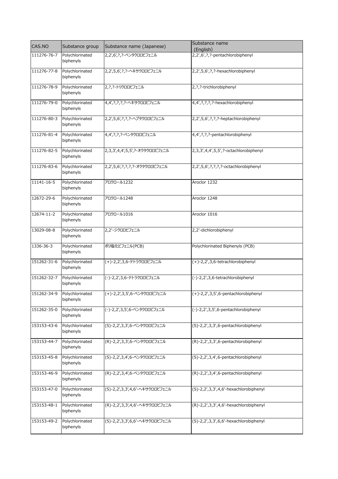| CAS.NO      | Substance group              | Substance name (Japanese)        | Substance name<br>(English)            |
|-------------|------------------------------|----------------------------------|----------------------------------------|
| 111276-76-7 | Polychlorinated<br>biphenyls | 2,2',6', ?, ?- ペンタクロロビフェニル       | 2,2',6',?,?-pentachlorobiphenyl        |
| 111276-77-8 | Polychlorinated<br>biphenyls | 2,2',5,6', ?, ?- ヘキサクロロビフェニル     | 2,2',5,6',?,?-hexachlorobiphenyl       |
| 111276-78-9 | Polychlorinated<br>biphenyls | 2, ?, ? - トリクロロビフェニル             | 2, ?, ?- trichlorobiphenyl             |
| 111276-79-0 | Polychlorinated<br>biphenyls | 4,4', ?, ?, ?, ?- ヘキサクロロビフェニル    | 4,4', ?, ?, ?, ?-hexachlorobiphenyl    |
| 111276-80-3 | Polychlorinated<br>biphenyls | 2,2',5,6',?,?,?-ヘプタクロロビフェニル      | 2,2',5,6',?,?,?-heptachlorobiphenyl    |
| 111276-81-4 | Polychlorinated<br>biphenyls | 4,4',?,?,?-ペンタクロロビフェニル           | 4,4',?,?,?-pentachlorobiphenyl         |
| 111276-82-5 | Polychlorinated<br>biphenyls | 2,3,3',4,4',5,5', ?- オクタクロロビフェニル | 2,3,3',4,4',5,5',?-octachlorobiphenyl  |
| 111276-83-6 | Polychlorinated<br>biphenyls | 2,2',5,6',?,?,?,?-オクタクロロビフェニル    | 2,2',5,6',?,?,?,?-octachlorobiphenyl   |
| 11141-16-5  | Polychlorinated<br>biphenyls | アロクロール1232                       | Aroclor 1232                           |
| 12672-29-6  | Polychlorinated<br>biphenyls | アロクロール1248                       | Aroclor 1248                           |
| 12674-11-2  | Polychlorinated<br>biphenyls | アロクロール1016                       | Aroclor 1016                           |
| 13029-08-8  | Polychlorinated<br>biphenyls | 2,2'-ジクロロビフェニル                   | 2,2'-dichlorobiphenyl                  |
| 1336-36-3   | Polychlorinated<br>biphenyls | ポリ塩化ビフェニル(PCB)                   | Polychlorinated Biphenyls (PCB)        |
| 151262-31-6 | Polychlorinated<br>biphenyls | (+)-2,2',3,6-テトラクロロビフェニル         | (+)-2,2',3,6-tetrachlorobiphenyl       |
| 151262-32-7 | Polychlorinated<br>biphenyls | (-)-2,2',3,6-テトラクロロビフェニル         | (-)-2,2',3,6-tetrachlorobiphenyl       |
| 151262-34-9 | Polychlorinated<br>biphenyls | (+)-2,2',3,5',6-ペンタクロロビフェニル      | $(+)-2,2',3,5',6$ -pentachlorobiphenyl |
| 151262-35-0 | Polychlorinated<br>biphenyls | (-)-2,2',3,5',6-ペンタクロロビフェニル      | (-)-2,2',3,5',6-pentachlorobiphenyl    |
| 153153-43-6 | Polychlorinated<br>biphenyls | (S)-2,2',3,3',6-ペンタクロロビフェニル      | (S)-2,2',3,3',6-pentachlorobiphenyl    |
| 153153-44-7 | Polychlorinated<br>biphenyls | (R)-2,2',3,3',6-ペンタクロロビフェニル      | (R)-2,2',3,3',6-pentachlorobiphenyl    |
| 153153-45-8 | Polychlorinated<br>biphenyls | (S)-2,2',3,4',6-ペンタクロロビフェニル      | (S)-2,2',3,4',6-pentachlorobiphenyl    |
| 153153-46-9 | Polychlorinated<br>biphenyls | (R)-2,2',3,4',6-ペンタクロロビフェニル      | (R)-2,2',3,4',6-pentachlorobiphenyl    |
| 153153-47-0 | Polychlorinated<br>biphenyls | (S)-2,2',3,3',4,6'-ヘキサクロロビフェニル   | (S)-2,2',3,3',4,6'-hexachlorobiphenyl  |
| 153153-48-1 | Polychlorinated<br>biphenyls | (R)-2,2',3,3',4,6'-ヘキサクロロビフェニル   | (R)-2,2',3,3',4,6'-hexachlorobiphenyl  |
| 153153-49-2 | Polychlorinated<br>biphenyls | (S)-2,2',3,3',6,6'-ヘキサクロロビフェニル   | (S)-2,2',3,3',6,6'-hexachlorobiphenyl  |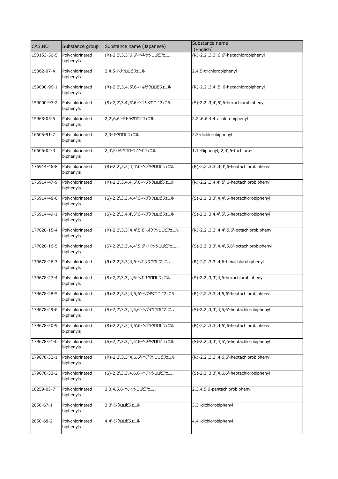| CAS.NO      | Substance group              | Substance name (Japanese)           | Substance name<br>(English)                |
|-------------|------------------------------|-------------------------------------|--------------------------------------------|
| 153153-50-5 | Polychlorinated<br>biphenyls | (R)-2,2',3,3',6,6'-ヘキサクロロビフェニル      | (R)-2,2',3,3',6,6'-hexachlorobiphenyl      |
| 15862-07-4  | Polychlorinated<br>biphenyls | 2,4,5-トリクロロビフェニル                    | 2,4,5-trichlorobiphenyl                    |
| 159000-96-1 | Polychlorinated<br>biphenyls | (R)-2,2',3,4',5',6-ヘキサクロロビフェニル      | (R)-2,2',3,4',5',6-hexachlorobiphenyl      |
| 159000-97-2 | Polychlorinated<br>biphenyls | (S)-2,2',3,4',5',6-ヘキサクロロビフェニル      | (S)-2,2',3,4',5',6-hexachlorobiphenyl      |
| 15968-05-5  | Polychlorinated<br>biphenyls | 2,2',6,6'-テトラクロロビフェニル               | 2,2',6,6'-tetrachlorobiphenyl              |
| 16605-91-7  | Polychlorinated<br>biphenyls | 2,3-ジクロロビフェニル                       | 2,3-dichlorobiphenyl                       |
| 16606-02-3  | Polychlorinated<br>biphenyls | 2,4',5-トリクロロ-1,1'-ビフェニル             | 1,1'-Biphenyl, 2,4',5-trichloro-           |
| 176914-46-8 | Polychlorinated<br>biphenyls | (R)-2,2',3,3',4,4',6-ヘプタクロロビフェニル    | (R)-2,2',3,3',4,4',6-heptachlorobiphenyl   |
| 176914-47-9 | Polychlorinated<br>biphenyls | (R)-2,2',3,4,4',5',6-ヘプタクロロビフェニル    | (R)-2,2',3,4,4',5',6-heptachlorobiphenyl   |
| 176914-48-0 | Polychlorinated<br>biphenyls | (S)-2,2',3,3',4,4',6-ヘプタクロロビフェニル    | (S)-2,2',3,3',4,4',6-heptachlorobiphenyl   |
| 176914-49-1 | Polychlorinated<br>biphenyls | (S)-2,2',3,4,4',5',6-ヘプタクロロビフェニル    | (S)-2,2',3,4,4',5',6-heptachlorobiphenyl   |
| 177020-15-4 | Polychlorinated<br>biphenyls | (R)-2,2',3,3',4,4',5,6'-オクタクロロビフェニル | (R)-2,2',3,3',4,4',5,6'-octachlorobiphenyl |
| 177020-16-5 | Polychlorinated<br>biphenyls | (S)-2,2',3,3',4,4',5,6'-オクタクロロビフェニル | (S)-2,2',3,3',4,4',5,6'-octachlorobiphenyl |
| 179678-26-3 | Polychlorinated<br>biphenyls | (R)-2,2',3,3',4,6-ヘキサクロロビフェニル       | (R)-2,2',3,3',4,6-hexachlorobiphenyl       |
| 179678-27-4 | Polychlorinated<br>biphenyls | (S)-2,2',3,3',4,6-ヘキサクロロビフェニル       | (S)-2,2',3,3',4,6-hexachlorobiphenyl       |
| 179678-28-5 | Polychlorinated<br>biphenyls | (R)-2,2',3,3',4,5,6'-ヘプタクロロビフェニル    | (R)-2,2',3,3',4,5,6'-heptachlorobiphenyl   |
| 179678-29-6 | Polychlorinated<br>biphenyls | (S)-2,2',3,3',4,5,6'-ヘプタクロロビフェニル    | (S)-2,2',3,3',4,5,6'-heptachlorobiphenyl   |
| 179678-30-9 | Polychlorinated<br>biphenyls | (R)-2,2',3,3',4,5',6-ヘプタクロロビフェニル    | (R)-2,2',3,3',4,5',6-heptachlorobiphenyl   |
| 179678-31-0 | Polychlorinated<br>biphenyls | (S)-2,2',3,3',4,5',6-ヘプタクロロビフェニル    | (S)-2,2',3,3',4,5',6-heptachlorobiphenyl   |
| 179678-32-1 | Polychlorinated<br>biphenyls | (R)-2,2',3,3',4,6,6'-ヘプタクロロビフェニル    | (R)-2,2',3,3',4,6,6'-heptachlorobiphenyl   |
| 179678-33-2 | Polychlorinated<br>biphenyls | (S)-2,2',3,3',4,6,6'-ヘプタクロロビフェニル    | (S)-2,2',3,3',4,6,6'-heptachlorobiphenyl   |
| 18259-05-7  | Polychlorinated<br>biphenyls | 2,3,4,5,6-ペンタクロロビフェニル               | 2,3,4,5,6-pentachlorobiphenyl              |
| 2050-67-1   | Polychlorinated<br>biphenyls | 3,3'-ジクロロビフェニル                      | 3,3'-dichlorobiphenyl                      |
| 2050-68-2   | Polychlorinated<br>biphenyls | 4,4'-ジクロロビフェニル                      | 4,4'-dichlorobiphenyl                      |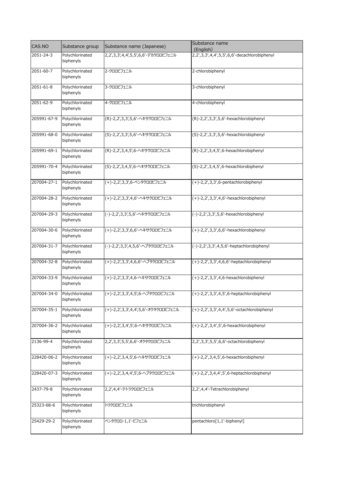| CAS.NO      | Substance group              | Substance name (Japanese)           | Substance name<br>(English)                   |
|-------------|------------------------------|-------------------------------------|-----------------------------------------------|
| 2051-24-3   | Polychlorinated<br>biphenyls | 2,2',3,3',4,4',5,5',6,6'-デカクロロビフェニル | 2,2',3,3',4,4',5,5',6,6'-decachlorobiphenyl   |
| 2051-60-7   | Polychlorinated<br>biphenyls | 2-クロロビフェニル                          | 2-chlorobiphenyl                              |
| 2051-61-8   | Polychlorinated<br>biphenyls | 3-クロロビフェニル                          | 3-chlorobiphenyl                              |
| 2051-62-9   | Polychlorinated<br>biphenyls | 4-クロロビフェニル                          | 4-chlorobiphenyl                              |
| 205991-67-9 | Polychlorinated<br>biphenyls | (R)-2,2',3,3',5,6'-ヘキサクロロビフェニル      | $(R)-2,2',3,3',5,6'-hexachlorobiphenyl$       |
| 205991-68-0 | Polychlorinated<br>biphenyls | (S)-2,2',3,3',5,6'-ヘキサクロロビフェニル      | (S)-2,2',3,3',5,6'-hexachlorobiphenyl         |
| 205991-69-1 | Polychlorinated<br>biphenyls | (R)-2,2',3,4,5',6-ヘキサクロロビフェニル       | (R)-2,2',3,4,5',6-hexachlorobiphenyl          |
| 205991-70-4 | Polychlorinated<br>biphenyls | (S)-2,2',3,4,5',6-ヘキサクロロビフェニル       | (S)-2,2',3,4,5',6-hexachlorobiphenyl          |
| 207004-27-1 | Polychlorinated<br>biphenyls | (+)-2,2',3,3',6-ペンタクロロビフェニル         | $(+)$ -2,2',3,3',6-pentachlorobiphenyl        |
| 207004-28-2 | Polychlorinated<br>biphenyls | (+)-2,2',3,3',4,6'-ヘキサクロロビフェニル      | $(+)$ -2,2',3,3',4,6'-hexachlorobiphenyl      |
| 207004-29-3 | Polychlorinated<br>biphenyls | (-)-2,2',3,3',5,6'-ヘキサクロロビフェニル      | (-)-2,2',3,3',5,6'-hexachlorobiphenyl         |
| 207004-30-6 | Polychlorinated<br>biphenyls | (+)-2,2',3,3',6,6'-ヘキサクロロビフェニル      | $(+)$ -2,2',3,3',6,6'-hexachlorobiphenyl      |
| 207004-31-7 | Polychlorinated<br>biphenyls | (-)-2,2',3,3',4,5,6'-ヘプタクロロビフェニル    | $(-)-2,2',3,3',4,5,6'-heptachlorobiphenyl$    |
| 207004-32-8 | Polychlorinated<br>biphenyls | (+)-2,2',3,3',4,6,6'-ヘプタクロロビフェニル    | $(+)$ -2,2',3,3',4,6,6'-heptachlorobiphenyl   |
| 207004-33-9 | Polychlorinated<br>biphenyls | (+)-2,2',3,3',4,6-ヘキサクロロビフェニル       | $(+)$ -2,2',3,3',4,6-hexachlorobiphenyl       |
| 207004-34-0 | Polychlorinated<br>biphenyls | (+)-2,2',3,3',4,5',6-ヘプタクロロビフェニル    | $(+)$ -2,2',3,3',4,5',6-heptachlorobiphenyl   |
| 207004-35-1 | Polychlorinated<br>biphenyls | (+)-2,2',3,3',4,4',5,6'-オクタクロロビフェニル | $(+)$ -2,2',3,3',4,4',5,6'-octachlorobiphenyl |
| 207004-36-2 | Polychlorinated<br>biphenyls | (+)-2,2',3,4',5',6-ヘキサクロロビフェニル      | $(+)-2,2',3,4',5',6-hexachlorobiphenyl$       |
| 2136-99-4   | Polychlorinated<br>biphenyls | 2,2',3,3',5,5',6,6'-オクタクロロビフェニル     | 2,2',3,3',5,5',6,6'-octachlorobiphenyl        |
| 228420-06-2 | Polychlorinated<br>biphenyls | (+)-2,2',3,4,5',6-ヘキサクロロビフェニル       | $(+)$ -2,2',3,4,5',6-hexachlorobiphenyl       |
| 228420-07-3 | Polychlorinated<br>biphenyls | (+)-2,2',3,4,4',5',6-ヘプタクロロビフェニル    | $(+)$ -2,2',3,4,4',5',6-heptachlorobiphenyl   |
| 2437-79-8   | Polychlorinated<br>biphenyls | 2,2',4,4'-テトラクロロビフェニル               | 2,2',4,4'-Tetrachlorobiphenyl                 |
| 25323-68-6  | Polychlorinated<br>biphenyls | トリクロロビフェニル                          | trichlorobiphenyl                             |
| 25429-29-2  | Polychlorinated<br>biphenyls | ペンタクロロ-1,1'-ビフェニル                   | pentachloro[1,1'-biphenyl]                    |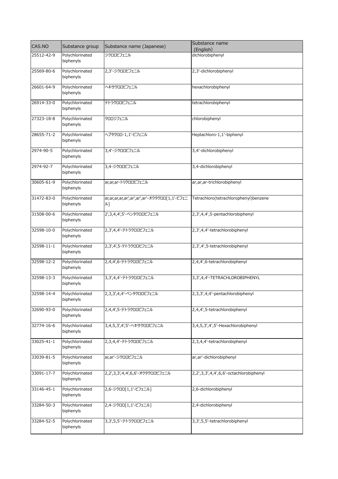| CAS.NO     | Substance group              | Substance name (Japanese)                    | Substance name                         |
|------------|------------------------------|----------------------------------------------|----------------------------------------|
|            |                              |                                              | (English)                              |
| 25512-42-9 | Polychlorinated<br>biphenyls | ジクロロビフェニル                                    | dichlorobiphenyl                       |
| 25569-80-6 | Polychlorinated              | 2,3'-ジクロロビフェニル                               | 2,3'-dichlorobiphenyl                  |
|            | biphenyls                    |                                              |                                        |
| 26601-64-9 | Polychlorinated              | ヘキサクロロビフェニル                                  | hexachlorobiphenyl                     |
|            | biphenyls                    |                                              |                                        |
| 26914-33-0 | Polychlorinated              | テトラクロロビフェニル                                  | tetrachlorobiphenyl                    |
|            | biphenyls                    |                                              |                                        |
| 27323-18-8 | Polychlorinated              | クロロジフェニル                                     | chlorobiphenyl                         |
|            | biphenyls                    |                                              |                                        |
| 28655-71-2 | Polychlorinated              | ヘプタクロロ-1,1'-ビフェニル                            | Heptachloro-1,1'-biphenyl              |
|            | biphenyls                    |                                              |                                        |
| 2974-90-5  | Polychlorinated              | 3,4'-ジクロロビフェニル                               | 3,4'-dichlorobiphenyl                  |
|            | biphenyls                    |                                              |                                        |
| 2974-92-7  | Polychlorinated              | 3,4-ジクロロビフェニル                                | 3,4-dichlorobiphenyl                   |
|            | biphenyls                    |                                              |                                        |
| 30605-61-9 | Polychlorinated              | ar, ar, ar-トリクロロビフェニル                        | ar, ar, ar-trichlorobiphenyl           |
|            | biphenyls                    |                                              |                                        |
| 31472-83-0 | Polychlorinated              | ar,ar,ar,ar,ar',ar',ar',ar'-オクタクロロ[1,1'-ビフェニ | Tetrachloro(tetrachlorophenyl)benzene  |
|            | biphenyls                    | ル]                                           |                                        |
| 31508-00-6 | Polychlorinated              | 2',3,4,4',5'-ペンタクロロビフェニル                     | 2,3',4,4',5-pentachlorobiphenyl        |
|            | biphenyls                    |                                              |                                        |
| 32598-10-0 | Polychlorinated              | 2,3',4,4'-テトラクロロビフェニル                        | 2,3',4,4'-tetrachlorobiphenyl          |
|            | biphenyls                    |                                              |                                        |
| 32598-11-1 | Polychlorinated              | 2,3',4',5-テトラクロロビフェニル                        | 2,3',4',5-tetrachlorobiphenyl          |
|            | biphenyls                    |                                              |                                        |
| 32598-12-2 | Polychlorinated              | 2,4,4',6-テトラクロロビフェニル                         | 2,4,4',6-tetrachlorobiphenyl           |
|            | biphenyls                    |                                              |                                        |
| 32598-13-3 | Polychlorinated              | 3,3',4,4'-テトラクロロビフェニル                        | 3,3',4,4'-TETRACHLOROBIPHENYL          |
|            | biphenyls                    |                                              |                                        |
|            |                              |                                              |                                        |
| 32598-14-4 | Polychlorinated<br>biphenyls | 2,3,3',4,4'-ペンタクロロビフェニル                      | 2,3,3',4,4'-pentachlorobiphenyl        |
|            |                              |                                              |                                        |
| 32690-93-0 | Polychlorinated<br>biphenyls | 2,4,4',5-テトラクロロビフェニル                         | 2,4,4',5-tetrachlorobiphenyl           |
|            |                              |                                              |                                        |
| 32774-16-6 | Polychlorinated<br>biphenyls | 3,4,5,3',4',5'-ヘキサクロロビフェニル                   | 3,4,5,3',4',5'-Hexachlorobiphenyl      |
|            |                              |                                              |                                        |
| 33025-41-1 | Polychlorinated<br>biphenyls | 2,3,4,4'-テトラクロロビフェニル                         | 2,3,4,4'-tetrachlorobiphenyl           |
|            |                              |                                              |                                        |
| 33039-81-5 | Polychlorinated              | ar,ar'-ジクロロビフェニル                             | ar, ar'-dichlorobiphenyl               |
|            | biphenyls                    |                                              |                                        |
| 33091-17-7 | Polychlorinated              | 2,2',3,3',4,4',6,6'-オクタクロロビフェニル              | 2,2',3,3',4,4',6,6'-octachlorobiphenyl |
|            | biphenyls                    |                                              |                                        |
| 33146-45-1 | Polychlorinated              | 2,6-ジクロロ[1,1'-ビフェニル]                         | 2,6-dichlorobiphenyl                   |
|            | biphenyls                    |                                              |                                        |
| 33284-50-3 | Polychlorinated              | 2,4-ジクロロ[1,1'-ビフェニル]                         | 2,4-dichlorobiphenyl                   |
|            | biphenyls                    |                                              |                                        |
| 33284-52-5 | Polychlorinated              | 3,3',5,5'-テトラクロロビフェニル                        | 3,3',5,5'-tetrachlorobiphenyl          |
|            | biphenyls                    |                                              |                                        |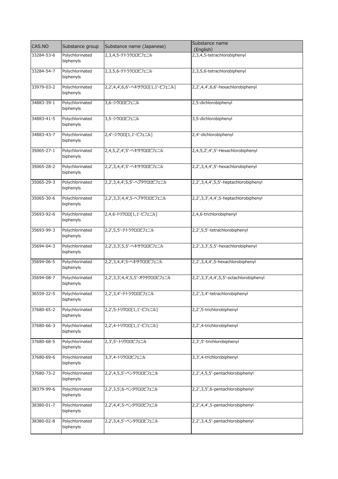| CAS.NO     | Substance group              | Substance name (Japanese)         | Substance name<br>(English)            |
|------------|------------------------------|-----------------------------------|----------------------------------------|
| 33284-53-6 | Polychlorinated              | 2,3,4,5-テトラクロロビフェニル               | 2,3,4,5-tetrachlorobiphenyl            |
|            | biphenyls                    |                                   |                                        |
| 33284-54-7 | Polychlorinated<br>biphenyls | 2,3,5,6-テトラクロロビフェニル               | 2,3,5,6-tetrachlorobiphenyl            |
|            |                              |                                   |                                        |
| 33979-03-2 | Polychlorinated<br>biphenyls | 2,2',4,4',6,6'-ヘキサクロロ[1,1'-ビフェニル] | 2,2',4,4',6,6'-hexachlorobiphenyl      |
| 34883-39-1 | Polychlorinated<br>biphenyls | 3,6-ジクロロビフェニル                     | 2,5-dichlorobiphenyl                   |
| 34883-41-5 | Polychlorinated<br>biphenyls | 3,5-ジクロロビフェニル                     | 3,5-dichlorobiphenyl                   |
| 34883-43-7 | Polychlorinated<br>biphenyls | 2,4'-ジクロロ[1,1'-ビフェニル]             | 2,4'-dichlorobiphenyl                  |
| 35065-27-1 | Polychlorinated<br>biphenyls | 2,4,5,2',4',5'-ヘキサクロロビフェニル        | 2,4,5,2',4',5'-Hexachlorobiphenyl      |
| 35065-28-2 | Polychlorinated<br>biphenyls | 2,2',3,4,4',5'-ヘキサクロロビフェニル        | 2,2',3,4,4',5'-hexachlorobiphenyl      |
| 35065-29-3 | Polychlorinated<br>biphenyls | 2,2',3,4,4',5,5'-ヘプタクロロビフェニル      | 2,2',3,4,4',5,5'-heptachlorobiphenyl   |
| 35065-30-6 | Polychlorinated<br>biphenyls | 2,2',3,3',4,4',5-ヘプタクロロビフェニル      | 2,2',3,3',4,4',5-heptachlorobiphenyl   |
| 35693-92-6 | Polychlorinated<br>biphenyls | 2,4,6-トリクロロ[1,1'-ビフェニル]           | 2,4,6-trichlorobiphenyl                |
| 35693-99-3 | Polychlorinated<br>biphenyls | 2,2',5,5'-テトラクロロビフェニル             | 2,2',5,5'-tetrachlorobiphenyl          |
| 35694-04-3 | Polychlorinated<br>biphenyls | 2,2',3,3',5,5'-ヘキサクロロビフェニル        | 2,2',3,3',5,5'-hexachlorobiphenyl      |
| 35694-06-5 | Polychlorinated<br>biphenyls | 2,2',3,4,4',5-ヘキサクロロビフェニル         | 2,2',3,4,4',5-hexachlorobiphenyl       |
| 35694-08-7 | Polychlorinated<br>biphenyls | 2,2',3,3',4,4',5,5'-オクタクロロビフェニル   | 2,2',3,3',4,4',5,5'-octachlorobiphenyl |
| 36559-22-5 | Polychlorinated<br>biphenyls | 2,2',3,4'-テトラクロロビフェニル             | 2,2',3,4'-tetrachlorobiphenyl          |
| 37680-65-2 | Polychlorinated<br>biphenyls | 2,2',5-トリクロロ[1,1'-ビフェニル]          | 2,2',5-trichlorobiphenyl               |
| 37680-66-3 | Polychlorinated<br>biphenyls | 2,2',4-トリクロロ[1,1'-ビフェニル]          | 2,2',4-trichlorobiphenyl               |
| 37680-68-5 | Polychlorinated<br>biphenyls | 2,3',5'-トリクロロビフェニル                | 2,3',5'-trichlorobiphenyl              |
| 37680-69-6 | Polychlorinated<br>biphenyls | 3,3',4-トリクロロビフェニル                 | 3,3',4-trichlorobiphenyl               |
| 37680-73-2 | Polychlorinated<br>biphenyls | 2,2',4,5,5'-ペンタクロロビフェニル           | 2,2',4,5,5'-pentachlorobiphenyl        |
| 38379-99-6 | Polychlorinated<br>biphenyls | 2,2',3,5',6-ペンタクロロビフェニル           | 2,2',3,5',6-pentachlorobiphenyl        |
| 38380-01-7 | Polychlorinated<br>biphenyls | 2,2',4,4',5-ペンタクロロビフェニル           | 2,2',4,4',5-pentachlorobiphenyl        |
| 38380-02-8 | Polychlorinated<br>biphenyls | 2,2',3,4,5'-ペンタクロロビフェニル           | 2,2',3,4,5'-pentachlorobiphenyl        |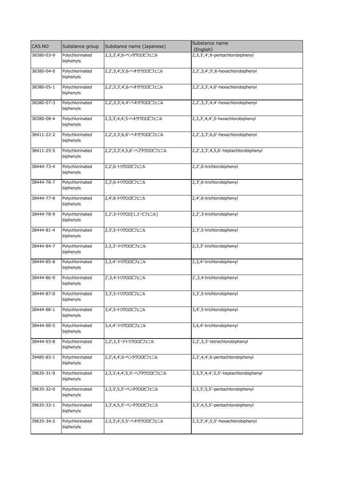| CAS.NO     | Substance group              | Substance name (Japanese)      | Substance name<br>(English)          |
|------------|------------------------------|--------------------------------|--------------------------------------|
| 38380-03-9 | Polychlorinated<br>biphenyls | 2,3,3',4',6-ペンタクロロビフェニル        | 2,3,3',4',6-pentachlorobiphenyl      |
| 38380-04-0 | Polychlorinated<br>biphenyls | 2,2',3,4',5',6-ヘキサクロロビフェニル     | 2,2',3,4',5',6-hexachlorobiphenyl    |
| 38380-05-1 | Polychlorinated<br>biphenyls | 2,2',3,3',4',6-ヘキサクロロビフェニル     | 2,2',3,3',4,6'-hexachlorobiphenyl    |
| 38380-07-3 | Polychlorinated<br>biphenyls | 2,2',3,3',4,4'-ヘキサクロロビフェニル     | 2,2',3,3',4,4'-hexachlorobiphenyl    |
| 38380-08-4 | Polychlorinated<br>biphenyls | 2,3,3',4,4',5-ヘキサクロロビフェニル      | 2,3,3',4,4',5-hexachlorobiphenyl     |
| 38411-22-2 | Polychlorinated<br>biphenyls | 2,2',3,3',6,6'-ヘキサクロロビフェニル     | 2,2',3,3',6,6'-hexachlorobiphenyl    |
| 38411-25-5 | Polychlorinated<br>biphenyls | 2,2',3,3',4,5,6'-ヘプタクロロビフェニル   | 2,2',3,3',4,5,6'-heptachlorobiphenyl |
| 38444-73-4 | Polychlorinated<br>biphenyls | 2,2',6-トリクロロビフェニル              | 2,2',6-trichlorobiphenyl             |
| 38444-76-7 | Polychlorinated<br>biphenyls | 2,3',6-トリクロロビフェニル              | 2,3',6-trichlorobiphenyl             |
| 38444-77-8 | Polychlorinated<br>biphenyls | 2,4',6-トリクロロビフェニル              | 2,4',6-trichlorobiphenyl             |
| 38444-78-9 | Polychlorinated<br>biphenyls | 2,2',3-トリクロロ[1,1'-ビフェニル]       | 2,2',3-trichlorobiphenyl             |
| 38444-81-4 | Polychlorinated<br>biphenyls | 2,3',5-トリクロロビフェニル              | 2,3',5-trichlorobiphenyl             |
| 38444-84-7 | Polychlorinated<br>biphenyls | 2,3,3'-トリクロロビフェニル              | 2,3,3'-trichlorobiphenyl             |
| 38444-85-8 | Polychlorinated<br>biphenyls | 2,3,4'-トリクロロビフェニル              | 2,3,4'-trichlorobiphenyl             |
| 38444-86-9 | Polychlorinated<br>biphenyls | 2',3,4-トリクロロビフェニル              | 2',3,4-trichlorobiphenyl             |
| 38444-87-0 | Polychlorinated<br>biphenyls | 3,3',5-トリクロロビフェニル              | 3,3',5-trichlorobiphenyl             |
| 38444-88-1 | Polychlorinated<br>biphenyls | 3,4',5-トリクロロビフェニル              | 3,4',5-trichlorobiphenyl             |
| 38444-90-5 | Polychlorinated<br>biphenyls | 3,4,4'-トリクロロビフェニル              | 3,4,4'-trichlorobiphenyl             |
| 38444-93-8 | Polychlorinated<br>biphenyls | 2,2',3,3'-テトラクロロビフェニル          | 2,2',3,3'-tetrachlorobiphenyl        |
| 39485-83-1 | Polychlorinated<br>biphenyls | 2,2',4,4',6-ペンタクロロビフェニル        | 2,2',4,4',6-pentachlorobiphenyl      |
| 39635-31-9 | Polychlorinated<br>biphenyls | 2,3,3',4,4',5,5' - ヘプタクロロビフェニル | 2,3,3',4,4',5,5'-heptachlorobiphenyl |
| 39635-32-0 | Polychlorinated<br>biphenyls | 2,3,3',5,5'-ペンタクロロビフェニル        | 2,3,3',5,5'-pentachlorobiphenyl      |
| 39635-33-1 | Polychlorinated<br>biphenyls | 3,3',4,5,5'-ペンタクロロビフェニル        | 3,3',4,5,5'-pentachlorobiphenyl      |
| 39635-34-2 | Polychlorinated<br>biphenyls | 2,3,3',4',5,5'-ヘキサクロロビフェニル     | 2,3,3',4',5,5'-hexachlorobiphenyl    |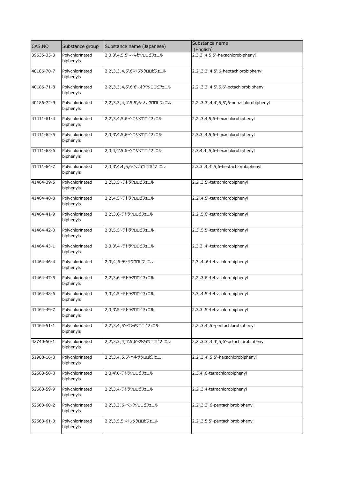| CAS.NO     | Substance group              | Substance name (Japanese)        | Substance name<br>(English)              |
|------------|------------------------------|----------------------------------|------------------------------------------|
| 39635-35-3 | Polychlorinated<br>biphenyls | 2,3,3',4,5,5'-ヘキサクロロビフェニル        | 2,3,3',4,5,5'-hexachlorobiphenyl         |
| 40186-70-7 | Polychlorinated<br>biphenyls | 2,2',3,3',4,5',6-ヘプタクロロビフェニル     | 2,2',3,3',4,5',6-heptachlorobiphenyl     |
| 40186-71-8 | Polychlorinated<br>biphenyls | 2,2',3,3',4,5',6,6'-オクタクロロビフェニル  | 2,2',3,3',4,5',6,6'-octachlorobiphenyl   |
| 40186-72-9 | Polychlorinated<br>biphenyls | 2,2',3,3',4,4',5,5',6-ノナクロロビフェニル | 2,2',3,3',4,4',5,5',6-nonachlorobiphenyl |
| 41411-61-4 | Polychlorinated<br>biphenyls | 2,2',3,4,5,6-ヘキサクロロビフェニル         | 2,2',3,4,5,6-hexachlorobiphenyl          |
| 41411-62-5 | Polychlorinated<br>biphenyls | 2,3,3',4,5,6-ヘキサクロロビフェニル         | 2,3,3',4,5,6-hexachlorobiphenyl          |
| 41411-63-6 | Polychlorinated<br>biphenyls | 2,3,4,4',5,6-ヘキサクロロビフェニル         | 2,3,4,4',5,6-hexachlorobiphenyl          |
| 41411-64-7 | Polychlorinated<br>biphenyls | 2,3,3',4,4',5,6-ヘプタクロロビフェニル      | 2,3,3',4,4',5,6-heptachlorobiphenyl      |
| 41464-39-5 | Polychlorinated<br>biphenyls | 2,2',3,5'-テトラクロロビフェニル            | 2,2',3,5'-tetrachlorobiphenyl            |
| 41464-40-8 | Polychlorinated<br>biphenyls | 2,2',4,5'-テトラクロロビフェニル            | 2,2',4,5'-tetrachlorobiphenyl            |
| 41464-41-9 | Polychlorinated<br>biphenyls | 2,2',3,6-テトラクロロビフェニル             | 2,2',5,6'-tetrachlorobiphenyl            |
| 41464-42-0 | Polychlorinated<br>biphenyls | 2,3',5,5'-テトラクロロビフェニル            | 2,3',5,5'-tetrachlorobiphenyl            |
| 41464-43-1 | Polychlorinated<br>biphenyls | 2,3,3',4'-テトラクロロビフェニル            | 2,3,3',4'-tetrachlorobiphenyl            |
| 41464-46-4 | Polychlorinated<br>biphenyls | 2,3',4',6-テトラクロロビフェニル            | 2,3',4',6-tetrachlorobiphenyl            |
| 41464-47-5 | Polychlorinated<br>biphenyls | 2,2',3,6'-テトラクロロビフェニル            | 2,2',3,6'-tetrachlorobiphenyl            |
| 41464-48-6 | Polychlorinated<br>biphenyls | 3,3',4,5'-テトラクロロビフェニル            | 3,3',4,5'-tetrachlorobiphenyl            |
| 41464-49-7 | Polychlorinated<br>biphenyls | 2,3,3',5'-テトラクロロビフェニル            | 2,3,3',5'-tetrachlorobiphenyl            |
| 41464-51-1 | Polychlorinated<br>biphenyls | 2,2',3,4',5'-ペンタクロロビフェニル         | 2,2',3,4',5'-pentachlorobiphenyl         |
| 42740-50-1 | Polychlorinated<br>biphenyls | 2,2',3,3',4,4',5,6'-オクタクロロビフェニル  | 2,2',3,3',4,4',5,6'-octachlorobiphenyl   |
| 51908-16-8 | Polychlorinated<br>biphenyls | 2,2',3,4',5,5'-ヘキサクロロビフェニル       | 2,2',3,4',5,5'-hexachlorobiphenyl        |
| 52663-58-8 | Polychlorinated<br>biphenyls | 2,3,4',6-テトラクロロビフェニル             | 2,3,4',6-tetrachlorobiphenyl             |
| 52663-59-9 | Polychlorinated<br>biphenyls | 2,2',3,4-テトラクロロビフェニル             | 2,2',3,4-tetrachlorobiphenyl             |
| 52663-60-2 | Polychlorinated<br>biphenyls | 2,2',3,3',6-ペンタクロロビフェニル          | 2,2',3,3',6-pentachlorobiphenyl          |
| 52663-61-3 | Polychlorinated<br>biphenyls | 2,2',3,5,5'-ペンタクロロビフェニル          | 2,2',3,5,5'-pentachlorobiphenyl          |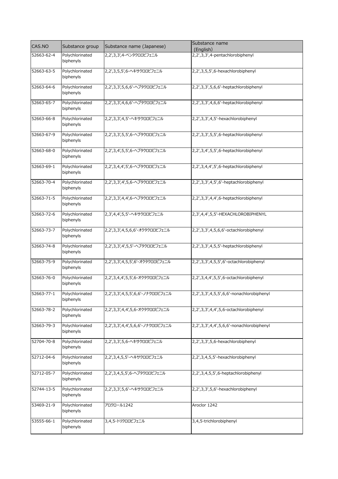| CAS.NO     | Substance group              | Substance name (Japanese)        | Substance name<br>(English)              |
|------------|------------------------------|----------------------------------|------------------------------------------|
| 52663-62-4 | Polychlorinated<br>biphenyls | 2,2',3,3',4-ペンタクロロビフェニル          | 2,2',3,3',4-pentachlorobiphenyl          |
| 52663-63-5 | Polychlorinated<br>biphenyls | 2,2',3,5,5',6-ヘキサクロロビフェニル        | 2,2',3,5,5',6-hexachlorobiphenyl         |
| 52663-64-6 | Polychlorinated<br>biphenyls | 2,2',3,3',5,6,6'-ヘプタクロロビフェニル     | 2,2',3,3',5,6,6'-heptachlorobiphenyl     |
| 52663-65-7 | Polychlorinated<br>biphenyls | 2,2',3,3',4,6,6'-ヘプタクロロビフェニル     | 2,2',3,3',4,6,6'-heptachlorobiphenyl     |
| 52663-66-8 | Polychlorinated<br>biphenyls | 2,2',3,3',4,5'-ヘキサクロロビフェニル       | 2,2',3,3',4,5'-hexachlorobiphenyl        |
| 52663-67-9 | Polychlorinated<br>biphenyls | 2,2',3,3',5,5',6-ヘプタクロロビフェニル     | 2,2',3,3',5,5',6-heptachlorobiphenyl     |
| 52663-68-0 | Polychlorinated<br>biphenyls | 2,2',3,4',5,5',6-ヘプタクロロビフェニル     | 2,2',3,4',5,5',6-heptachlorobiphenyl     |
| 52663-69-1 | Polychlorinated<br>biphenyls | 2,2',3,4,4',5',6-ヘプタクロロビフェニル     | 2,2',3,4,4',5',6-heptachlorobiphenyl     |
| 52663-70-4 | Polychlorinated<br>biphenyls | 2,2',3,3',4',5,6-ヘプタクロロビフェニル     | 2,2',3,3',4,5',6'-heptachlorobiphenyl    |
| 52663-71-5 | Polychlorinated<br>biphenyls | 2,2',3,3',4,4',6-ヘプタクロロビフェニル     | 2,2',3,3',4,4',6-heptachlorobiphenyl     |
| 52663-72-6 | Polychlorinated<br>biphenyls | 2,3',4,4',5,5'-ヘキサクロロビフェニル       | 2,3',4,4',5,5'-HEXACHLOROBIPHENYL        |
| 52663-73-7 | Polychlorinated<br>biphenyls | 2,2',3,3',4,5,6,6'-オクタクロロビフェニル   | 2,2',3,3',4,5,6,6'-octachlorobiphenyl    |
| 52663-74-8 | Polychlorinated<br>biphenyls | 2,2',3,3',4',5,5'-ヘプタクロロビフェニル    | 2,2',3,3',4,5,5'-heptachlorobiphenyl     |
| 52663-75-9 | Polychlorinated<br>biphenyls | 2,2',3,3',4,5,5',6'-オクタクロロビフェニル  | 2,2',3,3',4,5,5',6'-octachlorobiphenyl   |
| 52663-76-0 | Polychlorinated<br>biphenyls | 2,2',3,4,4',5,5',6-オクタクロロビフェニル   | 2,2',3,4,4',5,5',6-octachlorobiphenyl    |
| 52663-77-1 | Polychlorinated<br>biphenyls | 2,2',3,3',4,5,5',6,6'-ノナクロロビフェニル | 2,2',3,3',4,5,5',6,6'-nonachlorobiphenyl |
| 52663-78-2 | Polychlorinated<br>biphenyls | 2,2',3,3',4,4',5,6-オクタクロロビフェニル   | 2,2',3,3',4,4',5,6-octachlorobiphenyl    |
| 52663-79-3 | Polychlorinated<br>biphenyls | 2,2',3,3',4,4',5,6,6'-ノナクロロビフェニル | 2,2',3,3',4,4',5,6,6'-nonachlorobiphenyl |
| 52704-70-8 | Polychlorinated<br>biphenyls | 2,2',3,3',5,6-ヘキサクロロビフェニル        | 2,2',3,3',5,6-hexachlorobiphenyl         |
| 52712-04-6 | Polychlorinated<br>biphenyls | 2,2',3,4,5,5'-ヘキサクロロビフェニル        | 2,2',3,4,5,5'-hexachlorobiphenyl         |
| 52712-05-7 | Polychlorinated<br>biphenyls | 2,2',3,4,5,5',6-ヘプタクロロビフェニル      | 2,2',3,4,5,5',6-heptachlorobiphenyl      |
| 52744-13-5 | Polychlorinated<br>biphenyls | 2,2',3,3',5,6'-ヘキサクロロビフェニル       | 2,2',3,3',5,6'-hexachlorobiphenyl        |
| 53469-21-9 | Polychlorinated<br>biphenyls | アロクロール1242                       | Aroclor 1242                             |
| 53555-66-1 | Polychlorinated<br>biphenyls | 3,4,5-トリクロロビフェニル                 | 3,4,5-trichlorobiphenyl                  |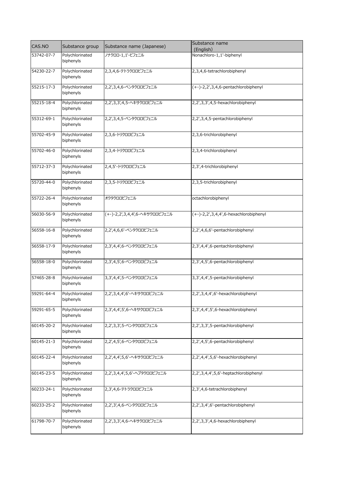| Polychlorinated<br>ノナクロロ-1,1'-ビフェニル<br>Nonachloro-1,1'-biphenyl<br>53742-07-7<br>biphenyls<br>2,3,4,6-tetrachlorobiphenyl<br>54230-22-7<br>Polychlorinated<br>2,3,4,6-テトラクロロビフェニル<br>biphenyls<br>Polychlorinated<br>55215-17-3<br>2,2',3,4,6-ペンタクロロビフェニル<br>(+-)-2,2',3,4,6-pentachlorobiphenyl<br>biphenyls<br>Polychlorinated<br>2,2',3,3',4,5-ヘキサクロロビフェニル<br>2,2',3,3',4,5-hexachlorobiphenyl<br>55215-18-4<br>biphenyls<br>2,2',3,4,5-pentachlorobiphenyl<br>Polychlorinated<br>2,2',3,4,5-ペンタクロロビフェニル<br>biphenyls<br>Polychlorinated<br>2,3,6-トリクロロビフェニル<br>55702-45-9<br>2,3,6-trichlorobiphenyl<br>biphenyls<br>Polychlorinated<br>2,3,4-トリクロロビフェニル<br>2,3,4-trichlorobiphenyl<br>55702-46-0<br>biphenyls<br>2,4,5'-トリクロロビフェニル<br>2,3',4-trichlorobiphenyl<br>55712-37-3<br>Polychlorinated<br>biphenyls<br>Polychlorinated<br>2,3,5-トリクロロビフェニル<br>2,3,5-trichlorobiphenyl<br>55720-44-0<br>biphenyls<br>Polychlorinated<br>オクタクロロビフェニル<br>octachlorobiphenyl<br>55722-26-4<br>biphenyls<br>56030-56-9<br>Polychlorinated<br>(+-)-2,2',3,4,4',6-ヘキサクロロビフェニル<br>$(+-)$ -2,2',3,4,4',6-hexachlorobiphenyl<br>biphenyls<br>Polychlorinated<br>2,2',4,6,6'-ペンタクロロビフェニル<br>2,2',4,6,6'-pentachlorobiphenyl<br>56558-16-8<br>biphenyls<br>Polychlorinated<br>2,3',4,4',6-ペンタクロロビフェニル<br>2,3',4,4',6-pentachlorobiphenyl<br>56558-17-9<br>biphenyls<br>Polychlorinated<br>2,3',4,5',6-pentachlorobiphenyl<br>56558-18-0<br>2,3',4,5',6-ペンタクロロビフェニル<br>biphenyls<br>Polychlorinated<br>3,3',4,4',5-ペンタクロロビフェニル<br>3,3',4,4',5-pentachlorobiphenyl<br>57465-28-8<br>biphenyls<br>2,2',3,4,4',6'-ヘキサクロロビフェニル<br>2,2',3,4,4',6'-hexachlorobiphenyl<br>Polychlorinated<br>biphenyls<br>Polychlorinated<br>2,3',4,4',5',6-hexachlorobiphenyl<br>59291-65-5<br>2,3',4,4',5',6-ヘキサクロロビフェニル<br>biphenyls<br>Polychlorinated<br>2,2',3,3',5-pentachlorobiphenyl<br>60145-20-2<br>2,2',3,3',5-ペンタクロロビフェニル<br>biphenyls<br>Polychlorinated<br>2,2',4,5',6-pentachlorobiphenyl<br>2,2',4,5',6-ペンタクロロビフェニル<br>biphenyls<br>Polychlorinated<br>2,2',4,4',5,6'-hexachlorobiphenyl<br>60145-22-4<br>2,2',4,4',5,6'-ヘキサクロロビフェニル<br>biphenyls<br>Polychlorinated<br>2,2',3,4,4',5,6'-ヘプタクロロビフェニル<br>2,2',3,4,4',5,6'-heptachlorobiphenyl<br>60145-23-5<br>biphenyls<br>Polychlorinated<br>2,3',4,6-tetrachlorobiphenyl<br>2,3',4,6-テトラクロロビフェニル<br>biphenyls<br>Polychlorinated<br>2,2',3,4',6'-pentachlorobiphenyl<br>60233-25-2<br>2,2',3',4,6-ペンタクロロビフェニル<br>biphenyls<br>Polychlorinated<br>2,2',3,3',4,6-hexachlorobiphenyl<br>2,2',3,3',4,6-ヘキサクロロビフェニル<br>biphenyls | CAS.NO     | Substance group | Substance name (Japanese) | Substance name<br>(English) |
|----------------------------------------------------------------------------------------------------------------------------------------------------------------------------------------------------------------------------------------------------------------------------------------------------------------------------------------------------------------------------------------------------------------------------------------------------------------------------------------------------------------------------------------------------------------------------------------------------------------------------------------------------------------------------------------------------------------------------------------------------------------------------------------------------------------------------------------------------------------------------------------------------------------------------------------------------------------------------------------------------------------------------------------------------------------------------------------------------------------------------------------------------------------------------------------------------------------------------------------------------------------------------------------------------------------------------------------------------------------------------------------------------------------------------------------------------------------------------------------------------------------------------------------------------------------------------------------------------------------------------------------------------------------------------------------------------------------------------------------------------------------------------------------------------------------------------------------------------------------------------------------------------------------------------------------------------------------------------------------------------------------------------------------------------------------------------------------------------------------------------------------------------------------------------------------------------------------------------------------------------------------------------------------------------------------------------------------------------------------------------------------------------------------------------------------------------------------------------------------------------------------------------------------------------------|------------|-----------------|---------------------------|-----------------------------|
|                                                                                                                                                                                                                                                                                                                                                                                                                                                                                                                                                                                                                                                                                                                                                                                                                                                                                                                                                                                                                                                                                                                                                                                                                                                                                                                                                                                                                                                                                                                                                                                                                                                                                                                                                                                                                                                                                                                                                                                                                                                                                                                                                                                                                                                                                                                                                                                                                                                                                                                                                          |            |                 |                           |                             |
|                                                                                                                                                                                                                                                                                                                                                                                                                                                                                                                                                                                                                                                                                                                                                                                                                                                                                                                                                                                                                                                                                                                                                                                                                                                                                                                                                                                                                                                                                                                                                                                                                                                                                                                                                                                                                                                                                                                                                                                                                                                                                                                                                                                                                                                                                                                                                                                                                                                                                                                                                          |            |                 |                           |                             |
|                                                                                                                                                                                                                                                                                                                                                                                                                                                                                                                                                                                                                                                                                                                                                                                                                                                                                                                                                                                                                                                                                                                                                                                                                                                                                                                                                                                                                                                                                                                                                                                                                                                                                                                                                                                                                                                                                                                                                                                                                                                                                                                                                                                                                                                                                                                                                                                                                                                                                                                                                          |            |                 |                           |                             |
|                                                                                                                                                                                                                                                                                                                                                                                                                                                                                                                                                                                                                                                                                                                                                                                                                                                                                                                                                                                                                                                                                                                                                                                                                                                                                                                                                                                                                                                                                                                                                                                                                                                                                                                                                                                                                                                                                                                                                                                                                                                                                                                                                                                                                                                                                                                                                                                                                                                                                                                                                          |            |                 |                           |                             |
|                                                                                                                                                                                                                                                                                                                                                                                                                                                                                                                                                                                                                                                                                                                                                                                                                                                                                                                                                                                                                                                                                                                                                                                                                                                                                                                                                                                                                                                                                                                                                                                                                                                                                                                                                                                                                                                                                                                                                                                                                                                                                                                                                                                                                                                                                                                                                                                                                                                                                                                                                          |            |                 |                           |                             |
|                                                                                                                                                                                                                                                                                                                                                                                                                                                                                                                                                                                                                                                                                                                                                                                                                                                                                                                                                                                                                                                                                                                                                                                                                                                                                                                                                                                                                                                                                                                                                                                                                                                                                                                                                                                                                                                                                                                                                                                                                                                                                                                                                                                                                                                                                                                                                                                                                                                                                                                                                          |            |                 |                           |                             |
|                                                                                                                                                                                                                                                                                                                                                                                                                                                                                                                                                                                                                                                                                                                                                                                                                                                                                                                                                                                                                                                                                                                                                                                                                                                                                                                                                                                                                                                                                                                                                                                                                                                                                                                                                                                                                                                                                                                                                                                                                                                                                                                                                                                                                                                                                                                                                                                                                                                                                                                                                          |            |                 |                           |                             |
|                                                                                                                                                                                                                                                                                                                                                                                                                                                                                                                                                                                                                                                                                                                                                                                                                                                                                                                                                                                                                                                                                                                                                                                                                                                                                                                                                                                                                                                                                                                                                                                                                                                                                                                                                                                                                                                                                                                                                                                                                                                                                                                                                                                                                                                                                                                                                                                                                                                                                                                                                          |            |                 |                           |                             |
|                                                                                                                                                                                                                                                                                                                                                                                                                                                                                                                                                                                                                                                                                                                                                                                                                                                                                                                                                                                                                                                                                                                                                                                                                                                                                                                                                                                                                                                                                                                                                                                                                                                                                                                                                                                                                                                                                                                                                                                                                                                                                                                                                                                                                                                                                                                                                                                                                                                                                                                                                          | 55312-69-1 |                 |                           |                             |
|                                                                                                                                                                                                                                                                                                                                                                                                                                                                                                                                                                                                                                                                                                                                                                                                                                                                                                                                                                                                                                                                                                                                                                                                                                                                                                                                                                                                                                                                                                                                                                                                                                                                                                                                                                                                                                                                                                                                                                                                                                                                                                                                                                                                                                                                                                                                                                                                                                                                                                                                                          |            |                 |                           |                             |
|                                                                                                                                                                                                                                                                                                                                                                                                                                                                                                                                                                                                                                                                                                                                                                                                                                                                                                                                                                                                                                                                                                                                                                                                                                                                                                                                                                                                                                                                                                                                                                                                                                                                                                                                                                                                                                                                                                                                                                                                                                                                                                                                                                                                                                                                                                                                                                                                                                                                                                                                                          |            |                 |                           |                             |
|                                                                                                                                                                                                                                                                                                                                                                                                                                                                                                                                                                                                                                                                                                                                                                                                                                                                                                                                                                                                                                                                                                                                                                                                                                                                                                                                                                                                                                                                                                                                                                                                                                                                                                                                                                                                                                                                                                                                                                                                                                                                                                                                                                                                                                                                                                                                                                                                                                                                                                                                                          |            |                 |                           |                             |
|                                                                                                                                                                                                                                                                                                                                                                                                                                                                                                                                                                                                                                                                                                                                                                                                                                                                                                                                                                                                                                                                                                                                                                                                                                                                                                                                                                                                                                                                                                                                                                                                                                                                                                                                                                                                                                                                                                                                                                                                                                                                                                                                                                                                                                                                                                                                                                                                                                                                                                                                                          |            |                 |                           |                             |
|                                                                                                                                                                                                                                                                                                                                                                                                                                                                                                                                                                                                                                                                                                                                                                                                                                                                                                                                                                                                                                                                                                                                                                                                                                                                                                                                                                                                                                                                                                                                                                                                                                                                                                                                                                                                                                                                                                                                                                                                                                                                                                                                                                                                                                                                                                                                                                                                                                                                                                                                                          |            |                 |                           |                             |
|                                                                                                                                                                                                                                                                                                                                                                                                                                                                                                                                                                                                                                                                                                                                                                                                                                                                                                                                                                                                                                                                                                                                                                                                                                                                                                                                                                                                                                                                                                                                                                                                                                                                                                                                                                                                                                                                                                                                                                                                                                                                                                                                                                                                                                                                                                                                                                                                                                                                                                                                                          |            |                 |                           |                             |
|                                                                                                                                                                                                                                                                                                                                                                                                                                                                                                                                                                                                                                                                                                                                                                                                                                                                                                                                                                                                                                                                                                                                                                                                                                                                                                                                                                                                                                                                                                                                                                                                                                                                                                                                                                                                                                                                                                                                                                                                                                                                                                                                                                                                                                                                                                                                                                                                                                                                                                                                                          |            |                 |                           |                             |
|                                                                                                                                                                                                                                                                                                                                                                                                                                                                                                                                                                                                                                                                                                                                                                                                                                                                                                                                                                                                                                                                                                                                                                                                                                                                                                                                                                                                                                                                                                                                                                                                                                                                                                                                                                                                                                                                                                                                                                                                                                                                                                                                                                                                                                                                                                                                                                                                                                                                                                                                                          |            |                 |                           |                             |
|                                                                                                                                                                                                                                                                                                                                                                                                                                                                                                                                                                                                                                                                                                                                                                                                                                                                                                                                                                                                                                                                                                                                                                                                                                                                                                                                                                                                                                                                                                                                                                                                                                                                                                                                                                                                                                                                                                                                                                                                                                                                                                                                                                                                                                                                                                                                                                                                                                                                                                                                                          |            |                 |                           |                             |
|                                                                                                                                                                                                                                                                                                                                                                                                                                                                                                                                                                                                                                                                                                                                                                                                                                                                                                                                                                                                                                                                                                                                                                                                                                                                                                                                                                                                                                                                                                                                                                                                                                                                                                                                                                                                                                                                                                                                                                                                                                                                                                                                                                                                                                                                                                                                                                                                                                                                                                                                                          |            |                 |                           |                             |
|                                                                                                                                                                                                                                                                                                                                                                                                                                                                                                                                                                                                                                                                                                                                                                                                                                                                                                                                                                                                                                                                                                                                                                                                                                                                                                                                                                                                                                                                                                                                                                                                                                                                                                                                                                                                                                                                                                                                                                                                                                                                                                                                                                                                                                                                                                                                                                                                                                                                                                                                                          |            |                 |                           |                             |
|                                                                                                                                                                                                                                                                                                                                                                                                                                                                                                                                                                                                                                                                                                                                                                                                                                                                                                                                                                                                                                                                                                                                                                                                                                                                                                                                                                                                                                                                                                                                                                                                                                                                                                                                                                                                                                                                                                                                                                                                                                                                                                                                                                                                                                                                                                                                                                                                                                                                                                                                                          |            |                 |                           |                             |
|                                                                                                                                                                                                                                                                                                                                                                                                                                                                                                                                                                                                                                                                                                                                                                                                                                                                                                                                                                                                                                                                                                                                                                                                                                                                                                                                                                                                                                                                                                                                                                                                                                                                                                                                                                                                                                                                                                                                                                                                                                                                                                                                                                                                                                                                                                                                                                                                                                                                                                                                                          |            |                 |                           |                             |
|                                                                                                                                                                                                                                                                                                                                                                                                                                                                                                                                                                                                                                                                                                                                                                                                                                                                                                                                                                                                                                                                                                                                                                                                                                                                                                                                                                                                                                                                                                                                                                                                                                                                                                                                                                                                                                                                                                                                                                                                                                                                                                                                                                                                                                                                                                                                                                                                                                                                                                                                                          |            |                 |                           |                             |
|                                                                                                                                                                                                                                                                                                                                                                                                                                                                                                                                                                                                                                                                                                                                                                                                                                                                                                                                                                                                                                                                                                                                                                                                                                                                                                                                                                                                                                                                                                                                                                                                                                                                                                                                                                                                                                                                                                                                                                                                                                                                                                                                                                                                                                                                                                                                                                                                                                                                                                                                                          |            |                 |                           |                             |
|                                                                                                                                                                                                                                                                                                                                                                                                                                                                                                                                                                                                                                                                                                                                                                                                                                                                                                                                                                                                                                                                                                                                                                                                                                                                                                                                                                                                                                                                                                                                                                                                                                                                                                                                                                                                                                                                                                                                                                                                                                                                                                                                                                                                                                                                                                                                                                                                                                                                                                                                                          |            |                 |                           |                             |
|                                                                                                                                                                                                                                                                                                                                                                                                                                                                                                                                                                                                                                                                                                                                                                                                                                                                                                                                                                                                                                                                                                                                                                                                                                                                                                                                                                                                                                                                                                                                                                                                                                                                                                                                                                                                                                                                                                                                                                                                                                                                                                                                                                                                                                                                                                                                                                                                                                                                                                                                                          |            |                 |                           |                             |
|                                                                                                                                                                                                                                                                                                                                                                                                                                                                                                                                                                                                                                                                                                                                                                                                                                                                                                                                                                                                                                                                                                                                                                                                                                                                                                                                                                                                                                                                                                                                                                                                                                                                                                                                                                                                                                                                                                                                                                                                                                                                                                                                                                                                                                                                                                                                                                                                                                                                                                                                                          |            |                 |                           |                             |
|                                                                                                                                                                                                                                                                                                                                                                                                                                                                                                                                                                                                                                                                                                                                                                                                                                                                                                                                                                                                                                                                                                                                                                                                                                                                                                                                                                                                                                                                                                                                                                                                                                                                                                                                                                                                                                                                                                                                                                                                                                                                                                                                                                                                                                                                                                                                                                                                                                                                                                                                                          |            |                 |                           |                             |
|                                                                                                                                                                                                                                                                                                                                                                                                                                                                                                                                                                                                                                                                                                                                                                                                                                                                                                                                                                                                                                                                                                                                                                                                                                                                                                                                                                                                                                                                                                                                                                                                                                                                                                                                                                                                                                                                                                                                                                                                                                                                                                                                                                                                                                                                                                                                                                                                                                                                                                                                                          |            |                 |                           |                             |
|                                                                                                                                                                                                                                                                                                                                                                                                                                                                                                                                                                                                                                                                                                                                                                                                                                                                                                                                                                                                                                                                                                                                                                                                                                                                                                                                                                                                                                                                                                                                                                                                                                                                                                                                                                                                                                                                                                                                                                                                                                                                                                                                                                                                                                                                                                                                                                                                                                                                                                                                                          |            |                 |                           |                             |
|                                                                                                                                                                                                                                                                                                                                                                                                                                                                                                                                                                                                                                                                                                                                                                                                                                                                                                                                                                                                                                                                                                                                                                                                                                                                                                                                                                                                                                                                                                                                                                                                                                                                                                                                                                                                                                                                                                                                                                                                                                                                                                                                                                                                                                                                                                                                                                                                                                                                                                                                                          | 59291-64-4 |                 |                           |                             |
|                                                                                                                                                                                                                                                                                                                                                                                                                                                                                                                                                                                                                                                                                                                                                                                                                                                                                                                                                                                                                                                                                                                                                                                                                                                                                                                                                                                                                                                                                                                                                                                                                                                                                                                                                                                                                                                                                                                                                                                                                                                                                                                                                                                                                                                                                                                                                                                                                                                                                                                                                          |            |                 |                           |                             |
|                                                                                                                                                                                                                                                                                                                                                                                                                                                                                                                                                                                                                                                                                                                                                                                                                                                                                                                                                                                                                                                                                                                                                                                                                                                                                                                                                                                                                                                                                                                                                                                                                                                                                                                                                                                                                                                                                                                                                                                                                                                                                                                                                                                                                                                                                                                                                                                                                                                                                                                                                          |            |                 |                           |                             |
|                                                                                                                                                                                                                                                                                                                                                                                                                                                                                                                                                                                                                                                                                                                                                                                                                                                                                                                                                                                                                                                                                                                                                                                                                                                                                                                                                                                                                                                                                                                                                                                                                                                                                                                                                                                                                                                                                                                                                                                                                                                                                                                                                                                                                                                                                                                                                                                                                                                                                                                                                          |            |                 |                           |                             |
|                                                                                                                                                                                                                                                                                                                                                                                                                                                                                                                                                                                                                                                                                                                                                                                                                                                                                                                                                                                                                                                                                                                                                                                                                                                                                                                                                                                                                                                                                                                                                                                                                                                                                                                                                                                                                                                                                                                                                                                                                                                                                                                                                                                                                                                                                                                                                                                                                                                                                                                                                          |            |                 |                           |                             |
|                                                                                                                                                                                                                                                                                                                                                                                                                                                                                                                                                                                                                                                                                                                                                                                                                                                                                                                                                                                                                                                                                                                                                                                                                                                                                                                                                                                                                                                                                                                                                                                                                                                                                                                                                                                                                                                                                                                                                                                                                                                                                                                                                                                                                                                                                                                                                                                                                                                                                                                                                          |            |                 |                           |                             |
|                                                                                                                                                                                                                                                                                                                                                                                                                                                                                                                                                                                                                                                                                                                                                                                                                                                                                                                                                                                                                                                                                                                                                                                                                                                                                                                                                                                                                                                                                                                                                                                                                                                                                                                                                                                                                                                                                                                                                                                                                                                                                                                                                                                                                                                                                                                                                                                                                                                                                                                                                          | 60145-21-3 |                 |                           |                             |
|                                                                                                                                                                                                                                                                                                                                                                                                                                                                                                                                                                                                                                                                                                                                                                                                                                                                                                                                                                                                                                                                                                                                                                                                                                                                                                                                                                                                                                                                                                                                                                                                                                                                                                                                                                                                                                                                                                                                                                                                                                                                                                                                                                                                                                                                                                                                                                                                                                                                                                                                                          |            |                 |                           |                             |
|                                                                                                                                                                                                                                                                                                                                                                                                                                                                                                                                                                                                                                                                                                                                                                                                                                                                                                                                                                                                                                                                                                                                                                                                                                                                                                                                                                                                                                                                                                                                                                                                                                                                                                                                                                                                                                                                                                                                                                                                                                                                                                                                                                                                                                                                                                                                                                                                                                                                                                                                                          |            |                 |                           |                             |
|                                                                                                                                                                                                                                                                                                                                                                                                                                                                                                                                                                                                                                                                                                                                                                                                                                                                                                                                                                                                                                                                                                                                                                                                                                                                                                                                                                                                                                                                                                                                                                                                                                                                                                                                                                                                                                                                                                                                                                                                                                                                                                                                                                                                                                                                                                                                                                                                                                                                                                                                                          |            |                 |                           |                             |
|                                                                                                                                                                                                                                                                                                                                                                                                                                                                                                                                                                                                                                                                                                                                                                                                                                                                                                                                                                                                                                                                                                                                                                                                                                                                                                                                                                                                                                                                                                                                                                                                                                                                                                                                                                                                                                                                                                                                                                                                                                                                                                                                                                                                                                                                                                                                                                                                                                                                                                                                                          |            |                 |                           |                             |
|                                                                                                                                                                                                                                                                                                                                                                                                                                                                                                                                                                                                                                                                                                                                                                                                                                                                                                                                                                                                                                                                                                                                                                                                                                                                                                                                                                                                                                                                                                                                                                                                                                                                                                                                                                                                                                                                                                                                                                                                                                                                                                                                                                                                                                                                                                                                                                                                                                                                                                                                                          |            |                 |                           |                             |
|                                                                                                                                                                                                                                                                                                                                                                                                                                                                                                                                                                                                                                                                                                                                                                                                                                                                                                                                                                                                                                                                                                                                                                                                                                                                                                                                                                                                                                                                                                                                                                                                                                                                                                                                                                                                                                                                                                                                                                                                                                                                                                                                                                                                                                                                                                                                                                                                                                                                                                                                                          | 60233-24-1 |                 |                           |                             |
|                                                                                                                                                                                                                                                                                                                                                                                                                                                                                                                                                                                                                                                                                                                                                                                                                                                                                                                                                                                                                                                                                                                                                                                                                                                                                                                                                                                                                                                                                                                                                                                                                                                                                                                                                                                                                                                                                                                                                                                                                                                                                                                                                                                                                                                                                                                                                                                                                                                                                                                                                          |            |                 |                           |                             |
|                                                                                                                                                                                                                                                                                                                                                                                                                                                                                                                                                                                                                                                                                                                                                                                                                                                                                                                                                                                                                                                                                                                                                                                                                                                                                                                                                                                                                                                                                                                                                                                                                                                                                                                                                                                                                                                                                                                                                                                                                                                                                                                                                                                                                                                                                                                                                                                                                                                                                                                                                          |            |                 |                           |                             |
|                                                                                                                                                                                                                                                                                                                                                                                                                                                                                                                                                                                                                                                                                                                                                                                                                                                                                                                                                                                                                                                                                                                                                                                                                                                                                                                                                                                                                                                                                                                                                                                                                                                                                                                                                                                                                                                                                                                                                                                                                                                                                                                                                                                                                                                                                                                                                                                                                                                                                                                                                          |            |                 |                           |                             |
|                                                                                                                                                                                                                                                                                                                                                                                                                                                                                                                                                                                                                                                                                                                                                                                                                                                                                                                                                                                                                                                                                                                                                                                                                                                                                                                                                                                                                                                                                                                                                                                                                                                                                                                                                                                                                                                                                                                                                                                                                                                                                                                                                                                                                                                                                                                                                                                                                                                                                                                                                          | 61798-70-7 |                 |                           |                             |
|                                                                                                                                                                                                                                                                                                                                                                                                                                                                                                                                                                                                                                                                                                                                                                                                                                                                                                                                                                                                                                                                                                                                                                                                                                                                                                                                                                                                                                                                                                                                                                                                                                                                                                                                                                                                                                                                                                                                                                                                                                                                                                                                                                                                                                                                                                                                                                                                                                                                                                                                                          |            |                 |                           |                             |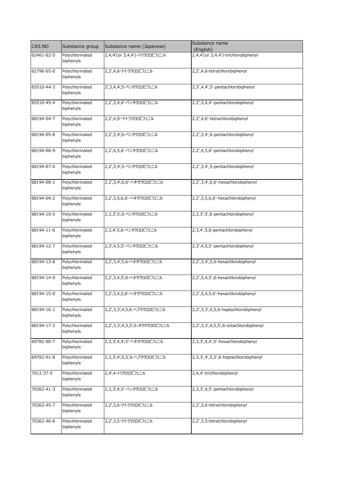| CAS.NO     | Substance group              | Substance name (Japanese)      | Substance name<br>(English)           |
|------------|------------------------------|--------------------------------|---------------------------------------|
| 62461-62-5 | Polychlorinated<br>biphenyls | 2,4,4'(or 3,4,4') - トリクロロビフェニル | 2,4,4'(or 3,4,4')-trichlorobiphenyl   |
| 62796-65-0 | Polychlorinated<br>biphenyls | 2,2',4,6-テトラクロロビフェニル           | 2,2',4,6-tetrachlorobiphenyl          |
| 65510-44-3 | Polychlorinated<br>biphenyls | 2',3,4,4',5-ペンタクロロビフェニル        | 2,3',4,4',5'-pentachlorobiphenyl      |
| 65510-45-4 | Polychlorinated<br>biphenyls | 2,2',3,4,4'-ペンタクロロビフェニル        | 2,2',3,4,4'-pentachlorobiphenyl       |
| 68194-04-7 | Polychlorinated<br>biphenyls | 2,2',4,6'-テトラクロロビフェニル          | 2,2',4,6'-tetrachlorobiphenyl         |
| 68194-05-8 | Polychlorinated<br>biphenyls | 2,2',3,4',6-ペンタクロロビフェニル        | 2,2',3,4',6-pentachlorobiphenyl       |
| 68194-06-9 | Polychlorinated<br>biphenyls | 2,2',4,5,6'-ペンタクロロビフェニル        | 2,2',4,5,6'-pentachlorobiphenyl       |
| 68194-07-0 | Polychlorinated<br>biphenyls | 2,2',3,4',5-ペンタクロロビフェニル        | 2,2',3,4',5-pentachlorobiphenyl       |
| 68194-08-1 | Polychlorinated<br>biphenyls | 2,2',3,4',6,6'-ヘキサクロロビフェニル     | 2,2',3,4',6,6'-hexachlorobiphenyl     |
| 68194-09-2 | Polychlorinated<br>biphenyls | 2,2',3,5,6,6'-ヘキサクロロビフェニル      | 2,2',3,5,6,6'-hexachlorobiphenyl      |
| 68194-10-5 | Polychlorinated<br>biphenyls | 2,3,3',5',6-ペンタクロロビフェニル        | 2,3,3',5',6-pentachlorobiphenyl       |
| 68194-11-6 | Polychlorinated<br>biphenyls | 2,3,4',5,6-ペンタクロロビフェニル         | 2,3,4',5,6-pentachlorobiphenyl        |
| 68194-12-7 | Polychlorinated<br>biphenyls | 2,3',4,5,5'-ペンタクロロビフェニル        | 2,3',4,5,5'-pentachlorobiphenyl       |
| 68194-13-8 | Polychlorinated<br>biphenyls | 2,2',3,4',5,6-ヘキサクロロビフェニル      | 2,2',3,4',5,6-hexachlorobiphenyl      |
| 68194-14-9 | Polychlorinated<br>biphenyls | 2,2',3,4,5',6-ヘキサクロロビフェニル      | 2,2',3,4,5',6-hexachlorobiphenyl      |
| 68194-15-0 | Polychlorinated<br>biphenyls | 2,2',3,4,5,6'-ヘキサクロロビフェニル      | 2,2',3,4,5,6'-hexachlorobiphenyl      |
| 68194-16-1 | Polychlorinated<br>biphenyls | 2,2',3,3',4,5,6-ヘプタクロロビフェニル    | 2,2',3,3',4,5,6-heptachlorobiphenyl   |
| 68194-17-2 | Polychlorinated<br>biphenyls | 2,2',3,3',4,5,5',6-オクタクロロビフェニル | 2,2',3,3',4,5,5',6-octachlorobiphenyl |
| 69782-90-7 | Polychlorinated<br>biphenyls | 2,3,3',4,4',5'-ヘキサクロロビフェニル     | 2,3,3',4,4',5'-hexachlorobiphenyl     |
| 69782-91-8 | Polychlorinated<br>biphenyls | 2,3,3',4',5,5',6-ヘプタクロロビフェニル   | 2,3,3',4',5,5',6-heptachlorobiphenyl  |
| 7012-37-5  | Polychlorinated<br>biphenyls | 2,4',4-トリクロロビフェニル              | 2,4,4'-trichlorobiphenyl              |
| 70362-41-3 | Polychlorinated<br>biphenyls | 2,3,3',4,5'-ペンタクロロビフェニル        | 2,3,3',4,5'-pentachlorobiphenyl       |
| 70362-45-7 | Polychlorinated<br>biphenyls | 2,2',3,6-テトラクロロビフェニル           | 2,2',3,6-tetrachlorobiphenyl          |
| 70362-46-8 | Polychlorinated<br>biphenyls | 2,2',3,5-テトラクロロビフェニル           | 2,2',3,5-tetrachlorobiphenyl          |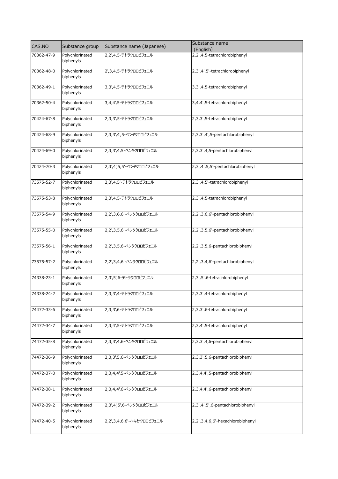| CAS.NO     | Substance group              | Substance name (Japanese) | Substance name<br>(English)      |
|------------|------------------------------|---------------------------|----------------------------------|
| 70362-47-9 | Polychlorinated<br>biphenyls | 2,2',4,5-テトラクロロビフェニル      | 2,2',4,5-tetrachlorobiphenyl     |
| 70362-48-0 | Polychlorinated<br>biphenyls | 2',3,4,5-テトラクロロビフェニル      | 2,3',4',5'-tetrachlorobiphenyl   |
| 70362-49-1 | Polychlorinated<br>biphenyls | 3,3',4,5-テトラクロロビフェニル      | 3,3',4,5-tetrachlorobiphenyl     |
| 70362-50-4 | Polychlorinated<br>biphenyls | 3,4,4',5-テトラクロロビフェニル      | 3,4,4',5-tetrachlorobiphenyl     |
| 70424-67-8 | Polychlorinated<br>biphenyls | 2,3,3',5-テトラクロロビフェニル      | 2,3,3',5-tetrachlorobiphenyl     |
| 70424-68-9 | Polychlorinated<br>biphenyls | 2,3,3',4',5-ペンタクロロビフェニル   | 2,3,3',4',5-pentachlorobiphenyl  |
| 70424-69-0 | Polychlorinated<br>biphenyls | 2,3,3',4,5-ペンタクロロビフェニル    | 2,3,3',4,5-pentachlorobiphenyl   |
| 70424-70-3 | Polychlorinated<br>biphenyls | 2,3',4',5,5'-ペンタクロロビフェニル  | 2,3',4',5,5'-pentachlorobiphenyl |
| 73575-52-7 | Polychlorinated<br>biphenyls | 2,3',4,5'-テトラクロロビフェニル     | 2,3',4,5'-tetrachlorobiphenyl    |
| 73575-53-8 | Polychlorinated<br>biphenyls | 2,3',4,5-テトラクロロビフェニル      | 2,3',4,5-tetrachlorobiphenyl     |
| 73575-54-9 | Polychlorinated<br>biphenyls | 2,2',3,6,6'-ペンタクロロビフェニル   | 2,2',3,6,6'-pentachlorobiphenyl  |
| 73575-55-0 | Polychlorinated<br>biphenyls | 2,2',3,5,6'-ペンタクロロビフェニル   | 2,2',3,5,6'-pentachlorobiphenyl  |
| 73575-56-1 | Polychlorinated<br>biphenyls | 2,2',3,5,6-ペンタクロロビフェニル    | 2,2',3,5,6-pentachlorobiphenyl   |
| 73575-57-2 | Polychlorinated<br>biphenyls | 2,2',3,4,6'-ペンタクロロビフェニル   | 2,2',3,4,6'-pentachlorobiphenyl  |
| 74338-23-1 | Polychlorinated<br>biphenyls | 2,3',5',6-テトラクロロビフェニル     | 2,3',5',6-tetrachlorobiphenyl    |
| 74338-24-2 | Polychlorinated<br>biphenyls | 2,3,3',4-テトラクロロビフェニル      | 2,3,3',4-tetrachlorobiphenyl     |
| 74472-33-6 | Polychlorinated<br>biphenyls | 2,3,3',6-テトラクロロビフェニル      | 2,3,3',6-tetrachlorobiphenyl     |
| 74472-34-7 | Polychlorinated<br>biphenyls | 2,3,4',5-テトラクロロビフェニル      | 2,3,4',5-tetrachlorobiphenyl     |
| 74472-35-8 | Polychlorinated<br>biphenyls | 2,3,3',4,6-ペンタクロロビフェニル    | 2,3,3',4,6-pentachlorobiphenyl   |
| 74472-36-9 | Polychlorinated<br>biphenyls | 2,3,3',5,6-ペンタクロロビフェニル    | 2,3,3',5,6-pentachlorobiphenyl   |
| 74472-37-0 | Polychlorinated<br>biphenyls | 2,3,4,4',5-ペンタクロロビフェニル    | 2,3,4,4',5-pentachlorobiphenyl   |
| 74472-38-1 | Polychlorinated<br>biphenyls | 2,3,4,4',6-ペンタクロロビフェニル    | 2,3,4,4',6-pentachlorobiphenyl   |
| 74472-39-2 | Polychlorinated<br>biphenyls | 2,3',4',5',6-ペンタクロロビフェニル  | 2,3',4',5',6-pentachlorobiphenyl |
| 74472-40-5 | Polychlorinated<br>biphenyls | 2,2',3,4,6,6'-ヘキサクロロビフェニル | 2,2',3,4,6,6'-hexachlorobiphenyl |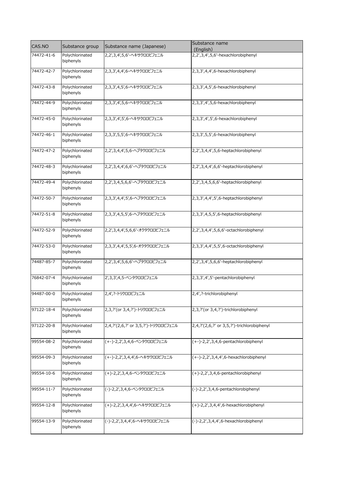| CAS.NO     | Substance group              | Substance name (Japanese)                   | Substance name<br>(English)                            |
|------------|------------------------------|---------------------------------------------|--------------------------------------------------------|
| 74472-41-6 | Polychlorinated<br>biphenyls | 2,2',3,4',5,6'-ヘキサクロロビフェニル                  | 2,2',3,4',5,6'-hexachlorobiphenyl                      |
| 74472-42-7 | Polychlorinated<br>biphenyls | 2,3,3',4,4',6-ヘキサクロロビフェニル                   | 2,3,3',4,4',6-hexachlorobiphenyl                       |
| 74472-43-8 | Polychlorinated<br>biphenyls | 2,3,3',4,5',6-ヘキサクロロビフェニル                   | 2,3,3',4,5',6-hexachlorobiphenyl                       |
| 74472-44-9 | Polychlorinated<br>biphenyls | 2,3,3',4',5,6-ヘキサクロロビフェニル                   | 2,3,3',4',5,6-hexachlorobiphenyl                       |
| 74472-45-0 | Polychlorinated<br>biphenyls | 2,3,3',4',5',6-ヘキサクロロビフェニル                  | 2,3,3',4',5',6-hexachlorobiphenyl                      |
| 74472-46-1 | Polychlorinated<br>biphenyls | 2,3,3',5,5',6-ヘキサクロロビフェニル                   | 2,3,3',5,5',6-hexachlorobiphenyl                       |
| 74472-47-2 | Polychlorinated<br>biphenyls | 2,2',3,4,4',5,6-ヘプタクロロビフェニル                 | 2,2',3,4,4',5,6-heptachlorobiphenyl                    |
| 74472-48-3 | Polychlorinated<br>biphenyls | 2,2',3,4,4',6,6'-ヘプタクロロビフェニル                | 2,2',3,4,4',6,6'-heptachlorobiphenyl                   |
| 74472-49-4 | Polychlorinated<br>biphenyls | 2,2',3,4,5,6,6'-ヘプタクロロビフェニル                 | 2,2',3,4,5,6,6'-heptachlorobiphenyl                    |
| 74472-50-7 | Polychlorinated<br>biphenyls | 2,3,3',4,4',5',6-ヘプタクロロビフェニル                | 2,3,3',4,4',5',6-heptachlorobiphenyl                   |
| 74472-51-8 | Polychlorinated<br>biphenyls | 2,3,3',4,5,5',6-ヘプタクロロビフェニル                 | 2,3,3',4,5,5',6-heptachlorobiphenyl                    |
| 74472-52-9 | Polychlorinated<br>biphenyls | 2,2',3,4,4',5,6,6'-オクタクロロビフェニル              | 2,2',3,4,4',5,6,6'-octachlorobiphenyl                  |
| 74472-53-0 | Polychlorinated<br>biphenyls | 2,3,3',4,4',5,5',6-オクタクロロビフェニル              | 2, 3, 3', 4, 4', 5, 5', 6-octachlorobiphenyl           |
| 74487-85-7 | Polychlorinated<br>biphenyls | 2,2',3,4',5,6,6'-ヘプタクロロビフェニル                | 2,2',3,4',5,6,6'-heptachlorobiphenyl                   |
| 76842-07-4 | Polychlorinated<br>biphenyls | 2',3,3',4,5-ペンタクロロビフェニル                     | 2,3,3',4',5'-pentachlorobiphenyl                       |
| 94487-00-0 | Polychlorinated<br>biphenyls | 2,4', ? - トリクロロビフェニル                        | 2,4',?-trichlorobiphenyl                               |
| 97122-18-4 | Polychlorinated<br>biphenyls | 2,3, ?' (or 3, 4, ?') - トリクロロビフェニル          | 2,3,?'(or 3,4,?')-trichlorobiphenyl                    |
| 97122-20-8 | Polychlorinated<br>biphenyls | 2,4, ?' (2,6, ?' or 3, 5, ?' ) - トリクロロビフェニル | 2,4,?'(2,6,?' or 3,5,?')-trichlorobiphenyl             |
| 99554-08-2 | Polychlorinated<br>biphenyls | (+-)-2,2',3,4,6-ペンタクロロビフェニル                 | (+-)-2,2',3,4,6-pentachlorobiphenyl                    |
| 99554-09-3 | Polychlorinated<br>biphenyls | (+-)-2,2',3,4,4',6-ヘキサクロロビフェニル              | $(+-)$ -2,2',3,4,4',6-hexachlorobiphenyl               |
| 99554-10-6 | Polychlorinated<br>biphenyls | (+)-2,2',3,4,6-ペンタクロロビフェニル                  | (+)-2,2',3,4,6-pentachlorobiphenyl                     |
| 99554-11-7 | Polychlorinated<br>biphenyls | (-)-2,2',3,4,6-ペンタクロロビフェニル                  | (-)-2,2',3,4,6-pentachlorobiphenyl                     |
| 99554-12-8 | Polychlorinated<br>biphenyls | (+)-2,2',3,4,4',6-ヘキサクロロビフェニル               | $(+)$ -2, $\overline{2}$ ',3,4,4',6-hexachlorobiphenyl |
| 99554-13-9 | Polychlorinated<br>biphenyls | (-)-2,2',3,4,4',6-ヘキサクロロビフェニル               | (-)-2,2',3,4,4',6-hexachlorobiphenyl                   |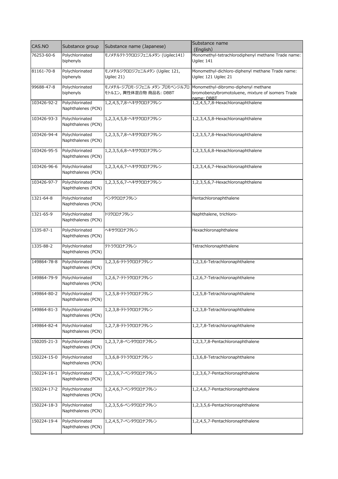| CAS.NO      | Substance group                       | Substance name (Japanese)       | Substance name<br>(English)                                     |
|-------------|---------------------------------------|---------------------------------|-----------------------------------------------------------------|
| 76253-60-6  | Polychlorinated                       | モノメチルテトラクロロジフェニルメタン (Ugilec141) | Monomethyl-tetrachlorodiphenyl methane Trade name:              |
|             | biphenyls                             |                                 | Ugilec 141                                                      |
| 81161-70-8  | Polychlorinated                       | モノメチルジクロロジフェニルメタン (Ugilec 121,  | Monomethyl-dichloro-diphenyl methane Trade name:                |
|             | biphenyls                             | Ugilec 21)                      | Ugilec 121 Ugilec 21                                            |
| 99688-47-8  | Polychlorinated                       | モノメチル-ジブロモ-ジフェニル メタン ブロモベンジルブロ  | Monomethyl-dibromo-diphenyl methane                             |
|             | biphenyls                             | モトルエン, 異性体混合物 商品名: DBBT         | bromobenzylbromotoluene, mixture of isomers Trade<br>name: DBBT |
| 103426-92-2 | Polychlorinated                       | 1,2,4,5,7,8-ヘキサクロロナフタレン         | 1,2,4,5,7,8-Hexachloronaphthalene                               |
|             | Naphthalenes (PCN)                    |                                 |                                                                 |
| 103426-93-3 | Polychlorinated                       | 1,2,3,4,5,8-ヘキサクロロナフタレン         | 1,2,3,4,5,8-Hexachloronaphthalene                               |
|             | Naphthalenes (PCN)                    |                                 |                                                                 |
| 103426-94-4 | Polychlorinated                       | 1,2,3,5,7,8-ヘキサクロロナフタレン         | 1,2,3,5,7,8-Hexachloronaphthalene                               |
|             | Naphthalenes (PCN)                    |                                 |                                                                 |
| 103426-95-5 | Polychlorinated<br>Naphthalenes (PCN) | 1,2,3,5,6,8-ヘキサクロロナフタレン         | 1,2,3,5,6,8-Hexachloronaphthalene                               |
|             |                                       |                                 |                                                                 |
| 103426-96-6 | Polychlorinated                       | 1,2,3,4,6,7-ヘキサクロロナフタレン         | 1,2,3,4,6,7-Hexachloronaphthalene                               |
|             | Naphthalenes (PCN)                    |                                 |                                                                 |
| 103426-97-7 | Polychlorinated                       | 1,2,3,5,6,7-ヘキサクロロナフタレン         | 1,2,3,5,6,7-Hexachloronaphthalene                               |
|             | Naphthalenes (PCN)                    |                                 |                                                                 |
| 1321-64-8   | Polychlorinated                       | ペンタクロロナフタレン                     | Pentachloronaphthalene                                          |
|             | Naphthalenes (PCN)                    |                                 |                                                                 |
| 1321-65-9   | Polychlorinated                       | トリクロロナフタレン                      | Naphthalene, trichloro-                                         |
|             | Naphthalenes (PCN)                    |                                 |                                                                 |
| 1335-87-1   | Polychlorinated                       | ヘキサクロロナフタレン                     | Hexachloronaphthalene                                           |
|             | Naphthalenes (PCN)                    |                                 |                                                                 |
| 1335-88-2   | Polychlorinated                       | テトラクロロナフタレン                     | Tetrachloronaphthalene                                          |
|             | Naphthalenes (PCN)                    |                                 |                                                                 |
| 149864-78-8 | Polychlorinated                       | 1,2,3,6-テトラクロロナフタレン             | 1,2,3,6-Tetrachloronaphthalene                                  |
|             | Naphthalenes (PCN)                    |                                 |                                                                 |
| 149864-79-9 | Polychlorinated                       | 1,2,6,7-テトラクロロナフタレン             | 1,2,6,7-Tetrachloronaphthalene                                  |
|             | Naphthalenes (PCN)                    |                                 |                                                                 |
| 149864-80-2 | Polychlorinated                       | 1,2,5,8-テトラクロロナフタレン             | 1,2,5,8-Tetrachloronaphthalene                                  |
|             | Naphthalenes (PCN)                    |                                 |                                                                 |
| 149864-81-3 | Polychlorinated                       | 1,2,3,8-テトラクロロナフタレン             | 1,2,3,8-Tetrachloronaphthalene                                  |
|             | Naphthalenes (PCN)                    |                                 |                                                                 |
| 149864-82-4 | Polychlorinated                       | 1,2,7,8-テトラクロロナフタレン             | 1,2,7,8-Tetrachloronaphthalene                                  |
|             | Naphthalenes (PCN)                    |                                 |                                                                 |
| 150205-21-3 | Polychlorinated                       | 1,2,3,7,8-ペンタクロロナフタレン           | 1,2,3,7,8-Pentachloronaphthalene                                |
|             | Naphthalenes (PCN)                    |                                 |                                                                 |
| 150224-15-0 | Polychlorinated                       | 1,3,6,8-テトラクロロナフタレン             | 1,3,6,8-Tetrachloronaphthalene                                  |
|             | Naphthalenes (PCN)                    |                                 |                                                                 |
| 150224-16-1 | Polychlorinated                       | 1,2,3,6,7-ペンタクロロナフタレン           | 1,2,3,6,7-Pentachloronaphthalene                                |
|             | Naphthalenes (PCN)                    |                                 |                                                                 |
| 150224-17-2 | Polychlorinated                       | 1,2,4,6,7-ペンタクロロナフタレン           | 1,2,4,6,7-Pentachloronaphthalene                                |
|             | Naphthalenes (PCN)                    |                                 |                                                                 |
| 150224-18-3 | Polychlorinated                       | 1,2,3,5,6-ペンタクロロナフタレン           | 1,2,3,5,6-Pentachloronaphthalene                                |
|             | Naphthalenes (PCN)                    |                                 |                                                                 |
| 150224-19-4 | Polychlorinated                       | 1,2,4,5,7-ペンタクロロナフタレン           | 1,2,4,5,7-Pentachloronaphthalene                                |
|             | Naphthalenes (PCN)                    |                                 |                                                                 |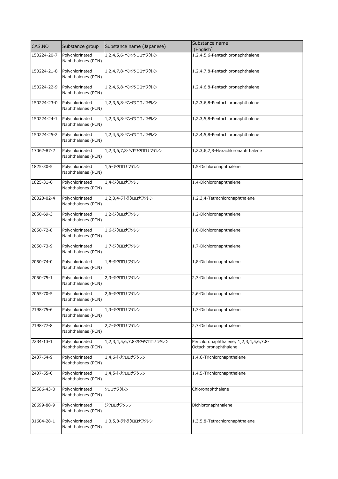| CAS.NO      | Substance group                       | Substance name (Japanese)   | Substance name<br>(English)                                     |
|-------------|---------------------------------------|-----------------------------|-----------------------------------------------------------------|
| 150224-20-7 | Polychlorinated<br>Naphthalenes (PCN) | 1,2,4,5,6-ペンタクロロナフタレン       | 1,2,4,5,6-Pentachloronaphthalene                                |
| 150224-21-8 | Polychlorinated<br>Naphthalenes (PCN) | 1,2,4,7,8-ペンタクロロナフタレン       | 1,2,4,7,8-Pentachloronaphthalene                                |
| 150224-22-9 | Polychlorinated<br>Naphthalenes (PCN) | 1,2,4,6,8-ペンタクロロナフタレン       | 1,2,4,6,8-Pentachloronaphthalene                                |
| 150224-23-0 | Polychlorinated<br>Naphthalenes (PCN) | 1,2,3,6,8-ペンタクロロナフタレン       | 1,2,3,6,8-Pentachloronaphthalene                                |
| 150224-24-1 | Polychlorinated<br>Naphthalenes (PCN) | 1,2,3,5,8-ペンタクロロナフタレン       | 1,2,3,5,8-Pentachloronaphthalene                                |
| 150224-25-2 | Polychlorinated<br>Naphthalenes (PCN) | 1,2,4,5,8-ペンタクロロナフタレン       | 1,2,4,5,8-Pentachloronaphthalene                                |
| 17062-87-2  | Polychlorinated<br>Naphthalenes (PCN) | 1,2,3,6,7,8-ヘキサクロロナフタレン     | 1,2,3,6,7,8-Hexachloronaphthalene                               |
| 1825-30-5   | Polychlorinated<br>Naphthalenes (PCN) | 1,5-ジクロロナフタレン               | 1,5-Dichloronaphthalene                                         |
| 1825-31-6   | Polychlorinated<br>Naphthalenes (PCN) | 1,4-ジクロロナフタレン               | 1,4-Dichloronaphthalene                                         |
| 20020-02-4  | Polychlorinated<br>Naphthalenes (PCN) | 1,2,3,4-テトラクロロナフタレン         | 1,2,3,4-Tetrachloronaphthalene                                  |
| 2050-69-3   | Polychlorinated<br>Naphthalenes (PCN) | 1,2-ジクロロナフタレン               | 1,2-Dichloronaphthalene                                         |
| 2050-72-8   | Polychlorinated<br>Naphthalenes (PCN) | 1,6-ジクロロナフタレン               | 1,6-Dichloronaphthalene                                         |
| 2050-73-9   | Polychlorinated<br>Naphthalenes (PCN) | 1,7-ジクロロナフタレン               | 1,7-Dichloronaphthalene                                         |
| 2050-74-0   | Polychlorinated<br>Naphthalenes (PCN) | 1,8-ジクロロナフタレン               | 1,8-Dichloronaphthalene                                         |
| 2050-75-1   | Polychlorinated<br>Naphthalenes (PCN) | 2,3-ジクロロナフタレン               | 2,3-Dichloronaphthalene                                         |
| 2065-70-5   | Polychlorinated<br>Naphthalenes (PCN) | 2,6-ジクロロナフタレン               | 2,6-Dichloronaphthalene                                         |
| 2198-75-6   | Polychlorinated<br>Naphthalenes (PCN) | 1,3-ジクロロナフタレン               | 1,3-Dichloronaphthalene                                         |
| 2198-77-8   | Polychlorinated<br>Naphthalenes (PCN) | 2,7-ジクロロナフタレン               | 2,7-Dichloronaphthalene                                         |
| 2234-13-1   | Polychlorinated<br>Naphthalenes (PCN) | 1,2,3,4,5,6,7,8-オクタクロロナフタレン | Perchloronaphthalene; 1,2,3,4,5,6,7,8-<br>Octachloronaphthalene |
| 2437-54-9   | Polychlorinated<br>Naphthalenes (PCN) | 1,4,6-トリクロロナフタレン            | 1,4,6-Trichloronaphthalene                                      |
| 2437-55-0   | Polychlorinated<br>Naphthalenes (PCN) | 1,4,5-トリクロロナフタレン            | 1,4,5-Trichloronaphthalene                                      |
| 25586-43-0  | Polychlorinated<br>Naphthalenes (PCN) | クロロナフタレン                    | Chloronaphthalene                                               |
| 28699-88-9  | Polychlorinated<br>Naphthalenes (PCN) | ジクロロナフタレン                   | Dichloronaphthalene                                             |
| 31604-28-1  | Polychlorinated<br>Naphthalenes (PCN) | 1,3,5,8-テトラクロロナフタレン         | 1,3,5,8-Tetrachloronaphthalene                                  |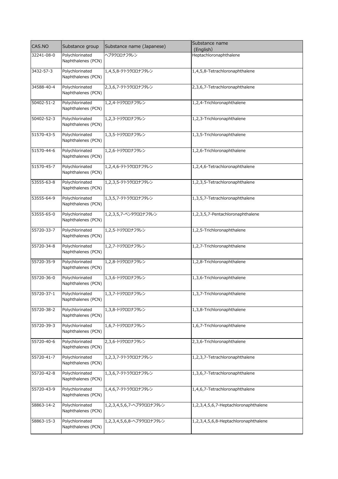| CAS.NO     | Substance group                       | Substance name (Japanese) | Substance name<br>(English)          |
|------------|---------------------------------------|---------------------------|--------------------------------------|
| 32241-08-0 | Polychlorinated                       | ヘプタクロロナフタレン               | Heptachloronaphthalene               |
|            | Naphthalenes (PCN)                    |                           |                                      |
| 3432-57-3  | Polychlorinated<br>Naphthalenes (PCN) | 1,4,5,8-テトラクロロナフタレン       | 1,4,5,8-Tetrachloronaphthalene       |
| 34588-40-4 | Polychlorinated<br>Naphthalenes (PCN) | 2,3,6,7-テトラクロロナフタレン       | 2,3,6,7-Tetrachloronaphthalene       |
| 50402-51-2 | Polychlorinated<br>Naphthalenes (PCN) | 1,2,4-トリクロロナフタレン          | 1,2,4-Trichloronaphthalene           |
| 50402-52-3 | Polychlorinated<br>Naphthalenes (PCN) | 1,2,3-トリクロロナフタレン          | 1,2,3-Trichloronaphthalene           |
| 51570-43-5 | Polychlorinated<br>Naphthalenes (PCN) | 1,3,5-トリクロロナフタレン          | 1,3,5-Trichloronaphthalene           |
| 51570-44-6 | Polychlorinated<br>Naphthalenes (PCN) | 1,2,6-トリクロロナフタレン          | 1,2,6-Trichloronaphthalene           |
| 51570-45-7 | Polychlorinated<br>Naphthalenes (PCN) | 1,2,4,6-テトラクロロナフタレン       | 1,2,4,6-Tetrachloronaphthalene       |
| 53555-63-8 | Polychlorinated<br>Naphthalenes (PCN) | 1,2,3,5-テトラクロロナフタレン       | 1,2,3,5-Tetrachloronaphthalene       |
| 53555-64-9 | Polychlorinated<br>Naphthalenes (PCN) | 1,3,5,7-テトラクロロナフタレン       | 1,3,5,7-Tetrachloronaphthalene       |
| 53555-65-0 | Polychlorinated<br>Naphthalenes (PCN) | 1,2,3,5,7-ペンタクロロナフタレン     | 1,2,3,5,7-Pentachloronaphthalene     |
| 55720-33-7 | Polychlorinated<br>Naphthalenes (PCN) | 1,2,5-トリクロロナフタレン          | 1,2,5-Trichloronaphthalene           |
| 55720-34-8 | Polychlorinated<br>Naphthalenes (PCN) | 1,2,7-トリクロロナフタレン          | 1,2,7-Trichloronaphthalene           |
| 55720-35-9 | Polychlorinated<br>Naphthalenes (PCN) | 1,2,8-トリクロロナフタレン          | 1,2,8-Trichloronaphthalene           |
| 55720-36-0 | Polychlorinated<br>Naphthalenes (PCN) | 1,3,6-トリクロロナフタレン          | 1,3,6-Trichloronaphthalene           |
| 55720-37-1 | Polychlorinated<br>Naphthalenes (PCN) | 1,3,7-トリクロロナフタレン          | 1,3,7-Trichloronaphthalene           |
| 55720-38-2 | Polychlorinated<br>Naphthalenes (PCN) | 1,3,8-トリクロロナフタレン          | 1,3,8-Trichloronaphthalene           |
| 55720-39-3 | Polychlorinated<br>Naphthalenes (PCN) | 1,6,7-トリクロロナフタレン          | 1,6,7-Trichloronaphthalene           |
| 55720-40-6 | Polychlorinated<br>Naphthalenes (PCN) | 2,3,6-トリクロロナフタレン          | 2,3,6-Trichloronaphthalene           |
| 55720-41-7 | Polychlorinated<br>Naphthalenes (PCN) | 1,2,3,7-テトラクロロナフタレン       | 1,2,3,7-Tetrachloronaphthalene       |
| 55720-42-8 | Polychlorinated<br>Naphthalenes (PCN) | 1,3,6,7-テトラクロロナフタレン       | 1,3,6,7-Tetrachloronaphthalene       |
| 55720-43-9 | Polychlorinated<br>Naphthalenes (PCN) | 1,4,6,7-テトラクロロナフタレン       | 1,4,6,7-Tetrachloronaphthalene       |
| 58863-14-2 | Polychlorinated<br>Naphthalenes (PCN) | 1,2,3,4,5,6,7-ヘプタクロロナフタレン | 1,2,3,4,5,6,7-Heptachloronaphthalene |
| 58863-15-3 | Polychlorinated<br>Naphthalenes (PCN) | 1,2,3,4,5,6,8-ヘプタクロロナフタレン | 1,2,3,4,5,6,8-Heptachloronaphthalene |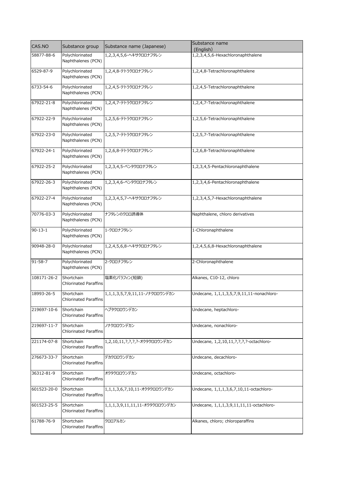| CAS.NO        | Substance group                            | Substance name (Japanese)      | Substance name<br>(English)               |
|---------------|--------------------------------------------|--------------------------------|-------------------------------------------|
| 58877-88-6    | Polychlorinated<br>Naphthalenes (PCN)      | 1,2,3,4,5,6-ヘキサクロロナフタレン        | 1,2,3,4,5,6-Hexachloronaphthalene         |
| 6529-87-9     | Polychlorinated<br>Naphthalenes (PCN)      | 1,2,4,8-テトラクロロナフタレン            | 1,2,4,8-Tetrachloronaphthalene            |
| 6733-54-6     | Polychlorinated<br>Naphthalenes (PCN)      | 1,2,4,5-テトラクロロナフタレン            | 1,2,4,5-Tetrachloronaphthalene            |
| 67922-21-8    | Polychlorinated<br>Naphthalenes (PCN)      | 1,2,4,7-テトラクロロナフタレン            | 1,2,4,7-Tetrachloronaphthalene            |
| 67922-22-9    | Polychlorinated<br>Naphthalenes (PCN)      | 1,2,5,6-テトラクロロナフタレン            | 1,2,5,6-Tetrachloronaphthalene            |
| 67922-23-0    | Polychlorinated<br>Naphthalenes (PCN)      | 1,2,5,7-テトラクロロナフタレン            | 1,2,5,7-Tetrachloronaphthalene            |
| 67922-24-1    | Polychlorinated<br>Naphthalenes (PCN)      | 1,2,6,8-テトラクロロナフタレン            | 1,2,6,8-Tetrachloronaphthalene            |
| 67922-25-2    | Polychlorinated<br>Naphthalenes (PCN)      | 1,2,3,4,5-ペンタクロロナフタレン          | 1,2,3,4,5-Pentachloronaphthalene          |
| 67922-26-3    | Polychlorinated<br>Naphthalenes (PCN)      | 1,2,3,4,6-ペンタクロロナフタレン          | 1,2,3,4,6-Pentachloronaphthalene          |
| 67922-27-4    | Polychlorinated<br>Naphthalenes (PCN)      | 1,2,3,4,5,7-ヘキサクロロナフタレン        | 1,2,3,4,5,7-Hexachloronaphthalene         |
| 70776-03-3    | Polychlorinated<br>Naphthalenes (PCN)      | ナフタレンのクロロ誘導体                   | Naphthalene, chloro derivatives           |
| $90 - 13 - 1$ | Polychlorinated<br>Naphthalenes (PCN)      | 1-クロロナフタレン                     | 1-Chloronaphthalene                       |
| 90948-28-0    | Polychlorinated<br>Naphthalenes (PCN)      | 1,2,4,5,6,8-ヘキサクロロナフタレン        | 1,2,4,5,6,8-Hexachloronaphthalene         |
| $91 - 58 - 7$ | Polychlorinated<br>Naphthalenes (PCN)      | 2-クロロナフタレン                     | 2-Chloronaphthalene                       |
| 108171-26-2   | Shortchain<br><b>Chlorinated Paraffins</b> | 塩素化パラフィン(短鎖)                   | Alkanes, C10-12, chloro                   |
| 18993-26-5    | Shortchain<br><b>Chlorinated Paraffins</b> | 1,1,1,3,5,7,9,11,11-ノナクロロウンデカン | Undecane, 1,1,1,3,5,7,9,11,11-nonachloro- |
| 219697-10-6   | Shortchain<br><b>Chlorinated Paraffins</b> | ヘプタクロロウンデカン                    | Undecane, heptachloro-                    |
| 219697-11-7   | Shortchain<br><b>Chlorinated Paraffins</b> | ノナクロロウンデカン                     | Undecane, nonachloro-                     |
| 221174-07-8   | Shortchain<br><b>Chlorinated Paraffins</b> | 1,2,10,11,?,?,?,?-オクタクロロウンデカン  | Undecane, 1,2,10,11, ?, ?, ?- octachloro- |
| 276673-33-7   | Shortchain<br><b>Chlorinated Paraffins</b> | デカクロロウンデカン                     | Undecane, decachloro-                     |
| 36312-81-9    | Shortchain<br><b>Chlorinated Paraffins</b> | オクタクロロウンデカン                    | Undecane, octachloro-                     |
| 601523-20-0   | Shortchain<br><b>Chlorinated Paraffins</b> | 1,1,1,3,6,7,10,11-オクタクロロウンデカン  | Undecane, 1,1,1,3,6,7,10,11-octachloro-   |
| 601523-25-5   | Shortchain<br><b>Chlorinated Paraffins</b> | 1,1,1,3,9,11,11,11-オクタクロロウンデカン | Undecane, 1,1,1,3,9,11,11,11-octachloro-  |
| 61788-76-9    | Shortchain<br><b>Chlorinated Paraffins</b> | クロロアルカン                        | Alkanes, chloro; chloroparaffins          |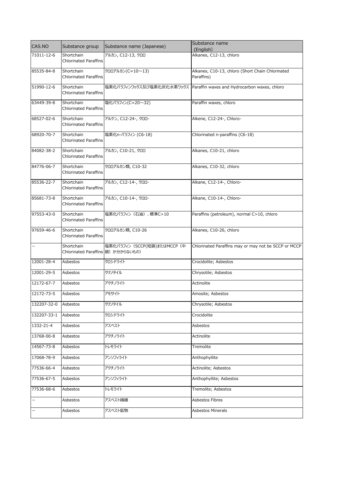| CAS.NO                   | Substance group                    | Substance name (Japanese)    | Substance name<br>(English)                                              |
|--------------------------|------------------------------------|------------------------------|--------------------------------------------------------------------------|
| 71011-12-6               | Shortchain                         | アルカン, C12-13, クロロ            | Alkanes, C12-13, chloro                                                  |
|                          | <b>Chlorinated Paraffins</b>       |                              |                                                                          |
| 85535-84-8               | Shortchain                         | クロロアルカン(C=10~13)             | Alkanes, C10-13, chloro (Short Chain Chlorinated                         |
|                          | <b>Chlorinated Paraffins</b>       |                              | Paraffins)                                                               |
| 51990-12-6               | Shortchain                         |                              | 塩素化パラフィンワックス及び塩素化炭化水素ワックス   Paraffin waxes and Hydrocarbon waxes, chloro |
|                          | <b>Chlorinated Paraffins</b>       |                              |                                                                          |
| 63449-39-8               | Shortchain                         | 塩化パラフィン(C=20~32)             | Paraffin waxes, chloro                                                   |
|                          | <b>Chlorinated Paraffins</b>       |                              |                                                                          |
| 68527-02-6               | Shortchain                         | アルケン, C12-24-, クロロ-          | Alkene, C12-24-, Chloro-                                                 |
|                          | <b>Chlorinated Paraffins</b>       |                              |                                                                          |
| 68920-70-7               | Shortchain                         | 塩素化n-パラフィン (C6-18)           | Chlorinated n-paraffins (C6-18)                                          |
|                          | <b>Chlorinated Paraffins</b>       |                              |                                                                          |
| 84082-38-2               | Shortchain                         | アルカン, C10-21, クロロ            | Alkanes, C10-21, chloro                                                  |
|                          | <b>Chlorinated Paraffins</b>       |                              |                                                                          |
| 84776-06-7               | Shortchain                         | クロロアルカン類, C10-32             | Alkanes, C10-32, chloro                                                  |
|                          | Chlorinated Paraffins              |                              |                                                                          |
| 85536-22-7               | Shortchain                         | アルカン, C12-14-, クロロ-          | Alkane, C12-14-, Chloro-                                                 |
|                          | <b>Chlorinated Paraffins</b>       |                              |                                                                          |
| 85681-73-8               | Shortchain                         | アルカン, C10-14-, クロロ-          | Alkane, C10-14-, Chloro-                                                 |
|                          | <b>Chlorinated Paraffins</b>       |                              |                                                                          |
| 97553-43-0               | Shortchain                         | 塩素化パラフィン (石油)、標準C>10         | Paraffins (petroleum), normal C>10, chloro                               |
|                          | <b>Chlorinated Paraffins</b>       |                              |                                                                          |
| 97659-46-6               | Shortchain                         | クロロアルカン類, C10-26             | Alkanes, C10-26, chloro                                                  |
|                          | <b>Chlorinated Paraffins</b>       |                              |                                                                          |
| -                        | Shortchain                         | 塩素化パラフィン (SCCP(短鎖)またはMCCP (中 | Chlorinated Paraffins may or may not be SCCP or MCCP                     |
|                          | Chlorinated Paraffins 鎖) か分からないもの) |                              |                                                                          |
| 12001-28-4               | Asbestos                           | クロシドライト                      | Crocidolite; Asbestos                                                    |
|                          |                                    |                              |                                                                          |
| 12001-29-5               | Asbestos                           | クリソタイル                       | Chrysotile; Asbestos                                                     |
| 12172-67-7               | Asbestos                           | アクチノライト                      | Actinolite                                                               |
| 12172-73-5               | Asbestos                           | アモサイト                        | Amosite; Asbestos                                                        |
|                          |                                    |                              |                                                                          |
| 132207-32-0              | Asbestos                           | クリソタイル                       | Chrysotile; Asbestos                                                     |
| 132207-33-1              | Asbestos                           | クロシドライト                      | Crocidolite                                                              |
| 1332-21-4                | Asbestos                           | アスベスト                        | Asbestos                                                                 |
|                          |                                    |                              |                                                                          |
| 13768-00-8               | Asbestos                           | アクチノライト                      | Actinolite                                                               |
| 14567-73-8               | Asbestos                           | トレモライト                       | Tremolite                                                                |
| 17068-78-9               | Asbestos                           | アンソフィライト                     | Anthophyllite                                                            |
|                          |                                    |                              |                                                                          |
| 77536-66-4               | Asbestos                           | アクチノライト                      | Actinolite; Asbestos                                                     |
| 77536-67-5               | Asbestos                           | アンソフィライト                     | Anthophyllite; Asbestos                                                  |
| 77536-68-6               | Asbestos                           | トレモライト                       | Tremolite; Asbestos                                                      |
|                          |                                    |                              |                                                                          |
| $\qquad \qquad -$        | Asbestos                           | アスベスト繊維                      | Asbestos Fibres                                                          |
| $\overline{\phantom{0}}$ | Asbestos                           | アスベスト鉱物                      | Asbestos Minerals                                                        |
|                          |                                    |                              |                                                                          |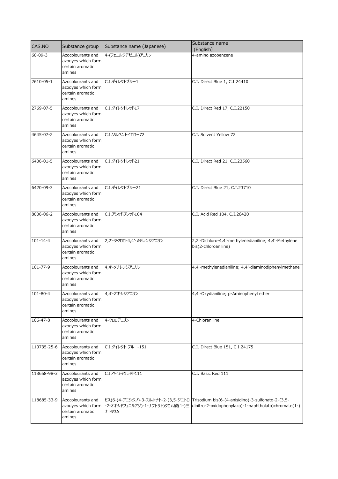| CAS.NO         | Substance group                                                       | Substance name (Japanese) | Substance name<br>(English)                                                                                                                                                     |
|----------------|-----------------------------------------------------------------------|---------------------------|---------------------------------------------------------------------------------------------------------------------------------------------------------------------------------|
| $60 - 09 - 3$  | Azocolourants and<br>azodyes which form<br>certain aromatic<br>amines | 4-(フェニルジアゼニル)アニリン         | 4-amino azobenzene                                                                                                                                                              |
| 2610-05-1      | Azocolourants and<br>azodyes which form<br>certain aromatic<br>amines | C.I.ダイレクトブルー1             | C.I. Direct Blue 1, C.I.24410                                                                                                                                                   |
| 2769-07-5      | Azocolourants and<br>azodyes which form<br>certain aromatic<br>amines | C.I.ダイレクトレッド17            | C.I. Direct Red 17, C.I.22150                                                                                                                                                   |
| 4645-07-2      | Azocolourants and<br>azodyes which form<br>certain aromatic<br>amines | C.I.ソルベントイエロー72           | C.I. Solvent Yellow 72                                                                                                                                                          |
| 6406-01-5      | Azocolourants and<br>azodyes which form<br>certain aromatic<br>amines | C.I.ダイレクトレッド21            | C.I. Direct Red 21, C.I.23560                                                                                                                                                   |
| 6420-09-3      | Azocolourants and<br>azodyes which form<br>certain aromatic<br>amines | C.I.ダイレクトブルー21            | C.I. Direct Blue 21, C.I.23710                                                                                                                                                  |
| 8006-06-2      | Azocolourants and<br>azodyes which form<br>certain aromatic<br>amines | C.I.アシッドブレッド104           | C.I. Acid Red 104, C.I.26420                                                                                                                                                    |
| $101 - 14 - 4$ | Azocolourants and<br>azodyes which form<br>certain aromatic<br>amines | 2,2'-ジクロロ-4,4'-メチレンジアニリン  | 2,2'-Dichloro-4,4'-methylenedianiline; 4,4'-Methylene<br>bis(2-chloroaniline)                                                                                                   |
| $101 - 77 - 9$ | Azocolourants and<br>azodyes which form<br>certain aromatic<br>amines | 4,4'-メチレンジアニリン            | 4,4'-methylenedianiline; 4,4'-diaminodiphenylmethane                                                                                                                            |
| 101-80-4       | Azocolourants and<br>azodyes which form<br>certain aromatic<br>amines | 4,4'-オキシジアニリン             | 4,4'-Oxydianiline; p-Aminophenyl ether                                                                                                                                          |
| 106-47-8       | Azocolourants and<br>azodyes which form<br>certain aromatic<br>amines | 4-クロロアニリン                 | 4-Chloraniline                                                                                                                                                                  |
| 110735-25-6    | Azocolourants and<br>azodyes which form<br>certain aromatic<br>amines | C.I.ダイレクト ブルー-151         | C.I. Direct Blue 151, C.I.24175                                                                                                                                                 |
| 118658-98-3    | Azocolourants and<br>azodyes which form<br>certain aromatic<br>amines | C.I.ベイシックレッド111           | C.I. Basic Red 111                                                                                                                                                              |
| 118685-33-9    | Azocolourants and<br>azodyes which form<br>certain aromatic<br>amines | ナトリウム                     | ビス(6-(4-アニシジノ)-3-スルホナト-2-(3,5-ジニトロ   Trisodium bis(6-(4-anisidino)-3-sulfonato-2-(3,5-<br>-2-オキシドフェニルアゾ)-1-ナフトラト)クロム酸(1-)三 dinitro-2-oxidophenylazo)-1-naphtholato)chromate(1-) |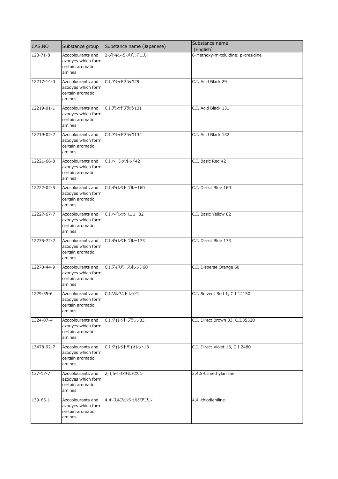| CAS.NO     |                                                                                      |                           | Substance name                     |
|------------|--------------------------------------------------------------------------------------|---------------------------|------------------------------------|
|            | Substance group                                                                      | Substance name (Japanese) | (English)                          |
| 120-71-8   | Azocolourants and<br>azodyes which form<br>certain aromatic<br>amines                | 2-メトキシ-5-メチルアニリン          | 6-Methoxy-m-toluidine; p-cresidine |
| 12217-14-0 | Azocolourants and<br>azodyes which form<br>certain aromatic<br>amines                | C.I.アシッドブラック29            | C.I. Acid Black 29                 |
| 12219-01-1 | Azocolourants and<br>azodyes which form<br>certain aromatic<br>amines                | C.I.アシッドブラック131           | C.I. Acid Black 131                |
| 12219-02-2 | Azocolourants and<br>azodyes which form<br>certain aromatic<br>amines                | C.I.アシッドブラック132           | C.I. Acid Black 132                |
| 12221-66-8 | Azocolourants and<br>azodyes which form<br>certain aromatic<br>amines                | C.I.ベーシックレッド42            | C.I. Basic Red 42                  |
| 12222-02-5 | Azocolourants and<br>azodyes which form<br>certain aromatic<br>amines                | C.I.ダイレクト ブルー160          | C.I. Direct Blue 160               |
| 12227-67-7 | Azocolourants and<br>azodyes which form<br>certain aromatic<br>amines                | C.I.ベイシックイエロー82           | C.I. Basic Yellow 82               |
| 12235-72-2 | Azocolourants and<br>azodyes which form<br>certain aromatic<br>amines                | C.I.ダイレクト ブルー173          | C.I. Direct Blue 173               |
| 12270-44-9 | Azocolourants and<br>azodyes which form<br>certain aromatic<br>amines                | C.I.ディスパースオレンジ60          | C.I. Disperse Orange 60            |
| 1229-55-6  | Azocolourants and C.I.ソルベント レッド1<br>azodyes which form<br>certain aromatic<br>amines |                           | C.I. Solvent Red 1, C.I.12150      |
| 1324-87-4  | Azocolourants and<br>azodyes which form<br>certain aromatic<br>amines                | C.I.ダイレクト ブラウン33          | C.I. Direct Brown 33, C.I.35520    |
| 13478-92-7 | Azocolourants and<br>azodyes which form<br>certain aromatic<br>amines                | C.I.ダイレクトバイオレット13         | C.I. Direct Violet 13, C.I.2480    |
| 137-17-7   | Azocolourants and<br>azodyes which form<br>certain aromatic<br>amines                | 2,4,5-トリメチルアニリン           | 2,4,5-trimethylaniline             |
| 139-65-1   | Azocolourants and<br>azodyes which form<br>certain aromatic<br>amines                | 4,4'-スルファンジイルジアニリン        | 4,4'-thiodianiline                 |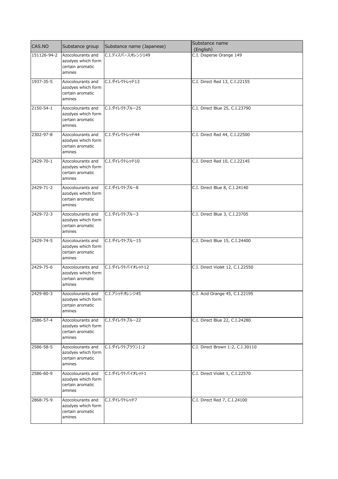| CAS.NO      | Substance group                                                                        | Substance name (Japanese) | Substance name<br>(English)      |
|-------------|----------------------------------------------------------------------------------------|---------------------------|----------------------------------|
| 151126-94-2 | Azocolourants and<br>azodyes which form<br>certain aromatic<br>amines                  | C.I.ディスパースオレンジ149         | C.I. Disperse Orange 149         |
| 1937-35-5   | Azocolourants and<br>azodyes which form<br>certain aromatic<br>amines                  | C.I.ダイレクトレッド13            | C.I. Direct Red 13, C.I.22155    |
| 2150-54-1   | Azocolourants and<br>azodyes which form<br>certain aromatic<br>amines                  | C.I.ダイレクトブルー25            | C.I. Direct Blue 25, C.I.23790   |
| 2302-97-8   | Azocolourants and<br>azodyes which form<br>certain aromatic<br>amines                  | C.I.ダイレクトレッド44            | C.I. Direct Red 44, C.I.22500    |
| 2429-70-1   | Azocolourants and<br>azodyes which form<br>certain aromatic<br>amines                  | C.I.ダイレクトレッド10            | C.I. Direct Red 10, C.I.22145    |
| 2429-71-2   | Azocolourants and<br>azodyes which form<br>certain aromatic<br>amines                  | C.I.ダイレクトブルー8             | C.I. Direct Blue 8, C.I.24140    |
| 2429-72-3   | Azocolourants and<br>azodyes which form<br>certain aromatic<br>amines                  | C.I.ダイレクトブルー3             | C.I. Direct Blue 3, C.I.23705    |
| 2429-74-5   | Azocolourants and<br>azodyes which form<br>certain aromatic<br>amines                  | C.I.ダイレクトブルー15            | C.I. Direct Blue 15, C.I.24400   |
| 2429-75-6   | Azocolourants and<br>azodyes which form<br>certain aromatic<br>amines                  | C.I.ダイレクトバイオレット12         | C.I. Direct Violet 12, C.I.22550 |
| 2429-80-3   | Azocolourants and   C.I.アシッドオレンジ45<br>azodyes which form<br>certain aromatic<br>amines |                           | C.I. Acid Orange 45, C.I.22195   |
| 2586-57-4   | Azocolourants and<br>azodyes which form<br>certain aromatic<br>amines                  | C.I.ダイレクトブルー22            | C.I. Direct Blue 22, C.I.24280   |
| 2586-58-5   | Azocolourants and<br>azodyes which form<br>certain aromatic<br>amines                  | C.I.ダイレクトブラウン1:2          | C.I. Direct Brown 1:2, C.I.30110 |
| 2586-60-9   | Azocolourants and<br>azodyes which form<br>certain aromatic<br>amines                  | C.I.ダイレクトバイオレット1          | C.I. Direct Violet 1, C.I.22570  |
| 2868-75-9   | Azocolourants and<br>azodyes which form<br>certain aromatic<br>amines                  | C.I.ダイレクトレッド7             | C.I. Direct Red 7, C.I.24100     |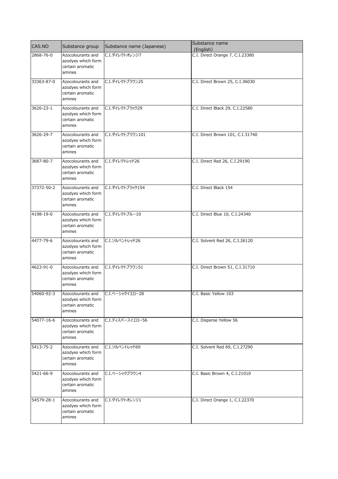| CAS.NO     | Substance group                                                       | Substance name (Japanese)         | Substance name<br>(English)      |
|------------|-----------------------------------------------------------------------|-----------------------------------|----------------------------------|
| 2868-76-0  | Azocolourants and<br>azodyes which form<br>certain aromatic<br>amines | C.I.ダイレクトオレンジ7                    | C.I. Direct Orange 7, C.I.23380  |
| 33363-87-0 | Azocolourants and<br>azodyes which form<br>certain aromatic<br>amines | C.I.ダイレクトブラウン25                   | C.I. Direct Brown 25, C.I.36030  |
| 3626-23-1  | Azocolourants and<br>azodyes which form<br>certain aromatic<br>amines | C.I.ダイレクトブラック29                   | C.I. Direct Black 29, C.I.22580  |
| 3626-29-7  | Azocolourants and<br>azodyes which form<br>certain aromatic<br>amines | C.I.ダイレクトブラウン101                  | C.I. Direct Brown 101, C.I.31740 |
| 3687-80-7  | Azocolourants and<br>azodyes which form<br>certain aromatic<br>amines | C.I.ダイレクトレッド26                    | C.I. Direct Red 26, C.I.29190    |
| 37372-50-2 | Azocolourants and<br>azodyes which form<br>certain aromatic<br>amines | C.I.ダイレクトブラック154                  | C.I. Direct Black 154            |
| 4198-19-0  | Azocolourants and<br>azodyes which form<br>certain aromatic<br>amines | C.I.ダイレクトブルー10                    | C.I. Direct Blue 10, C.I.24340   |
| 4477-79-6  | Azocolourants and<br>azodyes which form<br>certain aromatic<br>amines | C.I.ソルベントレッド26                    | C.I. Solvent Red 26, C.I.26120   |
| 4623-91-0  | Azocolourants and<br>azodyes which form<br>certain aromatic<br>amines | C.I.ダイレクトブラウン51                   | C.I. Direct Brown 51, C.I.31710  |
| 54060-92-3 | azodyes which form<br>certain aromatic<br>amines                      | Azocolourants and C.I.ベーシックイエロー28 | C.I. Basic Yellow 103            |
| 54077-16-6 | Azocolourants and<br>azodyes which form<br>certain aromatic<br>amines | C.I.ディスパースイエロー56                  | C.I. Disperse Yellow 56          |
| 5413-75-2  | Azocolourants and<br>azodyes which form<br>certain aromatic<br>amines | C.I.ソルベントレッド69                    | C.I. Solvent Red 69, C.I.27290   |
| 5421-66-9  | Azocolourants and<br>azodyes which form<br>certain aromatic<br>amines | C.I.ベーシックブラウン4                    | C.I. Basic Brown 4, C.I.21010    |
| 54579-28-1 | Azocolourants and<br>azodyes which form<br>certain aromatic<br>amines | C.I.ダイレクトオレンジ1                    | C.I. Direct Orange 1, C.I.22370  |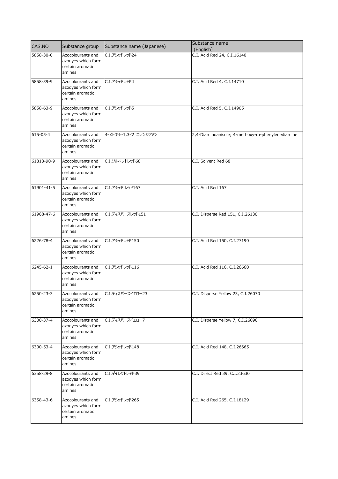| CAS.NO     | Substance group                                                       | Substance name (Japanese) | Substance name<br>(English)                      |
|------------|-----------------------------------------------------------------------|---------------------------|--------------------------------------------------|
| 5858-30-0  | Azocolourants and<br>azodyes which form<br>certain aromatic<br>amines | C.I.アシッドレッド24             | C.I. Acid Red 24, C.I.16140                      |
| 5858-39-9  | Azocolourants and<br>azodyes which form<br>certain aromatic<br>amines | C.I.アシッドレッド4              | C.I. Acid Red 4, C.I.14710                       |
| 5858-63-9  | Azocolourants and<br>azodyes which form<br>certain aromatic<br>amines | C.I.アシッドレッド5              | C.I. Acid Red 5, C.I.14905                       |
| 615-05-4   | Azocolourants and<br>azodyes which form<br>certain aromatic<br>amines | 4-メトキシ-1,3-フェニレンジアミン      | 2,4-Diaminoanisole; 4-methoxy-m-phenylenediamine |
| 61813-90-9 | Azocolourants and<br>azodyes which form<br>certain aromatic<br>amines | C.I.ソルベントレッド68            | C.I. Solvent Red 68                              |
| 61901-41-5 | Azocolourants and<br>azodyes which form<br>certain aromatic<br>amines | C.I.アシッド レッド167           | C.I. Acid Red 167                                |
| 61968-47-6 | Azocolourants and<br>azodyes which form<br>certain aromatic<br>amines | C.I.ディスパースレッド151          | C.I. Disperse Red 151, C.I.26130                 |
| 6226-78-4  | Azocolourants and<br>azodyes which form<br>certain aromatic<br>amines | C.I.アシッドレッド150            | C.I. Acid Red 150, C.I.27190                     |
| 6245-62-1  | Azocolourants and<br>azodyes which form<br>certain aromatic<br>amines | C.I.アシッドレッド116            | C.I. Acid Red 116, C.I.26660                     |
| 6250-23-3  | Azocolourants and<br>azodyes which form<br>certain aromatic<br>amines | C.I.ディスパースイエロー23          | C.I. Disperse Yellow 23, C.I.26070               |
| 6300-37-4  | Azocolourants and<br>azodyes which form<br>certain aromatic<br>amines | C.I.ディスパースイエローフ           | C.I. Disperse Yellow 7, C.I.26090                |
| 6300-53-4  | Azocolourants and<br>azodyes which form<br>certain aromatic<br>amines | C.I.アシッドレッド148            | C.I. Acid Red 148, C.I.26665                     |
| 6358-29-8  | Azocolourants and<br>azodyes which form<br>certain aromatic<br>amines | C.I.ダイレクトレッド39            | C.I. Direct Red 39, C.I.23630                    |
| 6358-43-6  | Azocolourants and<br>azodyes which form<br>certain aromatic<br>amines | C.I.アシッドレッド265            | C.I. Acid Red 265, C.I.18129                     |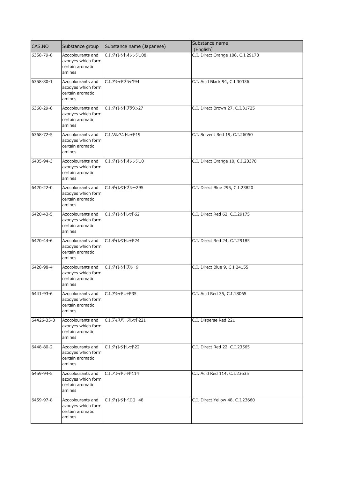| CAS.NO     | Substance group                                                                      | Substance name (Japanese) | Substance name<br>(English)       |
|------------|--------------------------------------------------------------------------------------|---------------------------|-----------------------------------|
| 6358-79-8  | Azocolourants and<br>azodyes which form<br>certain aromatic<br>amines                | C.I.ダイレクトオレンジ108          | C.I. Direct Orange 108, C.I.29173 |
| 6358-80-1  | Azocolourants and<br>azodyes which form<br>certain aromatic<br>amines                | C.I.アシッドブラック94            | C.I. Acid Black 94, C.I.30336     |
| 6360-29-8  | Azocolourants and<br>azodyes which form<br>certain aromatic<br>amines                | C.I.ダイレクトブラウン27           | C.I. Direct Brown 27, C.I.31725   |
| 6368-72-5  | Azocolourants and<br>azodyes which form<br>certain aromatic<br>amines                | C.I.ソルベントレッド19            | C.I. Solvent Red 19, C.I.26050    |
| 6405-94-3  | Azocolourants and<br>azodyes which form<br>certain aromatic<br>amines                | C.I.ダイレクトオレンジ10           | C.I. Direct Orange 10, C.I.23370  |
| 6420-22-0  | Azocolourants and<br>azodyes which form<br>certain aromatic<br>amines                | C.I.ダイレクトブルー295           | C.I. Direct Blue 295, C.I.23820   |
| 6420-43-5  | Azocolourants and<br>azodyes which form<br>certain aromatic<br>amines                | C.I.ダイレクトレッド62            | C.I. Direct Red 62, C.I.29175     |
| 6420-44-6  | Azocolourants and<br>azodyes which form<br>certain aromatic<br>amines                | C.I.ダイレクトレッド24            | C.I. Direct Red 24, C.I.29185     |
| 6428-98-4  | Azocolourants and<br>azodyes which form<br>certain aromatic<br>amines                | C.I.ダイレクトブルー9             | C.I. Direct Blue 9, C.I.24155     |
| 6441-93-6  | Azocolourants and C.I. アシッドレッド35<br>azodyes which form<br>certain aromatic<br>amines |                           | C.I. Acid Red 35, C.I.18065       |
| 64426-35-3 | Azocolourants and<br>azodyes which form<br>certain aromatic<br>amines                | C.I.ディスパースレッド221          | C.I. Disperse Red 221             |
| 6448-80-2  | Azocolourants and<br>azodyes which form<br>certain aromatic<br>amines                | C.I.ダイレクトレッド22            | C.I. Direct Red 22, C.I.23565     |
| 6459-94-5  | Azocolourants and<br>azodyes which form<br>certain aromatic<br>amines                | C.I.アシッドレッド114            | C.I. Acid Red 114, C.I.23635      |
| 6459-97-8  | Azocolourants and<br>azodyes which form<br>certain aromatic<br>amines                | C.I.ダイレクトイエロー48           | C.I. Direct Yellow 48, C.I.23660  |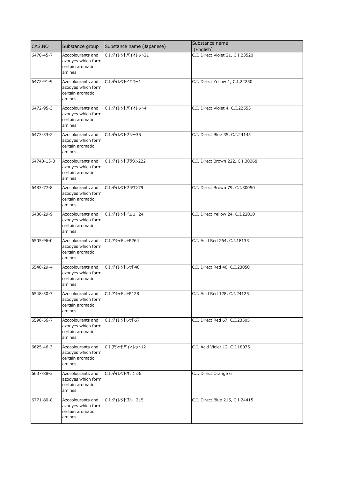| CAS.NO          | Substance group                                                                       | Substance name (Japanese) | Substance name<br>(English)      |
|-----------------|---------------------------------------------------------------------------------------|---------------------------|----------------------------------|
| 6470-45-7       | Azocolourants and<br>azodyes which form<br>certain aromatic<br>amines                 | C.I.ダイレクトバイオレット21         | C.I. Direct Violet 21, C.I.23520 |
| 6472-91-9       | Azocolourants and<br>azodyes which form<br>certain aromatic<br>amines                 | C.I.ダイレクトイエロー1            | C.I. Direct Yellow 1, C.I.22250  |
| 6472-95-3       | Azocolourants and<br>azodyes which form<br>certain aromatic<br>amines                 | C.I.ダイレクトバイオレット4          | C.I. Direct Violet 4, C.I.22555  |
| 6473-33-2       | Azocolourants and<br>azodyes which form<br>certain aromatic<br>amines                 | C.I.ダイレクトブルー35            | C.I. Direct Blue 35, C.I.24145   |
| 64743-15-3      | Azocolourants and<br>azodyes which form<br>certain aromatic<br>amines                 | C.I.ダイレクトブラウン222          | C.I. Direct Brown 222, C.I.30368 |
| 6483-77-8       | Azocolourants and<br>azodyes which form<br>certain aromatic<br>amines                 | C.I.ダイレクトブラウン79           | C.I. Direct Brown 79, C.I.30050  |
| 6486-29-9       | Azocolourants and<br>azodyes which form<br>certain aromatic<br>amines                 | C.I.ダイレクトイエロー24           | C.I. Direct Yellow 24, C.I.22010 |
| 6505-96-0       | Azocolourants and<br>azodyes which form<br>certain aromatic<br>amines                 | C.I.アシッドレッド264            | C.I. Acid Red 264, C.I.18133     |
| 6548-29-4       | Azocolourants and<br>azodyes which form<br>certain aromatic<br>amines                 | C.I.ダイレクトレッド46            | C.I. Direct Red 46, C.I.23050    |
| 6548-30-7       | Azocolourants and C.I. アシッドレッド128<br>azodyes which form<br>certain aromatic<br>amines |                           | C.I. Acid Red 128, C.I.24125     |
| 6598-56-7       | Azocolourants and<br>azodyes which form<br>certain aromatic<br>amines                 | C.I.ダイレクトレッド67            | C.I. Direct Red 67, C.I.23505    |
| 6625-46-3       | Azocolourants and<br>azodyes which form<br>certain aromatic<br>amines                 | C.I.アシッドバイオレット12          | C.I. Acid Violet 12, C.I.18075   |
| $6637 - 88 - 3$ | Azocolourants and<br>azodyes which form<br>certain aromatic<br>amines                 | C.I.ダイレクトオレンジ6            | C.I. Direct Orange 6             |
| 6771-80-8       | Azocolourants and<br>azodyes which form<br>certain aromatic<br>amines                 | C.I.ダイレクトブルー215           | C.I. Direct Blue 215, C.I.24415  |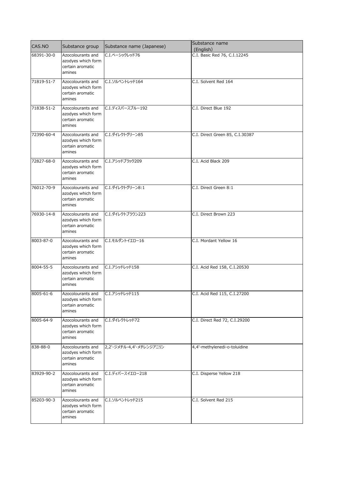| CAS.NO     | Substance group                                                                      | Substance name (Japanese) | Substance name<br>(English)     |
|------------|--------------------------------------------------------------------------------------|---------------------------|---------------------------------|
| 68391-30-0 | Azocolourants and<br>azodyes which form<br>certain aromatic<br>amines                | C.I.ベーシックレッド76            | C.I. Basic Red 76, C.I.12245    |
| 71819-51-7 | Azocolourants and<br>azodyes which form<br>certain aromatic<br>amines                | C.I.ソルベントレッド164           | C.I. Solvent Red 164            |
| 71838-51-2 | Azocolourants and<br>azodyes which form<br>certain aromatic<br>amines                | C.I.ディスパースブルー192          | C.I. Direct Blue 192            |
| 72390-60-4 | Azocolourants and<br>azodyes which form<br>certain aromatic<br>amines                | C.I.ダイレクトグリーン85           | C.I. Direct Green 85, C.I.30387 |
| 72827-68-0 | Azocolourants and<br>azodyes which form<br>certain aromatic<br>amines                | C.I.アシッドブラック209           | C.I. Acid Black 209             |
| 76012-70-9 | Azocolourants and<br>azodyes which form<br>certain aromatic<br>amines                | C.I.ダイレクトグリーン8:1          | C.I. Direct Green 8:1           |
| 76930-14-8 | Azocolourants and<br>azodyes which form<br>certain aromatic<br>amines                | C.I.ダイレクトブラウン223          | C.I. Direct Brown 223           |
| 8003-87-0  | Azocolourants and<br>azodyes which form<br>certain aromatic<br>amines                | C.I. モルダントイエロー16          | C.I. Mordant Yellow 16          |
| 8004-55-5  | Azocolourants and<br>azodyes which form<br>certain aromatic<br>amines                | C.I.アシッドレッド158            | C.I. Acid Red 158, C.I.20530    |
| 8005-61-6  | Azocolourants and C.I.アシッドレッド115<br>azodyes which form<br>certain aromatic<br>amines |                           | C.I. Acid Red 115, C.I.27200    |
| 8005-64-9  | Azocolourants and<br>azodyes which form<br>certain aromatic<br>amines                | C.I.ダイレクトレッド72            | C.I. Direct Red 72, C.I.29200   |
| 838-88-0   | Azocolourants and<br>azodyes which form<br>certain aromatic<br>amines                | 2,2'-ジメチル-4,4'-メチレンジアニリン  | 4,4'-methylenedi-o-toluidine    |
| 83929-90-2 | Azocolourants and<br>azodyes which form<br>certain aromatic<br>amines                | C.I.ディパースイエロー218          | C.I. Disperse Yellow 218        |
| 85203-90-3 | Azocolourants and<br>azodyes which form<br>certain aromatic<br>amines                | C.I.ソルベントレッド215           | C.I. Solvent Red 215            |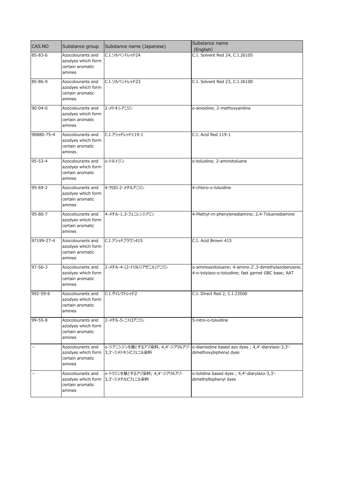| CAS.NO        | Substance group                                                                       | Substance name (Japanese)                         | Substance name<br>(English)                                                                                   |
|---------------|---------------------------------------------------------------------------------------|---------------------------------------------------|---------------------------------------------------------------------------------------------------------------|
| 85-83-6       | Azocolourants and<br>azodyes which form<br>certain aromatic<br>amines                 | C.I.ソルベントレッド24                                    | C.I. Solvent Red 24, C.I.26105                                                                                |
| 85-86-9       | Azocolourants and<br>azodyes which form<br>certain aromatic<br>amines                 | C.I.ソルベントレッド23                                    | C.I. Solvent Red 23, C.I.26100                                                                                |
| $90 - 04 - 0$ | Azocolourants and<br>azodyes which form<br>certain aromatic<br>amines                 | 2-メトキシアニリン                                        | o-anisidine; 2-methoxyaniline                                                                                 |
| 90880-75-4    | Azocolourants and<br>azodyes which form<br>certain aromatic<br>amines                 | C.I.アシッドレッド119:1                                  | C.I. Acid Red 119:1                                                                                           |
| $95 - 53 - 4$ | Azocolourants and<br>azodyes which form<br>certain aromatic<br>amines                 | o-トルイジン                                           | o-toluidine; 2-aminotoluene                                                                                   |
| $95 - 69 - 2$ | Azocolourants and<br>azodyes which form<br>certain aromatic<br>amines                 | 4-クロロ-2-メチルアニリン                                   | 4-chloro-o-toluidine                                                                                          |
| $95 - 80 - 7$ | Azocolourants and<br>azodyes which form<br>certain aromatic<br>amines                 | 4-メチル-1,3-フェニレンジアミン                               | 4-Methyl-m-phenylenediamine; 2,4-Toluenediamine                                                               |
| 97199-27-4    | Azocolourants and<br>azodyes which form<br>certain aromatic<br>amines                 | C.I.アシッドブラウン415                                   | C.I. Acid Brown 415                                                                                           |
| $97 - 56 - 3$ | Azocolourants and<br>azodyes which form<br>certain aromatic<br>amines                 | 2-メチル-4-(2-トリルジアゼニル)アニリン                          | o-aminoazotoluene; 4-amino-2',3-dimethylazobenzene;<br>4-o-tolylazo-o-toluidine; fast garnet GBC base; AAT    |
| 992-59-6      | Azocolourants and C.I. 91 レクトレッド2<br>azodyes which form<br>certain aromatic<br>amines |                                                   | C.I. Direct Red 2, C.I.23500                                                                                  |
| $99 - 55 - 8$ | Azocolourants and<br>azodyes which form<br>certain aromatic<br>amines                 | 2-メチル-5-ニトロアニリン                                   | 5-nitro-o-toluidine                                                                                           |
|               | Azocolourants and<br>azodyes which form<br>certain aromatic<br>amines                 | 3,3'-ジメトキシビフェニル染料                                 | o-ジアニシジンを基とするアゾ染料; 4,4'-ジアリルアゾ- o-dianisidine based azo dyes ; 4,4'-diarylazo-3,3'-<br>dimethoxybiphenyl dyes |
|               | Azocolourants and<br>azodyes which form<br>certain aromatic<br>amines                 | o-トリジンを基とするアゾ染料; 4,4'-ジアリルアゾ-<br>3,3'-ジメチルビフェニル染料 | o-tolidine based dyes ; 4,4'-diarylazo-3,3'-<br>dimethylbiphenyl dyes                                         |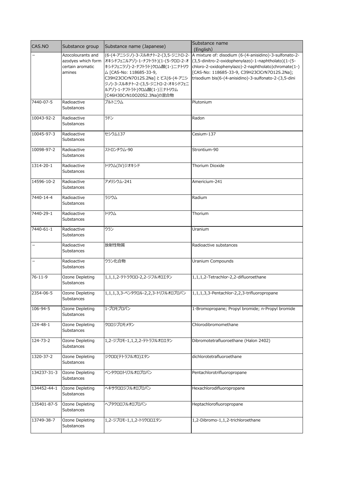| CAS.NO                   | Substance group                         | Substance name (Japanese)                                                | Substance name                                                                                                |
|--------------------------|-----------------------------------------|--------------------------------------------------------------------------|---------------------------------------------------------------------------------------------------------------|
|                          |                                         |                                                                          | (English)                                                                                                     |
|                          | Azocolourants and<br>azodyes which form | (6-(4-アニシジノ)-3-スルホナト-2-(3,5-ジニトロ-2-<br>オキシドフェニルアゾ)-1-ナフトラト)(1-(5-クロロ-2-オ | A mixture of: disodium (6-(4-anisidino)-3-sulfonato-2-<br>(3,5-dinitro-2-oxidophenylazo)-1-naphtholato)(1-(5- |
|                          | certain aromatic                        | キシドフェニラゾ)-2-ナフトラト)クロム酸(1-)ニナトリウ                                          | chloro-2-oxidophenylazo)-2-naphtholato)chromate(1-)                                                           |
|                          | amines                                  | △ [CAS-No: 118685-33-9,                                                  | [CAS-No: 118685-33-9, C39H23ClCrN7O12S.2Na];                                                                  |
|                          |                                         | C39H23ClCrN7O12S.2Na]とビス(6-(4-アニシ                                        | trisodium bis(6-(4-anisidino)-3-sulfonato-2-(3,5-dini                                                         |
|                          |                                         | ジノ)-3-スルホナト-2-(3,5-ジニトロ-2-オキシドフェニ                                        |                                                                                                               |
|                          |                                         | ルアゾ)-1-ナフトラト)クロム酸(1-)三ナトリウム                                              |                                                                                                               |
|                          |                                         | [C46H30CrN10O20S2.3Na]の混合物                                               |                                                                                                               |
| 7440-07-5                | Radioactive                             | プルトニウム                                                                   | Plutonium                                                                                                     |
|                          | Substances                              |                                                                          |                                                                                                               |
| 10043-92-2               | Radioactive                             | ラドン                                                                      | Radon                                                                                                         |
|                          | Substances                              |                                                                          |                                                                                                               |
|                          |                                         |                                                                          |                                                                                                               |
| 10045-97-3               | Radioactive                             | セシウム137                                                                  | Cesium-137                                                                                                    |
|                          | Substances                              |                                                                          |                                                                                                               |
| 10098-97-2               | Radioactive                             | ストロンチウム-90                                                               | Strontium-90                                                                                                  |
|                          | Substances                              |                                                                          |                                                                                                               |
|                          |                                         |                                                                          |                                                                                                               |
| 1314-20-1                | Radioactive                             | トリウム(IV)ジオキシド                                                            | Thorium Dioxide                                                                                               |
|                          | Substances                              |                                                                          |                                                                                                               |
|                          | Radioactive                             | アメリシウム-241                                                               | Americium-241                                                                                                 |
| 14596-10-2               | Substances                              |                                                                          |                                                                                                               |
|                          |                                         |                                                                          |                                                                                                               |
| 7440-14-4                | Radioactive                             | ラジウム                                                                     | Radium                                                                                                        |
|                          | Substances                              |                                                                          |                                                                                                               |
|                          |                                         |                                                                          |                                                                                                               |
| 7440-29-1                | Radioactive<br>Substances               | トリウム                                                                     | Thorium                                                                                                       |
|                          |                                         |                                                                          |                                                                                                               |
| 7440-61-1                | Radioactive                             | ウラン                                                                      | Uranium                                                                                                       |
|                          | Substances                              |                                                                          |                                                                                                               |
| $\overline{\phantom{m}}$ |                                         |                                                                          |                                                                                                               |
|                          | Radioactive<br>Substances               | 放射性物質                                                                    | Radioactive substances                                                                                        |
|                          |                                         |                                                                          |                                                                                                               |
| $\qquad \qquad -$        | Radioactive                             | ウラン化合物                                                                   | Uranium Compounds                                                                                             |
|                          | Substances                              |                                                                          |                                                                                                               |
| $76 - 11 - 9$            | Ozone Depleting                         | 1,1,1,2-テトラクロロ-2,2-ジフルオロエタン                                              | 1,1,1,2-Tetrachlor-2,2-difluoroethane                                                                         |
|                          | Substances                              |                                                                          |                                                                                                               |
|                          |                                         |                                                                          |                                                                                                               |
| 2354-06-5                | Ozone Depleting                         | 1,1,1,3,3-ペンタクロル-2,2,3-トリフルオロプロパン                                        | 1,1,1,3,3-Pentachlor-2,2,3-trifluoropropane                                                                   |
|                          | Substances                              |                                                                          |                                                                                                               |
| 106-94-5                 | Ozone Depleting                         | 1-ブロモプロパン                                                                | 1-Bromopropane; Propyl bromide; n-Propyl bromide                                                              |
|                          | Substances                              |                                                                          |                                                                                                               |
|                          |                                         |                                                                          |                                                                                                               |
| 124-48-1                 | Ozone Depleting                         | クロロジブロモメタン                                                               | Chlorodibromomethane                                                                                          |
|                          | <b>Substances</b>                       |                                                                          |                                                                                                               |
| 124-73-2                 | Ozone Depleting                         | 1,2-ジブロモ-1,1,2,2-テトラフルオロエタン                                              | Dibromotetrafluoroethane (Halon 2402)                                                                         |
|                          | Substances                              |                                                                          |                                                                                                               |
|                          |                                         |                                                                          |                                                                                                               |
| 1320-37-2                | Ozone Depleting                         | ジクロロ(テトラフルオロ)エタン                                                         | dichlorotetrafluoroethane                                                                                     |
|                          | Substances                              |                                                                          |                                                                                                               |
| 134237-31-3              | Ozone Depleting                         | ペンタクロロトリフルオロプロパン                                                         | Pentachlorotrifluoropropane                                                                                   |
|                          | Substances                              |                                                                          |                                                                                                               |
|                          |                                         |                                                                          |                                                                                                               |
| 134452-44-1              | Ozone Depleting                         | ヘキサクロロジフルオロプロパン                                                          | Hexachlorodifluoropropane                                                                                     |
|                          | Substances                              |                                                                          |                                                                                                               |
| 135401-87-5              | Ozone Depleting                         | ヘプタクロロフルオロプロパン                                                           | Heptachlorofluoropropane                                                                                      |
|                          | Substances                              |                                                                          |                                                                                                               |
|                          |                                         |                                                                          |                                                                                                               |
| 13749-38-7               | Ozone Depleting                         | 1,2-ジブロモ-1,1,2-トリクロロエタン                                                  | 1,2-Dibromo-1,1,2-trichloroethane                                                                             |
|                          | Substances                              |                                                                          |                                                                                                               |
|                          |                                         |                                                                          |                                                                                                               |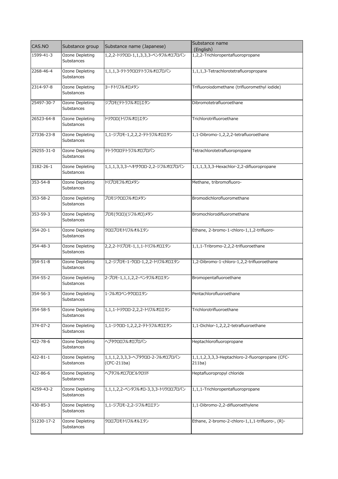| CAS.NO         | Substance group                      | Substance name (Japanese)                      | Substance name<br>(English)                               |
|----------------|--------------------------------------|------------------------------------------------|-----------------------------------------------------------|
| 1599-41-3      | Ozone Depleting<br>Substances        | 1,2,2-トリクロロ-1,1,3,3,3-ペンタフルオロプロパン              | 1,2,2-Trichloropentafluoropropane                         |
| 2268-46-4      | Ozone Depleting<br>Substances        | 1,1,1,3-テトラクロロテトラフルオロプロパン                      | 1,1,1,3-Tetrachlorotetrafluoropropane                     |
| 2314-97-8      | Ozone Depleting<br>Substances        | ヨードトリフルオロメタン                                   | Trifluoroiodomethane (trifluoromethyl iodide)             |
| 25497-30-7     | Ozone Depleting<br>Substances        | ジブロモ(テトラフルオロ)エタン                               | Dibromotetrafluoroethane                                  |
| 26523-64-8     | Ozone Depleting<br>Substances        | トリクロロ(トリフルオロ)エタン                               | Trichlorotrifluoroethane                                  |
| 27336-23-8     | Ozone Depleting<br>Substances        | 1,1-ジブロモ-1,2,2,2-テトラフルオロエタン                    | 1,1-Dibromo-1,2,2,2-tetrafluoroethane                     |
| 29255-31-0     | Ozone Depleting<br>Substances        | テトラクロロテトラフルオロプロパン                              | Tetrachlorotetrafluoropropane                             |
| 3182-26-1      | Ozone Depleting<br>Substances        | 1,1,1,3,3,3-ヘキサクロロ-2,2-ジフルオロプロパン               | 1,1,1,3,3,3-Hexachlor-2,2-difluoropropane                 |
| 353-54-8       | Ozone Depleting<br>Substances        | トリブロモフルオロメタン                                   | Methane, tribromofluoro-                                  |
| 353-58-2       | Ozone Depleting<br><b>Substances</b> | ブロモジクロロフルオロメタン                                 | Bromodichlorofluoromethane                                |
| 353-59-3       | Ozone Depleting<br>Substances        | ブロモ(クロロ)(ジフルオロ)メタン                             | Bromochlorodifluoromethane                                |
| $354 - 20 - 1$ | Ozone Depleting<br>Substances        | クロロブロモトリフルオルエタン                                | Ethane, 2-bromo-1-chloro-1,1,2-trifluoro-                 |
| 354-48-3       | Ozone Depleting<br><b>Substances</b> | 2,2,2-トリブロモ-1,1,1-トリフルオロエタン                    | 1,1,1-Tribromo-2,2,2-trifluoroethane                      |
| 354-51-8       | Ozone Depleting<br>Substances        | 1,2-ジブロモ-1-クロロ-1,2,2-トリフルオロエタン                 | 1,2-Dibromo-1-chloro-1,2,2-trifluoroethane                |
| 354-55-2       | Ozone Depleting<br>Substances        | 2-ブロモ-1,1,1,2,2-ペンタフルオロエタン                     | Bromopentafluoroethane                                    |
| 354-56-3       | Ozone Depleting<br>Substances        | 1-フルオロペンタクロロエタン                                | Pentachlorofluoroethane                                   |
| 354-58-5       | Ozone Depleting<br>Substances        | 1,1,1-トリクロロ-2,2,2-トリフルオロエタン                    | Trichlorotrifluoroethane                                  |
| 374-07-2       | Ozone Depleting<br>Substances        | 1,1-ジクロロ-1,2,2,2-テトラフルオロエタン                    | 1,1-Dichlor-1,2,2,2-tetrafluoroethane                     |
| 422-78-6       | Ozone Depleting<br><b>Substances</b> | ヘプタクロロフルオロプロパン                                 | Heptachlorofluoropropane                                  |
| 422-81-1       | Ozone Depleting<br>Substances        | 1,1,1,2,3,3,3-ヘプタクロロ-2-フルオロプロパン<br>(CFC-211ba) | 1,1,1,2,3,3,3-Heptachloro-2-fluoropropane (CFC-<br>211ba) |
| 422-86-6       | Ozone Depleting<br>Substances        | ヘプタフルオロプロピルクロリド                                | Heptafluoropropyl chloride                                |
| 4259-43-2      | Ozone Depleting<br>Substances        | 1,1,1,2,2-ペンタフルオロ-3,3,3-トリクロロプロパン              | 1,1,1-Trichloropentafluoropropane                         |
| 430-85-3       | Ozone Depleting<br>Substances        | 1,1-ジブロモ-2,2-ジフルオロエテン                          | 1,1-Dibromo-2,2-difluoroethylene                          |
| 51230-17-2     | Ozone Depleting<br>Substances        | クロロブロモトリフルオルエタン                                | Ethane, 2-bromo-2-chloro-1,1,1-trifluoro-, (R)-           |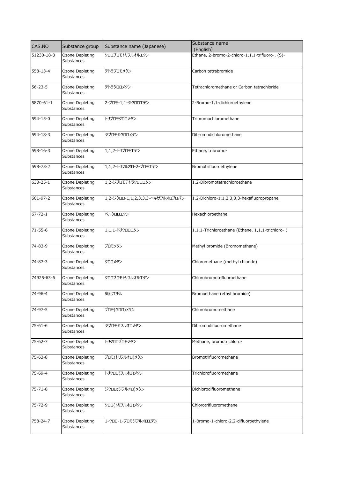| CAS.NO         | Substance group                      | Substance name (Japanese)        | Substance name<br>(English)                      |
|----------------|--------------------------------------|----------------------------------|--------------------------------------------------|
| 51230-18-3     | Ozone Depleting<br>Substances        | クロロブロモトリフルオルエタン                  | Ethane, 2-bromo-2-chloro-1,1,1-trifluoro-, (S)-  |
| 558-13-4       | Ozone Depleting<br>Substances        | テトラブロモメタン                        | Carbon tetrabromide                              |
| $56 - 23 - 5$  | Ozone Depleting<br>Substances        | テトラクロロメタン                        | Tetrachloromethane or Carbon tetrachloride       |
| 5870-61-1      | Ozone Depleting<br><b>Substances</b> | 2-ブロモ-1,1-ジクロロエテン                | 2-Bromo-1,1-dichloroethylene                     |
| $594 - 15 - 0$ | Ozone Depleting<br>Substances        | トリブロモクロロメタン                      | Tribromochloromethane                            |
| 594-18-3       | Ozone Depleting<br>Substances        | ジブロモジクロロメタン                      | Dibromodichloromethane                           |
| $598 - 16 - 3$ | Ozone Depleting<br>Substances        | 1,1,2-トリブロモエテン                   | Ethane, tribromo-                                |
| 598-73-2       | Ozone Depleting<br>Substances        | 1,1,2-トリフルオロ-2-ブロモエテン            | Bromotrifluoroethylene                           |
| 630-25-1       | Ozone Depleting<br>Substances        | 1,2-ジブロモテトラクロロエタン                | 1,2-Dibromotetrachloroethane                     |
| 661-97-2       | Ozone Depleting<br>Substances        | 1,2-ジクロロ-1,1,2,3,3,3-ヘキサフルオロプロパン | 1,2-Dichloro-1,1,2,3,3,3-hexafluoropropane       |
| $67 - 72 - 1$  | Ozone Depleting<br>Substances        | ペルクロロエタン                         | Hexachloroethane                                 |
| $71 - 55 - 6$  | Ozone Depleting<br>Substances        | 1,1,1-トリクロロエタン                   | 1,1,1-Trichloroethane (Ethane, 1,1,1-trichloro-) |
| 74-83-9        | Ozone Depleting<br>Substances        | ブロモメタン                           | Methyl bromide (Bromomethane)                    |
| 74-87-3        | Ozone Depleting<br>Substances        | クロロメタン                           | Chloromethane (methyl chloride)                  |
| 74925-63-6     | Ozone Depleting<br>Substances        | クロロブロモトリフルオルエタン                  | Chlorobromotrifluoroethane                       |
| $74-96-4$      | Ozone Depleting<br>Substances        | 臭化エチル                            | Bromoethane (ethyl bromide)                      |
| 74-97-5        | Ozone Depleting<br>Substances        | ブロモ(クロロ)メタン                      | Chlorobromomethane                               |
| $75 - 61 - 6$  | Ozone Depleting<br>Substances        | ジブロモジフルオロメタン                     | Dibromodifluoromethane                           |
| 75-62-7        | Ozone Depleting<br>Substances        | トリクロロブロモメタン                      | Methane, bromotrichloro-                         |
| 75-63-8        | Ozone Depleting<br>Substances        | ブロモ(トリフルオロ)メタン                   | Bromotrifluoromethane                            |
| 75-69-4        | Ozone Depleting<br>Substances        | トリクロロ(フルオロ)メタン                   | Trichlorofluoromethane                           |
| $75 - 71 - 8$  | Ozone Depleting<br>Substances        | ジクロロ(ジフルオロ)メタン                   | Dichlorodifluoromethane                          |
| 75-72-9        | Ozone Depleting<br>Substances        | クロロ(トリフルオロ)メタン                   | Chlorotrifluoromethane                           |
| 758-24-7       | Ozone Depleting<br>Substances        | 1-クロロ-1-ブロモジフルオロエテン              | 1-Bromo-1-chloro-2,2-difluoroethylene            |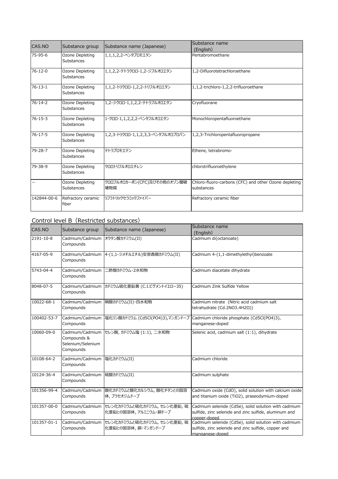| CAS.NO            | Substance group               | Substance name (Japanese)          | Substance name<br>(English)                                         |
|-------------------|-------------------------------|------------------------------------|---------------------------------------------------------------------|
| $75 - 95 - 6$     | Ozone Depleting<br>Substances | 1,1,1,2,2-ペンタブロモエタン                | Pentabromoethane                                                    |
| $76 - 12 - 0$     | Ozone Depleting<br>Substances | 1,1,2,2-テトラクロロ-1,2-ジフルオロエタン        | 1,2-Difluorotetrachloroethane                                       |
| $76 - 13 - 1$     | Ozone Depleting<br>Substances | 1,1,2-トリクロロ-1,2,2-トリフルオロエタン        | 1,1,2-trichloro-1,2,2-trifluoroethane                               |
| $76 - 14 - 2$     | Ozone Depleting<br>Substances | 1,2-ジクロロ-1,1,2,2-テトラフルオロエタン        | Cryofluorane                                                        |
| $76 - 15 - 3$     | Ozone Depleting<br>Substances | 1-クロロ-1,1,2,2,2-ペンタフルオロエタン         | Monochloropentafluoroethane                                         |
| $76 - 17 - 5$     | Ozone Depleting<br>Substances | 1,2,3-トリクロロ-1,1,2,3,3-ペンタフルオロプロパン  | 1,2,3-Trichloropentafluoropropane                                   |
| 79-28-7           | Ozone Depleting<br>Substances | テトラブロモエテン                          | Ethene, tetrabromo-                                                 |
| 79-38-9           | Ozone Depleting<br>Substances | クロロトリフルオロエチレン                      | chlorotrifluoroethylene                                             |
| $\qquad \qquad -$ | Ozone Depleting<br>Substances | クロロフルオロカーボン(CFC)及びその他のオゾン層破<br>壊物質 | Chloro-fluoro-carbons (CFC) and other Ozone depleting<br>substances |
| 142844-00-6       | Refractory ceramic<br>fiber   | リフラトリックセラミックファイバー                  | Refractory ceramic fiber                                            |

## Control level B (Restricted substances)

| CAS.NO      | Substance group                                                  | Substance name (Japanese)                          | Substance name                                                                                                                 |
|-------------|------------------------------------------------------------------|----------------------------------------------------|--------------------------------------------------------------------------------------------------------------------------------|
|             |                                                                  |                                                    | (English)                                                                                                                      |
| 2191-10-8   | Cadmium/Cadmium<br>Compounds                                     | オクタン酸カドミウム(II)                                     | Cadmium di(octanoate)                                                                                                          |
| 4167-05-9   | Cadmium/Cadmium<br>Compounds                                     | 4-(1,1-ジメチルエチル)安息香酸カドミウム(II)                       | Cadmium 4-(1,1-dimethylethyl)benzoate                                                                                          |
| 5743-04-4   | Cadmium/Cadmium<br>Compounds                                     | ニ酢酸カドミウム・2水和物                                      | Cadmium diacetate dihydrate                                                                                                    |
| 8048-07-5   | Compounds                                                        | Cadmium/Cadmium カドミウム硫化亜鉛黄 (C.I.ピグメントイエロー35)       | Cadmium Zink Sulfide Yellow                                                                                                    |
| 10022-68-1  | Cadmium/Cadmium<br>Compounds                                     | 硝酸カドミウム(II)・四水和物                                   | Cadmium nitrate (Nitric acid cadmium salt<br>tetrahydrate (Cd.2NO3.4H2O))                                                      |
| 100402-53-7 | Cadmium/Cadmium<br>Compounds                                     | 塩化リン酸カドミウム (Cd5Cl(PO4)3),マンガンドープ                   | Cadmium chloride phosphate (Cd5Cl(PO4)3),<br>manganese-doped                                                                   |
| 10060-09-0  | Cadmium/Cadmium<br>Compounds &<br>Selenium/Selenium<br>Compounds | セレン酸, カドミウム塩 (1:1), 二水和物                           | Selenic acid, cadmium salt (1:1), dihydrate                                                                                    |
| 10108-64-2  | Cadmium/Cadmium<br>Compounds                                     | 塩化カドミウム(II)                                        | Cadmium chloride                                                                                                               |
| 10124-36-4  | Cadmium/Cadmium<br>Compounds                                     | 硫酸カドミウム(II)                                        | Cadmium sulphate                                                                                                               |
| 101356-99-4 | Cadmium/Cadmium<br>Compounds                                     | 酸化カドミウムと酸化カルシウム、酸化チタンとの固溶<br>体,プラセオジムドープ           | Cadmium oxide (CdO), solid solution with calcium oxide<br>and titanium oxide (TiO2), praseodymium-doped                        |
| 101357-00-0 | Cadmium/Cadmium<br>Compounds                                     | セレン化カドミウムと硫化カドミウム、セレン化亜鉛,硫<br>化亜鉛との固溶体、アルミニウム・銅ドープ | Cadmium selenide (CdSe), solid solution with cadmium<br>sulfide, zinc selenide and zinc sulfide, aluminum and<br>copper-doped  |
| 101357-01-1 | Cadmium/Cadmium<br>Compounds                                     | セレン化カドミウムと硫化カドミウム、セレン化亜鉛,硫<br>化亜鉛との固溶体, 銅・マンガンドープ  | Cadmium selenide (CdSe), solid solution with cadmium<br>sulfide, zinc selenide and zinc sulfide, copper and<br>manganese-doped |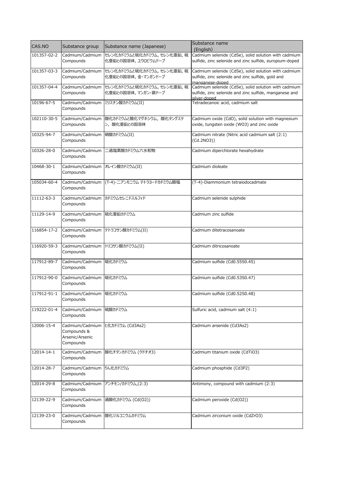| CAS.NO      | Substance group                | Substance name (Japanese)                    | Substance name<br>(English)                                             |
|-------------|--------------------------------|----------------------------------------------|-------------------------------------------------------------------------|
| 101357-02-2 | Cadmium/Cadmium                | セレン化カドミウムと硫化カドミウム,セレン化亜鉛,硫                   | Cadmium selenide (CdSe), solid solution with cadmium                    |
|             | Compounds                      | 化亜鉛との固溶体, ユウロピウムドープ                          | sulfide, zinc selenide and zinc sulfide, europium-doped                 |
| 101357-03-3 | Cadmium/Cadmium                | セレン化カドミウムと硫化カドミウム, セレン化亜鉛, 硫                 | Cadmium selenide (CdSe), solid solution with cadmium                    |
|             | Compounds                      | 化亜鉛との固溶体, 金・マンガンドープ                          | sulfide, zinc selenide and zinc sulfide, gold and                       |
| 101357-04-4 | Cadmium/Cadmium                | セレン化カドミウムと硫化カドミウム、セレン化亜鉛,硫                   | manganese-doped<br>Cadmium selenide (CdSe), solid solution with cadmium |
|             | Compounds                      | 化亜鉛との固溶体, マンガン・銀ドープ                          | sulfide, zinc selenide and zinc sulfide, manganese and                  |
| 10196-67-5  | Cadmium/Cadmium                | ミリスチン酸カドミウム(II)                              | silver-doped<br>Tetradecanoic acid, cadmium salt                        |
|             | Compounds                      |                                              |                                                                         |
| 102110-30-5 |                                | Cadmium/Cadmium  酸化カドミウムと酸化マグネシウム、酸化タングステ    | Cadmium oxide (CdO), solid solution with magnesium                      |
|             | Compounds                      | ン、酸化亜鉛との固溶体                                  | oxide, tungsten oxide (WO3) and zinc oxide                              |
| 10325-94-7  | Cadmium/Cadmium  硝酸カドミウム(II)   |                                              | Cadmium nitrate (Nitric acid cadmium salt (2:1)                         |
|             | Compounds                      |                                              | (Cd.2NO3))                                                              |
| 10326-28-0  | Cadmium/Cadmium                | ニ過塩素酸カドミウム六水和物                               | Cadmium diperchlorate hexahydrate                                       |
|             | Compounds                      |                                              |                                                                         |
| 10468-30-1  | Cadmium/Cadmium オレイン酸カドミウム(II) |                                              | Cadmium dioleate                                                        |
|             | Compounds                      |                                              |                                                                         |
| 105034-60-4 |                                | Cadmium/Cadmium  (T-4)-ニアンモニウム テトラヨードカドミウム酸塩 | (T-4)-Diammonium tetraiodocadmate                                       |
|             | Compounds                      |                                              |                                                                         |
| 11112-63-3  |                                | Cadmium/Cadmium カドミウムセレニドスルフィド               | Cadmium selenide sulphide                                               |
|             | Compounds                      |                                              |                                                                         |
| 11129-14-9  | Cadmium/Cadmium                | 硫化亜鉛カドミウム                                    | Cadmium zinc sulfide                                                    |
|             | Compounds                      |                                              |                                                                         |
| 116854-17-2 |                                | Cadmium/Cadmium テトラコサン酸カドミウム(II)             | Cadmium ditetracosanoate                                                |
|             | Compounds                      |                                              |                                                                         |
| 116920-59-3 | Cadmium/Cadmium                | トリコサン酸カドミウム(II)                              | Cadmium ditricosanoate                                                  |
|             | Compounds                      |                                              |                                                                         |
| 117912-89-7 | Cadmium/Cadmium  硫化カドミウム       |                                              | Cadmium sulfide (Cd0.55S0.45)                                           |
|             | Compounds                      |                                              |                                                                         |
| 117912-90-0 | Cadmium/Cadmium 硫化カドミウム        |                                              | Cadmium sulfide (Cd0.53S0.47)                                           |
|             | Compounds                      |                                              |                                                                         |
| 117912-91-1 | Cadmium/Cadmium 硫化カドミウム        |                                              | Cadmium sulfide (Cd0.52S0.48)                                           |
|             | Compounds                      |                                              |                                                                         |
| 119222-01-4 | Cadmium/Cadmium                | 硫酸カドミウム                                      | Sulfuric acid, cadmium salt (4:1)                                       |
|             | Compounds                      |                                              |                                                                         |
| 12006-15-4  |                                | Cadmium/Cadmium ヒ化カドミウム (Cd3As2)             | Cadmium arsenide (Cd3As2)                                               |
|             | Compounds &                    |                                              |                                                                         |
|             | Arsenic/Arsenic<br>Compounds   |                                              |                                                                         |
|             |                                |                                              |                                                                         |
| 12014-14-1  | Cadmium/Cadmium<br>Compounds   | 酸化チタンカドミウム (クドチオ3)                           | Cadmium titanium oxide (CdTiO3)                                         |
|             |                                |                                              |                                                                         |
| 12014-28-7  | Cadmium/Cadmium<br>Compounds   | りん化カドミウム                                     | Cadmium phosphide (Cd3P2)                                               |
|             |                                |                                              |                                                                         |
| 12014-29-8  | Cadmium/Cadmium<br>Compounds   | アンチモン/カドミウム,(2:3)                            | Antimony, compound with cadmium (2:3)                                   |
|             |                                |                                              |                                                                         |
| 12139-22-9  | Cadmium/Cadmium<br>Compounds   | 過酸化カドミウム (Cd(O2))                            | Cadmium peroxide (Cd(O2))                                               |
|             |                                |                                              |                                                                         |
| 12139-23-0  | Cadmium/Cadmium<br>Compounds   | 酸化ジルコニウムカドミウム                                | Cadmium zirconium oxide (CdZrO3)                                        |
|             |                                |                                              |                                                                         |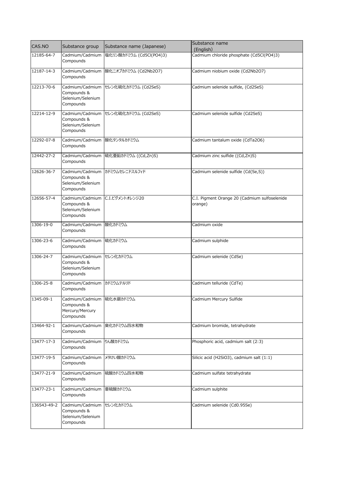| CAS.NO           | Substance group                                                          | Substance name (Japanese)            | Substance name<br>(English)                              |
|------------------|--------------------------------------------------------------------------|--------------------------------------|----------------------------------------------------------|
| 12185-64-7       | Cadmium/Cadmium<br>Compounds                                             | 塩化リン酸カドミウム (Cd5Cl(PO4)3)             | Cadmium chloride phosphate (Cd5Cl(PO4)3)                 |
| 12187-14-3       | Cadmium/Cadmium<br>Compounds                                             | 酸化ニオブカドミウム (Cd2Nb2O7)                | Cadmium niobium oxide (Cd2Nb2O7)                         |
| 12213-70-6       | Cadmium/Cadmium<br>Compounds &<br>Selenium/Selenium<br>Compounds         | セレン化硫化カドミウム (Cd2SeS)                 | Cadmium selenide sulfide, (Cd2SeS)                       |
| 12214-12-9       | Cadmium/Cadmium<br>Compounds &<br>Selenium/Selenium<br>Compounds         | セレン化硫化カドミウム (Cd2SeS)                 | Cadmium selenide sulfide (Cd2SeS)                        |
| 12292-07-8       | Cadmium/Cadmium<br>Compounds                                             | 酸化タンタルカドミウム                          | Cadmium tantalum oxide (CdTa2O6)                         |
| 12442-27-2       | Compounds                                                                | Cadmium/Cadmium 硫化亜鉛カドミウム ((Cd,Zn)S) | Cadmium zinc sulfide ((Cd,Zn)S)                          |
| 12626-36-7       | Compounds &<br>Selenium/Selenium<br>Compounds                            | Cadmium/Cadmium カドミウムセレニドスルフィド       | Cadmium selenide sulfide (Cd(Se,S))                      |
| 12656-57-4       | Cadmium/Cadmium<br>Compounds &<br>Selenium/Selenium<br>Compounds         | C.I.ピグメントオレンジ20                      | C.I. Pigment Orange 20 (Cadmium sulfoselenide<br>orange) |
| 1306-19-0        | Cadmium/Cadmium<br>Compounds                                             | 酸化カドミウム                              | Cadmium oxide                                            |
| 1306-23-6        | Cadmium/Cadmium<br>Compounds                                             | 硫化カドミウム                              | Cadmium sulphide                                         |
| 1306-24-7        | Cadmium/Cadmium<br>Compounds &<br>Selenium/Selenium<br>Compounds         | セレン化カドミウム                            | Cadmium selenide (CdSe)                                  |
| 1306-25-8        | Cadmium/Cadmium カドミウムテルリド<br>Compounds                                   |                                      | Cadmium telluride (CdTe)                                 |
| 1345-09-1        | Cadmium/Cadmium 硫化水銀カドミウム<br>Compounds &<br>Mercury/Mercury<br>Compounds |                                      | Cadmium Mercury Sulfide                                  |
| 13464-92-1       | Cadmium/Cadmium<br>Compounds                                             | 臭化カドミウム四水和物                          | Cadmium bromide, tetrahydrate                            |
| $13477 - 17 - 3$ | Cadmium/Cadmium<br>Compounds                                             | りん酸カドミウム                             | Phosphoric acid, cadmium salt (2:3)                      |
| 13477-19-5       | Cadmium/Cadmium<br>Compounds                                             | メタけい酸カドミウム                           | Silicic acid (H2SiO3), cadmium salt (1:1)                |
| 13477-21-9       | Cadmium/Cadmium<br>Compounds                                             | 硫酸カドミウム四水和物                          | Cadmium sulfate tetrahydrate                             |
| 13477-23-1       | Cadmium/Cadmium<br>Compounds                                             | 亜硫酸カドミウム                             | Cadmium sulphite                                         |
| 136543-49-2      | Cadmium/Cadmium<br>Compounds &<br>Selenium/Selenium<br>Compounds         | セレン化カドミウム                            | Cadmium selenide (Cd0.95Se)                              |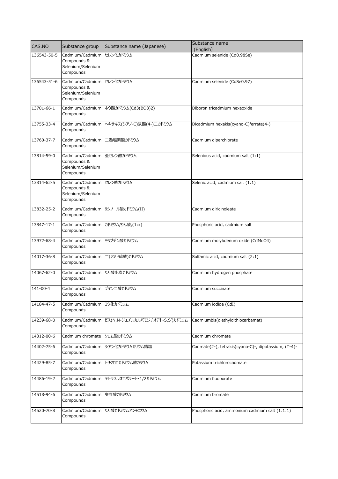| CAS.NO      | Substance group                                                  | Substance name (Japanese)           | Substance name                                       |
|-------------|------------------------------------------------------------------|-------------------------------------|------------------------------------------------------|
| 136543-50-5 | Cadmium/Cadmium                                                  | セレン化カドミウム                           | (English)<br>Cadmium selenide (Cd0.98Se)             |
|             | Compounds &<br>Selenium/Selenium<br>Compounds                    |                                     |                                                      |
| 136543-51-6 | Cadmium/Cadmium<br>Compounds &<br>Selenium/Selenium<br>Compounds | セレン化カドミウム                           | Cadmium selenide (CdSe0.97)                          |
| 13701-66-1  | Compounds                                                        | Cadmium/Cadmium ホウ酸カドミウム(Cd3(BO3)2) | Diboron tricadmium hexaoxide                         |
| 13755-33-4  | Cadmium/Cadmium<br>Compounds                                     | ヘキサキス(シアノ-C)鉄酸(4-)二カドミウム            | Dicadmium hexakis(cyano-C)ferrate(4-)                |
| 13760-37-7  | Cadmium/Cadmium<br>Compounds                                     | ニ過塩素酸カドミウム                          | Cadmium diperchlorate                                |
| 13814-59-0  | Cadmium/Cadmium<br>Compounds &<br>Selenium/Selenium<br>Compounds | 亜セレン酸カドミウム                          | Selenious acid, cadmium salt (1:1)                   |
| 13814-62-5  | Cadmium/Cadmium<br>Compounds &<br>Selenium/Selenium<br>Compounds | セレン酸カドミウム                           | Selenic acid, cadmium salt (1:1)                     |
| 13832-25-2  | Compounds                                                        | Cadmium/Cadmium リシノール酸カドミウム(II)     | Cadmium diricinoleate                                |
| 13847-17-1  | Cadmium/Cadmium カドミウム/りん酸,(1:x)<br>Compounds                     |                                     | Phosphoric acid, cadmium salt                        |
| 13972-68-4  | Cadmium/Cadmium<br>Compounds                                     | モリブデン酸カドミウム                         | Cadmium molybdenum oxide (CdMoO4)                    |
| 14017-36-8  | Cadmium/Cadmium<br>Compounds                                     | 二(アミド硫酸)カドミウム                       | Sulfamic acid, cadmium salt (2:1)                    |
| 14067-62-0  | Cadmium/Cadmium りん酸水素カドミウム<br>Compounds                          |                                     | Cadmium hydrogen phosphate                           |
| 141-00-4    | Cadmium/Cadmium ブタン二酸カドミウム<br>Compounds                          |                                     | Cadmium succinate                                    |
| 14184-47-5  | Cadmium/Cadmium<br>Compounds                                     | ヨウ化カドミウム                            | Cadmium iodide (CdI)                                 |
| 14239-68-0  | Cadmium/Cadmium<br>Compounds                                     | ビス(N,N-ジエチルカルバモジチオアト-S,S')カドミウム     | Cadmiumbis(diethyldithiocarbamat)                    |
| 14312-00-6  | Cadmium chromate                                                 | クロム酸カドミウム                           | Cadmium chromate                                     |
| 14402-75-6  | Cadmium/Cadmium<br>Compounds                                     | シアン化カドミウムカリウム錯塩                     | Cadmate(2-), tetrakis(cyano-C)-, dipotassium, (T-4)- |
| 14429-85-7  | Cadmium/Cadmium<br>Compounds                                     | トリクロロカドミウム酸カリウム                     | Potassium trichlorocadmate                           |
| 14486-19-2  | Cadmium/Cadmium<br>Compounds                                     | テトラフルオロボラート・1/2カドミウム                | Cadmium fluoborate                                   |
| 14518-94-6  | Cadmium/Cadmium<br>Compounds                                     | 臭素酸カドミウム                            | Cadmium bromate                                      |
| 14520-70-8  | Cadmium/Cadmium<br>Compounds                                     | りん酸カドミウムアンモニウム                      | Phosphoric acid, ammonium cadmium salt (1:1:1)       |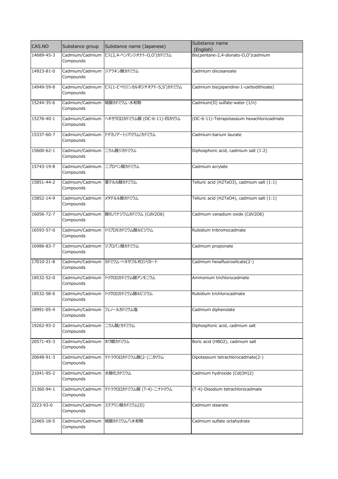| CAS.NO     | Substance group                          | Substance name (Japanese)              | Substance name<br>(English)                |
|------------|------------------------------------------|----------------------------------------|--------------------------------------------|
| 14689-45-3 | Cadmium/Cadmium<br>Compounds             | ビス(2,4-ペンタンジオナト-O,O')カドミウム             | Bis(pentane-2,4-dionato-O,O')cadmium       |
| 14923-81-0 | Cadmium/Cadmium ジアラキン酸カドミウム<br>Compounds |                                        | Cadmium diicosanoate                       |
| 14949-59-8 | Cadmium/Cadmium<br>Compounds             | ビス(1-ピペリジンカルボジチオアト-S,S')カドミウム          | Cadmium bis(piperidine-1-carbodithioate)   |
| 15244-35-6 | Cadmium/Cadmium<br>Compounds             | 硫酸カドミウム・水和物                            | Cadmium(II) sulfate-water (1/n)            |
| 15276-40-1 | Cadmium/Cadmium<br>Compounds             | ヘキサクロロカドミウム酸 (OC-6-11)-四カリウム           | (OC-6-11)-Tetrapotassium hexachlorocadmate |
| 15337-60-7 | Cadmium/Cadmium<br>Compounds             | ドデカノアート/バリウム/カドミウム                     | Cadmium-barium laurate                     |
| 15600-62-1 | Cadmium/Cadmium<br>Compounds             | ニりん酸ジカドミウム                             | Diphosphoric acid, cadmium salt (1:2)      |
| 15743-19-8 | Cadmium/Cadmium<br>Compounds             | ニプロペン酸カドミウム                            | Cadmium acrylate                           |
| 15851-44-2 | Cadmium/Cadmium<br>Compounds             | 亜テルル酸カドミウム                             | Telluric acid (H2TeO3), cadmium salt (1:1) |
| 15852-14-9 | Cadmium/Cadmium<br>Compounds             | メタテルル酸カドミウム                            | Telluric acid (H2TeO4), cadmium salt (1:1) |
| 16056-72-7 | Compounds                                | Cadmium/Cadmium  酸化バナジウムカドミウム (CdV2O6) | Cadmium vanadium oxide (CdV2O6)            |
| 16593-57-0 | Cadmium/Cadmium<br>Compounds             | トリブロモカドミウム酸ルビジウム                       | Rubidium tribromocadmate                   |
| 16986-83-7 | Cadmium/Cadmium<br>Compounds             | ジプロパン酸カドミウム                            | Cadmium propionate                         |
| 17010-21-8 | Compounds                                | Cadmium/Cadmium カドミウム・ヘキサフルオロシリカート     | Cadmium hexafluorosilicate(2-)             |
| 18532-52-0 | Cadmium/Cadmium<br>Compounds             | トリクロロカドミウム酸アンモニウム                      | Ammonium trichlorocadmate                  |
| 18532-58-6 | Compounds                                | Cadmium/Cadmium トリクロロカドミウム酸ルビジウム       | Rubidium trichlorocadmate                  |
| 18991-05-4 | Cadmium/Cadmium フェノールカドミウム塩<br>Compounds |                                        | Cadmium diphenolate                        |
| 19262-93-2 | Cadmium/Cadmium<br>Compounds             | 二りん酸/カドミウム                             | Diphosphoric acid, cadmium salt            |
| 20571-45-3 | Cadmium/Cadmium<br>Compounds             | ホウ酸カドミウム                               | Boric acid (HBO2), cadmium salt            |
| 20648-91-3 | Compounds                                | Cadmium/Cadmium テトラクロロカドミウム酸(2-)ニカリウム  | Dipotassium tetrachlorocadmate(2-)         |
| 21041-95-2 | Cadmium/Cadmium<br>Compounds             | 水酸化カドミウム                               | Cadmium hydroxide (Cd(OH)2)                |
| 21360-94-1 | Cadmium/Cadmium<br>Compounds             | テトラクロロカドミウム酸 (T-4)-ニナトリウム              | (T-4)-Disodium tetrachlorocadmate          |
| 2223-93-0  | Compounds                                | Cadmium/Cadmium ステアリン酸カドミウム(II)        | Cadmium stearate                           |
| 22465-18-5 | Cadmium/Cadmium<br>Compounds             | 硫酸カドミウム八水和物                            | Cadmium sulfate octahydrate                |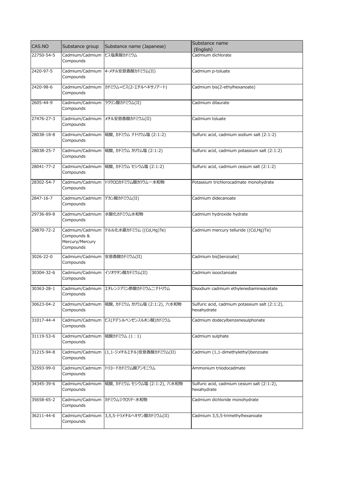| CAS.NO     | Substance group                             | Substance name (Japanese)                 | Substance name<br>(English)                                   |
|------------|---------------------------------------------|-------------------------------------------|---------------------------------------------------------------|
| 22750-54-5 | Cadmium/Cadmium<br>Compounds                | ビス塩素酸カドミウム                                | Cadmium dichlorate                                            |
| 2420-97-5  | Compounds                                   | Cadmium/Cadmium 4-メチル安息香酸カドミウム(II)        | Cadmium p-toluate                                             |
| 2420-98-6  | Compounds                                   | Cadmium/Cadmium カドミウム=ビス(2-エチルヘキサノアート)    | Cadmium bis(2-ethylhexanoate)                                 |
| 2605-44-9  | Cadmium/Cadmium<br>Compounds                | ラウリン酸カドミウム(II)                            | Cadmium dilaurate                                             |
| 27476-27-3 | Compounds                                   | Cadmium/Cadmium メチル安息香酸カドミウム(II)          | Cadmium toluate                                               |
| 28038-18-8 | Cadmium/Cadmium<br>Compounds                | 硫酸, カドミウム ナトリウム塩 (2:1:2)                  | Sulfuric acid, cadmium sodium salt (2:1:2)                    |
| 28038-25-7 | Cadmium/Cadmium<br>Compounds                | 硫酸, カドミウム カリウム塩 (2:1:2)                   | Sulfuric acid, cadmium potassium salt (2:1:2)                 |
| 28041-77-2 | Compounds                                   | Cadmium/Cadmium  硫酸, カドミウム セシウム塩 (2:1:2)  | Sulfuric acid, cadmium cesium salt (2:1:2)                    |
| 28302-54-7 | Cadmium/Cadmium<br>Compounds                | トリクロロカドミウム酸カリウム一水和物                       | Potassium trichlorocadmate monohydrate                        |
| 2847-16-7  | Cadmium/Cadmium<br>Compounds                | デカン酸カドミウム(II)                             | Cadmium didecanoate                                           |
| 29736-89-8 | Cadmium/Cadmium<br>Compounds                | 水酸化カドミウム水和物                               | Cadmium hydroxide hydrate                                     |
| 29870-72-2 | Compounds &<br>Mercury/Mercury<br>Compounds | Cadmium/Cadmium テルル化水銀カドミウム ((Cd,Hg)Te)   | Cadmium mercury telluride ((Cd,Hg)Te)                         |
| 3026-22-0  | Cadmium/Cadmium<br>Compounds                | 安息香酸カドミウム(II)                             | Cadmium bis[benzoate]                                         |
| 30304-32-6 | Compounds                                   | Cadmium/Cadmium イソオクタン酸カドミウム(II)          | Cadmium isooctanoate                                          |
| 30363-28-1 | Compounds                                   | Cadmium/Cadmium エチレンジアミン酢酸カドミウムニナトリウム     | Disodium cadmium ethylenediamineacetate                       |
| 30623-04-2 | Cadmium/Cadmium<br>Compounds                | 硫酸, カドミウム カリウム塩 (2:1:2), 六水和物             | Sulfuric acid, cadmium potassium salt (2:1:2),<br>hexahydrate |
| 31017-44-4 | Cadmium/Cadmium<br>Compounds                | ビス(ドデシルベンゼンスルホン酸)カドミウム                    | Cadmium dodecylbenzenesulphonate                              |
| 31119-53-6 | Cadmium/Cadmium<br>Compounds                | 硫酸カドミウム (1:1)                             | Cadmium sulphate                                              |
| 31215-94-8 | Cadmium/Cadmium<br>Compounds                | (1,1-ジメチルエチル)安息香酸カドミウム(II)                | Cadmium (1,1-dimethylethyl)benzoate                           |
| 32593-99-0 | Cadmium/Cadmium<br>Compounds                | トリヨードカドミウム酸アンモニウム                         | Ammonium triiodocadmate                                       |
| 34345-39-6 | Cadmium/Cadmium<br>Compounds                | 硫酸, カドミウム セシウム塩 (2:1:2), 六水和物             | Sulfuric acid, cadmium cesium salt (2:1:2),<br>hexahydrate    |
| 35658-65-2 | Cadmium/Cadmium<br>Compounds                | カドミウムジクロリド・水和物                            | Cadmium dichloride monohydrate                                |
| 36211-44-6 | Compounds                                   | Cadmium/Cadmium 3,5,5-トリメチルヘキサン酸カドミウム(II) | Cadmium 3,5,5-trimethylhexanoate                              |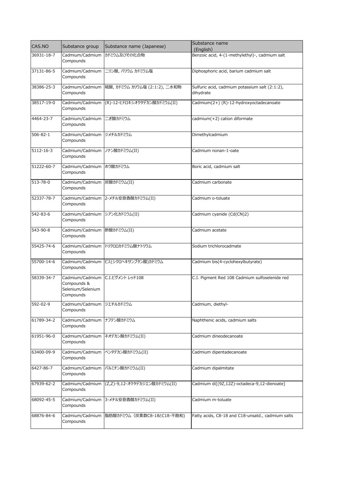| CAS.NO         | Substance group                                                  | Substance name (Japanese)                      | Substance name<br>(English)                                 |
|----------------|------------------------------------------------------------------|------------------------------------------------|-------------------------------------------------------------|
| 36931-18-7     | Cadmium/Cadmium<br>Compounds                                     | カドミウム及びその化合物                                   | Benzoic acid, 4-(1-methylethyl)-, cadmium salt              |
| 37131-86-5     | Cadmium/Cadmium<br>Compounds                                     | ニリン酸, バリウム カドミウム塩                              | Diphosphoric acid, barium cadmium salt                      |
| 38386-25-3     | Compounds                                                        | Cadmium/Cadmium  硫酸, カドミウム カリウム塩 (2:1:2), 二水和物 | Sulfuric acid, cadmium potassium salt (2:1:2),<br>dihydrate |
| 38517-19-0     | Cadmium/Cadmium<br>Compounds                                     | (R)-12-ヒドロキシオクタデカン酸カドミウム(II)                   | Cadmium(2+) (R)-12-hydroxyoctadecanoate                     |
| 4464-23-7      | Cadmium/Cadmium<br>Compounds                                     | ニぎ酸カドミウム                                       | cadmium(+2) cation diformate                                |
| $506 - 82 - 1$ | Cadmium/Cadmium ジメチルカドミウム<br>Compounds                           |                                                | Dimethylcadmium                                             |
| 5112-16-3      | Cadmium/Cadmium<br>Compounds                                     | ノナン酸カドミウム(II)                                  | Cadmium nonan-1-oate                                        |
| 51222-60-7     | Cadmium/Cadmium ホウ酸カドミウム<br>Compounds                            |                                                | Boric acid, cadmium salt                                    |
| 513-78-0       | Cadmium/Cadmium<br>Compounds                                     | 炭酸カドミウム(II)                                    | Cadmium carbonate                                           |
| 52337-78-7     | Cadmium/Cadmium<br>Compounds                                     | 2-メチル安息香酸カドミウム(II)                             | Cadmium o-toluate                                           |
| 542-83-6       | Cadmium/Cadmium シアン化カドミウム(II)<br>Compounds                       |                                                | Cadmium cyanide (Cd(CN)2)                                   |
| 543-90-8       | Cadmium/Cadmium<br>Compounds                                     | 酢酸カドミウム(II)                                    | Cadmium acetate                                             |
| 55425-74-6     | Cadmium/Cadmium<br>Compounds                                     | トリクロロカドミウム酸ナトリウム                               | Sodium trichlorocadmate                                     |
| 55700-14-6     | Cadmium/Cadmium<br>Compounds                                     | ビス(シクロヘキサンブタン酸)カドミウム                           | Cadmium bis(4-cyclohexylbutyrate)                           |
| 58339-34-7     | Cadmium/Cadmium<br>Compounds &<br>Selenium/Selenium<br>Compounds | C.I.ピグメント レッド108                               | C.I. Pigment Red 108 Cadmium sulfoselenide red              |
| 592-02-9       | Cadmium/Cadmium ジエチルカドミウム<br>Compounds                           |                                                | Cadmium, diethyl-                                           |
| 61789-34-2     | Cadmium/Cadmium<br>Compounds                                     | ナフテン酸カドミウム                                     | Naphthenic acids, cadmium salts                             |
| 61951-96-0     | Cadmium/Cadmium<br>Compounds                                     | ネオデカン酸カドミウム(II)                                | Cadmium dineodecanoate                                      |
| 63400-09-9     | Cadmium/Cadmium<br>Compounds                                     | ペンタデカン酸カドミウム(II)                               | Cadmium dipentadecanoate                                    |
| 6427-86-7      | Cadmium/Cadmium<br>Compounds                                     | パルミチン酸カドミウム(II)                                | Cadmium dipalmitate                                         |
| 67939-62-2     | Cadmium/Cadmium<br>Compounds                                     | (Z,Z)-9,12-オクタデカジエン酸カドミウム(II)                  | Cadmium di[(9Z,12Z)-octadeca-9,12-dienoate]                 |
| 68092-45-5     | Compounds                                                        | Cadmium/Cadmium 3-メチル安息香酸カドミウム(II)             | Cadmium m-toluate                                           |
| 68876-84-6     | Compounds                                                        | Cadmium/Cadmium  脂肪酸カドミウム (炭素数C8-18とC18-不飽和)   | Fatty acids, C8-18 and C18-unsatd., cadmium salts           |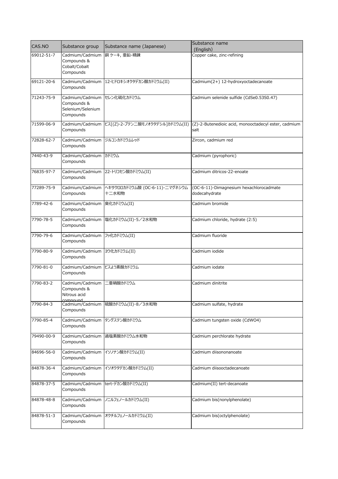| CAS.NO     | Substance group                                                              | Substance name (Japanese)                | Substance name                                               |
|------------|------------------------------------------------------------------------------|------------------------------------------|--------------------------------------------------------------|
|            |                                                                              |                                          | (English)                                                    |
| 69012-51-7 | Cadmium/Cadmium<br>Compounds &<br>Cobalt/Cobalt<br>Compounds                 | 銅ケーキ,亜鉛-精錬                               | Copper cake, zinc-refining                                   |
| 69121-20-6 | Compounds                                                                    | Cadmium/Cadmium 12-ヒドロキシオクタデカン酸カドミウム(II) | Cadmium(2+) 12-hydroxyoctadecanoate                          |
| 71243-75-9 | Cadmium/Cadmium セレン化硫化カドミウム<br>Compounds &<br>Selenium/Selenium<br>Compounds |                                          | Cadmium selenide sulfide (CdSe0.53S0.47)                     |
| 71599-06-9 | Cadmium/Cadmium<br>Compounds                                                 | ビス[(Z)-2-ブテン二酸モノオクタデシル]カドミウム(II)         | (Z)-2-Butenedioic acid, monooctadecyl ester, cadmium<br>salt |
| 72828-62-7 | Cadmium/Cadmium<br>Compounds                                                 | ジルコンカドミウムレッド                             | Zircon, cadmium red                                          |
| 7440-43-9  | Cadmium/Cadmium カドミウム<br>Compounds                                           |                                          | Cadmium (pyrophoric)                                         |
| 76835-97-7 | Cadmium/Cadmium<br>Compounds                                                 | 22-トリコセン酸カドミウム(II)                       | Cadmium ditricos-22-enoate                                   |
| 77289-75-9 | Cadmium/Cadmium<br>Compounds                                                 | ヘキサクロロカドミウム酸 (OC-6-11)-ニマグネシウム<br>十二水和物  | (OC-6-11)-Dimagnesium hexachlorocadmate<br>dodecahydrate     |
| 7789-42-6  | Cadmium/Cadmium<br>Compounds                                                 | 臭化カドミウム(II)                              | Cadmium bromide                                              |
| 7790-78-5  | Cadmium/Cadmium<br>Compounds                                                 | 塩化カドミウム(II)・5/2水和物                       | Cadmium chloride, hydrate (2:5)                              |
| 7790-79-6  | Cadmium/Cadmium<br>Compounds                                                 | フッ化カドミウム(II)                             | Cadmium fluoride                                             |
| 7790-80-9  | Cadmium/Cadmium ヨウ化カドミウム(II)<br>Compounds                                    |                                          | Cadmium iodide                                               |
| 7790-81-0  | Cadmium/Cadmium<br>Compounds                                                 | ビスよう素酸カドミウム                              | Cadmium iodate                                               |
| 7790-83-2  | Cadmium/Cadmium<br>Compounds &<br>Nitrous acid<br>comnound                   | 亜硝酸カドミウム                                 | Cadmium dinitrite                                            |
| 7790-84-3  | Cadmium/Cadmium<br>Compounds                                                 | 硫酸カドミウム(II)・8/3水和物                       | Cadmium sulfate, hydrate                                     |
| 7790-85-4  | Cadmium/Cadmium<br>Compounds                                                 | タングステン酸カドミウム                             | Cadmium tungsten oxide (CdWO4)                               |
| 79490-00-9 | Cadmium/Cadmium<br>Compounds                                                 | 過塩素酸カドミウム水和物                             | Cadmium perchlorate hydrate                                  |
| 84696-56-0 | Cadmium/Cadmium<br>Compounds                                                 | イソノナン酸カドミウム(II)                          | Cadmium diisononanoate                                       |
| 84878-36-4 | Cadmium/Cadmium<br>Compounds                                                 | イソオクタデカン酸カドミウム(II)                       | Cadmium diisooctadecanoate                                   |
| 84878-37-5 | Cadmium/Cadmium<br>Compounds                                                 | tert-デカン酸カドミウム(II)                       | Cadmium(II) tert-decanoate                                   |
| 84878-48-8 | Cadmium/Cadmium<br>Compounds                                                 | ノニルフェノールカドミウム(II)                        | Cadmium bis(nonylphenolate)                                  |
| 84878-51-3 | Cadmium/Cadmium<br>Compounds                                                 | オクチルフェノールカドミウム(II)                       | Cadmium bis(octylphenolate)                                  |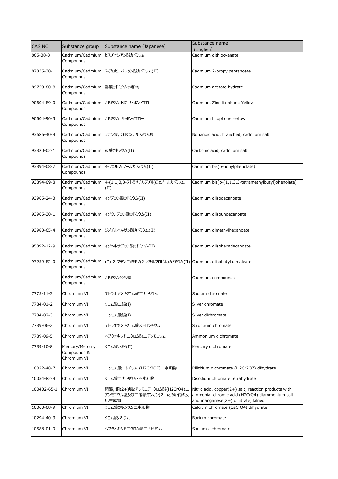| CAS.NO                   | Substance group                               | Substance name (Japanese)                                             | Substance name<br>(English)                                                                                                                   |
|--------------------------|-----------------------------------------------|-----------------------------------------------------------------------|-----------------------------------------------------------------------------------------------------------------------------------------------|
| 865-38-3                 | Cadmium/Cadmium<br>Compounds                  | ビスチオシアン酸カドミウム                                                         | Cadmium dithiocyanate                                                                                                                         |
| 87835-30-1               | Compounds                                     | Cadmium/Cadmium 2-プロピルペンタン酸カドミウム(II)                                  | Cadmium 2-propylpentanoate                                                                                                                    |
| 89759-80-8               | Cadmium/Cadmium 酢酸カドミウム水和物<br>Compounds       |                                                                       | Cadmium acetate hydrate                                                                                                                       |
| 90604-89-0               | Compounds                                     | Cadmium/Cadmium カドミウム亜鉛 リトポンイエロー                                      | Cadmium Zinc litophone Yellow                                                                                                                 |
| 90604-90-3               | Cadmium/Cadmium カドミウム リトポンイエロー<br>Compounds   |                                                                       | Cadmium Litophone Yellow                                                                                                                      |
| 93686-40-9               | Cadmium/Cadmium<br>Compounds                  | ノナン酸, 分岐型, カドミウム塩                                                     | Nonanoic acid, branched, cadmium salt                                                                                                         |
| 93820-02-1               | Cadmium/Cadmium<br>Compounds                  | 炭酸カドミウム(II)                                                           | Carbonic acid, cadmium salt                                                                                                                   |
| 93894-08-7               | Compounds                                     | Cadmium/Cadmium 4-ノニルフェノールカドミウム(II)                                   | Cadmium bis(p-nonylphenolate)                                                                                                                 |
| 93894-09-8               | Cadmium/Cadmium<br>Compounds                  | 4-(1,1,3,3-テトラメチルブチル)フェノールカドミウム<br>(II)                               | Cadmium bis[p-(1,1,3,3-tetramethylbutyl)phenolate]                                                                                            |
| 93965-24-3               | Cadmium/Cadmium<br>Compounds                  | イソデカン酸カドミウム(II)                                                       | Cadmium diisodecanoate                                                                                                                        |
| 93965-30-1               | Cadmium/Cadmium<br>Compounds                  | イソウンデカン酸カドミウム(II)                                                     | Cadmium diisoundecanoate                                                                                                                      |
| 93983-65-4               | Compounds                                     | Cadmium/Cadmium ジメチルヘキサン酸カドミウム(II)                                    | Cadmium dimethylhexanoate                                                                                                                     |
| 95892-12-9               | Cadmium/Cadmium<br>Compounds                  | イソヘキサデカン酸カドミウム(II)                                                    | Cadmium diisohexadecanoate                                                                                                                    |
| 97259-82-0               | Cadmium/Cadmium<br>Compounds                  | (Z)-2-ブテン二酸モノ(2-メチルプロピル)カドミウム(II) Cadmium diisobutyl dimaleate        |                                                                                                                                               |
| $\overline{\phantom{0}}$ | Cadmium/Cadmium カドミウム化合物<br>Compounds         |                                                                       | Cadmium compounds                                                                                                                             |
| 7775-11-3                | Chromium VI                                   | テトラオキシドクロム酸二ナトリウム                                                     | Sodium chromate                                                                                                                               |
| 7784-01-2                | Chromium VI                                   | クロム酸二銀(I)                                                             | Silver chromate                                                                                                                               |
| 7784-02-3                | Chromium VI                                   | ニクロム酸銀(I)                                                             | Silver dichromate                                                                                                                             |
| 7789-06-2                | Chromium VI                                   | テトラオキシドクロム酸ストロンチウム                                                    | Strontium chromate                                                                                                                            |
| 7789-09-5                | Chromium VI                                   | ヘプタオキシドニクロム酸ニアンモニウム                                                   | Ammonium dichromate                                                                                                                           |
| 7789-10-8                | Mercury/Mercury<br>Compounds &<br>Chromium VI | クロム酸水銀(II)                                                            | Mercury dichromate                                                                                                                            |
| 10022-48-7               | Chromium VI                                   | 二クロム酸二リチウム (Li2Cr2O7)二水和物                                             | Dilithium dichromate (Li2Cr2O7) dihydrate                                                                                                     |
| 10034-82-9               | Chromium VI                                   | クロム酸ニナトリウム・四水和物                                                       | Disodium chromate tetrahydrate                                                                                                                |
| 100402-65-1              | Chromium VI                                   | 硝酸, 銅(2+)塩とアンモニア, クロム酸(H2CrO4)二<br>アンモニウム塩及び二硝酸マンガン(2+)との炉内の反<br>応生成物 | Nitric acid, copper(2+) salt, reaction products with<br>ammonia, chromic acid (H2CrO4) diammonium salt<br>and manganese(2+) dinitrate, kilned |
| 10060-08-9               | Chromium VI                                   | クロム酸カルシウム二水和物                                                         | Calcium chromate (CaCrO4) dihydrate                                                                                                           |
| 10294-40-3               | Chromium VI                                   | クロム酸バリウム                                                              | Barium chromate                                                                                                                               |
| 10588-01-9               | Chromium VI                                   | ヘプタオキシドニクロム酸ニナトリウム                                                    | Sodium dichromate                                                                                                                             |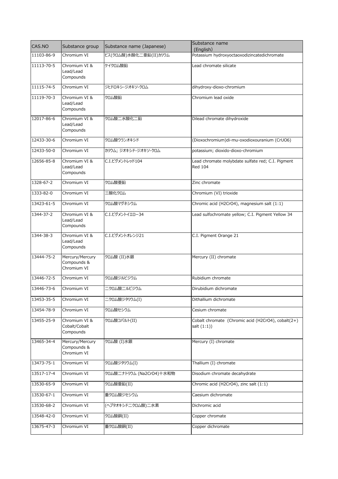| CAS.NO     | Substance group                               | Substance name (Japanese) | Substance name<br>(English)                                         |
|------------|-----------------------------------------------|---------------------------|---------------------------------------------------------------------|
| 11103-86-9 | Chromium VI                                   | ビス(クロム酸)水酸化二亜鉛(II)カリウム    | Potassium hydroxyoctaoxodizincatedichromate                         |
| 11113-70-5 | Chromium VI &<br>Lead/Lead<br>Compounds       | ケイクロム酸鉛                   | Lead chromate silicate                                              |
| 11115-74-5 | Chromium VI                                   | ジヒドロキシ-ジオキソ-クロム           | dihydroxy-dioxo-chromium                                            |
| 11119-70-3 | Chromium VI &<br>Lead/Lead<br>Compounds       | クロム酸鉛                     | Chromium lead oxide                                                 |
| 12017-86-6 | Chromium VI &<br>Lead/Lead<br>Compounds       | クロム酸二水酸化二鉛                | Dilead chromate dihydroxide                                         |
| 12433-30-6 | Chromium VI                                   | クロム酸ウランオキシド               | (Dioxochromium)di-mu-oxodioxouranium (CrUO6)                        |
| 12433-50-0 | Chromium VI                                   | カリウム; ジオキシド-ジオキソ-クロム      | potassium; dioxido-dioxo-chromium                                   |
| 12656-85-8 | Chromium VI &<br>Lead/Lead<br>Compounds       | C.I.ピグメントレッド104           | Lead chromate molybdate sulfate red; C.I. Pigment<br><b>Red 104</b> |
| 1328-67-2  | Chromium VI                                   | クロム酸亜鉛                    | Zinc chromate                                                       |
| 1333-82-0  | Chromium VI                                   | 三酸化クロム                    | Chromium (VI) trioxide                                              |
| 13423-61-5 | Chromium VI                                   | クロム酸マグネシウム                | Chromic acid (H2CrO4), magnesium salt (1:1)                         |
| 1344-37-2  | Chromium VI &<br>Lead/Lead<br>Compounds       | C.I.ピグメントイエロー34           | Lead sulfochromate yellow; C.I. Pigment Yellow 34                   |
| 1344-38-3  | Chromium VI &<br>Lead/Lead<br>Compounds       | C.I.ピグメントオレンジ21           | C.I. Pigment Orange 21                                              |
| 13444-75-2 | Mercury/Mercury<br>Compounds &<br>Chromium VI | クロム酸 (II)水銀               | Mercury (II) chromate                                               |
| 13446-72-5 | Chromium VI                                   | クロム酸ジルビジウム                | Rubidium chromate                                                   |
| 13446-73-6 | Chromium VI                                   | ニクロム酸ニルビジウム               | Dirubidium dichromate                                               |
| 13453-35-5 | Chromium VI                                   | ニクロム酸ジタリウム(I)             | Dithallium dichromate                                               |
| 13454-78-9 | Chromium VI                                   | クロム酸セシウム                  | Cesium chromate                                                     |
| 13455-25-9 | Chromium VI &<br>Cobalt/Cobalt<br>Compounds   | クロム酸コバルト(II)              | Cobalt chromate (Chromic acid (H2CrO4), cobalt(2+)<br>salt $(1:1)$  |
| 13465-34-4 | Mercury/Mercury<br>Compounds &<br>Chromium VI | クロム酸 (I)水銀                | Mercury (I) chromate                                                |
| 13473-75-1 | Chromium VI                                   | クロム酸ジタリウム(I)              | Thallium (I) chromate                                               |
| 13517-17-4 | Chromium VI                                   | クロム酸二ナトリウム (Na2CrO4)十水和物  | Disodium chromate decahydrate                                       |
| 13530-65-9 | Chromium VI                                   | クロム酸亜鉛(II)                | Chromic acid (H2CrO4), zinc salt (1:1)                              |
| 13530-67-1 | Chromium VI                                   | 重クロム酸ジセシウム                | Caesium dichromate                                                  |
| 13530-68-2 | Chromium VI                                   | (ヘプタオキシドニクロム酸)二水素         | Dichromic acid                                                      |
| 13548-42-0 | Chromium VI                                   | クロム酸銅(II)                 | Copper chromate                                                     |
| 13675-47-3 | Chromium VI                                   | 重クロム酸銅(II)                | Copper dichromate                                                   |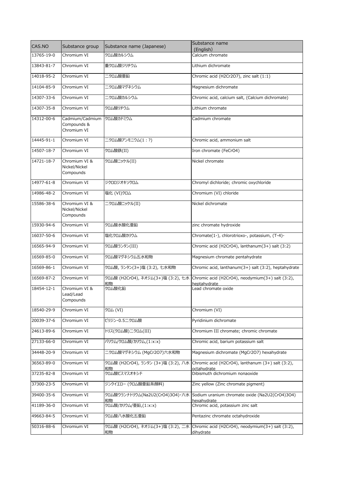| CAS.NO     | Substance group                               | Substance name (Japanese)                 | Substance name                                                                                   |
|------------|-----------------------------------------------|-------------------------------------------|--------------------------------------------------------------------------------------------------|
| 13765-19-0 | Chromium VI                                   | クロム酸カルシウム                                 | (English)<br>Calcium chromate                                                                    |
|            |                                               |                                           |                                                                                                  |
| 13843-81-7 | Chromium VI                                   | 重クロム酸ジリチウム                                | Lithium dichromate                                                                               |
| 14018-95-2 | Chromium VI                                   | ニクロム酸亜鉛                                   | Chromic acid (H2Cr2O7), zinc salt (1:1)                                                          |
| 14104-85-9 | Chromium VI                                   | ニクロム酸マグネシウム                               | Magnesium dichromate                                                                             |
| 14307-33-6 | Chromium VI                                   | ニクロム酸カルシウム                                | Chromic acid, calcium salt, (Calcium dichromate)                                                 |
| 14307-35-8 | Chromium VI                                   | クロム酸リチウム                                  | Lithium chromate                                                                                 |
| 14312-00-6 | Cadmium/Cadmium<br>Compounds &<br>Chromium VI | クロム酸カドミウム                                 | Cadmium chromate                                                                                 |
| 14445-91-1 | Chromium VI                                   | 二クロム酸アンモニウム(1:?)                          | Chromic acid, ammonium salt                                                                      |
| 14507-18-7 | Chromium VI                                   | クロム酸鉄(II)                                 | Iron chromate (FeCrO4)                                                                           |
| 14721-18-7 | Chromium VI &<br>Nickel/Nickel<br>Compounds   | クロム酸ニッケル(II)                              | Nickel chromate                                                                                  |
| 14977-61-8 | Chromium VI                                   | ジクロロジオキソクロム                               | Chromyl dichloride; chromic oxychloride                                                          |
| 14986-48-2 | Chromium VI                                   | 塩化 (VI)クロム                                | Chromium (VI) chloride                                                                           |
| 15586-38-6 | Chromium VI &<br>Nickel/Nickel<br>Compounds   | 二クロム酸ニッケル(II)                             | Nickel dichromate                                                                                |
| 15930-94-6 | Chromium VI                                   | クロム酸水酸化亜鉛                                 | zinc chromate hydroxide                                                                          |
| 16037-50-6 | Chromium VI                                   | 塩化クロム酸カリウム                                | Chromate(1-), chlorotrioxo-, potassium, (T-4)-                                                   |
| 16565-94-9 | Chromium VI                                   | クロム酸ランタン(III)                             | Chromic acid (H2CrO4), lanthanum(3+) salt (3:2)                                                  |
| 16569-85-0 | Chromium VI                                   | クロム酸マグネシウム五水和物                            | Magnesium chromate pentahydrate                                                                  |
| 16569-86-1 | Chromium VI                                   | クロム酸, ランタン(3+)塩 (3:2), 七水和物               | Chromic acid, lanthanum(3+) salt (3:2), heptahydrate                                             |
| 16569-87-2 | Chromium VI                                   | クロム酸 (H2CrO4), ネオジム(3+)塩 (3:2), 七水<br>和物  | Chromic acid (H2CrO4), neodymium(3+) salt (3:2),<br>heptahydrate                                 |
| 18454-12-1 | Chromium VI &<br>Lead/Lead<br>Compounds       | クロム酸化鉛                                    | Lead chromate oxide                                                                              |
| 18540-29-9 | Chromium VI                                   | クロム (VI)                                  | Chromium (VI)                                                                                    |
| 20039-37-6 | Chromium VI                                   | ピリジン・0.5二クロム酸                             | Pyridinium dichromate                                                                            |
| 24613-89-6 | Chromium VI                                   | トリス(クロム酸)二クロム(III)                        | Chromium III chromate; chromic chromate                                                          |
| 27133-66-0 | Chromium VI                                   | バリウム/クロム酸/カリウム,(1:x:x)                    | Chromic acid, barium potassium salt                                                              |
| 34448-20-9 | Chromium VI                                   | 二クロム酸マグネシウム (MgCr2O7)六水和物                 | Magnesium dichromate (MgCr2O7) hexahydrate                                                       |
| 36563-89-0 | Chromium VI                                   | クロム酸 (H2CrO4), ランタン (3+)塩 (3:2), 八水<br>和物 | Chromic acid (H2CrO4), lanthanum (3+) salt (3:2),<br>octahydrate                                 |
| 37235-82-8 | Chromium VI                                   | クロム酸ビスマスオキシド                              | Dibismuth dichromium nonaoxide                                                                   |
| 37300-23-5 | Chromium VI                                   | ジンクイエロー (クロム酸亜鉛系顔料)                       | Zinc yellow (Zinc chromate pigment)                                                              |
| 39400-35-6 | Chromium VI                                   | 和物                                        | クロム酸ウランナトリウム(Na2U2(CrO4)3O4)・六水 Sodium uranium chromate oxide (Na2U2(CrO4)3O4)<br>hexahvdrate    |
| 41189-36-0 | Chromium VI                                   | クロム酸/カリウム/亜鉛,(1:x:x)                      | Chromic acid, potassium zinc salt                                                                |
| 49663-84-5 | Chromium VI                                   | クロム酸八水酸化五亜鉛                               | Pentazinc chromate octahydroxide                                                                 |
| 50316-88-6 | Chromium VI                                   | 和物                                        | クロム酸 (H2CrO4), ネオジム(3+)塩 (3:2), 二水 Chromic acid (H2CrO4), neodymium(3+) salt (3:2),<br>dihydrate |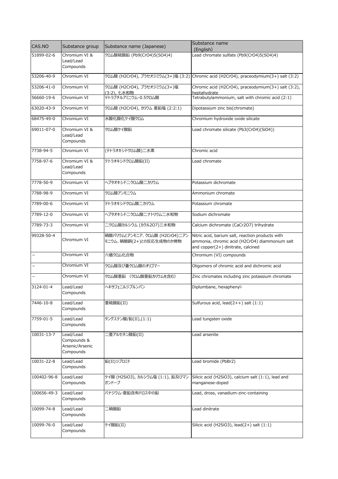| CAS.NO                   | Substance group                                          | Substance name (Japanese)                                | Substance name<br>(English)                                                                                                              |
|--------------------------|----------------------------------------------------------|----------------------------------------------------------|------------------------------------------------------------------------------------------------------------------------------------------|
| 51899-02-6               | Chromium VI &<br>Lead/Lead<br>Compounds                  | クロム酸硫酸鉛 (Pb9(CrO4)5(SO4)4)                               | Lead chromate sulfate (Pb9(CrO4)5(SO4)4)                                                                                                 |
| 53206-40-9               | Chromium VI                                              |                                                          | クロム酸 (H2CrO4), プラセオジミウム(3+)塩 (3:2) Chromic acid (H2CrO4), praceodymium(3+) salt (3:2)                                                    |
| 53206-41-0               | Chromium VI                                              | クロム酸 (H2CrO4), プラセオジミウム(3+)塩<br>(3:2), 七水和物              | Chromic acid (H2CrO4), praceodymium(3+) salt (3:2),<br>heptahydrate                                                                      |
| 56660-19-6               | Chromium VI                                              | テトラブチルアミニウム・0.5クロム酸                                      | Tetrabutylammonium, salt with chromic acid (2:1)                                                                                         |
| 63020-43-9               | Chromium VI                                              | クロム酸 (H2CrO4), カリウム 亜鉛塩 (2:2:1)                          | Dipotassium zinc bis(chromate)                                                                                                           |
| 68475-49-0               | Chromium VI                                              | 水酸化酸化ケイ酸クロム                                              | Chromium hydroxide oxide silicate                                                                                                        |
| 69011-07-0               | Chromium VI &<br>Lead/Lead<br>Compounds                  | クロム酸ケイ酸鉛                                                 | Lead chromate silicate (Pb3(CrO4)(SiO4))                                                                                                 |
| 7738-94-5                | Chromium VI                                              | (テトラオキシドクロム酸)二水素                                         | Chromic acid                                                                                                                             |
| 7758-97-6                | Chromium VI &<br>Lead/Lead<br>Compounds                  | テトラオキシドクロム酸鉛(II)                                         | Lead chromate                                                                                                                            |
| 7778-50-9                | Chromium VI                                              | ヘプタオキシドニクロム酸ニカリウム                                        | Potassium dichromate                                                                                                                     |
| 7788-98-9                | Chromium VI                                              | クロム酸アンモニウム                                               | Ammonium chromate                                                                                                                        |
| 7789-00-6                | Chromium VI                                              | テトラオキシドクロム酸二カリウム                                         | Potassium chromate                                                                                                                       |
| 7789-12-0                | Chromium VI                                              | ヘプタオキシドニクロム酸ニナトリウムニ水和物                                   | Sodium dichromate                                                                                                                        |
| 7789-73-3                | Chromium VI                                              | 二クロム酸カルシウム (カクル207)三水和物                                  | Calcium dichromate (CaCr2O7) trihydrate                                                                                                  |
| 99328-50-4               | Chromium VI                                              | 硝酸バリウムとアンモニア、クロム酸 (H2CrO4)ニアン<br>モニウム、硝酸銅(2+)との反応生成物のか焼物 | Nitric acid, barium salt, reaction products with<br>ammonia, chromic acid (H2CrO4) diammonium salt<br>and copper(2+) dinitrate, calcined |
| $\overline{\phantom{0}}$ | Chromium VI                                              | 六価クロム化合物                                                 | Chromium (VI) compounds                                                                                                                  |
| -                        | Chromium VI                                              | クロム酸及び重クロム酸のオリゴマー                                        | Oligomers of chromic acid and dichromic acid                                                                                             |
| $\overline{\phantom{0}}$ | Chromium VI                                              | クロム酸亜鉛 (クロム酸亜鉛カリウムを含む)                                   | Zinc chromates including zinc potassium chromate                                                                                         |
| 3124-01-4                | Lead/Lead<br>Compounds                                   | ヘキサフェニルジプルンバン                                            | Diplumbane, hexaphenyl-                                                                                                                  |
| 7446-10-8                | Lead/Lead<br>Compounds                                   | 亜硫酸鉛(II)                                                 | Sulfurous acid, $lead(2++)$ salt $(1:1)$                                                                                                 |
| 7759-01-5                | Lead/Lead<br>Compounds                                   | タングステン酸/鉛(II),(1:1)                                      | Lead tungsten oxide                                                                                                                      |
| 10031-13-7               | Lead/Lead<br>Compounds &<br>Arsenic/Arsenic<br>Compounds | ニ亜アルセネン酸鉛(II)                                            | Lead arsenite                                                                                                                            |
| 10031-22-8               | Lead/Lead<br>Compounds                                   | 鉛(II)ジブロミド                                               | Lead bromide (PbBr2)                                                                                                                     |
| 100402-96-8              | Lead/Lead<br>Compounds                                   | ケイ酸 (H2SiO3), カルシウム塩 (1:1), 鉛及びマン<br>ガンドープ               | Silicic acid (H2SiO3), calcium salt (1:1), lead and<br>manganese-doped                                                                   |
| 100656-49-3              | Lead/Lead<br>Compounds                                   | バナジウム-亜鉛含有ドロス中の鉛                                         | Lead, dross, vanadium-zinc-containing                                                                                                    |
| 10099-74-8               | Lead/Lead<br>Compounds                                   | 二硝酸鉛                                                     | Lead dinitrate                                                                                                                           |
| 10099-76-0               | Lead/Lead<br>Compounds                                   | ケイ酸鉛(II)                                                 | Silicic acid (H2SiO3), lead( $2+$ ) salt ( $1:1$ )                                                                                       |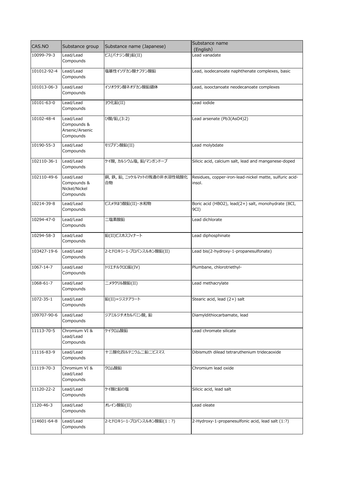| CAS.NO          | Substance group                                          | Substance name (Japanese)         | Substance name<br>(English)                                       |
|-----------------|----------------------------------------------------------|-----------------------------------|-------------------------------------------------------------------|
| 10099-79-3      | Lead/Lead<br>Compounds                                   | ビス(バナジン酸)鉛(II)                    | Lead vanadate                                                     |
| 101012-92-4     | Lead/Lead<br>Compounds                                   | 塩基性イソデカン酸ナフテン酸鉛                   | Lead, isodecanoate naphthenate complexes, basic                   |
| 101013-06-3     | Lead/Lead<br>Compounds                                   | イソオクタン酸ネオデカン酸鉛錯体                  | Lead, isooctanoate neodecanoate complexes                         |
| 10101-63-0      | Lead/Lead<br>Compounds                                   | ヨウ化鉛(II)                          | Lead iodide                                                       |
| 10102-48-4      | Lead/Lead<br>Compounds &<br>Arsenic/Arsenic<br>Compounds | ひ酸/鉛,(3:2)                        | Lead arsenate (Pb3(AsO4)2)                                        |
| 10190-55-3      | Lead/Lead<br>Compounds                                   | モリブデン酸鉛(II)                       | Lead molybdate                                                    |
| 102110-36-1     | Lead/Lead<br>Compounds                                   | ケイ酸, カルシウム塩, 鉛/マンガンドープ            | Silicic acid, calcium salt, lead and manganese-doped              |
| 102110-49-6     | Lead/Lead<br>Compounds &<br>Nickel/Nickel<br>Compounds   | 銅, 鉄, 鉛, ニッケルマットの残渣の非水溶性硫酸化<br>合物 | Residues, copper-iron-lead-nickel matte, sulfuric acid-<br>insol. |
| 10214-39-8      | Lead/Lead<br>Compounds                                   | ビスメタほう酸鉛(II)・水和物                  | Boric acid (HBO2), lead(2+) salt, monohydrate (8CI,<br>9CI)       |
| 10294-47-0      | Lead/Lead<br>Compounds                                   | 二塩素酸鉛                             | Lead dichlorate                                                   |
| 10294-58-3      | Lead/Lead<br>Compounds                                   | 鉛(II)ビスホスフィナート                    | Lead diphosphinate                                                |
| 103427-19-6     | Lead/Lead<br>Compounds                                   | 2-ヒドロキシ-1-プロパンスルホン酸鉛(II)          | Lead bis(2-hydroxy-1-propanesulfonate)                            |
| 1067-14-7       | Lead/Lead<br>Compounds                                   | トリエチルクロロ鉛(IV)                     | Plumbane, chlorotriethyl-                                         |
| 1068-61-7       | Lead/Lead<br>Compounds                                   | ニメタクリル酸鉛(II)                      | Lead methacrylate                                                 |
| 1072-35-1       | Lead/Lead<br>Compounds                                   | 鉛(II)=ジステアラート                     | Stearic acid, lead (2+) salt                                      |
| 109707-90-6     | Lead/Lead<br>Compounds                                   | ジアミルジチオカルバミン酸, 鉛                  | Diamyldithiocarbamate, lead                                       |
| 11113-70-5      | Chromium VI &<br>Lead/Lead<br>Compounds                  | ケイクロム酸鉛                           | Lead chromate silicate                                            |
| 11116-83-9      | Lead/Lead<br>Compounds                                   | 十三酸化四ルテニウム二鉛二ビスマス                 | Dibismuth dilead tetraruthenium tridecaoxide                      |
| 11119-70-3      | Chromium VI &<br>Lead/Lead<br>Compounds                  | クロム酸鉛                             | Chromium lead oxide                                               |
| 11120-22-2      | Lead/Lead<br>Compounds                                   | ケイ酸と鉛の塩                           | Silicic acid, lead salt                                           |
| $1120 - 46 - 3$ | Lead/Lead<br>Compounds                                   | オレイン酸鉛(II)                        | Lead oleate                                                       |
| 114601-64-8     | Lead/Lead<br>Compounds                                   | 2-ヒドロキシ-1-プロパンスルホン酸鉛(1:?)         | 2-Hydroxy-1-propanesulfonic acid, lead salt (1:?)                 |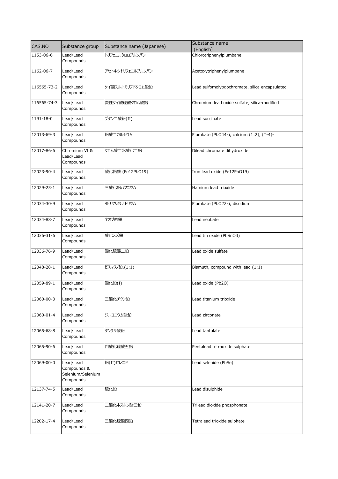| CAS.NO      | Substance group                                            | Substance name (Japanese) | Substance name<br>(English)                    |
|-------------|------------------------------------------------------------|---------------------------|------------------------------------------------|
| 1153-06-6   | Lead/Lead<br>Compounds                                     | トリフェニルクロロプルンバン            | Chlorotriphenylplumbane                        |
| 1162-06-7   | Lead/Lead<br>Compounds                                     | アセトキシトリフェニルプルンバン          | Acetoxytriphenylplumbane                       |
| 116565-73-2 | Lead/Lead<br>Compounds                                     | ケイ酸スルホモリブドクロム酸鉛           | Lead sulfomolybdochromate, silica encapsulated |
| 116565-74-3 | Lead/Lead<br>Compounds                                     | 変性ケイ酸硫酸クロム酸鉛              | Chromium lead oxide sulfate, silica-modified   |
| 1191-18-0   | Lead/Lead<br>Compounds                                     | ブタン二酸鉛(II)                | Lead succinate                                 |
| 12013-69-3  | Lead/Lead<br>Compounds                                     | 鉛酸二カルシウム                  | Plumbate (PbO44-), calcium (1:2), (T-4)-       |
| 12017-86-6  | Chromium VI &<br>Lead/Lead<br>Compounds                    | クロム酸二水酸化二鉛                | Dilead chromate dihydroxide                    |
| 12023-90-4  | Lead/Lead<br>Compounds                                     | 酸化鉛鉄 (Fe12PbO19)          | Iron lead oxide (Fe12PbO19)                    |
| 12029-23-1  | Lead/Lead<br>Compounds                                     | 三酸化鉛ハフニウム                 | Hafnium lead trioxide                          |
| 12034-30-9  | Lead/Lead<br>Compounds                                     | 亜ナマリ酸ナトリウム                | Plumbate (PbO22-), disodium                    |
| 12034-88-7  | Lead/Lead<br>Compounds                                     | ネオブ酸鉛                     | Lead neobate                                   |
| 12036-31-6  | Lead/Lead<br>Compounds                                     | 酸化スズ鉛                     | Lead tin oxide (PbSnO3)                        |
| 12036-76-9  | Lead/Lead<br>Compounds                                     | 酸化硫酸二鉛                    | Lead oxide sulfate                             |
| 12048-28-1  | Lead/Lead<br>Compounds                                     | ビスマス/鉛,(1:1)              | Bismuth, compound with lead (1:1)              |
| 12059-89-1  | Lead/Lead<br>Compounds                                     | 酸化鉛(I)                    | Lead oxide (Pb2O)                              |
| 12060-00-3  | Lead/Lead<br>Compounds                                     | 三酸化チタン鉛                   | Lead titanium trioxide                         |
| 12060-01-4  | Lead/Lead<br>Compounds                                     | ジルコニウム酸鉛                  | Lead zirconate                                 |
| 12065-68-8  | Lead/Lead<br>Compounds                                     | タンタル酸鉛                    | Lead tantalate                                 |
| 12065-90-6  | Lead/Lead<br>Compounds                                     | 四酸化硫酸五鉛                   | Pentalead tetraoxide sulphate                  |
| 12069-00-0  | Lead/Lead<br>Compounds &<br>Selenium/Selenium<br>Compounds | 鉛(II)セレニド                 | Lead selenide (PbSe)                           |
| 12137-74-5  | Lead/Lead<br>Compounds                                     | 硫化鉛                       | Lead disulphide                                |
| 12141-20-7  | Lead/Lead<br>Compounds                                     | ニ酸化ホスホン酸三鉛                | Trilead dioxide phosphonate                    |
| 12202-17-4  | Lead/Lead<br>Compounds                                     | 三酸化硫酸四鉛                   | Tetralead trioxide sulphate                    |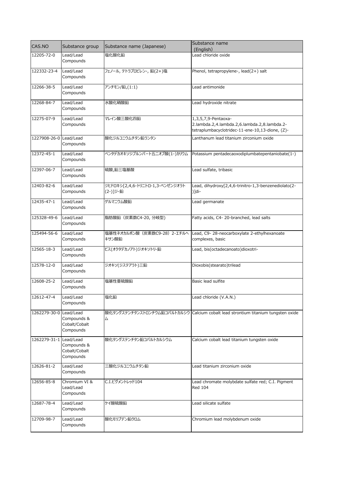| CAS.NO                 | Substance group                                        | Substance name (Japanese)                   | Substance name                                                                                                         |
|------------------------|--------------------------------------------------------|---------------------------------------------|------------------------------------------------------------------------------------------------------------------------|
|                        |                                                        |                                             | (English)                                                                                                              |
| 12205-72-0             | Lead/Lead<br>Compounds                                 | 塩化酸化鉛                                       | Lead chloride oxide                                                                                                    |
| 122332-23-4            | Lead/Lead<br>Compounds                                 | フェノール, テトラプロピレン-, 鉛(2+)塩                    | Phenol, tetrapropylene-, lead(2+) salt                                                                                 |
| 12266-38-5             | Lead/Lead<br>Compounds                                 | アンチモン/鉛,(1:1)                               | Lead antimonide                                                                                                        |
| 12268-84-7             | Lead/Lead<br>Compounds                                 | 水酸化硝酸鉛                                      | Lead hydroxide nitrate                                                                                                 |
| 12275-07-9             | Lead/Lead<br>Compounds                                 | マレイン酸三酸化四鉛                                  | 1,3,5,7,9-Pentaoxa-<br>2.lambda.2,4.lambda.2,6.lambda.2,8.lambda.2-<br>tetraplumbacyclotridec-11-ene-10,13-dione, (Z)- |
| 1227908-26-0           | Lead/Lead<br>Compounds                                 | 酸化ジルコニウムチタン鉛ランタン                            | Lanthanum lead titanium zirconium oxide                                                                                |
| 12372-45-1             | Lead/Lead<br>Compounds                                 | ペンタデカオキソジプルンバート五ニオブ酸(1-)カリウム                | Potassium pentadecaoxodiplumbatepentaniobate(1-)                                                                       |
| 12397-06-7             | Lead/Lead<br>Compounds                                 | 硫酸,鉛三塩基酸                                    | Lead sulfate, tribasic                                                                                                 |
| 12403-82-6             | Lead/Lead<br>Compounds                                 | ジヒドロキシ[2,4,6-トリニトロ-1,3-ベンゼンジオラト<br>(2-)]ジ-鉛 | Lead, dihydroxy[2,4,6-trinitro-1,3-benzenediolato(2-<br>$)$ ]di-                                                       |
| 12435-47-1             | Lead/Lead<br>Compounds                                 | ゲルマニウム酸鉛                                    | Lead germanate                                                                                                         |
| 125328-49-6            | Lead/Lead<br>Compounds                                 | 脂肪酸鉛 (炭素数C4-20, 分岐型)                        | Fatty acids, C4- 20-branched, lead salts                                                                               |
| 125494-56-6            | Lead/Lead<br>Compounds                                 | 塩基性ネオカルボン酸 (炭素数C9-28) 2-エチルへ<br>キサン酸鉛       | Lead, C9-28-neocarboxylate 2-ethylhexanoate<br>complexes, basic                                                        |
| 12565-18-3             | Lead/Lead<br>Compounds                                 | ビス(オクタデカノアト)ジオキソトリ-鉛                        | Lead, bis(octadecanoato)dioxotri-                                                                                      |
| 12578-12-0             | Lead/Lead<br>Compounds                                 | ジオキソ(ジステアラト)三鉛                              | Dioxobis(stearato)trilead                                                                                              |
| 12608-25-2             | Lead/Lead<br>Compounds                                 | 塩基性亜硫酸鉛                                     | Basic lead sulfite                                                                                                     |
| 12612-47-4             | Lead/Lead<br>Compounds                                 | 塩化鉛                                         | Lead chloride (V.A.N.)                                                                                                 |
| 1262279-30-0           | Lead/Lead<br>Compounds &<br>Cobalt/Cobalt<br>Compounds | 厶                                           | 酸化タングステンチタンストロンチウム鉛コバルトカルシウ   Calcium cobalt lead strontium titanium tungsten oxide                                    |
| 1262279-31-1 Lead/Lead | Compounds &<br>Cobalt/Cobalt<br>Compounds              | 酸化タングステンチタン鉛コバルトカルシウム                       | Calcium cobalt lead titanium tungsten oxide                                                                            |
| 12626-81-2             | Lead/Lead<br>Compounds                                 | 三酸化ジルコニウムチタン鉛                               | Lead titanium zirconium oxide                                                                                          |
| 12656-85-8             | Chromium VI &<br>Lead/Lead<br>Compounds                | C.I.ピグメントレッド104                             | Lead chromate molybdate sulfate red; C.I. Pigment<br><b>Red 104</b>                                                    |
| 12687-78-4             | Lead/Lead<br>Compounds                                 | ケイ酸硫酸鉛                                      | Lead silicate sulfate                                                                                                  |
| 12709-98-7             | Lead/Lead<br>Compounds                                 | 酸化モリブデン鉛クロム                                 | Chromium lead molybdenum oxide                                                                                         |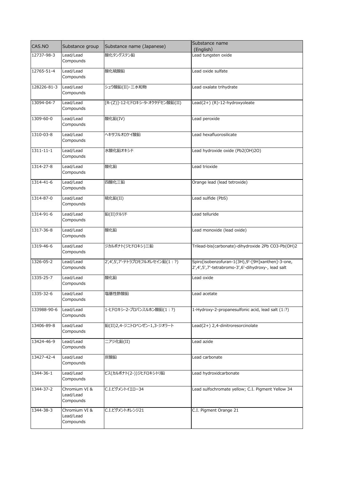| CAS.NO      | Substance group                         | Substance name (Japanese)       | Substance name                                                                                         |
|-------------|-----------------------------------------|---------------------------------|--------------------------------------------------------------------------------------------------------|
| 12737-98-3  | Lead/Lead                               | 酸化タングステン鉛                       | (English)<br>Lead tungsten oxide                                                                       |
|             | Compounds                               |                                 |                                                                                                        |
| 12765-51-4  | Lead/Lead<br>Compounds                  | 酸化硫酸鉛                           | Lead oxide sulfate                                                                                     |
| 128226-81-3 | Lead/Lead<br>Compounds                  | シュウ酸鉛(II)・三水和物                  | Lead oxalate trihydrate                                                                                |
| 13094-04-7  | Lead/Lead<br>Compounds                  | [R-(Z)]-12-ヒドロキシ-9-オクタデセン酸鉛(II) | Lead(2+) (R)-12-hydroxyoleate                                                                          |
| 1309-60-0   | Lead/Lead<br>Compounds                  | 酸化鉛(IV)                         | Lead peroxide                                                                                          |
| 1310-03-8   | Lead/Lead<br>Compounds                  | ヘキサフルオロケイ酸鉛                     | Lead hexafluorosilicate                                                                                |
| 1311-11-1   | Lead/Lead<br>Compounds                  | 水酸化鉛オキシド                        | Lead hydroxide oxide (Pb2(OH)2O)                                                                       |
| 1314-27-8   | Lead/Lead<br>Compounds                  | 酸化鉛                             | Lead trioxide                                                                                          |
| 1314-41-6   | Lead/Lead<br>Compounds                  | 四酸化三鉛                           | Orange lead (lead tetroxide)                                                                           |
| 1314-87-0   | Lead/Lead<br>Compounds                  | 硫化鉛(II)                         | Lead sulfide (PbS)                                                                                     |
| 1314-91-6   | Lead/Lead<br>Compounds                  | 鉛(II)テルリド                       | Lead telluride                                                                                         |
| 1317-36-8   | Lead/Lead<br>Compounds                  | 酸化鉛                             | Lead monoxide (lead oxide)                                                                             |
| 1319-46-6   | Lead/Lead<br>Compounds                  | ジカルボナト(ジヒドロキシ)三鉛                | Trilead-bis(carbonate)-dihydroxide 2Pb CO3-Pb(OH)2                                                     |
| 1326-05-2   | Lead/Lead<br>Compounds                  | 2',4',5',7'-テトラブロモフルオレセイン鉛(1:?) | Spiro[isobenzofuran-1(3H),9'-[9H]xanthen]-3-one,<br>2',4',5',7'-tetrabromo-3',6'-dihydroxy-, lead salt |
| 1335-25-7   | Lead/Lead<br>Compounds                  | 酸化鉛                             | Lead oxide                                                                                             |
| 1335-32-6   | Lead/Lead<br>Compounds                  | 塩基性酢酸鉛                          | Lead acetate                                                                                           |
| 133988-90-6 | Lead/Lead<br>Compounds                  | 1-ヒドロキシ-2-プロパンスルホン酸鉛(1:?)       | 1-Hydroxy-2-propanesulfonic acid, lead salt (1:?)                                                      |
| 13406-89-8  | Lead/Lead<br>Compounds                  | 鉛(II)2,4-ジニトロベンゼン-1,3-ジオラート     | Lead(2+) 2,4-dinitroresorcinolate                                                                      |
| 13424-46-9  | Lead/Lead<br>Compounds                  | ニアジ化鉛(II)                       | Lead azide                                                                                             |
| 13427-42-4  | Lead/Lead<br>Compounds                  | 炭酸鉛                             | Lead carbonate                                                                                         |
| 1344-36-1   | Lead/Lead<br>Compounds                  | ビス(カルボナト(2-))ジヒドロキシトリ鉛          | Lead hydroxidcarbonate                                                                                 |
| 1344-37-2   | Chromium VI &<br>Lead/Lead<br>Compounds | C.I.ピグメントイエロー34                 | Lead sulfochromate yellow; C.I. Pigment Yellow 34                                                      |
| 1344-38-3   | Chromium VI &<br>Lead/Lead<br>Compounds | C.I.ピグメントオレンジ21                 | C.I. Pigment Orange 21                                                                                 |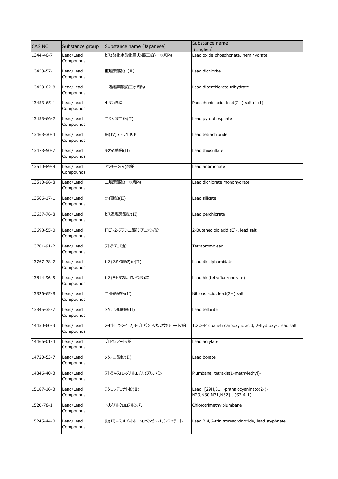| CAS.NO     | Substance group | Substance name (Japanese)       | Substance name                                         |
|------------|-----------------|---------------------------------|--------------------------------------------------------|
| 1344-40-7  | Lead/Lead       | ビス(酸化水酸化亜リン酸三鉛)一水和物             | (English)<br>Lead oxide phosphonate, hemihydrate       |
|            | Compounds       |                                 |                                                        |
| 13453-57-1 | Lead/Lead       | 亜塩素酸鉛 (II)                      | Lead dichlorite                                        |
|            | Compounds       |                                 |                                                        |
| 13453-62-8 | Lead/Lead       | 二過塩素酸鉛三水和物                      | Lead diperchlorate trihydrate                          |
|            | Compounds       |                                 |                                                        |
| 13453-65-1 | Lead/Lead       | 亜リン酸鉛                           | Phosphonic acid, lead(2+) salt (1:1)                   |
|            | Compounds       |                                 |                                                        |
| 13453-66-2 | Lead/Lead       | 二りん酸二鉛(II)                      | Lead pyrophosphate                                     |
|            | Compounds       |                                 |                                                        |
| 13463-30-4 | Lead/Lead       | 鉛(IV)テトラクロリド                    | Lead tetrachloride                                     |
|            | Compounds       |                                 |                                                        |
| 13478-50-7 | Lead/Lead       | チオ硫酸鉛(II)                       | Lead thiosulfate                                       |
|            | Compounds       |                                 |                                                        |
| 13510-89-9 | Lead/Lead       | アンチモン(V)酸鉛                      | Lead antimonate                                        |
|            | Compounds       |                                 |                                                        |
| 13510-96-8 | Lead/Lead       | -塩素酸鉛一水和物                       | Lead dichlorate monohydrate                            |
|            | Compounds       |                                 |                                                        |
| 13566-17-1 | Lead/Lead       | ケイ酸鉛(II)                        | Lead silicate                                          |
|            | Compounds       |                                 |                                                        |
| 13637-76-8 | Lead/Lead       | ビス過塩素酸鉛(II)                     | Lead perchlorate                                       |
|            | Compounds       |                                 |                                                        |
| 13698-55-0 | Lead/Lead       | [(E)-2-ブテン二酸]ジアニオン/鉛            | 2-Butenedioic acid (E)-, lead salt                     |
|            | Compounds       |                                 |                                                        |
| 13701-91-2 | Lead/Lead       | テトラブロモ鉛                         | Tetrabromolead                                         |
|            | Compounds       |                                 |                                                        |
| 13767-78-7 | Lead/Lead       | ビス(アミド硫酸)鉛(II)                  | Lead disulphamidate                                    |
|            | Compounds       |                                 |                                                        |
| 13814-96-5 | Lead/Lead       | ビス(テトラフルオロホウ酸)鉛                 | Lead bis(tetrafluoroborate)                            |
|            | Compounds       |                                 |                                                        |
| 13826-65-8 | Lead/Lead       | [亜硝酸鉛(II)                       | Nitrous acid, lead(2+) salt                            |
|            | Compounds       |                                 |                                                        |
| 13845-35-7 | Lead/Lead       | メタテルル酸鉛(II)                     | Lead tellurite                                         |
|            | Compounds       |                                 |                                                        |
| 14450-60-3 | Lead/Lead       | 2-ヒドロキシ-1,2,3-プロパントリカルボキシラート/鉛  | 1,2,3-Propanetricarboxylic acid, 2-hydroxy-, lead salt |
|            | Compounds       |                                 |                                                        |
| 14466-01-4 | Lead/Lead       | プロペノアート/鉛                       | Lead acrylate                                          |
|            | Compounds       |                                 |                                                        |
| 14720-53-7 | Lead/Lead       | メタホウ酸鉛(II)                      | Lead borate                                            |
|            | Compounds       |                                 |                                                        |
| 14846-40-3 | Lead/Lead       | テトラキス(1-メチルエチル)プルンバン            | Plumbane, tetrakis(1-methylethyl)-                     |
|            | Compounds       |                                 |                                                        |
| 15187-16-3 | Lead/Lead       | フタロシアニナト鉛(II)                   | Lead, [29H,31H-phthalocyaninato(2-)-                   |
|            | Compounds       |                                 | N29, N30, N31, N32] -, (SP-4-1) -                      |
| 1520-78-1  | Lead/Lead       | トリメチルクロロプルンバン                   | Chlorotrimethylplumbane                                |
|            | Compounds       |                                 |                                                        |
| 15245-44-0 | Lead/Lead       | 鉛(II)=2,4,6-トリニトロベンゼン-1,3-ジオラート | Lead 2,4,6-trinitroresorcinoxide, lead styphnate       |
|            | Compounds       |                                 |                                                        |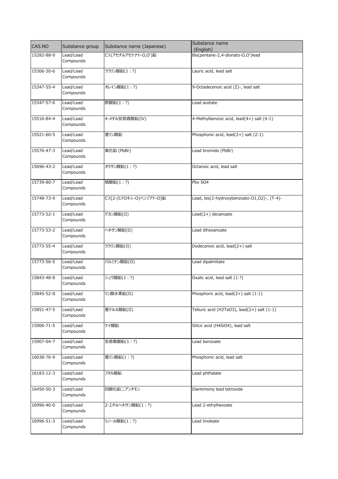| CAS.NO     | Substance group        | Substance name (Japanese) | Substance name                                 |
|------------|------------------------|---------------------------|------------------------------------------------|
|            | Lead/Lead              | ビス(アセチルアセトナト-O,O')鉛       | (English)<br>Bis(pentane-2,4-dionato-O,O')lead |
| 15282-88-9 | Compounds              |                           |                                                |
| 15306-30-6 | Lead/Lead<br>Compounds | ラウリン酸鉛(1:?)               | Lauric acid, lead salt                         |
| 15347-55-4 | Lead/Lead<br>Compounds | オレイン酸鉛(1:?)               | 9-Octadecenoic acid (Z)-, lead salt            |
| 15347-57-6 | Lead/Lead<br>Compounds | 酢酸鉛(1:?)                  | Lead acetate                                   |
| 15516-84-4 | Lead/Lead<br>Compounds | 4-メチル安息香酸鉛(IV)            | 4-Methylbenzoic acid, lead(4+) salt (4:1)      |
| 15521-60-5 | Lead/Lead<br>Compounds | 亜リン酸鉛                     | Phosphonic acid, lead(2+) salt (2:1)           |
| 15576-47-3 | Lead/Lead<br>Compounds | 臭化鉛 (PbBr)                | Lead bromide (PbBr)                            |
| 15696-43-2 | Lead/Lead<br>Compounds | オクタン酸鉛(1:?)               | Octanoic acid, lead salt                       |
| 15739-80-7 | Lead/Lead<br>Compounds | 硫酸鉛(1:?)                  | Pbx SO4                                        |
| 15748-73-9 | Lead/Lead<br>Compounds | ビス[2-(ヒドロキシ-O)ベンゾアト-O]鉛   | Lead, bis(2-hydroxybenzoato-O1,O2)-, (T-4)-    |
| 15773-52-1 | Lead/Lead<br>Compounds | デカン酸鉛(II)                 | Lead(2+) decanoate                             |
| 15773-53-2 | Lead/Lead<br>Compounds | ヘキサン酸鉛(II)                | Lead dihexanoate                               |
| 15773-55-4 | Lead/Lead<br>Compounds | ラウリン酸鉛(II)                | Dodecanoic acid, lead(2+) salt                 |
| 15773-56-5 | Lead/Lead<br>Compounds | パルミチン酸鉛(II)               | Lead dipalmitate                               |
| 15843-48-8 | Lead/Lead<br>Compounds | シュウ酸鉛(1:?)                | Oxalic acid, lead salt (1:?)                   |
| 15845-52-0 | Lead/Lead<br>Compounds | リン酸水素鉛(II)                | Phosphoric acid, lead(2+) salt (1:1)           |
| 15851-47-5 | Lead/Lead<br>Compounds | 亜テルル酸鉛(II)                | Telluric acid (H2TeO3), lead(2+) salt (1:1)    |
| 15906-71-5 | Lead/Lead<br>Compounds | ケイ酸鉛                      | Silicic acid (H4SiO4), lead salt               |
| 15907-04-7 | Lead/Lead<br>Compounds | 安息香酸鉛(1:?)                | Lead benzoate                                  |
| 16038-76-9 | Lead/Lead<br>Compounds | 亜リン酸鉛(1:?)                | Phosphonic acid, lead salt                     |
| 16183-12-3 | Lead/Lead<br>Compounds | フタル酸鉛                     | Lead phthalate                                 |
| 16450-50-3 | Lead/Lead<br>Compounds | 四酸化鉛ニアンチモン                | Diantimony lead tetroxide                      |
| 16996-40-0 | Lead/Lead<br>Compounds | 2-エチルヘキサン酸鉛(1:?)          | Lead 2-ethylhexoate                            |
| 16996-51-3 | Lead/Lead<br>Compounds | リノール酸鉛(1:?)               | Lead linoleate                                 |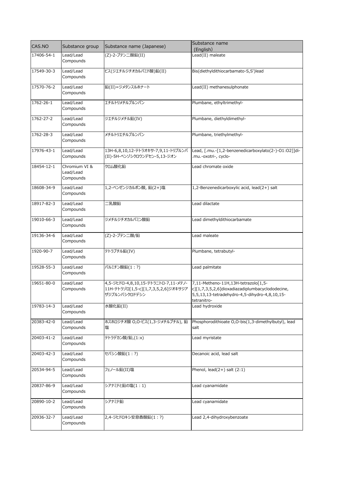| CAS.NO     | Substance group                         | Substance name (Japanese)                                                                   | Substance name<br>(English)                                                                                                                            |
|------------|-----------------------------------------|---------------------------------------------------------------------------------------------|--------------------------------------------------------------------------------------------------------------------------------------------------------|
| 17406-54-1 | Lead/Lead<br>Compounds                  | (Z)-2-ブテン二酸鉛(II)                                                                            | Lead(II) maleate                                                                                                                                       |
| 17549-30-3 | Lead/Lead<br>Compounds                  | ビス(ジエチルジチオカルバミド酸)鉛(II)                                                                      | Bis(diethyldithiocarbamato-S,S')lead                                                                                                                   |
| 17570-76-2 | Lead/Lead<br>Compounds                  | 鉛(II)=ジメタンスルホナート                                                                            | Lead(II) methanesulphonate                                                                                                                             |
| 1762-26-1  | Lead/Lead<br>Compounds                  | エチルトリメチルプルンバン                                                                               | Plumbane, ethyltrimethyl-                                                                                                                              |
| 1762-27-2  | Lead/Lead<br>Compounds                  | ジエチルジメチル鉛(IV)                                                                               | Plumbane, diethyldimethyl-                                                                                                                             |
| 1762-28-3  | Lead/Lead<br>Compounds                  | メチルトリエチルプルンバン                                                                               | Plumbane, triethylmethyl-                                                                                                                              |
| 17976-43-1 | Lead/Lead<br>Compounds                  | 13H-6,8,10,12-テトラオキサ-7,9,11-トリプルンバ<br>(II)-5H-ベンゾシクロウンデセン-5,13-ジオン                          | Lead, [.mu.-[1,2-benzenedicarboxylato(2-)-01:02]]di-<br>-mu.-oxotri-, cyclo.                                                                           |
| 18454-12-1 | Chromium VI &<br>Lead/Lead<br>Compounds | クロム酸化鉛                                                                                      | Lead chromate oxide                                                                                                                                    |
| 18608-34-9 | Lead/Lead<br>Compounds                  | 1,2-ベンゼンジカルボン酸, 鉛(2+)塩                                                                      | 1,2-Benzenedicarboxylic acid, lead(2+) salt                                                                                                            |
| 18917-82-3 | Lead/Lead<br>Compounds                  | 工乳酸鉛                                                                                        | Lead dilactate                                                                                                                                         |
| 19010-66-3 | Lead/Lead<br>Compounds                  | ジメチルジチオカルバミン酸鉛                                                                              | Lead dimethyldithiocarbamate                                                                                                                           |
| 19136-34-6 | Lead/Lead<br>Compounds                  | (Z)-2-ブテン二酸/鉛                                                                               | Lead maleate                                                                                                                                           |
| 1920-90-7  | Lead/Lead<br>Compounds                  | テトラブチル鉛(IV)                                                                                 | Plumbane, tetrabutyl-                                                                                                                                  |
| 19528-55-3 | Lead/Lead<br>Compounds                  | パルミチン酸鉛(1:?)                                                                                | Lead palmitate                                                                                                                                         |
| 19651-80-0 | Lead/Lead<br>Compounds                  | 4,5-ジヒドロ-4,8,10,15-テトラニトロ-7,11-メテノ-<br>11H-テトラゾロ[1,5-c][1,7,3,5,2,6]ジオキサジア<br>ザジプルンバシクロドデシン | 7,11-Metheno-11H,13H-tetrazolo[1,5-<br>c][1,7,3,5,2,6]dioxadiazadiplumbacyclododecine,<br>5,5,13,13-tetradehydro-4,5-dihydro-4,8,10,15-<br>tetranitro- |
| 19783-14-3 | Lead/Lead<br>Compounds                  | 水酸化鉛(II)                                                                                    | Lead hydroxide                                                                                                                                         |
| 20383-42-0 | Lead/Lead<br>Compounds                  | ホスホロジチオ酸 O,O-ビス(1,3-ジメチルブチル), 鉛<br>塩                                                        | Phosphorodithioate O,O-bis(1,3-dimethylbutyl), lead<br>salt                                                                                            |
| 20403-41-2 | Lead/Lead<br>Compounds                  | テトラデカン酸/鉛,(1:x)                                                                             | Lead myristate                                                                                                                                         |
| 20403-42-3 | Lead/Lead<br>Compounds                  | セバシン酸鉛(1:?)                                                                                 | Decanoic acid, lead salt                                                                                                                               |
| 20534-94-5 | Lead/Lead<br>Compounds                  | フェノール鉛(II)塩                                                                                 | Phenol, $lead(2+)$ salt $(2:1)$                                                                                                                        |
| 20837-86-9 | Lead/Lead<br>Compounds                  | シアナミドと鉛の塩(1:1)                                                                              | Lead cyanamidate                                                                                                                                       |
| 20890-10-2 | Lead/Lead<br>Compounds                  | シアナミド鉛                                                                                      | Lead cyanamidate                                                                                                                                       |
| 20936-32-7 | Lead/Lead<br>Compounds                  | 2,4-ジヒドロキシ安息香酸鉛(1:?)                                                                        | Lead 2,4-dihydroxybenzoate                                                                                                                             |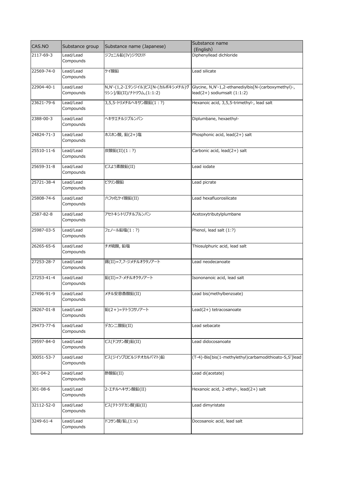| CAS.NO         | Substance group        | Substance name (Japanese)          | Substance name<br>(English)                            |
|----------------|------------------------|------------------------------------|--------------------------------------------------------|
| 2117-69-3      | Lead/Lead              | ジフェニル鉛(IV)ジクロリド                    | Diphenyllead dichloride                                |
|                | Compounds              |                                    |                                                        |
| 22569-74-0     | Lead/Lead              | ケイ酸鉛                               | Lead silicate                                          |
|                | Compounds              |                                    |                                                        |
| 22904-40-1     | Lead/Lead              | N, N'-(1,2-エタンジイル)ビス[N-(カルボキシメチル)グ | Glycine, N,N'-1,2-ethanediylbis[N-(carboxymethyl)-,    |
|                | Compounds              | リシン]/鉛(II)/ナトリウム,(1:1:2)           | $lead(2+)$ sodiumsalt $(1:1:2)$                        |
| 23621-79-6     | Lead/Lead              | 3,5,5-トリメチルヘキサン酸鉛(1:?)             | Hexanoic acid, 3,5,5-trimethyl-, lead salt             |
|                | Compounds              |                                    |                                                        |
| 2388-00-3      | Lead/Lead              | ヘキサエチルジプルンバン                       | Diplumbane, hexaethyl-                                 |
|                | Compounds              |                                    |                                                        |
| 24824-71-3     | Lead/Lead              | ホスホン酸, 鉛(2+)塩                      | Phosphonic acid, lead(2+) salt                         |
|                | Compounds              |                                    |                                                        |
| 25510-11-6     | Lead/Lead              | 炭酸鉛(II)(1:?)                       | Carbonic acid, lead(2+) salt                           |
|                | Compounds              |                                    |                                                        |
|                |                        |                                    |                                                        |
| 25659-31-8     | Lead/Lead<br>Compounds | ビスよう素酸鉛(II)                        | Lead iodate                                            |
|                |                        |                                    |                                                        |
| 25721-38-4     | Lead/Lead              | ピクリン酸鉛                             | Lead picrate                                           |
|                | Compounds              |                                    |                                                        |
| 25808-74-6     | Lead/Lead              | 六フッ化ケイ酸鉛(II)                       | Lead hexafluorosilicate                                |
|                | Compounds              |                                    |                                                        |
| 2587-82-8      | Lead/Lead              | アセトキシトリブチルプルンバン                    | Acetoxytributylplumbane                                |
|                | Compounds              |                                    |                                                        |
| 25987-03-5     | Lead/Lead              | フェノール鉛塩(1:?)                       | Phenol, lead salt (1:?)                                |
|                | Compounds              |                                    |                                                        |
| 26265-65-6     | Lead/Lead              | チオ硫酸, 鉛塩                           | Thiosulphuric acid, lead salt                          |
|                | Compounds              |                                    |                                                        |
| 27253-28-7     | Lead/Lead              | 錫(II)=7,7-ジメチルオクタノアート              | Lead neodecanoate                                      |
|                | Compounds              |                                    |                                                        |
|                |                        |                                    |                                                        |
| 27253-41-4     | Lead/Lead<br>Compounds | 鉛(II)=7-メチルオクタノアート                 | Isononanoic acid, lead salt                            |
|                |                        |                                    |                                                        |
| 27496-91-9     | Lead/Lead<br>Compounds | メチル安息香酸鉛(II)                       | Lead bis(methylbenzoate)                               |
|                |                        |                                    |                                                        |
| 28267-01-8     | Lead/Lead              | 鉛(2+)=テトラコサノアート                    | Lead(2+) tetracosanoate                                |
|                | Compounds              |                                    |                                                        |
| 29473-77-6     | Lead/Lead              | デカン二酸鉛(II)                         | Lead sebacate                                          |
|                | Compounds              |                                    |                                                        |
| 29597-84-0     | Lead/Lead              | ビス(ドコサン酸)鉛(II)                     | Lead didocosanoate                                     |
|                | Compounds              |                                    |                                                        |
| 30051-53-7     | Lead/Lead              | ビス(ジイソプロピルジチオカルバマト)鉛               | (T-4)-Bis[bis(1-methylethyl)carbamodithioato-S,S']lead |
|                | Compounds              |                                    |                                                        |
| $301 - 04 - 2$ | Lead/Lead              | 酢酸鉛(II)                            | Lead di(acetate)                                       |
|                | Compounds              |                                    |                                                        |
| 301-08-6       | Lead/Lead              | 2-エチルヘキサン酸鉛(II)                    | Hexanoic acid, 2-ethyl-, lead(2+) salt                 |
|                | Compounds              |                                    |                                                        |
|                |                        |                                    |                                                        |
| 32112-52-0     | Lead/Lead<br>Compounds | ビス(テトラデカン酸)鉛(II)                   | Lead dimyristate                                       |
|                |                        |                                    |                                                        |
| 3249-61-4      | Lead/Lead              | ドコサン酸/鉛,(1:x)                      | Docosanoic acid, lead salt                             |
|                | Compounds              |                                    |                                                        |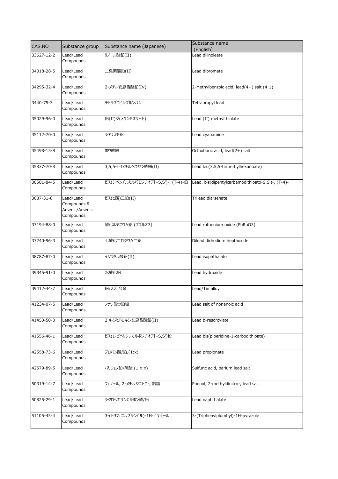| CAS.NO     | Substance group                                          | Substance name (Japanese)         | Substance name                                    |
|------------|----------------------------------------------------------|-----------------------------------|---------------------------------------------------|
|            |                                                          |                                   | (English)                                         |
| 33627-12-2 | Lead/Lead<br>Compounds                                   | リノール酸鉛(II)                        | Lead dilinoleate                                  |
| 34018-28-5 | Lead/Lead<br>Compounds                                   | 二臭素酸鉛(II)                         | Lead dibromate                                    |
| 34295-32-4 | Lead/Lead<br>Compounds                                   | 2-メチル安息香酸鉛(IV)                    | 2-Methylbenzoic acid, lead(4+) salt (4:1)         |
| 3440-75-3  | Lead/Lead<br>Compounds                                   | テトラプロピルプルンバン                      | Tetrapropyl lead                                  |
| 35029-96-0 | Lead/Lead<br>Compounds                                   | 鉛(II)ジ(メタンチオラート)                  | Lead (II) methylthiolate                          |
| 35112-70-0 | Lead/Lead<br>Compounds                                   | シアナミド鉛                            | Lead cyanamide                                    |
| 35498-15-8 | Lead/Lead<br>Compounds                                   | ホウ酸鉛                              | Orthoboric acid, lead(2+) salt                    |
| 35837-70-8 | Lead/Lead<br>Compounds                                   | 3,5,5-トリメチルヘキサン酸鉛(II)             | Lead bis(3,5,5-trimethylhexanoate)                |
| 36501-84-5 | Lead/Lead<br>Compounds                                   | ビス(ジペンチルカルバモジチオアト-S,S')-, (T-4)-鉛 | Lead, bis(dipentylcarbamodithioato-S,S')-, (T-4)- |
| 3687-31-8  | Lead/Lead<br>Compounds &<br>Arsenic/Arsenic<br>Compounds | ビス(ヒ酸)三鉛(II)                      | Trilead diarsenate                                |
| 37194-88-0 | Lead/Lead<br>Compounds                                   | 酸化ルテニウム鉛 (プブルオ3)                  | Lead ruthenium oxide (PbRuO3)                     |
| 37240-96-3 | Lead/Lead<br>Compounds                                   | 七酸化ニロジウム二鉛                        | Dilead dirhodium heptaoxide                       |
| 38787-87-0 | Lead/Lead<br>Compounds                                   | イソフタル酸鉛(II)                       | Lead isophthalate                                 |
| 39345-91-0 | Lead/Lead<br>Compounds                                   | 水酸化鉛                              | Lead hydroxide                                    |
| 39412-44-7 | Lead/Lead<br>Compounds                                   | 鉛/スズ 合金                           | Lead/Tin alloy                                    |
| 41234-07-5 | Lead/Lead<br>Compounds                                   | ノナン酸の鉛塩                           | Lead salt of nonanoic acid                        |
| 41453-50-3 | Lead/Lead<br>Compounds                                   | 2,4-ジヒドロキシ安息香酸鉛(II)               | Lead b-resorcylate                                |
| 41556-46-1 | Lead/Lead<br>Compounds                                   | ビス(1-ピペリジンカルボジチオアト-S,S')鉛         | Lead bis(piperidine-1-carbodithioate)             |
| 42558-73-6 | Lead/Lead<br>Compounds                                   | プロパン酸/鉛,(1:x)                     | Lead propionate                                   |
| 42579-89-5 | Lead/Lead<br>Compounds                                   | バリウム/鉛/硫酸,(1:x:x)                 | Sulfuric acid, barium lead salt                   |
| 50319-14-7 | Lead/Lead<br>Compounds                                   | フェノール, 2-メチルジニトロ-, 鉛塩             | Phenol, 2-methyldinitro-, lead salt               |
| 50825-29-1 | Lead/Lead<br>Compounds                                   | シクロヘキサンカルボン酸/鉛                    | Lead naphthalate                                  |
| 51105-45-4 | Lead/Lead<br>Compounds                                   | 3-(トリフェニルプルンビル)-1H-ピラゾール          | 3-(Triphenylplumbyl)-1H-pyrazole                  |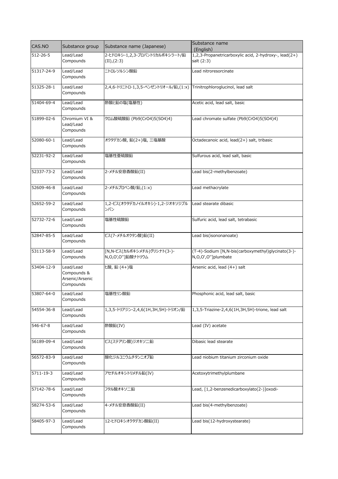| CAS.NO         | Substance group                                          | Substance name (Japanese)                                             | Substance name<br>(English)                                              |
|----------------|----------------------------------------------------------|-----------------------------------------------------------------------|--------------------------------------------------------------------------|
| $512 - 26 - 5$ | Lead/Lead<br>Compounds                                   | 2-ヒドロキシ-1,2,3-プロパントリカルボキシラート/鉛<br>(II), (2:3)                         | 1,2,3-Propanetricarboxylic acid, 2-hydroxy-, lead(2+)<br>salt (2:3)      |
| 51317-24-9     | Lead/Lead<br>Compounds                                   | ニトロレソルシン酸鉛                                                            | Lead nitroresorcinate                                                    |
| 51325-28-1     | Lead/Lead<br>Compounds                                   | 2,4,6-トリニトロ-1,3,5-ベンゼントリオール/鉛,(1:x) Trinitrophloroglucinol, lead salt |                                                                          |
| 51404-69-4     | Lead/Lead<br>Compounds                                   | 酢酸と鉛の塩(塩基性)                                                           | Acetic acid, lead salt, basic                                            |
| 51899-02-6     | Chromium VI &<br>Lead/Lead<br>Compounds                  | クロム酸硫酸鉛 (Pb9(CrO4)5(SO4)4)                                            | Lead chromate sulfate (Pb9(CrO4)5(SO4)4)                                 |
| 52080-60-1     | Lead/Lead<br>Compounds                                   | オクタデカン酸, 鉛(2+)塩, 三塩基酸                                                 | Octadecanoic acid, lead(2+) salt, tribasic                               |
| 52231-92-2     | Lead/Lead<br>Compounds                                   | 塩基性亜硫酸鉛                                                               | Sulfurous acid, lead salt, basic                                         |
| 52337-73-2     | Lead/Lead<br>Compounds                                   | 2-メチル安息香酸鉛(II)                                                        | Lead bis(2-methylbenzoate)                                               |
| 52609-46-8     | Lead/Lead<br>Compounds                                   | 2-メチルプロペン酸/鉛,(1:x)                                                    | Lead methacrylate                                                        |
| 52652-59-2     | Lead/Lead<br>Compounds                                   | 1,2-ビス(オクタデカノイルオキシ)-1,2-ジオキソジプル<br>ンバン                                | Lead stearate dibasic                                                    |
| 52732-72-6     | Lead/Lead<br>Compounds                                   | 塩基性硫酸鉛                                                                | Sulfuric acid, lead salt, tetrabasic                                     |
| 52847-85-5     | Lead/Lead<br>Compounds                                   | ビス(7-メチルオクタン酸)鉛(II)                                                   | Lead bis(isononanoate)                                                   |
| 53113-58-9     | Lead/Lead<br>Compounds                                   | [N,N-ビス(カルボキシメチル)グリシナト(3-)-<br>N, O, O', O''] 鉛酸ナトリウム                 | (T-4)-Sodium [N,N-bis(carboxymethyl)glycinato(3-)-<br>N,O,O',O"]plumbate |
| 53404-12-9     | Lead/Lead<br>Compounds &<br>Arsenic/Arsenic<br>Compounds | L酸, 鉛 (4+)塩                                                           | Arsenic acid, lead (4+) salt                                             |
| 53807-64-0     | Lead/Lead<br>Compounds                                   | 塩基性リン酸鉛                                                               | Phosphonic acid, lead salt, basic                                        |
| 54554-36-8     | Lead/Lead<br>Compounds                                   | 1,3,5-トリアジン-2,4,6(1H,3H,5H)-トリオン/鉛                                    | 1,3,5-Triazine-2,4,6(1H,3H,5H)-trione, lead salt                         |
| 546-67-8       | Lead/Lead<br>Compounds                                   | 酢酸鉛(IV)                                                               | Lead (IV) acetate                                                        |
| 56189-09-4     | Lead/Lead<br>Compounds                                   | ビス(ステアリン酸)ジオキソ二鉛                                                      | Dibasic lead stearate                                                    |
| 56572-83-9     | Lead/Lead<br>Compounds                                   | 酸化ジルコニウムチタンニオブ鉛                                                       | Lead niobium titanium zirconium oxide                                    |
| 5711-19-3      | Lead/Lead<br>Compounds                                   | アセチルオキシトリメチル鉛(IV)                                                     | Acetoxytrimethylplumbane                                                 |
| 57142-78-6     | Lead/Lead<br>Compounds                                   | フタル酸オキソ二鉛                                                             | Lead, [1,2-benzenedicarboxylato(2-)]oxodi-                               |
| 58274-53-6     | Lead/Lead<br>Compounds                                   | 4-メチル安息香酸鉛(II)                                                        | Lead bis(4-methylbenzoate)                                               |
| 58405-97-3     | Lead/Lead<br>Compounds                                   | 12-ヒドロキシオクタデカン酸鉛(II)                                                  | Lead bis(12-hydroxystearate)                                             |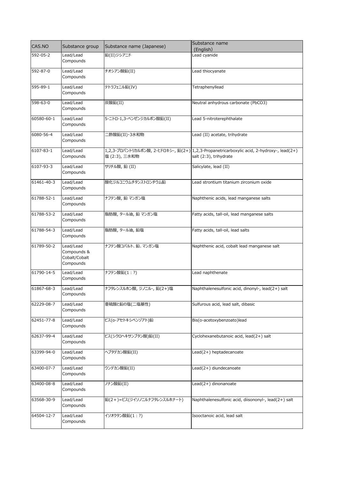| CAS.NO     | Substance group                                        | Substance name (Japanese)   | Substance name                                                                                                     |
|------------|--------------------------------------------------------|-----------------------------|--------------------------------------------------------------------------------------------------------------------|
| 592-05-2   | Lead/Lead                                              | 鉛(II)ジシアニド                  | (English)<br>Lead cyanide                                                                                          |
|            | Compounds                                              |                             |                                                                                                                    |
| 592-87-0   | Lead/Lead<br>Compounds                                 | チオシアン酸鉛(II)                 | Lead thiocyanate                                                                                                   |
| 595-89-1   | Lead/Lead<br>Compounds                                 | テトラフェニル鉛(IV)                | Tetraphenyllead                                                                                                    |
| 598-63-0   | Lead/Lead<br>Compounds                                 | 炭酸鉛(II)                     | Neutral anhydrous carbonate (PbCO3)                                                                                |
| 60580-60-1 | Lead/Lead<br>Compounds                                 | 5-ニトロ-1,3-ベンゼンジカルボン酸鉛(II)   | Lead 5-nitroterephthalate                                                                                          |
| 6080-56-4  | Lead/Lead<br>Compounds                                 | 二酢酸鉛(II)・3水和物               | Lead (II) acetate, trihydrate                                                                                      |
| 6107-83-1  | Lead/Lead<br>Compounds                                 | 塩 (2:3), 三水和物               | 1,2,3-プロパントリカルボン酸, 2-ヒドロキシ-, 鉛(2+) 1,2,3-Propanetricarboxylic acid, 2-hydroxy-, lead(2+)<br>salt (2:3), trihydrate |
| 6107-93-3  | Lead/Lead<br>Compounds                                 | サリチル酸, 鉛 (II)               | Salicylate, lead (II)                                                                                              |
| 61461-40-3 | Lead/Lead<br>Compounds                                 | 酸化ジルコニウムチタンストロンチウム鉛         | Lead strontium titanium zirconium oxide                                                                            |
| 61788-52-1 | Lead/Lead<br>Compounds                                 | ナフテン酸, 鉛 マンガン塩              | Naphthenic acids, lead manganese salts                                                                             |
| 61788-53-2 | Lead/Lead<br>Compounds                                 | 脂肪酸, タール油, 鉛 マンガン塩          | Fatty acids, tall-oil, lead manganese salts                                                                        |
| 61788-54-3 | Lead/Lead<br>Compounds                                 | 脂肪酸, タール油, 鉛塩               | Fatty acids, tall-oil, lead salts                                                                                  |
| 61789-50-2 | Lead/Lead<br>Compounds &<br>Cobalt/Cobalt<br>Compounds | ナフテン酸コバルト、鉛、マンガン塩           | Naphthenic acid, cobalt lead manganese salt                                                                        |
| 61790-14-5 | Lead/Lead<br>Compounds                                 | ナフテン酸鉛(1:?)                 | Lead naphthenate                                                                                                   |
| 61867-68-3 | Lead/Lead<br>Compounds                                 | ナフタレンスルホン酸, ジノニル-, 鉛(2+)塩   | Naphthalenesulfonic acid, dinonyl-, lead(2+) salt                                                                  |
| 62229-08-7 | Lead/Lead<br>Compounds                                 | 亜硫酸と鉛の塩(二塩基性)               | Sulfurous acid, lead salt, dibasic                                                                                 |
| 62451-77-8 | Lead/Lead<br>Compounds                                 | ビス(o-アセトキシベンゾアト)鉛           | Bis(o-acetoxybenzoato)lead                                                                                         |
| 62637-99-4 | Lead/Lead<br>Compounds                                 | ビス(シクロヘキサンブタン酸)鉛(II)        | Cyclohexanebutanoic acid, lead(2+) salt                                                                            |
| 63399-94-0 | Lead/Lead<br>Compounds                                 | ヘプタデカン酸鉛(II)                | Lead(2+) heptadecanoate                                                                                            |
| 63400-07-7 | Lead/Lead<br>Compounds                                 | ウンデカン酸鉛(II)                 | Lead(2+) diundecanoate                                                                                             |
| 63400-08-8 | Lead/Lead<br>Compounds                                 | ノナン酸鉛(II)                   | Lead(2+) dinonanoate                                                                                               |
| 63568-30-9 | Lead/Lead<br>Compounds                                 | 鉛(2+)=ビス(ジイソノニルナフタレンスルホナート) | Naphthalenesulfonic acid, diisononyl-, lead(2+) salt                                                               |
| 64504-12-7 | Lead/Lead<br>Compounds                                 | イソオクタン酸鉛(1:?)               | Isooctanoic acid, lead salt                                                                                        |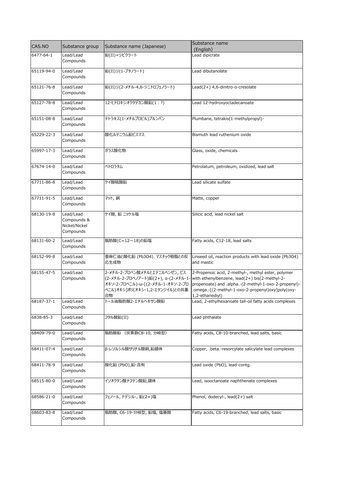|            |                                                        |                                                                                                                                                   | Substance name                                                                                                                                                                                                                      |
|------------|--------------------------------------------------------|---------------------------------------------------------------------------------------------------------------------------------------------------|-------------------------------------------------------------------------------------------------------------------------------------------------------------------------------------------------------------------------------------|
| CAS.NO     | Substance group                                        | Substance name (Japanese)                                                                                                                         | (English)                                                                                                                                                                                                                           |
| 6477-64-1  | Lead/Lead<br>Compounds                                 | 鉛(II)=ジピクラート                                                                                                                                      | Lead dipicrate                                                                                                                                                                                                                      |
| 65119-94-0 | Lead/Lead<br>Compounds                                 | 鉛(II)ジ(1-ブタノラート)                                                                                                                                  | Lead dibutanolate                                                                                                                                                                                                                   |
| 65121-76-8 | Lead/Lead<br>Compounds                                 | 鉛(II)ジ(2-メチル-4,6-ジニトロフェノラート)                                                                                                                      | Lead(2+) 4,6-dinitro-o-cresolate                                                                                                                                                                                                    |
| 65127-78-8 | Lead/Lead<br>Compounds                                 | 12-ヒドロキシオクタデカン酸鉛(1:?)                                                                                                                             | Lead 12-hydroxyoctadecanoate                                                                                                                                                                                                        |
| 65151-08-8 | Lead/Lead<br>Compounds                                 | テトラキス(1-メチルプロピル)プルンバン                                                                                                                             | Plumbane, tetrakis(1-methylpropyl)-                                                                                                                                                                                                 |
| 65229-22-3 | Lead/Lead<br>Compounds                                 | 酸化ルテニウム鉛ビスマス                                                                                                                                      | Bismuth lead ruthenium oxide                                                                                                                                                                                                        |
| 65997-17-3 | Lead/Lead<br>Compounds                                 | ガラス酸化物                                                                                                                                            | Glass, oxide, chemicals                                                                                                                                                                                                             |
| 67674-14-0 | Lead/Lead<br>Compounds                                 | ペトロラタム                                                                                                                                            | Petrolatum, petroleum, oxidized, lead salt                                                                                                                                                                                          |
| 67711-86-8 | Lead/Lead<br>Compounds                                 | ケイ酸硫酸鉛                                                                                                                                            | Lead silicate sulfate                                                                                                                                                                                                               |
| 67711-91-5 | Lead/Lead<br>Compounds                                 | マット, 銅                                                                                                                                            | Matte, copper                                                                                                                                                                                                                       |
| 68130-19-8 | Lead/Lead<br>Compounds &<br>Nickel/Nickel<br>Compounds | ケイ酸, 鉛 ニッケル塩                                                                                                                                      | Silicic acid, lead nickel salt                                                                                                                                                                                                      |
| 68131-60-2 | Lead/Lead<br>Compounds                                 | 脂肪酸(C=12~18)の鉛塩                                                                                                                                   | Fatty acids, C12-18, lead salts                                                                                                                                                                                                     |
| 68152-99-8 | Lead/Lead<br>Compounds                                 | 亜麻仁油と酸化鉛 (Pb3O4)、マスチック樹脂との反<br>応生成物                                                                                                               | Linseed oil, reaction products with lead oxide (Pb3O4)<br>and mastic                                                                                                                                                                |
| 68155-47-5 | Lead/Lead<br>Compounds                                 | 2-メチル-2-プロペン酸メチルとエテニルベンゼン, ビス<br>(2-メチル-2-プロペノアート)鉛(2+), a-(2-メチル-1-<br>オキソ-2-プロペニル)-ω-[(2-メチル-1-オキソ-2-プロ<br>ペニル)オキシ]ポリ(オキシ-1,2-エタンジイル)との共重<br>合物 | 2-Propenoic acid, 2-methyl-, methyl ester, polymer<br>with ethenylbenzene, lead(2+) bis(2-methyl-2-<br>propenoate) and .alpha.-(2-methyl-1-oxo-2-propenyl)-<br>.omega.-[(2-methyl-1-oxo-2-propenyl)oxy]poly(oxy-<br>1,2-ethanediyl) |
| 68187-37-1 | Lead/Lead<br>Compounds                                 | トール油脂肪酸2-エチルヘキサン酸鉛                                                                                                                                | Lead, 2-ethylhexanoate tall-oil fatty acids complexes                                                                                                                                                                               |
| 6838-85-3  | Lead/Lead<br>Compounds                                 | フタル酸鉛(II)                                                                                                                                         | Lead phthalate                                                                                                                                                                                                                      |
| 68409-79-0 | Lead/Lead<br>Compounds                                 | 脂肪酸鉛 (炭素数C8-10, 分岐型)                                                                                                                              | Fatty acids, C8-10-branched, lead salts, basic                                                                                                                                                                                      |
| 68411-07-4 | Lead/Lead<br>Compounds                                 | β-レソルシル酸サリチル酸銅,鉛錯体                                                                                                                                | Copper, .beta.-resorcylate salicylate lead complexes                                                                                                                                                                                |
| 68411-78-9 | Lead/Lead<br>Compounds                                 | 酸化鉛 (PbO),鉛-含有                                                                                                                                    | Lead oxide (PbO), lead-contg.                                                                                                                                                                                                       |
| 68515-80-0 | Lead/Lead<br>Compounds                                 | イソオクタン酸ナフテン酸鉛,錯体                                                                                                                                  | Lead, isooctanoate naphthenate complexes                                                                                                                                                                                            |
| 68586-21-0 | Lead/Lead<br>Compounds                                 | フェノール, ドデシル-, 鉛(2+)塩                                                                                                                              | Phenol, dodecyl-, lead(2+) salt                                                                                                                                                                                                     |
| 68603-83-8 | Lead/Lead<br>Compounds                                 | 脂肪酸, C6-19-分岐型, 鉛塩, 塩基酸                                                                                                                           | Fatty acids, C6-19-branched, lead salts, basic                                                                                                                                                                                      |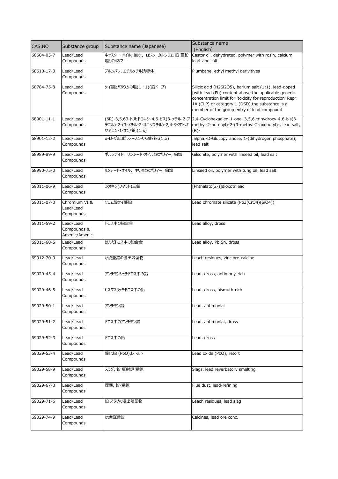| CAS.NO     | Substance group                             | Substance name (Japanese)                              | Substance name<br>(English)                                                                                                                                                                                                                                                  |
|------------|---------------------------------------------|--------------------------------------------------------|------------------------------------------------------------------------------------------------------------------------------------------------------------------------------------------------------------------------------------------------------------------------------|
| 68604-05-7 | Lead/Lead<br>Compounds                      | キャスター・オイル, 無水, ロジン, カルシウム 鉛 亜鉛<br>塩とのポリマー              | Castor oil, dehydrated, polymer with rosin, calcium<br>lead zinc salt                                                                                                                                                                                                        |
| 68610-17-3 | Lead/Lead<br>Compounds                      | プルンバン, エチルメチル誘導体                                       | Plumbane, ethyl methyl derivitives                                                                                                                                                                                                                                           |
| 68784-75-8 | Lead/Lead<br>Compounds                      | ケイ酸とバリウムの塩(1:1)(鉛ドープ)                                  | Silicic acid (H2Si2O5), barium salt (1:1), lead-doped<br>[with lead (Pb) content above the applicable generic<br>concentration limit for 'toxicity for reproduction' Repr.<br>1A (CLP) or category 1 (DSD), the substance is a<br>member of the group entry of lead compound |
| 68901-11-1 | Lead/Lead<br>Compounds                      | テニル)-2-(3-メチル-2-オキソブチル)-2,4-シクロヘキ<br>サジエン-1-オン/鉛,(1:x) | (6R)-3,5,6β-トリヒドロキシ-4,6-ビス(3-メチル-2-ブ 2,4-Cyclohexadien-1-one, 3,5,6-trihydroxy-4,6-bis(3-<br>methyl-2-butenyl)-2-(3-methyl-2-oxobutyl)-, lead salt,<br>(R)-                                                                                                                  |
| 68901-12-2 | Lead/Lead<br>Compounds                      | q-D-グルコピラノース1-りん酸/鉛,(1:x)                              | .alpha.-D-Glucopyranose, 1-(dihydrogen phosphate),<br>lead salt                                                                                                                                                                                                              |
| 68989-89-9 | Lead/Lead<br>Compounds                      | ギルソナイト, リンシード・オイルとのポリマー, 鉛塩                            | Gilsonite, polymer with linseed oil, lead salt                                                                                                                                                                                                                               |
| 68990-75-0 | Lead/Lead<br>Compounds                      | リンシード・オイル, キリ油とのポリマー, 鉛塩                               | Linseed oil, polymer with tung oil, lead salt                                                                                                                                                                                                                                |
| 69011-06-9 | Lead/Lead<br>Compounds                      | ジオキソ(フタラト)三鉛                                           | [Phthalato(2-)]dioxotrilead                                                                                                                                                                                                                                                  |
| 69011-07-0 | Chromium VI &<br>Lead/Lead<br>Compounds     | クロム酸ケイ酸鉛                                               | Lead chromate silicate (Pb3(CrO4)(SiO4))                                                                                                                                                                                                                                     |
| 69011-59-2 | Lead/Lead<br>Compounds &<br>Arsenic/Arsenic | ドロス中の鉛合金                                               | Lead alloy, dross                                                                                                                                                                                                                                                            |
| 69011-60-5 | Lead/Lead<br>Compounds                      | はんだドロス中の鉛合金                                            | Lead alloy, Pb, Sn, dross                                                                                                                                                                                                                                                    |
| 69012-70-0 | Lead/Lead<br>Compounds                      | か焼亜鉛の浸出残留物                                             | Leach residues, zinc ore-calcine                                                                                                                                                                                                                                             |
| 69029-45-4 | Lead/Lead<br>Compounds                      | アンチモンリッチドロス中の鉛                                         | Lead, dross, antimony-rich                                                                                                                                                                                                                                                   |
| 69029-46-5 | Lead/Lead<br>Compounds                      | ビスマスリッチドロス中の鉛                                          | Lead, dross, bismuth-rich                                                                                                                                                                                                                                                    |
| 69029-50-1 | Lead/Lead<br>Compounds                      | アンチモン鉛                                                 | Lead, antimonial                                                                                                                                                                                                                                                             |
| 69029-51-2 | Lead/Lead<br>Compounds                      | ドロス中のアンチモン鉛                                            | Lead, antimonial, dross                                                                                                                                                                                                                                                      |
| 69029-52-3 | Lead/Lead<br>Compounds                      | ドロス中の鉛                                                 | Lead, dross                                                                                                                                                                                                                                                                  |
| 69029-53-4 | Lead/Lead<br>Compounds                      | 酸化鉛 (PbO),レトルト                                         | Lead oxide (PbO), retort                                                                                                                                                                                                                                                     |
| 69029-58-9 | Lead/Lead<br>Compounds                      | スラグ, 鉛 反射炉 精錬                                          | Slags, lead reverbatory smelting                                                                                                                                                                                                                                             |
| 69029-67-0 | Lead/Lead<br>Compounds                      | 煙塵, 鉛-精錬                                               | Flue dust, lead-refining                                                                                                                                                                                                                                                     |
| 69029-71-6 | Lead/Lead<br>Compounds                      | 鉛 スラグの浸出残留物                                            | Leach residues, lead slag                                                                                                                                                                                                                                                    |
| 69029-74-9 | Lead/Lead<br>Compounds                      | か焼鉛選鉱                                                  | Calcines, lead ore conc.                                                                                                                                                                                                                                                     |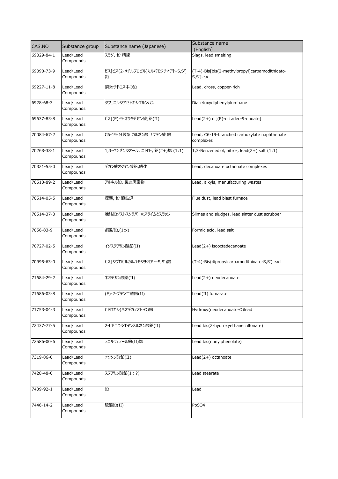| CAS.NO     | Substance group        | Substance name (Japanese)            | Substance name                                              |
|------------|------------------------|--------------------------------------|-------------------------------------------------------------|
| 69029-84-1 | Lead/Lead              | スラグ, 鉛 精錬                            | (English)<br>Slags, lead smelting                           |
|            | Compounds              |                                      |                                                             |
| 69090-73-9 | Lead/Lead<br>Compounds | ビス[ビス(2-メチルプロピル)カルバモジチオアト-S,S']<br>鉛 | (T-4)-Bis[bis(2-methylpropyl)carbamodithioato-<br>S,S']lead |
| 69227-11-8 | Lead/Lead<br>Compounds | 銅リッチドロス中の鉛                           | Lead, dross, copper-rich                                    |
| 6928-68-3  | Lead/Lead<br>Compounds | ジフェニルジアセトキシプルンバン                     | Diacetoxydiphenylplumbane                                   |
| 69637-83-8 | Lead/Lead<br>Compounds | ビス[(E)-9-オクタデセン酸]鉛(II)               | Lead(2+) di[(E)-octadec-9-enoate]                           |
| 70084-67-2 | Lead/Lead<br>Compounds | C6-19-分岐型 カルボン酸 ナフテン酸 鉛              | Lead, C6-19-branched carboxylate naphthenate<br>complexes   |
| 70268-38-1 | Lead/Lead<br>Compounds | 1,3-ベンゼンジオール, ニトロ-, 鉛(2+)塩 (1:1)     | 1,3-Benzenediol, nitro-, lead(2+) salt (1:1)                |
| 70321-55-0 | Lead/Lead<br>Compounds | デカン酸オクタン酸鉛,錯体                        | Lead, decanoate octanoate complexes                         |
| 70513-89-2 | Lead/Lead<br>Compounds | アルキル鉛, 製造廃棄物                         | Lead, alkyls, manufacturing wastes                          |
| 70514-05-5 | Lead/Lead<br>Compounds | 煙塵,鉛溶鉱炉                              | Flue dust, lead blast furnace                               |
| 70514-37-3 | Lead/Lead<br>Compounds | 焼結鉛ダストスクラバーのスライムとスラッジ                | Slimes and sludges, lead sinter dust scrubber               |
| 7056-83-9  | Lead/Lead<br>Compounds | ぎ酸/鉛,(1:x)                           | Formic acid, lead salt                                      |
| 70727-02-5 | Lead/Lead<br>Compounds | イソステアリン酸鉛(II)                        | Lead(2+) isooctadecanoate                                   |
| 70995-63-0 | Lead/Lead<br>Compounds | ビス(ジプロピルカルバモジチオアト-S,S')鉛             | (T-4)-Bis(dipropylcarbamodithioato-S,S')lead                |
| 71684-29-2 | Lead/Lead<br>Compounds | ネオデカン酸鉛(II)                          | Lead(2+) neodecanoate                                       |
| 71686-03-8 | Lead/Lead<br>Compounds | (E)-2-ブテン二酸鉛(II)                     | Lead(II) fumarate                                           |
| 71753-04-3 | Lead/Lead<br>Compounds | ヒドロキシ(ネオデカノアト-O)鉛                    | Hydroxy(neodecanoato-O)lead                                 |
| 72437-77-5 | Lead/Lead<br>Compounds | 2-ヒドロキシエタンスルホン酸鉛(II)                 | Lead bis(2-hydroxyethanesulfonate)                          |
| 72586-00-6 | Lead/Lead<br>Compounds | ノニルフェノール鉛(II)塩                       | Lead bis(nonylphenolate)                                    |
| 7319-86-0  | Lead/Lead<br>Compounds | オクタン酸鉛(II)                           | Lead(2+) octanoate                                          |
| 7428-48-0  | Lead/Lead<br>Compounds | ステアリン酸鉛(1:?)                         | Lead stearate                                               |
| 7439-92-1  | Lead/Lead<br>Compounds | 鉛                                    | Lead                                                        |
| 7446-14-2  | Lead/Lead<br>Compounds | 硫酸鉛(II)                              | PbSO4                                                       |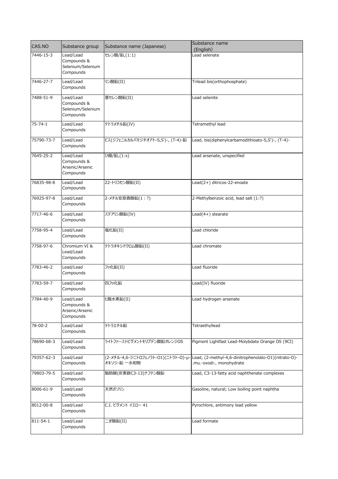| CAS.NO        | Substance group                                            | Substance name (Japanese)         | Substance name                                                                                                       |
|---------------|------------------------------------------------------------|-----------------------------------|----------------------------------------------------------------------------------------------------------------------|
| 7446-15-3     | Lead/Lead                                                  | セレン酸/鉛,(1:1)                      | (English)<br>Lead selenate                                                                                           |
|               | Compounds &<br>Selenium/Selenium<br>Compounds              |                                   |                                                                                                                      |
| 7446-27-7     | Lead/Lead<br>Compounds                                     | リン酸鉛(II)                          | Trilead bis(orthophosphate)                                                                                          |
| 7488-51-9     | Lead/Lead<br>Compounds &<br>Selenium/Selenium<br>Compounds | 亜セレン酸鉛(II)                        | Lead selenite                                                                                                        |
| $75 - 74 - 1$ | Lead/Lead<br>Compounds                                     | テトラメチル鉛(IV)                       | Tetramethyl lead                                                                                                     |
| 75790-73-7    | Lead/Lead<br>Compounds                                     | ビス(ジフェニルカルバモジチオアト-S,S')-, (T-4)-鉛 | Lead, bis(diphenylcarbamodithioato-S,S')-, (T-4)-                                                                    |
| 7645-25-2     | Lead/Lead<br>Compounds &<br>Arsenic/Arsenic<br>Compounds   | ひ酸/鉛, (1:x)                       | Lead arsenate, unspecified                                                                                           |
| 76835-98-8    | Lead/Lead<br>Compounds                                     | 22-トリコセン酸鉛(II)                    | Lead(2+) ditricos-22-enoate                                                                                          |
| 76925-97-8    | Lead/Lead<br>Compounds                                     | 2-メチル安息香酸鉛(1:?)                   | 2-Methylbenzoic acid, lead salt (1:?)                                                                                |
| 7717-46-6     | Lead/Lead<br>Compounds                                     | ステアリン酸鉛(IV)                       | Lead(4+) stearate                                                                                                    |
| 7758-95-4     | Lead/Lead<br>Compounds                                     | 塩化鉛(II)                           | Lead chloride                                                                                                        |
| 7758-97-6     | Chromium VI &<br>Lead/Lead<br>Compounds                    | テトラオキシドクロム酸鉛(II)                  | Lead chromate                                                                                                        |
| 7783-46-2     | Lead/Lead<br>Compounds                                     | フッ化鉛(II)                          | Lead fluoride                                                                                                        |
| 7783-59-7     | Lead/Lead<br>Compounds                                     | 四フッ化鉛                             | Lead(IV) fluoride                                                                                                    |
| 7784-40-9     | Lead/Lead<br>Compounds &<br>Arsenic/Arsenic<br>Compounds   | ヒ酸水素鉛(II)                         | Lead hydrogen arsenate                                                                                               |
| 78-00-2       | Lead/Lead<br>Compounds                                     | テトラエチル鉛                           | Tetraethyllead                                                                                                       |
| 78690-68-3    | Lead/Lead<br>Compounds                                     | ライトファーストピグメントモリブデン酸鉛オレンジOS        | Pigment Lightfast Lead-Molybdate Orange OS (9CI)                                                                     |
| 79357-62-3    | Lead/Lead<br>Compounds                                     | オキソジ-鉛 一水和物                       | (2-メチル-4,6-ジニトロフェノラト-O1)(ニトラト-O)-µ- Lead, (2-methyl-4,6-dinitrophenolato-O1)(nitrato-O)-<br>.mu.-oxodi-, monohydrate |
| 79803-79-5    | Lead/Lead<br>Compounds                                     | 脂肪酸(炭素数C3-13)ナフテン酸鉛               | Lead, C3-13-fatty acid naphthenate complexes                                                                         |
| 8006-61-9     | Lead/Lead<br>Compounds                                     | 天然ガソリン                            | Gasoline, natural; Low boiling point naphtha                                                                         |
| 8012-00-8     | Lead/Lead<br>Compounds                                     | C.I. ピグメント イエロー 41                | Pyrochlore, antimony lead yellow                                                                                     |
| 811-54-1      | Lead/Lead<br>Compounds                                     | ニぎ酸鉛(II)                          | Lead formate                                                                                                         |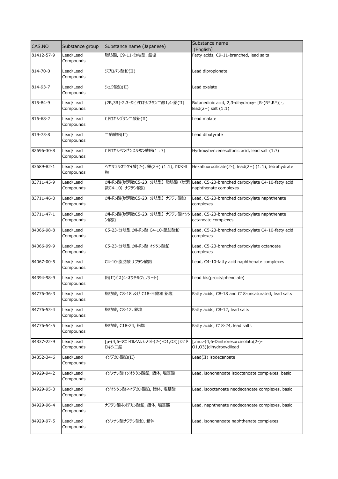| CAS.NO     | Substance group        | Substance name (Japanese)                     | Substance name<br>(English)                                                |
|------------|------------------------|-----------------------------------------------|----------------------------------------------------------------------------|
| 81412-57-9 | Lead/Lead<br>Compounds | 脂肪酸, C9-11-分岐型, 鉛塩                            | Fatty acids, C9-11-branched, lead salts                                    |
| 814-70-0   | Lead/Lead<br>Compounds | ジプロパン酸鉛(II)                                   | Lead dipropionate                                                          |
| 814-93-7   | Lead/Lead<br>Compounds | シュウ酸鉛(II)                                     | Lead oxalate                                                               |
| 815-84-9   | Lead/Lead<br>Compounds | (2R,3R)-2,3-ジヒドロキシブタン二酸1,4-鉛(II)              | Butanedioic acid, 2,3-dihydroxy- [R-(R*,R*)]-,<br>$lead(2+)$ salt $(1:1)$  |
| 816-68-2   | Lead/Lead<br>Compounds | ヒドロキシブタン二酸鉛(II)                               | Lead malate                                                                |
| 819-73-8   | Lead/Lead<br>Compounds | 二酪酸鉛(II)                                      | Lead dibutyrate                                                            |
| 82696-30-8 | Lead/Lead<br>Compounds | ヒドロキシベンゼンスルホン酸鉛(1:?)                          | Hydroxybenzenesulfonic acid, lead salt (1:?)                               |
| 83689-82-1 | Lead/Lead<br>Compounds | ヘキサフルオロケイ酸(2-), 鉛(2+) (1:1), 四水和<br>物         | Hexafluorosilicate(2-), lead(2+) (1:1), tetrahydrate                       |
| 83711-45-9 | Lead/Lead<br>Compounds | カルボン酸(炭素数C5-23、分岐型) 脂肪酸 (炭素<br>数C4-10) ナフテン酸鉛 | Lead, C5-23-branched carboxylate C4-10-fatty acid<br>naphthenate complexes |
| 83711-46-0 | Lead/Lead<br>Compounds | カルボン酸(炭素数C5-23、分岐型) ナフテン酸鉛                    | Lead, C5-23-branched carboxylate naphthenate<br>complexes                  |
| 83711-47-1 | Lead/Lead<br>Compounds | カルボン酸(炭素数C5-23、分岐型) ナフテン酸オクタ<br>ン酸鉛           | Lead, C5-23-branched carboxylate naphthenate<br>octanoate complexes        |
| 84066-98-8 | Lead/Lead<br>Compounds | C5-23-分岐型 カルボン酸 C4-10-脂肪酸鉛                    | Lead, C5-23-branched carboxylate C4-10-fatty acid<br>complexes             |
| 84066-99-9 | Lead/Lead<br>Compounds | C5-23-分岐型 カルボン酸 オクタン酸鉛                        | Lead, C5-23-branched carboxylate octanoate<br>complexes                    |
| 84067-00-5 | Lead/Lead<br>Compounds | C4-10-脂肪酸 ナフテン酸鉛                              | Lead, C4-10-fatty acid naphthenate complexes                               |
| 84394-98-9 | Lead/Lead<br>Compounds | 鉛(II)ビス(4-オクチルフェノラート)                         | Lead bis(p-octylphenolate)                                                 |
| 84776-36-3 | Lead/Lead<br>Compounds | 脂肪酸, C8-18 及び C18-不飽和 鉛塩                      | Fatty acids, C8-18 and C18-unsaturated, lead salts                         |
| 84776-53-4 | Lead/Lead<br>Compounds | 脂肪酸, C8-12, 鉛塩                                | Fatty acids, C8-12, lead salts                                             |
| 84776-54-5 | Lead/Lead<br>Compounds | 脂肪酸, C18-24, 鉛塩                               | Fatty acids, C18-24, lead salts                                            |
| 84837-22-9 | Lead/Lead<br>Compounds | [μ-(4,6-ジニトロレソルシノラト(2-)-01,03)]ジヒド<br>ロキシ二鉛   | [.mu.-(4,6-Dinitroresorcinolato(2-)-<br>O1,03)]dihydroxydilead             |
| 84852-34-6 | Lead/Lead<br>Compounds | イソデカン酸鉛(II)                                   | Lead(II) isodecanoate                                                      |
| 84929-94-2 | Lead/Lead<br>Compounds | イソノナン酸イソオクタン酸鉛,錯体,塩基酸                         | Lead, isononanoate isooctanoate complexes, basic                           |
| 84929-95-3 | Lead/Lead<br>Compounds | イソオクタン酸ネオデカン酸鉛,錯体,塩基酸                         | Lead, isooctanoate neodecanoate complexes, basic                           |
| 84929-96-4 | Lead/Lead<br>Compounds | ナフテン酸ネオデカン酸鉛,錯体,塩基酸                           | Lead, naphthenate neodecanoate complexes, basic                            |
| 84929-97-5 | Lead/Lead<br>Compounds | イソノナン酸ナフテン酸鉛,錯体                               | Lead, isononanoate naphthenate complexes                                   |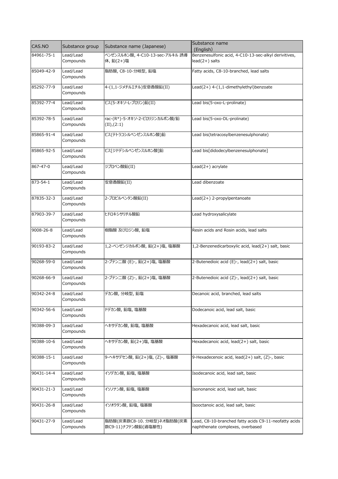| CAS.NO     | Substance group        | Substance name (Japanese)                        | Substance name<br>(English)                                                               |
|------------|------------------------|--------------------------------------------------|-------------------------------------------------------------------------------------------|
| 84961-75-1 | Lead/Lead<br>Compounds | ベンゼンスルホン酸, 4-C10-13-sec-アルキル 誘導<br>体, 鉛(2+)塩     | Benzenesulfonic acid, 4-C10-13-sec-alkyl derivitives,<br>$lead(2+)$ salts                 |
| 85049-42-9 | Lead/Lead<br>Compounds | 脂肪酸, C8-10-分岐型, 鉛塩                               | Fatty acids, C8-10-branched, lead salts                                                   |
| 85292-77-9 | Lead/Lead<br>Compounds | 4-(1,1-ジメチルエチル)安息香酸鉛(II)                         | Lead(2+) 4-(1,1-dimethylethyl)benzoate                                                    |
| 85392-77-4 | Lead/Lead<br>Compounds | ビス(5-オキソ-L-プロリン)鉛(II)                            | Lead bis(5-oxo-L-prolinate)                                                               |
| 85392-78-5 | Lead/Lead<br>Compounds | rac-(R*)-5-オキソ-2-ピロリジンカルボン酸/鉛<br>(II), (2:1)     | Lead bis(5-oxo-DL-prolinate)                                                              |
| 85865-91-4 | Lead/Lead<br>Compounds | ビス(テトラコシルベンゼンスルホン酸)鉛                             | Lead bis(tetracosylbenzenesulphonate)                                                     |
| 85865-92-5 | Lead/Lead<br>Compounds | ビス「ジドデシルベンゼンスルホン酸]鉛                              | Lead bis[didodecylbenzenesulphonate]                                                      |
| 867-47-0   | Lead/Lead<br>Compounds | ジプロペン酸鉛(II)                                      | Lead(2+) acrylate                                                                         |
| 873-54-1   | Lead/Lead<br>Compounds | 安息香酸鉛(II)                                        | Lead dibenzoate                                                                           |
| 87835-32-3 | Lead/Lead<br>Compounds | 2-プロピルペンタン酸鉛(II)                                 | $Lead(2+)$ 2-propylpentanoate                                                             |
| 87903-39-7 | Lead/Lead<br>Compounds | ヒドロキシサリチル酸鉛                                      | Lead hydroxysalicylate                                                                    |
| 9008-26-8  | Lead/Lead<br>Compounds | 樹脂酸 及びロジン酸, 鉛塩                                   | Resin acids and Rosin acids, lead salts                                                   |
| 90193-83-2 | Lead/Lead<br>Compounds | 1,2-ベンゼンジカルボン酸, 鉛(2+)塩, 塩基酸                      | 1,2-Benzenedicarboxylic acid, lead(2+) salt, basic                                        |
| 90268-59-0 | Lead/Lead<br>Compounds | 2-ブテン二酸 (E)-, 鉛(2+)塩, 塩基酸                        | 2-Butenedioic acid (E)-, lead(2+) salt, basic                                             |
| 90268-66-9 | Lead/Lead<br>Compounds | 2-ブテン二酸 (Z)-, 鉛(2+)塩, 塩基酸                        | 2-Butenedioic acid (Z)-, lead(2+) salt, basic                                             |
| 90342-24-8 | Lead/Lead<br>Compounds | デカン酸, 分岐型, 鉛塩                                    | Decanoic acid, branched, lead salts                                                       |
| 90342-56-6 | Lead/Lead<br>Compounds | ドデカン酸, 鉛塩, 塩基酸                                   | Dodecanoic acid, lead salt, basic                                                         |
| 90388-09-3 | Lead/Lead<br>Compounds | ヘキサデカン酸, 鉛塩, 塩基酸                                 | Hexadecanoic acid, lead salt, basic                                                       |
| 90388-10-6 | Lead/Lead<br>Compounds | ヘキサデカン酸, 鉛(2+)塩, 塩基酸                             | Hexadecanoic acid, lead(2+) salt, basic                                                   |
| 90388-15-1 | Lead/Lead<br>Compounds | 9-ヘキサデセン酸, 鉛(2+)塩, (Z)-, 塩基酸                     | 9-Hexadecenoic acid, lead(2+) salt, (Z)-, basic                                           |
| 90431-14-4 | Lead/Lead<br>Compounds | イソデカン酸, 鉛塩, 塩基酸                                  | Isodecanoic acid, lead salt, basic                                                        |
| 90431-21-3 | Lead/Lead<br>Compounds | イソノナン酸, 鉛塩, 塩基酸                                  | Isononanoic acid, lead salt, basic                                                        |
| 90431-26-8 | Lead/Lead<br>Compounds | イソオクタン酸, 鉛塩, 塩基酸                                 | Isooctanoic acid, lead salt, basic                                                        |
| 90431-27-9 | Lead/Lead<br>Compounds | 脂肪酸(炭素数C8-10、分岐型)ネオ脂肪酸(炭素<br>数C9-11)ナフテン酸鉛(過塩基性) | Lead, C8-10-branched fatty acids C9-11-neofatty acids<br>naphthenate complexes, overbased |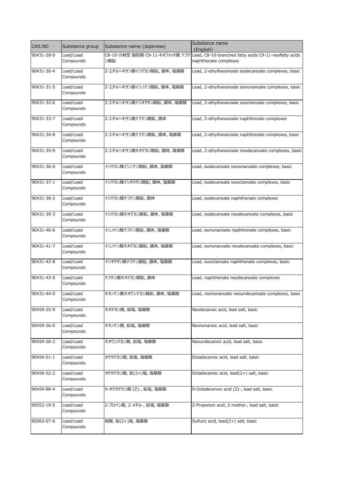| CAS.NO           | Substance group        | Substance name (Japanese)              | Substance name<br>(English)                                                    |
|------------------|------------------------|----------------------------------------|--------------------------------------------------------------------------------|
| 90431-28-0       | Lead/Lead<br>Compounds | C8-10-分岐型 脂肪酸 C9-11-ネオファッチ酸 ナフテ<br>ン酸鉛 | Lead, C8-10-branched fatty acids C9-11-neofatty acids<br>naphthenate complexes |
| 90431-30-4       | Lead/Lead<br>Compounds | 2-エチルヘキサン酸イソデカン酸鉛,錯体,塩基酸               | Lead, 2-ethylhexanoate isodecanoate complexes, basic                           |
| 90431-31-5       | Lead/Lead<br>Compounds | 2-エチルヘキサン酸イソノナン酸鉛,錯体,塩基酸               | Lead, 2-ethylhexanoate isononanoate complexes, basic                           |
| 90431-32-6       | Lead/Lead<br>Compounds | 2-エチルヘキサン酸イソオクタン酸鉛,錯体,塩基酸              | Lead, 2-ethylhexanoate isooctanoate complexes, basic                           |
| 90431-33-7       | Lead/Lead<br>Compounds | 2-エチルヘキサン酸ナフテン酸鉛,錯体                    | Lead, 2-ethylhexanoate naphthenate complexes                                   |
| 90431-34-8       | Lead/Lead<br>Compounds | 2-エチルヘキサン酸ナフテン酸鉛, 錯体, 塩基酸              | Lead, 2-ethylhexanoate naphthenate complexes, basic                            |
| 90431-35-9       | Lead/Lead<br>Compounds | 2-エチルヘキサン酸ネオデカン酸鉛,錯体,塩基酸               | Lead, 2-ethylhexanoate neodecanoate complexes, basic                           |
| 90431-36-0       | Lead/Lead<br>Compounds | イソデカン酸イソノナン酸鉛,錯体,塩基酸                   | Lead, isodecanoate isononanoate complexes, basic                               |
| 90431-37-1       | Lead/Lead<br>Compounds | イソデカン酸イソオクタン酸鉛, 錯体, 塩基酸                | Lead, isodecanoate isooctanoate complexes, basic                               |
| 90431-38-2       | Lead/Lead<br>Compounds | イソデカン酸ナフテン酸鉛, 錯体                       | Lead, isodecanoate naphthenate complexes                                       |
| 90431-39-3       | Lead/Lead<br>Compounds | イソデカン酸ネオデカン酸鉛,錯体,塩基酸                   | Lead, isodecanoate neodecanoate complexes, basic                               |
| 90431-40-6       | Lead/Lead<br>Compounds | イソノナン酸ナフテン酸鉛, 錯体, 塩基酸                  | Lead, isononanoate naphthenate complexes, basic                                |
| 90431-41-7       | Lead/Lead<br>Compounds | イソノナン酸ネオデカン酸鉛,錯体,塩基酸                   | Lead, isononanoate neodecanoate complexes, basic                               |
| 90431-42-8       | Lead/Lead<br>Compounds | イソオクタン酸ナフテン酸鉛,錯体,塩基酸                   | Lead, isooctanoate naphthenate complexes, basic                                |
| 90431-43-9       | Lead/Lead<br>Compounds | ナフテン酸ネオデカン酸鉛,錯体                        | Lead, naphthenate neodecanoate complexes                                       |
| 90431-44-0       | Lead/Lead<br>Compounds | ネオノナン酸ネオウンデカン酸鉛,錯体,塩基酸                 | Lead, neononanoate neoundecanoate complexes, basic                             |
| 90459-25-9       | Lead/Lead<br>Compounds | ネオデカン酸, 鉛塩, 塩基酸                        | Neodecanoic acid, lead salt, basic                                             |
| 90459-26-0       | Lead/Lead<br>Compounds | ネオノナン酸, 鉛塩, 塩基酸                        | Neononanoic acid, lead salt, basic                                             |
| $90459 - 28 - 2$ | Lead/Lead<br>Compounds | ネオウンデカン酸, 鉛塩, 塩基酸                      | Neoundecanoic acid, lead salt, basic                                           |
| 90459-51-1       | Lead/Lead<br>Compounds | オクタデカン酸, 鉛塩, 塩基酸                       | Octadecanoic acid, lead salt, basic                                            |
| 90459-52-2       | Lead/Lead<br>Compounds | オクタデカン酸, 鉛(2+)塩, 塩基酸                   | Octadecanoic acid, lead(2+) salt, basic                                        |
| 90459-88-4       | Lead/Lead<br>Compounds | 9-オクタデセン酸 (Z)-, 鉛塩, 塩基酸                | 9-Octadecenoic acid (Z)-, lead salt, basic                                     |
| 90552-19-5       | Lead/Lead<br>Compounds | 2-プロペン酸, 2-メチル-, 鉛塩, 塩基酸               | 2-Propenoic acid, 2-methyl-, lead salt, basic                                  |
| 90583-07-6       | Lead/Lead<br>Compounds | 硫酸, 鉛(2+)塩, 塩基酸                        | Sulfuric acid, lead(2+) salt, basic                                            |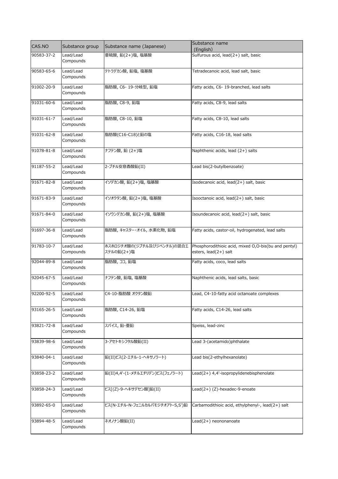| CAS.NO     | Substance group        | Substance name (Japanese)                | Substance name<br>(English)                                                   |
|------------|------------------------|------------------------------------------|-------------------------------------------------------------------------------|
| 90583-37-2 | Lead/Lead<br>Compounds | 亜硫酸, 鉛(2+)塩, 塩基酸                         | Sulfurous acid, lead(2+) salt, basic                                          |
| 90583-65-6 | Lead/Lead<br>Compounds | テトラデカン酸, 鉛塩, 塩基酸                         | Tetradecanoic acid, lead salt, basic                                          |
| 91002-20-9 | Lead/Lead<br>Compounds | 脂肪酸, C6-19-分岐型, 鉛塩                       | Fatty acids, C6- 19-branched, lead salts                                      |
| 91031-60-6 | Lead/Lead<br>Compounds | 脂肪酸, C8-9, 鉛塩                            | Fatty acids, C8-9, lead salts                                                 |
| 91031-61-7 | Lead/Lead<br>Compounds | 脂肪酸, C8-10, 鉛塩                           | Fatty acids, C8-10, lead salts                                                |
| 91031-62-8 | Lead/Lead<br>Compounds | 脂肪酸(C16-C18)と鉛の塩                         | Fatty acids, C16-18, lead salts                                               |
| 91078-81-8 | Lead/Lead<br>Compounds | ナフテン酸, 鉛 (2+)塩                           | Naphthenic acids, lead (2+) salts                                             |
| 91187-55-2 | Lead/Lead<br>Compounds | 2-ブチル安息香酸鉛(II)                           | Lead bis(2-butylbenzoate)                                                     |
| 91671-82-8 | Lead/Lead<br>Compounds | イソデカン酸, 鉛(2+)塩, 塩基酸                      | Isodecanoic acid, lead(2+) salt, basic                                        |
| 91671-83-9 | Lead/Lead<br>Compounds | イソオクタン酸, 鉛(2+)塩, 塩基酸                     | Isooctanoic acid, lead(2+) salt, basic                                        |
| 91671-84-0 | Lead/Lead<br>Compounds | イソウンデカン酸, 鉛(2+)塩, 塩基酸                    | Isoundecanoic acid, lead(2+) salt, basic                                      |
| 91697-36-8 | Lead/Lead<br>Compounds | 脂肪酸, キャスター・オイル, 水素化物, 鉛塩                 | Fatty acids, castor-oil, hydrogenated, lead salts                             |
| 91783-10-7 | Lead/Lead<br>Compounds | ホスホロジチオ酸の(ジブチル及びジペンチル)の混合エ<br>ステルの鉛(2+)塩 | Phosphorodithioic acid, mixed O,O-bis(bu and pentyl)<br>esters, lead(2+) salt |
| 92044-89-8 | Lead/Lead<br>Compounds | 脂肪酸, ココ, 鉛塩                              | Fatty acids, coco, lead salts                                                 |
| 92045-67-5 | Lead/Lead<br>Compounds | ナフテン酸, 鉛塩, 塩基酸                           | Naphthenic acids, lead salts, basic                                           |
| 92200-92-5 | Lead/Lead<br>Compounds | C4-10-脂肪酸 オクタン酸鉛                         | Lead, C4-10-fatty acid octanoate complexes                                    |
| 93165-26-5 | Lead/Lead<br>Compounds | 脂肪酸, C14-26, 鉛塩                          | Fatty acids, C14-26, lead salts                                               |
| 93821-72-8 | Lead/Lead<br>Compounds | スパイス, 鉛-亜鉛                               | Speiss, lead-zinc                                                             |
| 93839-98-6 | Lead/Lead<br>Compounds | 3-アセトキシフタル酸鉛(II)                         | Lead 3-(acetamido)phthalate                                                   |
| 93840-04-1 | Lead/Lead<br>Compounds | 鉛(II)ビス(2-エチル-1-ヘキサノラート)                 | Lead bis(2-ethylhexanolate)                                                   |
| 93858-23-2 | Lead/Lead<br>Compounds | 鉛(II)4,4'-(1-メチルエチリデン)ビス(フェノラート)         | Lead(2+) 4,4'-isopropylidenebisphenolate                                      |
| 93858-24-3 | Lead/Lead<br>Compounds | ビス[(Z)-9-ヘキサデセン酸]鉛(II)                   | Lead(2+)(Z)-hexadec-9-enoate                                                  |
| 93892-65-0 | Lead/Lead<br>Compounds | ビス(N-エチル-N-フェニルカルバモジチオアト-S,S')鉛          | Carbamodithioic acid, ethylphenyl-, lead(2+) salt                             |
| 93894-48-5 | Lead/Lead<br>Compounds | ネオノナン酸鉛(II)                              | Lead(2+) neononanoate                                                         |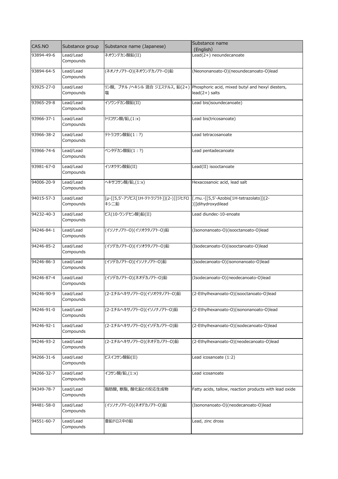| CAS.NO     | Substance group        | Substance name (Japanese)                                                             | Substance name<br>(English)                                                                          |
|------------|------------------------|---------------------------------------------------------------------------------------|------------------------------------------------------------------------------------------------------|
| 93894-49-6 | Lead/Lead<br>Compounds | ネオウンデカン酸鉛(II)                                                                         | Lead(2+) neoundecanoate                                                                              |
| 93894-64-5 | Lead/Lead<br>Compounds | (ネオノナノアト-O)(ネオウンデカノアト-O)鉛                                                             | (Neononanoato-O)(neoundecanoato-O)lead                                                               |
| 93925-27-0 | Lead/Lead<br>Compounds | 塩                                                                                     | リン酸, ブチル /へキシル 混合 ジエステルス, 鉛(2+) Phosphoric acid, mixed butyl and hexyl diesters,<br>$lead(2+)$ salts |
| 93965-29-8 | Lead/Lead<br>Compounds | イソウンデカン酸鉛(II)                                                                         | Lead bis(isoundecanoate)                                                                             |
| 93966-37-1 | Lead/Lead<br>Compounds | トリコサン酸/鉛,(1:x)                                                                        | Lead bis(tricosanoate)                                                                               |
| 93966-38-2 | Lead/Lead<br>Compounds | テトラコサン酸鉛(1:?)                                                                         | Lead tetracosanoate                                                                                  |
| 93966-74-6 | Lead/Lead<br>Compounds | ペンタデカン酸鉛(1:?)                                                                         | Lead pentadecanoate                                                                                  |
| 93981-67-0 | Lead/Lead<br>Compounds | イソオクタン酸鉛(II)                                                                          | Lead(II) isooctanoate                                                                                |
| 94006-20-9 | Lead/Lead<br>Compounds | ヘキサコサン酸/鉛,(1:x)                                                                       | Hexacosanoic acid, lead salt                                                                         |
| 94015-57-3 | Lead/Lead<br>Compounds | [µ-[[5,5'-アゾビス[1H-テトラゾラト]](2-)]]ジヒドロ  [.mu.-[[5,5'-Azobis[1H-tetrazolato]](2-<br>キシ二鉛 | )]]dihydroxydilead                                                                                   |
| 94232-40-3 | Lead/Lead<br>Compounds | ビス(10-ウンデセン酸)鉛(II)                                                                    | Lead diundec-10-enoate                                                                               |
| 94246-84-1 | Lead/Lead<br>Compounds | (イソノナノアト-O)(イソオクタノアト-O)鉛                                                              | (Isononanoato-O)(isooctanoato-O)lead                                                                 |
| 94246-85-2 | Lead/Lead<br>Compounds | (イソデカノアト-O)(イソオクタノアト-O)鉛                                                              | (Isodecanoato-O)(isooctanoato-O)lead                                                                 |
| 94246-86-3 | Lead/Lead<br>Compounds | (イソデカノアト-O)(イソノナノアト-O)鉛                                                               | (Isodecanoato-O)(isononanoato-O)lead                                                                 |
| 94246-87-4 | Lead/Lead<br>Compounds | (イソデカノアト-O)(ネオデカノアト-O)鉛                                                               | (Isodecanoato-O)(neodecanoato-O)lead                                                                 |
| 94246-90-9 | Lead/Lead<br>Compounds | (2-エチルヘキサノアト-O)(イソオクタノアト-O)鉛                                                          | (2-Ethylhexanoato-O)(isooctanoato-O)lead                                                             |
| 94246-91-0 | Lead/Lead<br>Compounds | (2-エチルヘキサノアト-O)(イソノナノアト-O)鉛                                                           | (2-Ethylhexanoato-O)(isononanoato-O)lead                                                             |
| 94246-92-1 | Lead/Lead<br>Compounds | (2-エチルヘキサノアト-O)(イソデカノアト-O)鉛                                                           | (2-Ethylhexanoato-O)(isodecanoato-O)lead                                                             |
| 94246-93-2 | Lead/Lead<br>Compounds | (2-エチルヘキサノアト-O)(ネオデカノアト-O)鉛                                                           | (2-Ethylhexanoato-O)(neodecanoato-O)lead                                                             |
| 94266-31-6 | Lead/Lead<br>Compounds | ビスイコサン酸鉛(II)                                                                          | Lead icosanoate (1:2)                                                                                |
| 94266-32-7 | Lead/Lead<br>Compounds | イコサン酸/鉛,(1:x)                                                                         | Lead icosanoate                                                                                      |
| 94349-78-7 | Lead/Lead<br>Compounds | 脂肪酸,獣脂,酸化鉛との反応生成物                                                                     | Fatty acids, tallow, reaction products with lead oxide                                               |
| 94481-58-0 | Lead/Lead<br>Compounds | (イソノナノアト-O)(ネオデカノアト-O)鉛                                                               | (Isononanoato-O)(neodecanoato-O)lead                                                                 |
| 94551-60-7 | Lead/Lead<br>Compounds | 亜鉛ドロス中の鉛                                                                              | Lead, zinc dross                                                                                     |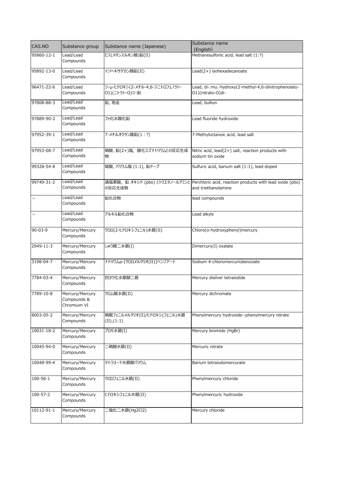| CAS.NO         | Substance group                               | Substance name (Japanese)                        | Substance name                                                                                                  |
|----------------|-----------------------------------------------|--------------------------------------------------|-----------------------------------------------------------------------------------------------------------------|
|                |                                               |                                                  | (English)                                                                                                       |
| 95860-12-1     | Lead/Lead<br>Compounds                        | ビス(メタンスルホン酸)鉛(II)                                | Methanesulfonic acid, lead salt (1:?)                                                                           |
| 95892-13-0     | Lead/Lead<br>Compounds                        | イソヘキサデカン酸鉛(II)                                   | Lead(2+) isohexadecanoate                                                                                       |
| 96471-22-6     | Lead/Lead<br>Compounds                        | ジ-µ-ヒドロキシ(2-メチル-4,6-ジニトロフェノラト-<br>01)(ニトラト-0)ジ-鉛 | Lead, di-.mu.-hydroxy(2-methyl-4,6-dinitrophenolato-<br>O1)(nitrato-O)di-                                       |
| 97808-88-3     | Lead/Lead<br>Compounds                        | 鉛,地金                                             | Lead, bullion                                                                                                   |
| 97889-90-2     | Lead/Lead<br>Compounds                        | フッ化水酸化鉛                                          | Lead fluoride hydroxide                                                                                         |
| 97952-39-1     | Lead/Lead<br>Compounds                        | 7-メチルオクタン酸鉛(1:?)                                 | 7-Methyloctanoic acid, lead salt                                                                                |
| 97953-08-7     | Lead/Lead<br>Compounds                        | 硝酸, 鉛(2+)塩, 酸化スズナトリウムとの反応生成<br>物                 | Nitric acid, lead(2+) salt, reaction products with<br>sodium tin oxide                                          |
| 99328-54-8     | Lead/Lead<br>Compounds                        | 硫酸, バリウム塩 (1:1), 鉛ドープ                            | Sulfuric acid, barium salt (1:1), lead-doped                                                                    |
| 99749-31-2     | Lead/Lead<br>Compounds                        | の反応生成物                                           | 過塩素酸, 鉛 オキシド (pbo) とトリエタノールアミンと Perchloric acid, reaction products with lead oxide (pbo)<br>and triethanolamine |
|                | Lead/Lead<br>Compounds                        | 鉛化合物                                             | lead compounds                                                                                                  |
| -              | Lead/Lead<br>Compounds                        | アルキル鉛化合物                                         | Lead alkyls                                                                                                     |
| $90 - 03 - 9$  | Mercury/Mercury<br>Compounds                  | クロロ(2-ヒドロキシフェニル)水銀(II)                           | Chloro(o-hydroxyphenyl)mercury                                                                                  |
| 2949-11-3      | Mercury/Mercury<br>Compounds                  | しゅう酸二水銀(I)                                       | Dimercury(I) oxalate                                                                                            |
| 3198-04-7      | Mercury/Mercury<br>Compounds                  | ナトリウムp-[クロロメルクリオ(II)]ベンゾアート                      | Sodium 4-chloromercuriobenzoate                                                                                 |
| 7784-03-4      | Mercury/Mercury<br>Compounds                  | 四ヨウ化水銀酸二銀                                        | Mercury disilver tetraiodide                                                                                    |
| 7789-10-8      | Mercury/Mercury<br>Compounds &<br>Chromium VI | クロム酸水銀(II)                                       | Mercury dichromate                                                                                              |
| 8003-05-2      | Mercury/Mercury<br>Compounds                  | 硝酸フェニルメルクリオ(II)/ヒドロキシ(フェニル)水銀<br>(II), (1:1)     | Phenylmercury hydroxide--phenylmercury nitrate                                                                  |
| 10031-18-2     | Mercury/Mercury<br>Compounds                  | ブロモ水銀(I)                                         | Mercury bromide (HgBr)                                                                                          |
| 10045-94-0     | Mercury/Mercury<br>Compounds                  | 二硝酸水銀(II)                                        | Mercuric nitrate                                                                                                |
| 10048-99-4     | Mercury/Mercury<br>Compounds                  | テトラヨード水銀酸バリウム                                    | Barium tetraiodomercurate                                                                                       |
| $100 - 56 - 1$ | Mercury/Mercury<br>Compounds                  | クロロフェニル水銀(II)                                    | Phenylmercury chloride                                                                                          |
| 100-57-2       | Mercury/Mercury<br>Compounds                  | ヒドロキシフェニル水銀(II)                                  | Phenylmercuric hydroxide                                                                                        |
| 10112-91-1     | Mercury/Mercury<br>Compounds                  | 二塩化二水銀(Hg2Cl2)                                   | Mercury chloride                                                                                                |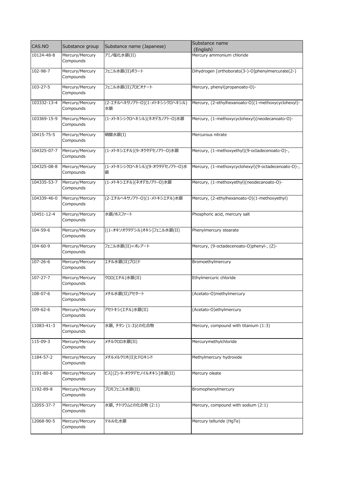| CAS.NO           | Substance group              | Substance name (Japanese)            | Substance name<br>(English)                         |
|------------------|------------------------------|--------------------------------------|-----------------------------------------------------|
| 10124-48-8       | Mercury/Mercury<br>Compounds | アミノ塩化水銀(II)                          | Mercury ammonium chloride                           |
| 102-98-7         | Mercury/Mercury<br>Compounds | フェニル水銀(II)ボラート                       | Dihydrogen [orthoborato(3-)-O]phenylmercurate(2-)   |
| 103-27-5         | Mercury/Mercury<br>Compounds | フェニル水銀(II)プロピオナート                    | Mercury, phenyl(propanoato-O)-                      |
| 103332-13-4      | Mercury/Mercury<br>Compounds | (2-エチルヘキサノアト-O)(1-メトキシシクロヘキシル)<br>水銀 | Mercury, (2-ethylhexanoato-O)(1-methoxycyclohexyl)- |
| 103369-15-9      | Mercury/Mercury<br>Compounds | (1-メトキシシクロヘキシル)(ネオデカノアト-O)水銀         | Mercury, (1-methoxycyclohexyl)(neodecanoato-O)-     |
| 10415-75-5       | Mercury/Mercury<br>Compounds | 硝酸水銀(I)                              | Mercurous nitrate                                   |
| 104325-07-7      | Mercury/Mercury<br>Compounds | (1-メトキシエチル)(9-オクタデセノアト-O)水銀          | Mercury, (1-methoxyethyl)(9-octadecenoato-O)-,      |
| 104325-08-8      | Mercury/Mercury<br>Compounds | (1-メトキシシクロヘキシル)(9-オクタデセノアト-O)水<br>銀  | Mercury, (1-methoxycyclohexyl)(9-octadecenoato-O)-, |
| 104335-53-7      | Mercury/Mercury<br>Compounds | (1-メトキシエチル)(ネオデカノアト-O)水銀             | Mercury, (1-methoxyethyl)(neodecanoato-O)-          |
| 104339-46-0      | Mercury/Mercury<br>Compounds | (2-エチルヘキサノアト-O)(1-メトキシエチル)水銀         | Mercury, (2-ethylhexanoato-O)(1-methoxyethyl)       |
| $10451 - 12 - 4$ | Mercury/Mercury<br>Compounds | 水銀/ホスファート                            | Phosphoric acid, mercury salt                       |
| 104-59-6         | Mercury/Mercury<br>Compounds | [(1-オキソオクタデシル)オキシ]フェニル水銀(II)         | Phenylmercury stearate                              |
| 104-60-9         | Mercury/Mercury<br>Compounds | フェニル水銀(II)=オレアート                     | Mercury, (9-octadecenoato-O)phenyl-, (Z)-           |
| 107-26-6         | Mercury/Mercury<br>Compounds | エチル水銀(II)ブロミド                        | Bromoethylmercury                                   |
| $107 - 27 - 7$   | Mercury/Mercury<br>Compounds | クロロ(エチル)水銀(II)                       | Ethylmercuric chloride                              |
| 108-07-6         | Mercury/Mercury<br>Compounds | メチル水銀(II)アセタート                       | (Acetato-O)methylmercury                            |
| 109-62-6         | Mercury/Mercury<br>Compounds | アセトキシ(エチル)水銀(II)                     | (Acetato-O)ethylmercury                             |
| 11083-41-3       | Mercury/Mercury<br>Compounds | 水銀, チタン (1:3)との化合物                   | Mercury, compound with titanium (1:3)               |
| 115-09-3         | Mercury/Mercury<br>Compounds | メチルクロロ水銀(II)                         | Mercurymethylchloride                               |
| 1184-57-2        | Mercury/Mercury<br>Compounds | メチルメルクリオ(II)ヒドロキシド                   | Methylmercury hydroxide                             |
| 1191-80-6        | Mercury/Mercury<br>Compounds | ビス[(Z)-9-オクタデセノイルオキシ]水銀(II)          | Mercury oleate                                      |
| 1192-89-8        | Mercury/Mercury<br>Compounds | ブロモフェニル水銀(II)                        | Bromophenylmercury                                  |
| 12055-37-7       | Mercury/Mercury<br>Compounds | 水銀, ナトリウムとの化合物 (2:1)                 | Mercury, compound with sodium (2:1)                 |
| 12068-90-5       | Mercury/Mercury<br>Compounds | テルル化水銀                               | Mercury telluride (HgTe)                            |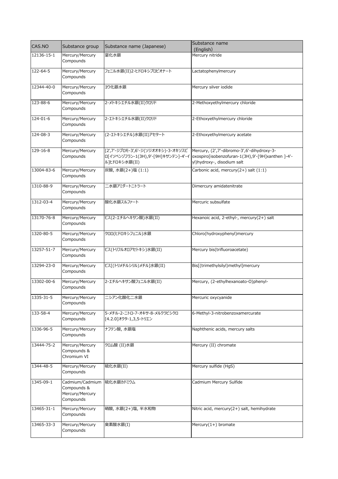| CAS.NO     | Substance group                                                | Substance name (Japanese)                             | Substance name<br>(English)                                                                                                                                        |
|------------|----------------------------------------------------------------|-------------------------------------------------------|--------------------------------------------------------------------------------------------------------------------------------------------------------------------|
| 12136-15-1 | Mercury/Mercury<br>Compounds                                   | 窒化水銀                                                  | Mercury nitride                                                                                                                                                    |
| 122-64-5   | Mercury/Mercury<br>Compounds                                   | フェニル水銀(II)2-ヒドロキシプロピオナート                              | Lactatophenylmercury                                                                                                                                               |
| 12344-40-0 | Mercury/Mercury<br>Compounds                                   | ヨウ化銀水銀                                                | Mercury silver iodide                                                                                                                                              |
| 123-88-6   | Mercury/Mercury<br>Compounds                                   | 2-メトキシエチル水銀(II)クロリド                                   | 2-Methoxyethylmercury chloride                                                                                                                                     |
| 124-01-6   | Mercury/Mercury<br>Compounds                                   | 2-エトキシエチル水銀(II)クロリド                                   | 2-Ethoxyethylmercury chloride                                                                                                                                      |
| 124-08-3   | Mercury/Mercury<br>Compounds                                   | (2-エトキシエチル)水銀(II)アセタート                                | 2-Ethoxyethylmercury acetate                                                                                                                                       |
| 129-16-8   | Mercury/Mercury<br>Compounds                                   | [2',7'-ジブロモ-3',6'-ジ(ソジオオキシ)-3-オキソスピ<br>ル]ヒドロキシ水銀(II)  | Mercury, (2',7'-dibromo-3',6'-dihydroxy-3-<br>ロ[イソベンゾフラン-1(3H),9'-[9H]キサンテン]-4'-イ  oxospiro[isobenzofuran-1(3H),9'-[9H]xanthen ]-4'-<br>yl)hydroxy-, disodium salt |
| 13004-83-6 | Mercury/Mercury<br>Compounds                                   | 炭酸,水銀(2+)塩(1:1)                                       | Carbonic acid, mercury(2+) salt (1:1)                                                                                                                              |
| 1310-88-9  | Mercury/Mercury<br>Compounds                                   | 二水銀アミダートニトラート                                         | Dimercury amidatenitrate                                                                                                                                           |
| 1312-03-4  | Mercury/Mercury<br>Compounds                                   | 酸化水銀スルファート                                            | Mercuric subsulfate                                                                                                                                                |
| 13170-76-8 | Mercury/Mercury<br>Compounds                                   | ビス(2-エチルヘキサン酸)水銀(II)                                  | Hexanoic acid, 2-ethyl-, mercury(2+) salt                                                                                                                          |
| 1320-80-5  | Mercury/Mercury<br>Compounds                                   | クロロ(ヒドロキシフェニル)水銀                                      | Chloro(hydroxyphenyl)mercury                                                                                                                                       |
| 13257-51-7 | Mercury/Mercury<br>Compounds                                   | ビス(トリフルオロアセトキシ)水銀(II)                                 | Mercury bis(trifluoroacetate)                                                                                                                                      |
| 13294-23-0 | Mercury/Mercury<br>Compounds                                   | ビス[(トリメチルシリル)メチル]水銀(II)                               | Bis[(trimethylsilyl)methyl]mercury                                                                                                                                 |
| 13302-00-6 | Mercury/Mercury<br>Compounds                                   | 2-エチルヘキサン酸フェニル水銀(II)                                  | Mercury, (2-ethylhexanoato-O)phenyl-                                                                                                                               |
| 1335-31-5  | Mercury/Mercury<br>Compounds                                   | ニシアン化酸化二水銀                                            | Mercuric oxycyanide                                                                                                                                                |
| 133-58-4   | Mercury/Mercury<br>Compounds                                   | 5-メチル-2-ニトロ-7-オキサ-8-メルクラビシクロ<br>[4.2.0]オクタ-1,3,5-トリエン | 6-Methyl-3-nitrobenzoxamercurate                                                                                                                                   |
| 1336-96-5  | Mercury/Mercury<br>Compounds                                   | ナフテン酸,水銀塩                                             | Naphthenic acids, mercury salts                                                                                                                                    |
| 13444-75-2 | Mercury/Mercury<br>Compounds &<br>Chromium VI                  | クロム酸 (II)水銀                                           | Mercury (II) chromate                                                                                                                                              |
| 1344-48-5  | Mercury/Mercury<br>Compounds                                   | 硫化水銀(II)                                              | Mercury sulfide (HgS)                                                                                                                                              |
| 1345-09-1  | Cadmium/Cadmium<br>Compounds &<br>Mercury/Mercury<br>Compounds | 硫化水銀カドミウム                                             | Cadmium Mercury Sulfide                                                                                                                                            |
| 13465-31-1 | Mercury/Mercury<br>Compounds                                   | 硝酸,水銀(2+)塩,半水和物                                       | Nitric acid, mercury(2+) salt, hemihydrate                                                                                                                         |
| 13465-33-3 | Mercury/Mercury<br>Compounds                                   | 臭素酸水銀(I)                                              | Mercury $(1+)$ bromate                                                                                                                                             |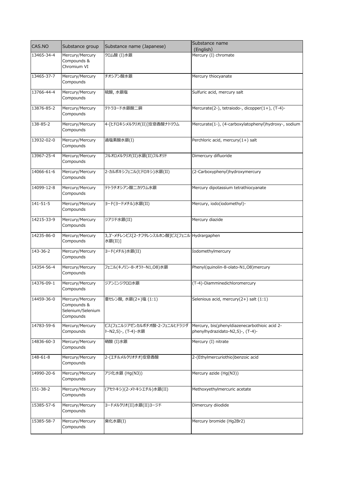| CAS.NO     | Substance group                                                  | Substance name (Japanese)                                | Substance name                                                                    |
|------------|------------------------------------------------------------------|----------------------------------------------------------|-----------------------------------------------------------------------------------|
| 13465-34-4 | Mercury/Mercury                                                  | クロム酸 (I)水銀                                               | (English)<br>Mercury (I) chromate                                                 |
|            | Compounds &<br>Chromium VI                                       |                                                          |                                                                                   |
| 13465-37-7 | Mercury/Mercury<br>Compounds                                     | チオシアン酸水銀                                                 | Mercury thiocyanate                                                               |
| 13766-44-4 | Mercury/Mercury<br>Compounds                                     | 硫酸,水銀塩                                                   | Sulfuric acid, mercury salt                                                       |
| 13876-85-2 | Mercury/Mercury<br>Compounds                                     | テトラヨード水銀酸二銅                                              | Mercurate(2-), tetraiodo-, dicopper(1+), (T-4)-                                   |
| 138-85-2   | Mercury/Mercury<br>Compounds                                     | 4-[ヒドロキシメルクリオ(II)]安息香酸ナトリウム                              | Mercurate(1-), (4-carboxylatophenyl)hydroxy-, sodium                              |
| 13932-02-0 | Mercury/Mercury<br>Compounds                                     | 過塩素酸水銀(I)                                                | Perchloric acid, mercury(1+) salt                                                 |
| 13967-25-4 | Mercury/Mercury<br>Compounds                                     | フルオロメルクリオ(II)水銀(II)フルオリド                                 | Dimercury difluoride                                                              |
| 14066-61-6 | Mercury/Mercury<br>Compounds                                     | 2-カルボキシフェニル(ヒドロキシ)水銀(II)                                 | (2-Carboxyphenyl)hydroxymercury                                                   |
| 14099-12-8 | Mercury/Mercury<br>Compounds                                     | テトラチオシアン酸二カリウム水銀                                         | Mercury dipotassium tetrathiocyanate                                              |
| 141-51-5   | Mercury/Mercury<br>Compounds                                     | ヨード(ヨードメチル)水銀(II)                                        | Mercury, iodo(iodomethyl)-                                                        |
| 14215-33-9 | Mercury/Mercury<br>Compounds                                     | ジアジド水銀(II)                                               | Mercury diazide                                                                   |
| 14235-86-0 | Mercury/Mercury<br>Compounds                                     | 3,3'-メチレンビス[2-ナフタレンスルホン酸]ビス[フェニル Hydrargaphen<br>水銀(II)] |                                                                                   |
| 143-36-2   | Mercury/Mercury<br>Compounds                                     | ヨード(メチル)水銀(II)                                           | Iodomethylmercury                                                                 |
| 14354-56-4 | Mercury/Mercury<br>Compounds                                     | フェニル(キノリン-8-オラト-N1,08)水銀                                 | Phenyl(quinolin-8-olato-N1,O8)mercury                                             |
| 14376-09-1 | Mercury/Mercury<br>Compounds                                     | ジアンミンジクロロ水銀                                              | (T-4)-Diamminedichloromercury                                                     |
| 14459-36-0 | Mercury/Mercury<br>Compounds &<br>Selenium/Selenium<br>Compounds | 亜セレン酸,水銀(2+)塩 (1:1)                                      | Selenious acid, mercury(2+) salt (1:1)                                            |
| 14783-59-6 | Mercury/Mercury<br>Compounds                                     | ビス(フェニルジアゼンカルボチオ酸-2-フェニルヒドラジダ<br>ト-N2,S)-, (T-4)-水銀      | Mercury, bis(phenyldiazenecarbothioic acid 2-<br>phenylhydrazidato-N2,S)-, (T-4)- |
| 14836-60-3 | Mercury/Mercury<br>Compounds                                     | 硝酸 (I)水銀                                                 | Mercury (I) nitrate                                                               |
| 148-61-8   | Mercury/Mercury<br>Compounds                                     | 2-(エチルメルクリオチオ)安息香酸                                       | 2-(Ethylmercuriothio)benzoic acid                                                 |
| 14990-20-6 | Mercury/Mercury<br>Compounds                                     | アジ化水銀 (Hg(N3))                                           | Mercury azide (Hg(N3))                                                            |
| 151-38-2   | Mercury/Mercury<br>Compounds                                     | (アセトキシ)(2-メトキシエチル)水銀(II)                                 | Methoxyethylmercuric acetate                                                      |
| 15385-57-6 | Mercury/Mercury<br>Compounds                                     | ヨードメルクリオ(II)水銀(II)ヨージド                                   | Dimercury diiodide                                                                |
| 15385-58-7 | Mercury/Mercury<br>Compounds                                     | 臭化水銀(I)                                                  | Mercury bromide (Hg2Br2)                                                          |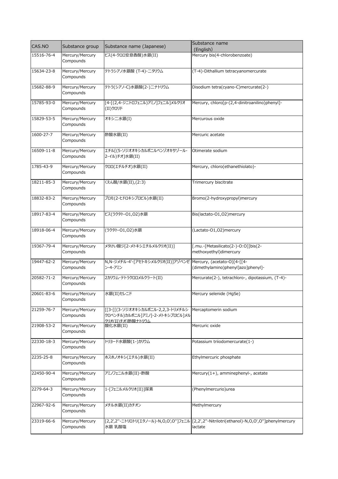| CAS.NO     | Substance group              | Substance name (Japanese)                                                                 | Substance name<br>(English)                                                                           |
|------------|------------------------------|-------------------------------------------------------------------------------------------|-------------------------------------------------------------------------------------------------------|
| 15516-76-4 | Mercury/Mercury<br>Compounds | ビス(4-クロロ安息香酸)水銀(II)                                                                       | Mercury bis(4-chlorobenzoate)                                                                         |
| 15634-23-8 | Mercury/Mercury<br>Compounds | テトラシアノ水銀酸 (T-4)-二タリウム                                                                     | (T-4)-Dithallium tetracyanomercurate                                                                  |
| 15682-88-9 | Mercury/Mercury<br>Compounds | テトラ(シアノ-C)水銀酸(2-)ニナトリウム                                                                   | Disodium tetra(cyano-C)mercurate(2-)                                                                  |
| 15785-93-0 | Mercury/Mercury<br>Compounds | [4-[(2,4-ジニトロフェニル)アミノ]フェニル]メルクリオ<br>(II)クロリド                                              | Mercury, chloro[p-(2,4-dinitroanilino)phenyl]-                                                        |
| 15829-53-5 | Mercury/Mercury<br>Compounds | オキシ二水銀(I)                                                                                 | Mercurous oxide                                                                                       |
| 1600-27-7  | Mercury/Mercury<br>Compounds | 酢酸水銀(II)                                                                                  | Mercuric acetate                                                                                      |
| 16509-11-8 | Mercury/Mercury<br>Compounds | エチル[(5-ソジオオキシカルボニルベンゾオキサゾール-<br>2-イル)チオ]水銀(II)                                            | Otimerate sodium                                                                                      |
| 1785-43-9  | Mercury/Mercury<br>Compounds | クロロ(エチルチオ)水銀(II)                                                                          | Mercury, chloro(ethanethiolato)-                                                                      |
| 18211-85-3 | Mercury/Mercury<br>Compounds | くえん酸/水銀(II),(2:3)                                                                         | Trimercury biscitrate                                                                                 |
| 18832-83-2 | Mercury/Mercury<br>Compounds | ブロモ(2-ヒドロキシプロピル)水銀(II)                                                                    | Bromo(2-hydroxypropyl)mercury                                                                         |
| 18917-83-4 | Mercury/Mercury<br>Compounds | ビス(ラクタト-O1,O2)水銀                                                                          | Bis(lactato-O1,O2)mercury                                                                             |
| 18918-06-4 | Mercury/Mercury<br>Compounds | (ラクタト-01,02)水銀                                                                            | (Lactato-01,02)mercury                                                                                |
| 19367-79-4 | Mercury/Mercury<br>Compounds | メタけい酸ジ[2-メトキシエチルメルクリオ(II)]                                                                | [.mu.-[Metasilicato(2-)-O:O]]bis(2-<br>methoxyethyl)dimercury                                         |
| 19447-62-2 | Mercury/Mercury<br>Compounds | N,N-ジメチル-4'-[アセトキシメルクリオ(II)]アゾベンゼ<br>ン-4-アミン                                              | Mercury, (acetato-O)[4-[[4-<br>(dimethylamino)phenyl]azo]phenyl]-                                     |
| 20582-71-2 | Mercury/Mercury<br>Compounds | 2カリウム・テトラクロロメルクラート(II)                                                                    | Mercurate(2-), tetrachloro-, dipotassium, (T-4)-                                                      |
| 20601-83-6 | Mercury/Mercury<br>Compounds | 水銀(II)セレニド                                                                                | Mercury selenide (HgSe)                                                                               |
| 21259-76-7 | Mercury/Mercury<br>Compounds | [[3-[[(3-ソジオオキシカルボニル-2,2,3-トリメチルシ<br>クロペンチル)カルボニル1アミノ1-2-メトキシプロピル1メル<br>クリオ(II)チオ1酢酸ナトリウム | Mercaptomerin sodium                                                                                  |
| 21908-53-2 | Mercury/Mercury<br>Compounds | 酸化水銀(II)                                                                                  | Mercuric oxide                                                                                        |
| 22330-18-3 | Mercury/Mercury<br>Compounds | トリョード水銀酸(1-)カリウム                                                                          | Potassium triiodomercurate(1-)                                                                        |
| 2235-25-8  | Mercury/Mercury<br>Compounds | ホスホノオキシ(エチル)水銀(II)                                                                        | Ethylmercuric phosphate                                                                               |
| 22450-90-4 | Mercury/Mercury<br>Compounds | アミノフェニル水銀(II)・酢酸                                                                          | Mercury(1+), amminephenyl-, acetate                                                                   |
| 2279-64-3  | Mercury/Mercury<br>Compounds | 1-「フェニルメルクリオ(II)]尿素                                                                       | (Phenylmercurio)urea                                                                                  |
| 22967-92-6 | Mercury/Mercury<br>Compounds | メチル水銀(II)カチオン                                                                             | Methylmercury                                                                                         |
| 23319-66-6 | Mercury/Mercury<br>Compounds | 水銀 乳酸塩                                                                                    | [2,2',2"-ニトリロトリ(エタノール)-N,O,O',O"]フェニル [2,2',2"-Nitrilotri(ethanol)-N,O,O',O"]phenylmercury<br>lactate |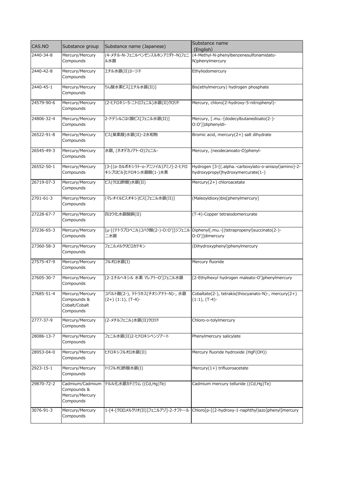| CAS.NO     | Substance group                                              | Substance name (Japanese)                                     | Substance name                                                                                     |
|------------|--------------------------------------------------------------|---------------------------------------------------------------|----------------------------------------------------------------------------------------------------|
|            |                                                              |                                                               | (English)                                                                                          |
| 2440-34-8  | Mercury/Mercury<br>Compounds                                 | (4-メチル-N-フェニルベンゼンスルホンアミダト-N)フェニ<br>ル水銀                        | (4-Methyl-N-phenylbenzenesulfonamidato-<br>N)phenylmercury                                         |
| 2440-42-8  | Mercury/Mercury<br>Compounds                                 | エチル水銀(II)ヨージド                                                 | Ethyliodomercury                                                                                   |
| 2440-45-1  | Mercury/Mercury<br>Compounds                                 | りん酸水素ビス[エチル水銀(II)]                                            | Bis(ethylmercury) hydrogen phosphate                                                               |
| 24579-90-6 | Mercury/Mercury<br>Compounds                                 | (2-ヒドロキシ-5-ニトロフェニル)水銀(II)クロリド                                 | Mercury, chloro(2-hydroxy-5-nitrophenyl)-                                                          |
| 24806-32-4 | Mercury/Mercury<br>Compounds                                 | 2-ドデシルこはく酸ビス[フェニル水銀(II)]                                      | Mercury, [.mu.-[dodecylbutanedioato(2-)-<br>O:O']]diphenyldi-                                      |
| 26522-91-8 | Mercury/Mercury<br>Compounds                                 | ビス(臭素酸)水銀(II)·2水和物                                            | Bromic acid, mercury(2+) salt dihydrate                                                            |
| 26545-49-3 | Mercury/Mercury<br>Compounds                                 | 水銀, (ネオデカノアト-O)フェニル-                                          | Mercury, (neodecanoato-O)phenyl-                                                                   |
| 26552-50-1 | Mercury/Mercury<br>Compounds                                 | [3-[(a-カルボキシラト-o-アニソイル)アミノ]-2-ヒドロ<br>キシプロピル】ヒドロキシ水銀酸(1-)水素    | Hydrogen [3-[(.alpha.-carboxylato-o-anisoyl)amino]-2-<br>hydroxypropyl]hydroxymercurate(1-)        |
| 26719-07-3 | Mercury/Mercury<br>Compounds                                 | ビス(クロロ酢酸)水銀(II)                                               | Mercury(2+) chloroacetate                                                                          |
| 2701-61-3  | Mercury/Mercury<br>Compounds                                 | (マレオイルビスオキシ)ビス[フェニル水銀(II)]                                    | (Maleoyldioxy)bis[phenylmercury]                                                                   |
| 27228-67-7 | Mercury/Mercury<br>Compounds                                 | 四3ウ化水銀酸銅(II)                                                  | (T-4)-Copper tetraiodomercurate                                                                    |
| 27236-65-3 | Mercury/Mercury<br>Compounds                                 | 二水銀                                                           | [µ-[(テトラプロペニル)コハク酸(2-)-O:O']]ジフェニル Diphenyl[.mu.-[(tetrapropenyl)succinato(2-)-<br>0:0']]dimercury |
| 27360-58-3 | Mercury/Mercury<br>Compounds                                 | フェニルメルクリピロカテキン                                                | (Dihydroxyphenyl)phenylmercury                                                                     |
| 27575-47-9 | Mercury/Mercury<br>Compounds                                 | フルオロ水銀(I)                                                     | Mercury fluoride                                                                                   |
| 27605-30-7 | Mercury/Mercury<br>Compounds                                 | [2-エチルヘキシル 水素 マレアト-O']フェニル水銀                                  | [2-Ethylhexyl hydrogen maleato-O']phenylmercury                                                    |
| 27685-51-4 | Mercury/Mercury<br>Compounds &<br>Cobalt/Cobalt<br>Compounds | コバルト酸(2-), テトラキス(チオシアナト-N)-, 水銀<br>$(2+)$ $(1:1)$ , $(T-4)$ - | Cobaltate(2-), tetrakis(thiocyanato-N)-, mercury(2+)<br>$(1:1)$ , $(T-4)$ -                        |
| 2777-37-9  | Mercury/Mercury<br>Compounds                                 | (2-メチルフェニル)水銀(II)クロリド                                         | Chloro-o-tolylmercury                                                                              |
| 28086-13-7 | Mercury/Mercury<br>Compounds                                 | フェニル水銀(II)2-ヒドロキシベンゾアート                                       | Phenylmercury salicylate                                                                           |
| 28953-04-0 | Mercury/Mercury<br>Compounds                                 | ヒドロキシフルオロ水銀(II)                                               | Mercury fluoride hydroxide (HgF(OH))                                                               |
| 2923-15-1  | Mercury/Mercury<br>Compounds                                 | トリフルオロ酢酸水銀(I)                                                 | Mercury(1+) trifluoroacetate                                                                       |
| 29870-72-2 | Compounds &<br>Mercury/Mercury<br>Compounds                  | Cadmium/Cadmium テルル化水銀カドミウム ((Cd,Hg)Te)                       | Cadmium mercury telluride ((Cd,Hg)Te)                                                              |
| 3076-91-3  | Mercury/Mercury<br>Compounds                                 |                                                               | 1-[4-[クロロメルクリオ(II)]フェニルアゾ]-2-ナフトール Chloro[p-[(2-hydroxy-1-naphthyl)azo]phenyl]mercury              |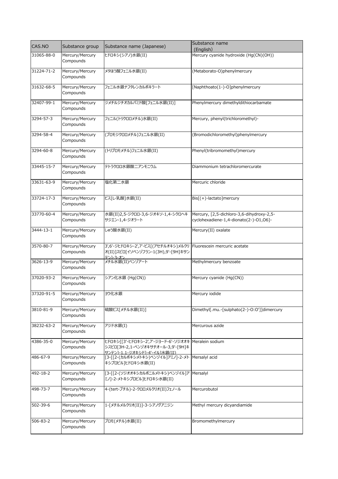| CAS.NO     | Substance group              | Substance name (Japanese)                                                                                                 | Substance name<br>(English)                                                         |
|------------|------------------------------|---------------------------------------------------------------------------------------------------------------------------|-------------------------------------------------------------------------------------|
| 31065-88-0 | Mercury/Mercury<br>Compounds | ヒドロキシ(シアノ)水銀(II)                                                                                                          | Mercury cyanide hydroxide (Hg(CN)(OH))                                              |
| 31224-71-2 | Mercury/Mercury<br>Compounds | メタほう酸フェニル水銀(II)                                                                                                           | (Metaborato-O)phenylmercury                                                         |
| 31632-68-5 | Mercury/Mercury<br>Compounds | フェニル水銀ナフタレンカルボキラート                                                                                                        | [Naphthoato(1-)-O]phenylmercury                                                     |
| 32407-99-1 | Mercury/Mercury<br>Compounds | ジメチルジチオカルバミド酸「フェニル水銀(II)]                                                                                                 | Phenylmercury dimethyldithiocarbamate                                               |
| 3294-57-3  | Mercury/Mercury<br>Compounds | フェニル(トリクロロメチル)水銀(II)                                                                                                      | Mercury, phenyl(trichloromethyl)-                                                   |
| 3294-58-4  | Mercury/Mercury<br>Compounds | (ブロモジクロロメチル)フェニル水銀(II)                                                                                                    | (Bromodichloromethyl)phenylmercury                                                  |
| 3294-60-8  | Mercury/Mercury<br>Compounds | (トリブロモメチル)フェニル水銀(II)                                                                                                      | Phenyl(tribromomethyl)mercury                                                       |
| 33445-15-7 | Mercury/Mercury<br>Compounds | テトラクロロ水銀酸ニアンモニウム                                                                                                          | Diammonium tetrachloromercurate                                                     |
| 33631-63-9 | Mercury/Mercury<br>Compounds | 塩化第二水銀                                                                                                                    | Mercuric chloride                                                                   |
| 33724-17-3 | Mercury/Mercury<br>Compounds | ビス「L-乳酸]水銀(II)                                                                                                            | $\text{Bis}[(+)$ -lactato]mercury                                                   |
| 33770-60-4 | Mercury/Mercury<br>Compounds | 水銀(II)2,5-ジクロロ-3,6-ジオキソ-1,4-シクロヘキ<br>サジエン-1,4-ジオラート                                                                       | Mercury, [2,5-dichloro-3,6-dihydroxy-2,5-<br>cyclohexadiene-1,4-dionato(2-)-01,06]- |
| 3444-13-1  | Mercury/Mercury<br>Compounds | しゅう酸水銀(II)                                                                                                                | Mercury(II) oxalate                                                                 |
| 3570-80-7  | Mercury/Mercury<br>Compounds | 3',6'-ジヒドロキシ-2',7'-ビス[(アセチルオキシ)メルクリ Fluorescein mercuric acetate<br>オ(II)]スピロ[イソベンゾフラン-1(3H),9'-[9H]キサン<br>テン1-3-オン       |                                                                                     |
| 3626-13-9  | Mercury/Mercury<br>Compounds | メチル水銀(II)ベンゾアート                                                                                                           | Methylmercury benzoate                                                              |
| 37020-93-2 | Mercury/Mercury<br>Compounds | シアン化水銀 (Hg(CN))                                                                                                           | Mercury cyanide (Hg(CN))                                                            |
| 37320-91-5 | Mercury/Mercury<br>Compounds | ヨウ化水銀                                                                                                                     | Mercury iodide                                                                      |
| 3810-81-9  | Mercury/Mercury<br>Compounds | 硫酸ビス「メチル水銀(II)]                                                                                                           | Dimethyl[.mu.-[sulphato(2-)-O:O']]dimercury                                         |
| 38232-63-2 | Mercury/Mercury<br>Compounds | アジド水銀(I)                                                                                                                  | Mercurous azide                                                                     |
| 4386-35-0  | Mercury/Mercury<br>Compounds | ヒドロキシ「[3'-ヒドロキシ-2',7'-ジョード-6'-ソジオオキ Meralein sodium<br>シスピロ「3H-2,1-ベンゾオキサチオール-3,9'-[9H]キ<br>サンテン1-1.1-ジオキシド1-4'-イル1水銀(II) |                                                                                     |
| 486-67-9   | Mercury/Mercury<br>Compounds | [3-[[2-(カルボキシメトキシ)ベンゾイル]アミノ]-2-メト<br>キシプロピル】ヒドロキシ水銀(II)                                                                   | Mersalyl acid                                                                       |
| 492-18-2   | Mercury/Mercury<br>Compounds | 「3-「「2-(ソジオオキシカルボニルメトキシ)ベンゾイル]ア<br>ミノ]-2-メトキシプロピル]ヒドロキシ水銀(II)                                                             | Mersalyl                                                                            |
| 498-73-7   | Mercury/Mercury<br>Compounds | 4-(tert-ブチル)-2-クロロメルクリオ(II)フェノール                                                                                          | Mercurobutol                                                                        |
| 502-39-6   | Mercury/Mercury<br>Compounds | 1-[メチルメルクリオ(II)]-3-シアノグアニジン                                                                                               | Methyl mercury dicyandiamide                                                        |
| 506-83-2   | Mercury/Mercury<br>Compounds | ブロモ(メチル)水銀(II)                                                                                                            | Bromomethylmercury                                                                  |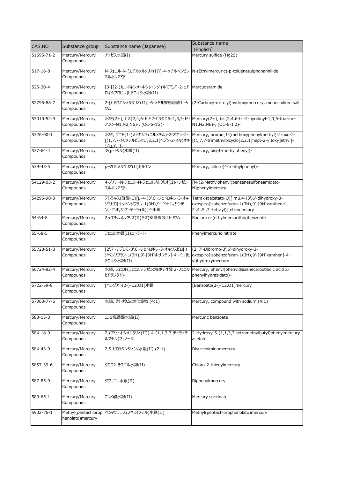| CAS.NO         | Substance group              | Substance name (Japanese)                                                                          | Substance name                                                                                                                                                                 |
|----------------|------------------------------|----------------------------------------------------------------------------------------------------|--------------------------------------------------------------------------------------------------------------------------------------------------------------------------------|
| 51595-71-2     | Mercury/Mercury              | チオビス水銀(I)                                                                                          | (English)<br>Mercury sulfide (Hg2S)                                                                                                                                            |
|                | Compounds                    |                                                                                                    |                                                                                                                                                                                |
| $517 - 16 - 8$ | Mercury/Mercury<br>Compounds | スルホンアミド                                                                                            | N-フェニル-N-[エチルメルクリオ(II)]-4-メチルベンゼン N-(Ethylmercuric)-p-toluenesulphonannilide                                                                                                   |
| 525-30-4       | Mercury/Mercury<br>Compounds | [3-[[2-(カルボキシメトキシ)ベンゾイル]アミノ]-2-ヒド   Mercuderamide<br>ロキシプロピル]ヒドロキシ水銀(II)                           |                                                                                                                                                                                |
| 52795-88-7     | Mercury/Mercury<br>Compounds | ウム                                                                                                 | 2-[ヒドロキシメルクリオ(II)]-6-メチル安息香酸ナトリ (2-Carboxy-m-tolyl)hydroxymercury, monosodium salt                                                                                             |
| 53010-52-9     | Mercury/Mercury<br>Compounds | アジン-N1, N2, N6) -, (OC-6-1'2) -                                                                    | 水銀(2+), ビス(2,4,6-トリ-2-ピリジニル-1,3,5-トリ   Mercury(2+), bis(2,4,6-tri-2-pyridinyl-1,3,5-triazine-<br>N1,N2,N6)-, (OC-6-1'2)-                                                       |
| 5326-00-1      | Mercury/Mercury<br>Compounds | シ1エチル1-                                                                                            | 水銀, ブロモ[1-(メトキシフェニルメチル)-2-オキソ-2-  Mercury, bromo[1-(methoxyphenylmethyl)-2-oxo-2-<br>[(1,7,7-トリメチルビシクロ[2.2.1]ヘプタ-2-イル)オキ  [(1,7,7-trimethylbicyclo[2.2.1]hept-2-yl)oxy]ethyl]- |
| 537-64-4       | Mercury/Mercury<br>Compounds | ジ(p-トリル)水銀(II)                                                                                     | Mercury, bis(4-methylphenyl)-                                                                                                                                                  |
| 539-43-5       | Mercury/Mercury<br>Compounds | p-クロロメルクリオ(II)トルエン                                                                                 | Mercury, chloro(4-methylphenyl)-                                                                                                                                               |
| 54129-03-2     | Mercury/Mercury<br>Compounds | 4-メチル-N-フェニル-N-フェニルメルクリオ(II)ベンゼン<br>スルホンアミド                                                        | [N-(2-Methylphenyl)benzenesulfoneamidato-<br>N]phenylmercury                                                                                                                   |
| 54295-90-8     | Mercury/Mercury<br>Compounds | テトラキス(酢酸-O)[µ-4-(3',6'-ジヒドロキシ-3-オキ<br>ソスピロ[イソベンゾフラン-1(3H),9'-[9H]キサンテ<br>ン]-2',4',5',7'-テトライル)]四水銀 | Tetrakis(acetato-O)[.mu.4-(3',6'-dihydroxy-3-<br>oxospiro[isobenzofuran-1(3H),9'-[9H]xanthene]-<br>2',4',5',7'-tetrayl)]tetramercury                                           |
| $54 - 64 - 8$  | Mercury/Mercury<br>Compounds | 2-(エチルメルクリオ(II)チオ)安息香酸ナトリウム                                                                        | Sodium o-(ethylmercurithio)benzoate                                                                                                                                            |
| $55 - 68 - 5$  | Mercury/Mercury<br>Compounds | フェニル水銀(II)ニトラート                                                                                    | Phenylmercuric nitrate                                                                                                                                                         |
| 55728-51-3     | Mercury/Mercury<br>Compounds | [2',7'-ジブロモ-3',6'-ジヒドロキシ-3-オキソスピロ[イ<br>ドロキシ水銀(II)                                                  | (2',7'-Dibromo-3',6'-dihydroxy-3-<br>ソベンゾフラン-1(3H),9'-[9H]キサンテン]-4'-イル]ヒ  oxospiro[isobenzofuran-1(3H),9'-[9H]xanthen]-4'-<br>yl)hydroxymercury                                |
| 56724-82-4     | Mercury/Mercury<br>Compounds | ヒドラジダト)-                                                                                           | 水銀, フェニル(フェニルジアゼンカルボチオ酸 2-フェニル   Mercury, phenyl(phenyldiazenecarbothioic acid 2-<br>phenylhydrazidato)-                                                                       |
| 5722-59-8      | Mercury/Mercury<br>Compounds | 「ベンゾアト(2-)-C2,01]水銀                                                                                | [Benzoato(2-)-C2,01]mercury                                                                                                                                                    |
| 57363-77-6     | Mercury/Mercury<br>Compounds | 水銀, ナトリウムとの化合物 (4:1)                                                                               | Mercury, compound with sodium (4:1)                                                                                                                                            |
| 583-15-3       | Mercury/Mercury<br>Compounds | 二安息香酸水銀(II)                                                                                        | Mercuric benzoate                                                                                                                                                              |
| 584-18-9       | Mercury/Mercury<br>Compounds | 2-(アセトキシメルクリオ(II))-4-(1,1,3,3-テトラメチ<br>ルブチル)フェノール                                                  | 2-Hydroxy-5-(1,1,3,3-tetramethylbutyl)phenylmercury<br>acetate                                                                                                                 |
| 584-43-0       | Mercury/Mercury<br>Compounds | 2,5-ピロリジンジオン/水銀(II),(2:1)                                                                          | Disuccinimidomercury                                                                                                                                                           |
| 5857-39-6      | Mercury/Mercury<br>Compounds | クロロ2-チエニル水銀(II)                                                                                    | Chloro-2-thienylmercury                                                                                                                                                        |
| 587-85-9       | Mercury/Mercury<br>Compounds | ジフェニル水銀(II)                                                                                        | Diphenylmercury                                                                                                                                                                |
| 589-65-1       | Mercury/Mercury<br>Compounds | こはく酸水銀(II)                                                                                         | Mercury succinate                                                                                                                                                              |
| 5902-76-1      | henolato) mercury            | Methyl(pentachlorop ペンタクロロフェノキシ(メチル)水銀(II)                                                         | Methyl(pentachlorophenolato)mercury                                                                                                                                            |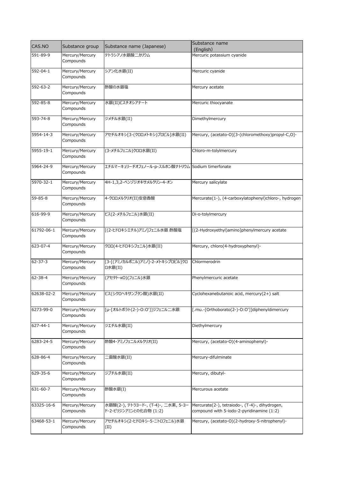| CAS.NO         | Substance group              | Substance name (Japanese)                        | Substance name                                        |
|----------------|------------------------------|--------------------------------------------------|-------------------------------------------------------|
| 591-89-9       | Mercury/Mercury              | テトラシアノ水銀酸二カリウム                                   | (English)<br>Mercuric potassium cyanide               |
|                | Compounds                    |                                                  |                                                       |
| 592-04-1       | Mercury/Mercury              | シアン化水銀(II)                                       | Mercuric cyanide                                      |
|                | Compounds                    |                                                  |                                                       |
| 592-63-2       | Mercury/Mercury              | 酢酸の水銀塩                                           | Mercury acetate                                       |
|                | Compounds                    |                                                  |                                                       |
| 592-85-8       | Mercury/Mercury              | 水銀(II)ビスチオシアナート                                  | Mercuric thiocyanate                                  |
|                | Compounds                    |                                                  |                                                       |
| 593-74-8       | Mercury/Mercury              | ジメチル水銀(II)                                       | Dimethylmercury                                       |
|                | Compounds                    |                                                  |                                                       |
| 5954-14-3      | Mercury/Mercury              | アセチルオキシ「3-(クロロメトキシ)プロピル]水銀(II)                   | Mercury, (acetato-O)[3-(chloromethoxy)propyl-C,O]-    |
|                | Compounds                    |                                                  |                                                       |
| 5955-19-1      | Mercury/Mercury              | (3-メチルフェニル)クロロ水銀(II)                             | Chloro-m-tolylmercury                                 |
|                | Compounds                    |                                                  |                                                       |
| 5964-24-9      | Mercury/Mercury              | エチルマーキュリーチオフェノール-p-スルホン酸ナトリウム Sodium timerfonate |                                                       |
|                | Compounds                    |                                                  |                                                       |
| 5970-32-1      | Mercury/Mercury              | 4H-1,3,2-ベンゾジオキサメルクリン-4-オン                       | Mercury salicylate                                    |
|                | Compounds                    |                                                  |                                                       |
| $59 - 85 - 8$  | Mercury/Mercury              | 4-クロロメルクリオ(II)安息香酸                               | Mercurate(1-), (4-carboxylatophenyl)chloro-, hydrogen |
|                | Compounds                    |                                                  |                                                       |
| 616-99-9       | Mercury/Mercury              | ビス(2-メチルフェニル)水銀(II)                              | Di-o-tolylmercury                                     |
|                | Compounds                    |                                                  |                                                       |
| 61792-06-1     | Mercury/Mercury              | [(2-ヒドロキシエチル)アミノ]フェニル水銀 酢酸塩                      | [(2-Hydroxyethyl)amino]phenylmercury acetate          |
|                | Compounds                    |                                                  |                                                       |
| 623-07-4       | Mercury/Mercury              | クロロ(4-ヒドロキシフェニル)水銀(II)                           | Mercury, chloro(4-hydroxyphenyl)-                     |
|                | Compounds                    |                                                  |                                                       |
| $62 - 37 - 3$  | Mercury/Mercury<br>Compounds | [3-[(アミノカルボニル)アミノ]-2-メトキシプロピル]クロ<br>□水銀(II)      | Chlormerodrin                                         |
|                |                              |                                                  |                                                       |
| 62-38-4        | Mercury/Mercury<br>Compounds | (アセタト-KO)(フェニル)水銀                                | Phenylmercuric acetate                                |
|                |                              |                                                  |                                                       |
| 62638-02-2     | Mercury/Mercury<br>Compounds | ビス(シクロヘキサンブタン酸)水銀(II)                            | Cyclohexanebutanoic acid, mercury(2+) salt            |
|                |                              |                                                  |                                                       |
| 6273-99-0      | Mercury/Mercury<br>Compounds | [µ-[オルトボラト(2-)-O:O']]ジフェニル二水銀                    | [.mu.-[Orthoborato(2-)-O:O']]diphenyldimercury        |
|                |                              |                                                  |                                                       |
| $627 - 44 - 1$ | Mercury/Mercury<br>Compounds | ジエチル水銀(II)                                       | Diethylmercury                                        |
| 6283-24-5      | Mercury/Mercury              | 酢酸4-アミノフェニルメルクリオ(II)                             | Mercury, (acetato-O)(4-aminophenyl)-                  |
|                | Compounds                    |                                                  |                                                       |
| 628-86-4       | Mercury/Mercury              | 二雷酸水銀(II)                                        | Mercury-difulminate                                   |
|                | Compounds                    |                                                  |                                                       |
| 629-35-6       | Mercury/Mercury              | ジブチル水銀(II)                                       | Mercury, dibutyl-                                     |
|                | Compounds                    |                                                  |                                                       |
| 631-60-7       | Mercury/Mercury              | 酢酸水銀(I)                                          | Mercurous acetate                                     |
|                | Compounds                    |                                                  |                                                       |
| 63325-16-6     | Mercury/Mercury              | 水銀酸(2-), テトラヨード-, (T-4)-, 二水素, 5-ヨー              | Mercurate(2-), tetraiodo-, (T-4)-, dihydrogen,        |
|                | Compounds                    | ドー2-ピリジンアミンとの化合物 (1:2)                           | compound with 5-iodo-2-pyridinamine (1:2)             |
| 63468-53-1     | Mercury/Mercury              | アセチルオキシ(2-ヒドロキシ-5-ニトロフェニル)水銀                     | Mercury, (acetato-O)(2-hydroxy-5-nitrophenyl)-        |
|                | Compounds                    | (II)                                             |                                                       |
|                |                              |                                                  |                                                       |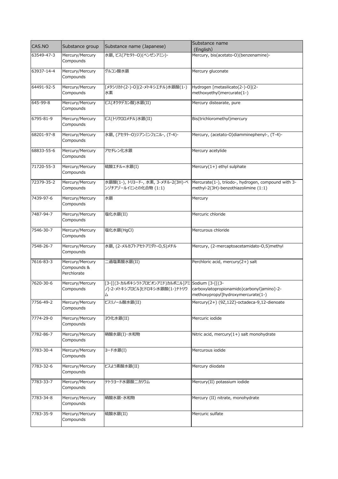| CAS.NO     | Substance group                               | Substance name (Japanese)                                                               | Substance name                                                                              |
|------------|-----------------------------------------------|-----------------------------------------------------------------------------------------|---------------------------------------------------------------------------------------------|
| 63549-47-3 | Mercury/Mercury                               | 水銀, ビス(アセタト-O)(ベンゼンアミン)-                                                                | (English)                                                                                   |
|            | Compounds                                     |                                                                                         | Mercury, bis(acetato-O)(benzenamine)-                                                       |
| 63937-14-4 | Mercury/Mercury<br>Compounds                  | グルコン酸水銀                                                                                 | Mercury gluconate                                                                           |
| 64491-92-5 | Mercury/Mercury<br>Compounds                  | [メタシリカト(2-)-O](2-メトキシエチル)水銀酸(1-)<br>水素                                                  | Hydrogen [metasilicato(2-)-O](2-<br>methoxyethyl)mercurate(1-)                              |
| 645-99-8   | Mercury/Mercury<br>Compounds                  | ビス(オクタデカン酸)水銀(II)                                                                       | Mercury distearate, pure                                                                    |
| 6795-81-9  | Mercury/Mercury<br>Compounds                  | ビス(トリクロロメチル)水銀(II)                                                                      | Bis(trichloromethyl)mercury                                                                 |
| 68201-97-8 | Mercury/Mercury<br>Compounds                  | 水銀, (アセタト-O)ジアンミンフェニル-, (T-4)-                                                          | Mercury, (acetato-O)diamminephenyl-, (T-4)-                                                 |
| 68833-55-6 | Mercury/Mercury<br>Compounds                  | アセチレン化水銀                                                                                | Mercury acetylide                                                                           |
| 71720-55-3 | Mercury/Mercury<br>Compounds                  | 硫酸エチル=水銀(I)                                                                             | Mercury(1+) ethyl sulphate                                                                  |
| 72379-35-2 | Mercury/Mercury<br>Compounds                  | 水銀酸(1-), トリヨード-, 水素, 3-メチル-2(3H)-ベ<br>ンゾチアゾールイミンとの化合物 (1:1)                             | Mercurate(1-), triiodo-, hydrogen, compound with 3-<br>methyl-2(3H)-benzothiazolimine (1:1) |
| 7439-97-6  | Mercury/Mercury<br>Compounds                  | 水銀                                                                                      | Mercury                                                                                     |
| 7487-94-7  | Mercury/Mercury<br>Compounds                  | 塩化水銀(II)                                                                                | Mercuric chloride                                                                           |
| 7546-30-7  | Mercury/Mercury<br>Compounds                  | 塩化水銀(HgCl)                                                                              | Mercurous chloride                                                                          |
| 7548-26-7  | Mercury/Mercury<br>Compounds                  | 水銀, (2-メルカプトアセトアミダト-O,S)メチル                                                             | Mercury, (2-mercaptoacetamidato-O,S)methyl                                                  |
| 7616-83-3  | Mercury/Mercury<br>Compounds &<br>Perchlorate | 二過塩素酸水銀(II)                                                                             | Perchloric acid, mercury(2+) salt                                                           |
| 7620-30-6  | Mercury/Mercury<br>Compounds                  | [3-[[(3-カルボキシラトプロピオンアミド)カルボニル]アミ Sodium [3-[[(3-<br>ノ]-2-メトキシプロピル]ヒドロキシ水銀酸(1-)ナトリウ<br>↳ | carboxylatopropionamido)carbonyl]amino]-2-<br>methoxypropyl]hydroxymercurate(1-)            |
| 7756-49-2  | Mercury/Mercury<br>Compounds                  | ビスリノール酸水銀(II)                                                                           | Mercury(2+)(9Z,12Z)-octadeca-9,12-dienoate                                                  |
| 7774-29-0  | Mercury/Mercury<br>Compounds                  | ヨウ化水銀(II)                                                                               | Mercuric iodide                                                                             |
| 7782-86-7  | Mercury/Mercury<br>Compounds                  | 硝酸水銀(I)·水和物                                                                             | Nitric acid, mercury(1+) salt monohydrate                                                   |
| 7783-30-4  | Mercury/Mercury<br>Compounds                  | ヨード水銀(I)                                                                                | Mercurous iodide                                                                            |
| 7783-32-6  | Mercury/Mercury<br>Compounds                  | ビスよう素酸水銀(II)                                                                            | Mercury diiodate                                                                            |
| 7783-33-7  | Mercury/Mercury<br>Compounds                  | テトラヨード水銀酸二カリウム                                                                          | Mercury(II) potassium iodide                                                                |
| 7783-34-8  | Mercury/Mercury<br>Compounds                  | 硝酸水銀・水和物                                                                                | Mercury (II) nitrate, monohydrate                                                           |
| 7783-35-9  | Mercury/Mercury<br>Compounds                  | 硫酸水銀(II)                                                                                | Mercuric sulfate                                                                            |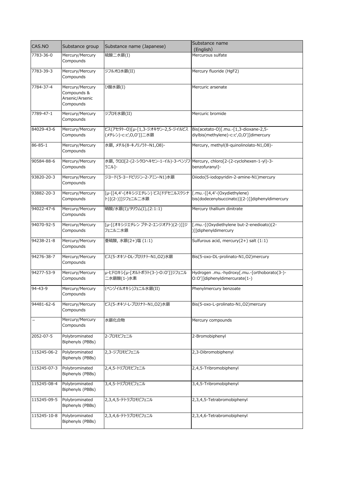| CAS.NO        | Substance group                                                | Substance name (Japanese)                                                            | Substance name                                                                   |
|---------------|----------------------------------------------------------------|--------------------------------------------------------------------------------------|----------------------------------------------------------------------------------|
|               |                                                                |                                                                                      | (English)                                                                        |
| 7783-36-0     | Mercury/Mercury<br>Compounds                                   | 硫酸二水銀(I)                                                                             | Mercurous sulfate                                                                |
| 7783-39-3     | Mercury/Mercury<br>Compounds                                   | ジフルオロ水銀(II)                                                                          | Mercury fluoride (HgF2)                                                          |
| 7784-37-4     | Mercury/Mercury<br>Compounds &<br>Arsenic/Arsenic<br>Compounds | ひ酸水銀(I)                                                                              | Mercuric arsenate                                                                |
| 7789-47-1     | Mercury/Mercury<br>Compounds                                   | ジブロモ水銀(II)                                                                           | Mercuric bromide                                                                 |
| 84029-43-6    | Mercury/Mercury<br>Compounds                                   | ビス(アセタト-Ο)[μ-[1,3-ジオキサン-2,5-ジイルビス<br>(メチレン)-c:c',O,O']]二水銀                           | Bis(acetato-O)[.mu.-[1,3-dioxane-2,5-<br>diylbis(methylene)-c:c',O,O']]dimercury |
| $86 - 85 - 1$ | Mercury/Mercury<br>Compounds                                   | 水銀, メチル(8-キノリノラト-N1,08)-                                                             | Mercury, methyl(8-quinolinolato-N1,O8)-                                          |
| 90584-88-6    | Mercury/Mercury<br>Compounds                                   | 水銀, クロロ[2-(2-シクロヘキセン-1-イル)-3-ベンゾフ Mercury, chloro[2-(2-cyclohexen-1-yl)-3-<br>ラニル]-  | benzofuranyl]-                                                                   |
| 93820-20-3    | Mercury/Mercury<br>Compounds                                   | ジヨード(5-ヨードピリジン-2-アミン-N1)水銀                                                           | Diiodo(5-iodopyridin-2-amine-N1)mercury                                          |
| 93882-20-3    | Mercury/Mercury<br>Compounds                                   | [µ-[[4,4'-(オキシジエチレン) ビス(ドデセニルスクシナ  [.mu.-[[4,4'-(Oxydiethylene)<br>ト)](2-)]]ジフェニル二水銀 | bis(dodecenylsuccinato)](2-)]]diphenyldimercury                                  |
| 94022-47-6    | Mercury/Mercury<br>Compounds                                   | 硝酸/水銀(I)/タリウム(I),(2:1:1)                                                             | Mercury thallium dinitrate                                                       |
| 94070-92-5    | Mercury/Mercury<br>Compounds                                   | [µ-[(オキシジエチレン ブタ-2-エンジオアト)(2-)]]ジ<br>フェニル二水銀                                         | [.mu.-[(Oxydiethylene but-2-enedioato)(2-<br>)]]diphenyldimercury                |
| 94238-21-8    | Mercury/Mercury<br>Compounds                                   | 亜硫酸,水銀(2+)塩 (1:1)                                                                    | Sulfurous acid, mercury(2+) salt (1:1)                                           |
| 94276-38-7    | Mercury/Mercury<br>Compounds                                   | ビス(5-オキソ-DL-プロリナト-N1,02)水銀                                                           | Bis(5-oxo-DL-prolinato-N1,O2)mercury                                             |
| 94277-53-9    | Mercury/Mercury<br>Compounds                                   | μ-ヒドロキシ[μ-[オルトボラト(3-)-O:O']]ジフェニル<br>二水銀酸(1-)水素                                      | Hydrogen .mu.-hydroxy[.mu.-[orthoborato(3-)-<br>O:O']]diphenyldimercurate(1-)    |
| $94 - 43 - 9$ | Mercury/Mercury<br>Compounds                                   | (ベンゾイルオキシ)フェニル水銀(II)                                                                 | Phenylmercury benzoate                                                           |
| 94481-62-6    | Mercury/Mercury<br>Compounds                                   | ビス(5-オキソ-L-プロリナト-N1,02)水銀                                                            | Bis(5-oxo-L-prolinato-N1,O2)mercury                                              |
|               | Mercury/Mercury<br>Compounds                                   | 水銀化合物                                                                                | Mercury compounds                                                                |
| 2052-07-5     | Polybrominated<br>Biphenyls (PBBs)                             | 2-ブロモビフェニル                                                                           | 2-Bromobiphenyl                                                                  |
| 115245-06-2   | Polybrominated<br>Biphenyls (PBBs)                             | 2,3-ジブロモビフェニル                                                                        | 2,3-Dibromobiphenyl                                                              |
| 115245-07-3   | Polybrominated<br>Biphenyls (PBBs)                             | 2,4,5-トリブロモビフェニル                                                                     | 2,4,5-Tribromobiphenyl                                                           |
| 115245-08-4   | Polybrominated<br>Biphenyls (PBBs)                             | 3,4,5-トリブロモビフェニル                                                                     | 3,4,5-Tribromobiphenyl                                                           |
| 115245-09-5   | Polybrominated<br>Biphenyls (PBBs)                             | 2,3,4,5-テトラブロモビフェニル                                                                  | 2,3,4,5-Tetrabromobiphenyl                                                       |
| 115245-10-8   | Polybrominated<br>Biphenyls (PBBs)                             | 2,3,4,6-テトラブロモビフェニル                                                                  | 2,3,4,6-Tetrabromobiphenyl                                                       |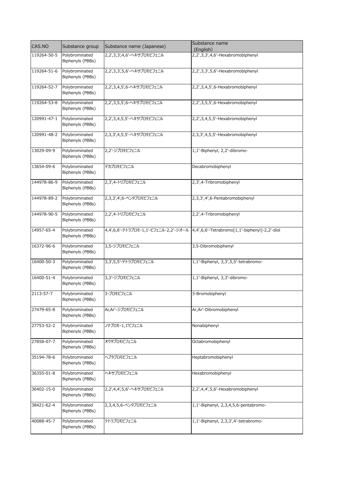| CAS.NO      | Substance group                    | Substance name (Japanese)  | Substance name<br>(English)                                                          |
|-------------|------------------------------------|----------------------------|--------------------------------------------------------------------------------------|
| 119264-50-5 | Polybrominated<br>Biphenyls (PBBs) | 2,2',3,3',4,6'-ヘキサブロモビフェニル | 2,2',3,3',4,6'-Hexabromobiphenyl                                                     |
| 119264-51-6 | Polybrominated<br>Biphenyls (PBBs) | 2,2',3,3',5,6'-ヘキサブロモビフェニル | 2,2',3,3',5,6'-Hexabromobiphenyl                                                     |
| 119264-52-7 | Polybrominated<br>Biphenyls (PBBs) | 2,2',3,4,5',6-ヘキサブロモビフェニル  | 2,2',3,4,5',6-Hexabromobiphenyl                                                      |
| 119264-53-8 | Polybrominated<br>Biphenyls (PBBs) | 2,2',3,5,5',6-ヘキサブロモビフェニル  | 2,2',3,5,5',6-Hexabromobiphenyl                                                      |
| 120991-47-1 | Polybrominated<br>Biphenyls (PBBs) | 2,2',3,4,5,5'-ヘキサブロモビフェニル  | 2,2',3,4,5,5'-Hexabromobiphenyl                                                      |
| 120991-48-2 | Polybrominated<br>Biphenyls (PBBs) | 2,3,3',4,5,5'-ヘキサブロモビフェニル  | 2,3,3',4,5,5'-Hexabromobiphenyl                                                      |
| 13029-09-9  | Polybrominated<br>Biphenyls (PBBs) | 2,2'-ジブロモビフェニル             | 1,1'-Biphenyl, 2,2'-dibromo-                                                         |
| 13654-09-6  | Polybrominated<br>Biphenyls (PBBs) | デカブロモビフェニル                 | Decabromobiphenyl                                                                    |
| 144978-86-9 | Polybrominated<br>Biphenyls (PBBs) | 2,3',4-トリブロモビフェニル          | 2,3',4-Tribromobiphenyl                                                              |
| 144978-89-2 | Polybrominated<br>Biphenyls (PBBs) | 2,3,3',4',6-ペンタブロモビフェニル    | 2,3,3',4',6-Pentabromobiphenyl                                                       |
| 144978-90-5 | Polybrominated<br>Biphenyls (PBBs) | 2,2',4-トリブロモビフェニル          | 2,2',4-Tribromobiphenyl                                                              |
| 14957-65-4  | Polybrominated<br>Biphenyls (PBBs) |                            | 4,4',6,6'-テトラブロモ-1,1'-ビフェニル-2,2'-ジオール  4,4',6,6'-Tetrabromo[1,1'-biphenyl]-2,2'-diol |
| 16372-96-6  | Polybrominated<br>Biphenyls (PBBs) | 3,5-ジブロモビフェニル              | 3,5-Dibromobiphenyl                                                                  |
| 16400-50-3  | Polybrominated<br>Biphenyls (PBBs) | 3,3',5,5'-テトラブロモビフェニル      | 1,1'-Biphenyl, 3,3',5,5'-tetrabromo-                                                 |
| 16400-51-4  | Polybrominated<br>Biphenyls (PBBs) | 3,3'-ジブロモビフェニル             | 1,1'-Biphenyl, 3,3'-dibromo-                                                         |
| 2113-57-7   | Polybrominated<br>Biphenyls (PBBs) | 3-ブロモビフェニル                 | 3-Bromobiphenyl                                                                      |
| 27479-65-8  | Polybrominated<br>Biphenyls (PBBs) | Ar, Ar'-ジブロモビフェニル          | Ar, Ar'-Dibromobiphenyl                                                              |
| 27753-52-2  | Polybrominated<br>Biphenyls (PBBs) | ノナブロモ-1,1ビフェニル             | Nonabiphenyl                                                                         |
| 27858-07-7  | Polybrominated<br>Biphenyls (PBBs) | オクタブロモビフェニル                | Octabromobiphenyl                                                                    |
| 35194-78-6  | Polybrominated<br>Biphenyls (PBBs) | ヘプタブロモビフェニル                | Heptabromobiphenyl                                                                   |
| 36355-01-8  | Polybrominated<br>Biphenyls (PBBs) | ヘキサブロモビフェニル                | Hexabromobiphenyl                                                                    |
| 36402-15-0  | Polybrominated<br>Biphenyls (PBBs) | 2,2',4,4',5,6'-ヘキサブロモビフェニル | 2,2',4,4',5,6'-Hexabromobiphenyl                                                     |
| 38421-62-4  | Polybrominated<br>Biphenyls (PBBs) | 2,3,4,5,6-ペンタブロモビフェニル      | 1,1'-Biphenyl, 2,3,4,5,6-pentabromo-                                                 |
| 40088-45-7  | Polybrominated<br>Biphenyls (PBBs) | テトラブロモビフェニル                | 1,1'-Biphenyl, 2,3,3',4'-tetrabromo-                                                 |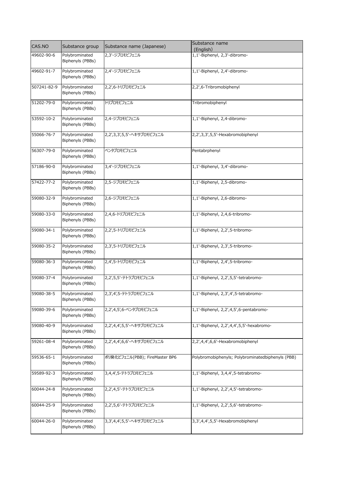| CAS.NO      | Substance group                    | Substance name (Japanese)      | Substance name<br>(English)                       |
|-------------|------------------------------------|--------------------------------|---------------------------------------------------|
| 49602-90-6  | Polybrominated<br>Biphenyls (PBBs) | 2,3'-ジブロモビフェニル                 | 1,1'-Biphenyl, 2,3'-dibromo-                      |
| 49602-91-7  | Polybrominated<br>Biphenyls (PBBs) | 2,4'-ジブロモビフェニル                 | 1,1'-Biphenyl, 2,4'-dibromo-                      |
| 507241-82-9 | Polybrominated<br>Biphenyls (PBBs) | 2,2',6-トリブロモビフェニル              | 2,2',6-Tribromobiphenyl                           |
| 51202-79-0  | Polybrominated<br>Biphenyls (PBBs) | トリブロモビフェニル                     | Tribromobiphenyl                                  |
| 53592-10-2  | Polybrominated<br>Biphenyls (PBBs) | 2,4-ジブロモビフェニル                  | 1,1'-Biphenyl, 2,4-dibromo-                       |
| 55066-76-7  | Polybrominated<br>Biphenyls (PBBs) | 2,2',3,3',5,5'-ヘキサブロモビフェニル     | 2,2',3,3',5,5'-Hexabromobiphenyl                  |
| 56307-79-0  | Polybrominated<br>Biphenyls (PBBs) | ペンタブロモビフェニル                    | Pentabrphenyl                                     |
| 57186-90-0  | Polybrominated<br>Biphenyls (PBBs) | 3,4'-ジブロモビフェニル                 | 1,1'-Biphenyl, 3,4'-dibromo-                      |
| 57422-77-2  | Polybrominated<br>Biphenyls (PBBs) | 2,5-ジブロモビフェニル                  | 1,1'-Biphenyl, 2,5-dibromo-                       |
| 59080-32-9  | Polybrominated<br>Biphenyls (PBBs) | 2,6-ジブロモビフェニル                  | 1,1'-Biphenyl, 2,6-dibromo-                       |
| 59080-33-0  | Polybrominated<br>Biphenyls (PBBs) | 2,4,6-トリブロモビフェニル               | 1,1'-Biphenyl, 2,4,6-tribromo-                    |
| 59080-34-1  | Polybrominated<br>Biphenyls (PBBs) | 2,2',5-トリブロモビフェニル              | 1,1'-Biphenyl, 2,2',5-tribromo-                   |
| 59080-35-2  | Polybrominated<br>Biphenyls (PBBs) | 2,3',5-トリブロモビフェニル              | 1,1'-Biphenyl, 2,3',5-tribromo-                   |
| 59080-36-3  | Polybrominated<br>Biphenyls (PBBs) | 2,4',5-トリブロモビフェニル              | 1,1'-Biphenyl, 2,4',5-tribromo-                   |
| 59080-37-4  | Polybrominated<br>Biphenyls (PBBs) | 2,2',5,5'-テトラブロモビフェニル          | 1,1'-Biphenyl, 2,2',5,5'-tetrabromo-              |
| 59080-38-5  | Polybrominated<br>Biphenyls (PBBs) | 2,3',4',5-テトラブロモビフェニル          | 1,1'-Biphenyl, 2,3',4',5-tetrabromo-              |
| 59080-39-6  | Polybrominated<br>Biphenyls (PBBs) | 2,2',4,5',6-ペンタブロモビフェニル        | 1,1'-Biphenyl, 2,2',4,5',6-pentabromo-            |
| 59080-40-9  | Polybrominated<br>Biphenyls (PBBs) | 2,2',4,4',5,5'-ヘキサブロモビフェニル     | 1,1'-Biphenyl, 2,2',4,4',5,5'-hexabromo-          |
| 59261-08-4  | Polybrominated<br>Biphenyls (PBBs) | 2,2',4,4',6,6'-ヘキサブロモビフェニル     | 2,2',4,4',6,6'-Hexabromobiphenyl                  |
| 59536-65-1  | Polybrominated<br>Biphenyls (PBBs) | ポリ臭化ビフェニル(PBB); FireMaster BP6 | Polybromobiphenyls; Polybrominatedbiphenyls (PBB) |
| 59589-92-3  | Polybrominated<br>Biphenyls (PBBs) | 3,4,4',5-テトラブロモビフェニル           | 1,1'-Biphenyl, 3,4,4',5-tetrabromo-               |
| 60044-24-8  | Polybrominated<br>Biphenyls (PBBs) | 2,2',4,5'-テトラブロモビフェニル          | 1,1'-Biphenyl, 2,2',4,5'-tetrabromo-              |
| 60044-25-9  | Polybrominated<br>Biphenyls (PBBs) | 2,2',5,6'-テトラブロモビフェニル          | 1,1'-Biphenyl, 2,2',5,6'-tetrabromo-              |
| 60044-26-0  | Polybrominated<br>Biphenyls (PBBs) | 3,3',4,4',5,5'-ヘキサブロモビフェニル     | 3,3',4,4',5,5'-Hexabromobiphenyl                  |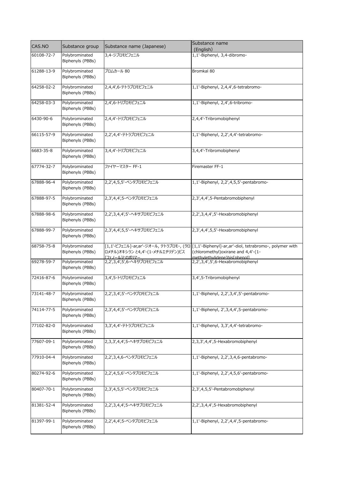| CAS.NO     | Substance group                    | Substance name (Japanese)                        | Substance name                                                                                                                                                        |
|------------|------------------------------------|--------------------------------------------------|-----------------------------------------------------------------------------------------------------------------------------------------------------------------------|
|            |                                    |                                                  | (English)                                                                                                                                                             |
| 60108-72-7 | Polybrominated<br>Biphenyls (PBBs) | 3,4-ジブロモビフェニル                                    | 1,1'-Biphenyl, 3,4-dibromo-                                                                                                                                           |
| 61288-13-9 | Polybrominated<br>Biphenyls (PBBs) | ブロムカール 80                                        | Bromkal 80                                                                                                                                                            |
| 64258-02-2 | Polybrominated<br>Biphenyls (PBBs) | 2,4,4',6-テトラブロモビフェニル                             | 1,1'-Biphenyl, 2,4,4',6-tetrabromo-                                                                                                                                   |
| 64258-03-3 | Polybrominated<br>Biphenyls (PBBs) | 2,4',6-トリブロモビフェニル                                | 1,1'-Biphenyl, 2,4',6-tribromo-                                                                                                                                       |
| 6430-90-6  | Polybrominated<br>Biphenyls (PBBs) | 2,4,4'-トリブロモビフェニル                                | 2,4,4'-Tribromobiphenyl                                                                                                                                               |
| 66115-57-9 | Polybrominated<br>Biphenyls (PBBs) | 2,2',4,4'-テトラブロモビフェニル                            | 1,1'-Biphenyl, 2,2',4,4'-tetrabromo-                                                                                                                                  |
| 6683-35-8  | Polybrominated<br>Biphenyls (PBBs) | 3,4,4'-トリブロモビフェニル                                | 3,4,4'-Tribromobiphenyl                                                                                                                                               |
| 67774-32-7 | Polybrominated<br>Biphenyls (PBBs) | ファイヤーマスター FF-1                                   | Firemaster FF-1                                                                                                                                                       |
| 67888-96-4 | Polybrominated<br>Biphenyls (PBBs) | 2,2',4,5,5'-ペンタブロモビフェニル                          | 1,1'-Biphenyl, 2,2',4,5,5'-pentabromo-                                                                                                                                |
| 67888-97-5 | Polybrominated<br>Biphenyls (PBBs) | 2,3',4,4',5-ペンタブロモビフェニル                          | 2,3',4,4',5-Pentabromobiphenyl                                                                                                                                        |
| 67888-98-6 | Polybrominated<br>Biphenyls (PBBs) | 2,2',3,4,4',5'-ヘキサブロモビフェニル                       | 2,2',3,4,4',5'-Hexabromobiphenyl                                                                                                                                      |
| 67888-99-7 | Polybrominated<br>Biphenyls (PBBs) | 2,3',4,4',5,5'-ヘキサブロモビフェニル                       | 2,3',4,4',5,5'-Hexabromobiphenyl                                                                                                                                      |
| 68758-75-8 | Polybrominated<br>Biphenyls (PBBs) | ロメチル)オキシラン と4,4'-(1-メチルエチリデン)ビス<br>「フェノール]とのポリマー | [1,1'-ビフェニル]-ar,ar'-ジオール, テトラブロモ-, (クロ  [1,1'-Biphenyl]-ar,ar'-diol, tetrabromo-, polymer with<br>(chloromethyl) oxirane and 4,4'-(1-<br>methylethylidene)bis[phenol] |
| 69278-59-7 | Polybrominated<br>Biphenyls (PBBs) | 2,2',3,4',5',6-ヘキサブロモビフェニル                       | 2,2',3,4',5',6-Hexabromobiphenyl                                                                                                                                      |
| 72416-87-6 | Polybrominated<br>Biphenyls (PBBs) | 3,4',5-トリブロモビフェニル                                | 3,4',5-Tribromobiphenyl                                                                                                                                               |
| 73141-48-7 | Polybrominated<br>Biphenyls (PBBs) | 2,2',3,4',5'-ペンタブロモビフェニル                         | 1,1'-Biphenyl, 2,2', 3,4', 5'-pentabromo-                                                                                                                             |
| 74114-77-5 | Polybrominated<br>Biphenyls (PBBs) | 2,3',4,4',5'-ペンタブロモビフェニル                         | 1,1'-Biphenyl, 2',3,4,4',5-pentabromo-                                                                                                                                |
| 77102-82-0 | Polybrominated<br>Biphenyls (PBBs) | 3,3',4,4'-テトラブロモビフェニル                            | 1,1'-Biphenyl, 3,3',4,4'-tetrabromo-                                                                                                                                  |
| 77607-09-1 | Polybrominated<br>Biphenyls (PBBs) | 2,3,3',4,4',5-ヘキサブロモビフェニル                        | 2,3,3',4,4',5-Hexabromobiphenyl                                                                                                                                       |
| 77910-04-4 | Polybrominated<br>Biphenyls (PBBs) | 2,2',3,4,6-ペンタブロモビフェニル                           | 1,1'-Biphenyl, 2,2',3,4,6-pentabromo-                                                                                                                                 |
| 80274-92-6 | Polybrominated<br>Biphenyls (PBBs) | 2,2',4,5,6'-ペンタブロモビフェニル                          | 1,1'-Biphenyl, 2,2',4,5,6'-pentabromo-                                                                                                                                |
| 80407-70-1 | Polybrominated<br>Biphenyls (PBBs) | 2,3',4,5,5'-ペンタブロモビフェニル                          | 2,3',4,5,5'-Pentabromobiphenyl                                                                                                                                        |
| 81381-52-4 | Polybrominated<br>Biphenyls (PBBs) | 2,2',3,4,4',5-ヘキサブロモビフェニル                        | 2,2',3,4,4',5-Hexabromobiphenyl                                                                                                                                       |
| 81397-99-1 | Polybrominated<br>Biphenyls (PBBs) | 2,2',4,4',5-ペンタブロモビフェニル                          | 1,1'-Biphenyl, 2,2',4,4',5-pentabromo-                                                                                                                                |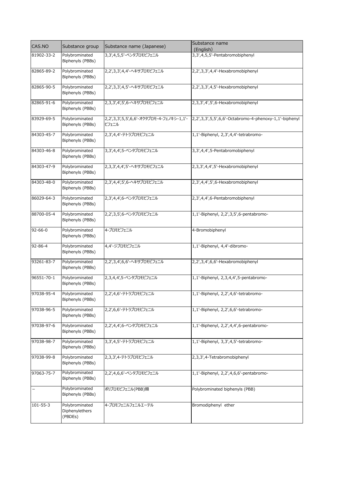| CAS.NO        |                                             |                            | Substance name                                                                                  |
|---------------|---------------------------------------------|----------------------------|-------------------------------------------------------------------------------------------------|
|               | Substance group                             | Substance name (Japanese)  | (English)                                                                                       |
| 81902-33-2    | Polybrominated<br>Biphenyls (PBBs)          | 3,3',4,5,5'-ペンタブロモビフェニル    | 3,3',4,5,5'-Pentabromobiphenyl                                                                  |
| 82865-89-2    | Polybrominated<br>Biphenyls (PBBs)          | 2,2',3,3',4,4'-ヘキサブロモビフェニル | 2,2',3,3',4,4'-Hexabromobiphenyl                                                                |
| 82865-90-5    | Polybrominated<br>Biphenyls (PBBs)          | 2,2',3,3',4,5'-ヘキサブロモビフェニル | 2,2',3,3',4,5'-Hexabromobiphenyl                                                                |
| 82865-91-6    | Polybrominated<br>Biphenyls (PBBs)          | 2,3,3',4',5',6-ヘキサブロモビフェニル | 2,3,3',4',5',6-Hexabromobiphenyl                                                                |
| 83929-69-5    | Polybrominated<br>Biphenyls (PBBs)          | ビフェニル                      | 2,2',3,3',5,5',6,6'-オクタブロモ-4-フェノキシ-1,1'-  2,2',3,3',5,5',6,6'-Octabromo-4-phenoxy-1,1'-biphenyl |
| 84303-45-7    | Polybrominated<br>Biphenyls (PBBs)          | 2,3',4,4'-テトラブロモビフェニル      | 1,1'-Biphenyl, 2,3',4,4'-tetrabromo-                                                            |
| 84303-46-8    | Polybrominated<br>Biphenyls (PBBs)          | 3,3',4,4',5-ペンタブロモビフェニル    | 3,3',4,4',5-Pentabromobiphenyl                                                                  |
| 84303-47-9    | Polybrominated<br>Biphenyls (PBBs)          | 2,3,3',4,4',5'-ヘキサブロモビフェニル | 2,3,3',4,4',5'-Hexabromobiphenyl                                                                |
| 84303-48-0    | Polybrominated<br>Biphenyls (PBBs)          | 2,3',4,4',5',6-ヘキサブロモビフェニル | 2,3',4,4',5',6-Hexabromobiphenyl                                                                |
| 86029-64-3    | Polybrominated<br>Biphenyls (PBBs)          | 2,3',4,4',6-ペンタブロモビフェニル    | 2,3',4,4',6-Pentabromobiphenyl                                                                  |
| 88700-05-4    | Polybrominated<br>Biphenyls (PBBs)          | 2,2',3,5',6-ペンタブロモビフェニル    | 1,1'-Biphenyl, 2,2',3,5',6-pentabromo-                                                          |
| $92 - 66 - 0$ | Polybrominated<br>Biphenyls (PBBs)          | 4-ブロモビフェニル                 | 4-Bromobiphenyl                                                                                 |
| 92-86-4       | Polybrominated<br>Biphenyls (PBBs)          | 4,4'-ジブロモビフェニル             | 1,1'-Biphenyl, 4,4'-dibromo-                                                                    |
| 93261-83-7    | Polybrominated<br>Biphenyls (PBBs)          | 2,2',3,4',6,6'-ヘキサブロモビフェニル | 2,2',3,4',6,6'-Hexabromobiphenyl                                                                |
| 96551-70-1    | Polybrominated<br>Biphenyls (PBBs)          | 2,3,4,4',5-ペンタブロモビフェニル     | 1,1'-Biphenyl, 2,3,4,4',5-pentabromo-                                                           |
| 97038-95-4    | Polybrominated<br>Biphenyls (PBBs)          | 2,2',4,6'-テトラブロモビフェニル      | 1,1'-Biphenyl, 2,2',4,6'-tetrabromo-                                                            |
| 97038-96-5    | Polybrominated<br>Biphenyls (PBBs)          | 2,2',6,6'-テトラブロモビフェニル      | 1,1'-Biphenyl, 2,2',6,6'-tetrabromo-                                                            |
| 97038-97-6    | Polybrominated<br>Biphenyls (PBBs)          | 2,2',4,4',6-ペンタブロモビフェニル    | 1,1'-Biphenyl, 2,2',4,4',6-pentabromo-                                                          |
| 97038-98-7    | Polybrominated<br>Biphenyls (PBBs)          | 3,3',4,5'-テトラブロモビフェニル      | 1,1'-Biphenyl, 3,3',4,5'-tetrabromo-                                                            |
| 97038-99-8    | Polybrominated<br>Biphenyls (PBBs)          | 2,3,3',4-テトラブロモビフェニル       | 2,3,3',4-Tetrabromobiphenyl                                                                     |
| 97063-75-7    | Polybrominated<br>Biphenyls (PBBs)          | 2,2',4,6,6'-ペンタブロモビフェニル    | 1,1'-Biphenyl, 2,2',4,6,6'-pentabromo-                                                          |
|               | Polybrominated<br>Biphenyls (PBBs)          | ポリブロモビフェニル(PBB)類           | Polybrominated biphenyls (PBB)                                                                  |
| 101-55-3      | Polybrominated<br>Diphenylethers<br>(PBDEs) | 4-ブロモフェニルフェニルエーテル          | Bromodiphenyl ether                                                                             |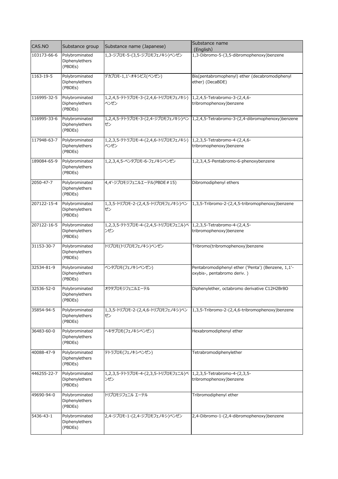| CAS.NO      | Substance group                             | Substance name (Japanese)                                                | Substance name<br>(English)                                                          |
|-------------|---------------------------------------------|--------------------------------------------------------------------------|--------------------------------------------------------------------------------------|
| 103173-66-6 | Polybrominated<br>Diphenylethers<br>(PBDEs) | 1,3-ジブロモ-5-(3,5-ジブロモフェノキシ)ベンゼン                                           | 1,3-Dibromo-5-(3,5-dibromophenoxy)benzene                                            |
| 1163-19-5   | Polybrominated<br>Diphenylethers<br>(PBDEs) | デカブロモ-1,1'-オキシビス(ベンゼン)                                                   | Bis(pentabromophenyl) ether (decabromodiphenyl<br>ether) (DecaBDE)                   |
| 116995-32-5 | Polybrominated<br>Diphenylethers<br>(PBDEs) | 1,2,4,5-テトラブロモ-3-(2,4,6-トリブロモフェノキシ)<br>ベンゼン                              | 1,2,4,5-Tetrabromo-3-(2,4,6-<br>tribromophenoxy) benzene                             |
| 116995-33-6 | Polybrominated<br>Diphenylethers<br>(PBDEs) | ゼン                                                                       | 1,2,4,5-テトラブロモ-3-(2,4-ジブロモフェノキシ)ベン  1,2,4,5-Tetrabromo-3-(2,4-dibromophenoxy)benzene |
| 117948-63-7 | Polybrominated<br>Diphenylethers<br>(PBDEs) | 1,2,3,5-テトラブロモ-4-(2,4,6-トリブロモフェノキシ)<br>ベンゼン                              | 1,2,3,5-Tetrabromo-4-(2,4,6-<br>tribromophenoxy)benzene                              |
| 189084-65-9 | Polybrominated<br>Diphenylethers<br>(PBDEs) | 1,2,3,4,5-ペンタブロモ-6-フェノキシベンゼン                                             | 1,2,3,4,5-Pentabromo-6-phenoxybenzene                                                |
| 2050-47-7   | Polybrominated<br>Diphenylethers<br>(PBDEs) | 4,4'-ジブロモジフェニルエーテル(PBDE#15)                                              | Dibromodiphenyl ethers                                                               |
| 207122-15-4 | Polybrominated<br>Diphenylethers<br>(PBDEs) | 1,3,5-トリブロモ-2-(2,4,5-トリブロモフェノキシ)ベン<br>ゼン                                 | 1,3,5-Tribromo-2-(2,4,5-tribromophenoxy)benzene                                      |
| 207122-16-5 | Polybrominated<br>Diphenylethers<br>(PBDEs) | 1,2,3,5-テトラブロモ-4-(2,4,5-トリブロモフェニル)ベ  1,2,3,5-Tetrabromo-4-(2,4,5-<br>ンゼン | tribromophenoxy) benzene                                                             |
| 31153-30-7  | Polybrominated<br>Diphenylethers<br>(PBDEs) | トリブロモ(トリブロモフェノキシ)ベンゼン                                                    | Tribromo(tribromophenoxy)benzene                                                     |
| 32534-81-9  | Polybrominated<br>Diphenylethers<br>(PBDEs) | ペンタブロモ(フェノキシベンゼン)                                                        | Pentabromodiphenyl ether ('Penta') (Benzene, 1,1'-<br>oxybis-, pentabromo deriv.)    |
| 32536-52-0  | Polybrominated<br>Diphenylethers<br>(PBDEs) | オクタブロモジフェニルエーテル                                                          | Diphenylether, octabromo derivative C12H2Br8O                                        |
| 35854-94-5  | Polybrominated<br>Diphenylethers<br>(PBDEs) | 1,3,5-トリブロモ-2-(2,4,6-トリブロモフェノキシ)ベン<br>ゼン                                 | 1,3,5-Tribromo-2-(2,4,6-tribromophenoxy)benzene                                      |
| 36483-60-0  | Polybrominated<br>Diphenylethers<br>(PBDEs) | ヘキサブロモ(フェノキシベンゼン)                                                        | Hexabromodiphenyl ether                                                              |
| 40088-47-9  | Polybrominated<br>Diphenylethers<br>(PBDEs) | テトラブロモ(フェノキシベンゼン)                                                        | Tetrabromodiphenylether                                                              |
| 446255-22-7 | Polybrominated<br>Diphenylethers<br>(PBDEs) | 1,2,3,5-テトラブロモ-4-(2,3,5-トリブロモフェニル)ベ<br>ンゼン                               | 1,2,3,5-Tetrabromo-4-(2,3,5-<br>tribromophenoxy) benzene                             |
| 49690-94-0  | Polybrominated<br>Diphenylethers<br>(PBDEs) | トリブロモジフェニル エーテル                                                          | Tribromodiphenyl ether                                                               |
| 5436-43-1   | Polybrominated<br>Diphenylethers<br>(PBDEs) | 2,4-ジブロモ-1-(2,4-ジブロモフェノキシ)ベンゼン                                           | 2,4-Dibromo-1-(2,4-dibromophenoxy)benzene                                            |